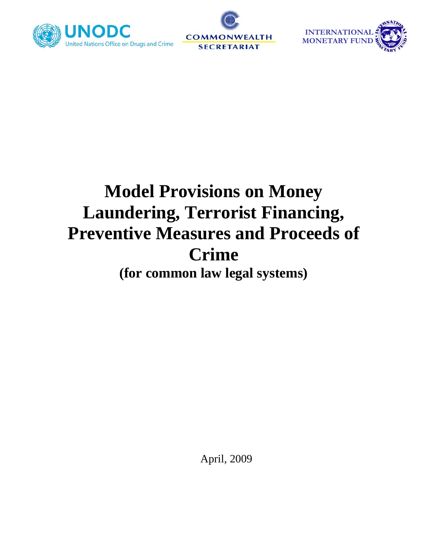





# **Model Provisions on Money Laundering, Terrorist Financing, Preventive Measures and Proceeds of Crime (for common law legal systems)**

April, 2009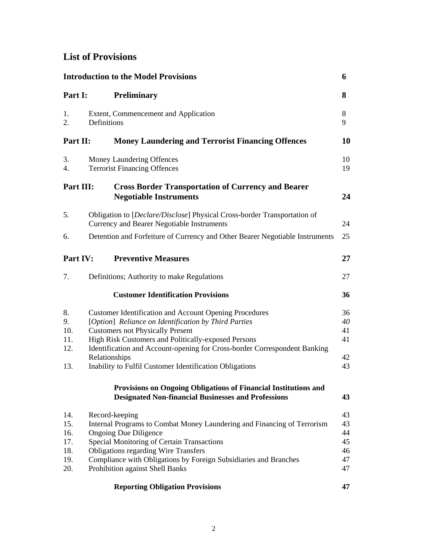# **List of Provisions**

| <b>Introduction to the Model Provisions</b><br>6 |                                                                                                                                                                                                                                                                                                                                                                                  |                                        |
|--------------------------------------------------|----------------------------------------------------------------------------------------------------------------------------------------------------------------------------------------------------------------------------------------------------------------------------------------------------------------------------------------------------------------------------------|----------------------------------------|
| Part I:                                          | <b>Preliminary</b>                                                                                                                                                                                                                                                                                                                                                               | 8                                      |
| 1.<br>2.                                         | Extent, Commencement and Application<br>Definitions                                                                                                                                                                                                                                                                                                                              | 8<br>9                                 |
| Part II:                                         | <b>Money Laundering and Terrorist Financing Offences</b>                                                                                                                                                                                                                                                                                                                         | 10                                     |
| 3.<br>4.                                         | Money Laundering Offences<br><b>Terrorist Financing Offences</b>                                                                                                                                                                                                                                                                                                                 | 10<br>19                               |
| Part III:                                        | <b>Cross Border Transportation of Currency and Bearer</b><br><b>Negotiable Instruments</b>                                                                                                                                                                                                                                                                                       | 24                                     |
| 5.                                               | Obligation to [Declare/Disclose] Physical Cross-border Transportation of<br>Currency and Bearer Negotiable Instruments                                                                                                                                                                                                                                                           | 24                                     |
| 6.                                               | Detention and Forfeiture of Currency and Other Bearer Negotiable Instruments                                                                                                                                                                                                                                                                                                     | 25                                     |
| Part IV:                                         | <b>Preventive Measures</b>                                                                                                                                                                                                                                                                                                                                                       | 27                                     |
| 7.                                               | Definitions; Authority to make Regulations                                                                                                                                                                                                                                                                                                                                       | 27                                     |
|                                                  | <b>Customer Identification Provisions</b>                                                                                                                                                                                                                                                                                                                                        | 36                                     |
| 8.<br>9.<br>10.<br>11.<br>12.<br>13.             | <b>Customer Identification and Account Opening Procedures</b><br>[Option] Reliance on Identification by Third Parties<br><b>Customers not Physically Present</b><br>High Risk Customers and Politically-exposed Persons<br>Identification and Account-opening for Cross-border Correspondent Banking<br>Relationships<br>Inability to Fulfil Customer Identification Obligations | 36<br>40<br>41<br>41<br>42<br>43       |
|                                                  | Provisions on Ongoing Obligations of Financial Institutions and<br><b>Designated Non-financial Businesses and Professions</b>                                                                                                                                                                                                                                                    | 43                                     |
| 14.<br>15.<br>16.<br>17.<br>18.<br>19.<br>20.    | Record-keeping<br>Internal Programs to Combat Money Laundering and Financing of Terrorism<br><b>Ongoing Due Diligence</b><br>Special Monitoring of Certain Transactions<br><b>Obligations regarding Wire Transfers</b><br>Compliance with Obligations by Foreign Subsidiaries and Branches<br>Prohibition against Shell Banks                                                    | 43<br>43<br>44<br>45<br>46<br>47<br>47 |
|                                                  | <b>Reporting Obligation Provisions</b>                                                                                                                                                                                                                                                                                                                                           | 47                                     |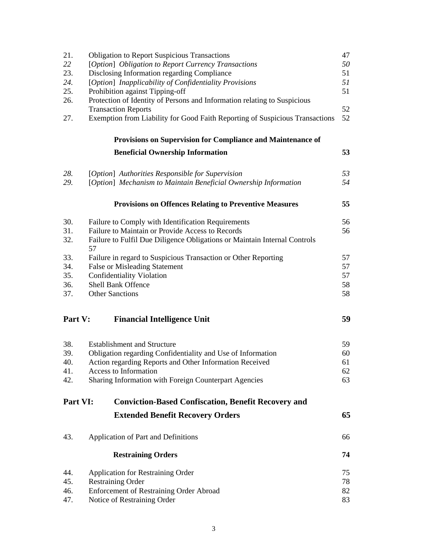| 21.      | <b>Obligation to Report Suspicious Transactions</b>                                                   | 47 |  |  |
|----------|-------------------------------------------------------------------------------------------------------|----|--|--|
| 22       | [Option] Obligation to Report Currency Transactions                                                   |    |  |  |
| 23.      | Disclosing Information regarding Compliance<br>[Option] Inapplicability of Confidentiality Provisions |    |  |  |
| 24.      |                                                                                                       |    |  |  |
| 25.      | Prohibition against Tipping-off                                                                       | 51 |  |  |
| 26.      | Protection of Identity of Persons and Information relating to Suspicious                              |    |  |  |
|          | <b>Transaction Reports</b>                                                                            | 52 |  |  |
| 27.      | Exemption from Liability for Good Faith Reporting of Suspicious Transactions                          | 52 |  |  |
|          | Provisions on Supervision for Compliance and Maintenance of                                           |    |  |  |
|          | <b>Beneficial Ownership Information</b>                                                               | 53 |  |  |
| 28.      | [Option] Authorities Responsible for Supervision                                                      | 53 |  |  |
| 29.      | [Option] Mechanism to Maintain Beneficial Ownership Information                                       | 54 |  |  |
|          | <b>Provisions on Offences Relating to Preventive Measures</b>                                         | 55 |  |  |
| 30.      | Failure to Comply with Identification Requirements                                                    | 56 |  |  |
| 31.      | Failure to Maintain or Provide Access to Records                                                      | 56 |  |  |
| 32.      | Failure to Fulfil Due Diligence Obligations or Maintain Internal Controls<br>57                       |    |  |  |
| 33.      | Failure in regard to Suspicious Transaction or Other Reporting                                        | 57 |  |  |
| 34.      | <b>False or Misleading Statement</b>                                                                  | 57 |  |  |
| 35.      | <b>Confidentiality Violation</b>                                                                      | 57 |  |  |
| 36.      | <b>Shell Bank Offence</b>                                                                             | 58 |  |  |
| 37.      | <b>Other Sanctions</b>                                                                                | 58 |  |  |
| Part V:  | <b>Financial Intelligence Unit</b>                                                                    | 59 |  |  |
| 38.      | <b>Establishment and Structure</b>                                                                    | 59 |  |  |
| 39.      | Obligation regarding Confidentiality and Use of Information                                           | 60 |  |  |
| 40.      | Action regarding Reports and Other Information Received                                               | 61 |  |  |
| 41.      | <b>Access to Information</b>                                                                          | 62 |  |  |
| 42.      | Sharing Information with Foreign Counterpart Agencies                                                 | 63 |  |  |
| Part VI: | <b>Conviction-Based Confiscation, Benefit Recovery and</b>                                            |    |  |  |
|          | <b>Extended Benefit Recovery Orders</b>                                                               | 65 |  |  |
| 43.      | Application of Part and Definitions                                                                   | 66 |  |  |
|          | <b>Restraining Orders</b>                                                                             | 74 |  |  |
| 44.      | <b>Application for Restraining Order</b>                                                              | 75 |  |  |
| 45.      | <b>Restraining Order</b>                                                                              | 78 |  |  |
| 46.      | <b>Enforcement of Restraining Order Abroad</b>                                                        | 82 |  |  |
| 47.      | Notice of Restraining Order                                                                           | 83 |  |  |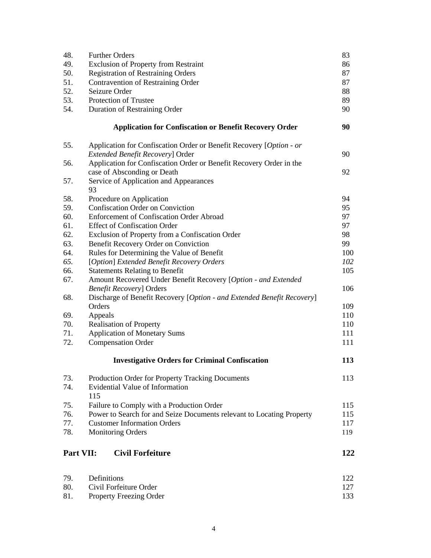| 48.       | <b>Further Orders</b>                                                                             | 83  |  |  |
|-----------|---------------------------------------------------------------------------------------------------|-----|--|--|
| 49.       | Exclusion of Property from Restraint                                                              |     |  |  |
| 50.       | <b>Registration of Restraining Orders</b>                                                         |     |  |  |
| 51.       | Contravention of Restraining Order                                                                |     |  |  |
| 52.       | Seizure Order                                                                                     | 88  |  |  |
| 53.       | Protection of Trustee                                                                             | 89  |  |  |
| 54.       | Duration of Restraining Order                                                                     | 90  |  |  |
|           |                                                                                                   |     |  |  |
|           | <b>Application for Confiscation or Benefit Recovery Order</b>                                     | 90  |  |  |
| 55.       | Application for Confiscation Order or Benefit Recovery [Option - or                               |     |  |  |
|           | <b>Extended Benefit Recovery] Order</b>                                                           | 90  |  |  |
| 56.       | Application for Confiscation Order or Benefit Recovery Order in the                               |     |  |  |
|           | case of Absconding or Death                                                                       | 92  |  |  |
| 57.       | Service of Application and Appearances                                                            |     |  |  |
|           | 93                                                                                                |     |  |  |
| 58.       | Procedure on Application                                                                          | 94  |  |  |
| 59.       | Confiscation Order on Conviction                                                                  | 95  |  |  |
| 60.       | <b>Enforcement of Confiscation Order Abroad</b>                                                   | 97  |  |  |
| 61.       | <b>Effect of Confiscation Order</b>                                                               | 97  |  |  |
| 62.       | Exclusion of Property from a Confiscation Order                                                   | 98  |  |  |
| 63.       | Benefit Recovery Order on Conviction                                                              | 99  |  |  |
| 64.       | Rules for Determining the Value of Benefit                                                        | 100 |  |  |
| 65.       | [Option] Extended Benefit Recovery Orders                                                         | 102 |  |  |
| 66.       | <b>Statements Relating to Benefit</b>                                                             | 105 |  |  |
| 67.       | Amount Recovered Under Benefit Recovery [Option - and Extended<br><b>Benefit Recovery] Orders</b> | 106 |  |  |
| 68.       | Discharge of Benefit Recovery [Option - and Extended Benefit Recovery]                            |     |  |  |
|           | Orders                                                                                            | 109 |  |  |
| 69.       | Appeals                                                                                           | 110 |  |  |
| 70.       | <b>Realisation of Property</b>                                                                    | 110 |  |  |
| 71.       | <b>Application of Monetary Sums</b>                                                               | 111 |  |  |
| 72.       | <b>Compensation Order</b>                                                                         | 111 |  |  |
|           |                                                                                                   |     |  |  |
|           | <b>Investigative Orders for Criminal Confiscation</b>                                             | 113 |  |  |
| 73.       | Production Order for Property Tracking Documents                                                  | 113 |  |  |
| 74.       | Evidential Value of Information                                                                   |     |  |  |
|           | 115                                                                                               |     |  |  |
| 75.       | Failure to Comply with a Production Order                                                         | 115 |  |  |
| 76.       | Power to Search for and Seize Documents relevant to Locating Property                             | 115 |  |  |
| 77.       | <b>Customer Information Orders</b>                                                                | 117 |  |  |
| 78.       | <b>Monitoring Orders</b>                                                                          | 119 |  |  |
|           |                                                                                                   |     |  |  |
| Part VII: | <b>Civil Forfeiture</b>                                                                           | 122 |  |  |
| 79.       | Definitions                                                                                       | 122 |  |  |
| 80.       | Civil Forfeiture Order                                                                            | 127 |  |  |
| 81.       | Property Freezing Order                                                                           | 133 |  |  |
|           |                                                                                                   |     |  |  |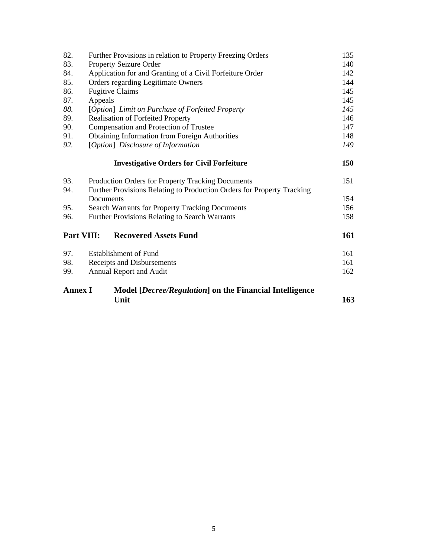| 82.                                                                       | Further Provisions in relation to Property Freezing Orders             |     |
|---------------------------------------------------------------------------|------------------------------------------------------------------------|-----|
| 83.                                                                       | Property Seizure Order                                                 |     |
| 84.                                                                       | Application for and Granting of a Civil Forfeiture Order               |     |
| 85.                                                                       | Orders regarding Legitimate Owners                                     |     |
| 86.                                                                       | <b>Fugitive Claims</b>                                                 |     |
| 87.                                                                       | Appeals                                                                |     |
| 88.                                                                       | [Option] Limit on Purchase of Forfeited Property                       |     |
| 89.                                                                       | <b>Realisation of Forfeited Property</b>                               |     |
| 90.                                                                       | Compensation and Protection of Trustee                                 | 147 |
| 91.                                                                       | <b>Obtaining Information from Foreign Authorities</b>                  | 148 |
| 92.                                                                       | [Option] Disclosure of Information                                     |     |
|                                                                           | <b>Investigative Orders for Civil Forfeiture</b>                       | 150 |
| 93.                                                                       | Production Orders for Property Tracking Documents                      | 151 |
| 94.                                                                       | Further Provisions Relating to Production Orders for Property Tracking |     |
|                                                                           | Documents                                                              | 154 |
| 95.                                                                       | <b>Search Warrants for Property Tracking Documents</b>                 | 156 |
| 96.                                                                       | <b>Further Provisions Relating to Search Warrants</b>                  |     |
| Part VIII:                                                                | <b>Recovered Assets Fund</b>                                           | 161 |
| 97.                                                                       | <b>Establishment of Fund</b>                                           | 161 |
| 98.                                                                       | Receipts and Disbursements                                             | 161 |
| 99.                                                                       | Annual Report and Audit                                                | 162 |
| <b>Annex I</b><br>Model [Decree/Regulation] on the Financial Intelligence |                                                                        |     |
|                                                                           | Unit                                                                   | 163 |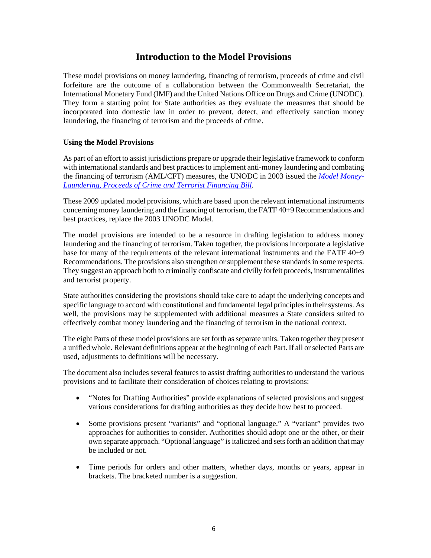# **Introduction to the Model Provisions**

These model provisions on money laundering, financing of terrorism, proceeds of crime and civil forfeiture are the outcome of a collaboration between the Commonwealth Secretariat, the International Monetary Fund (IMF) and the United Nations Office on Drugs and Crime (UNODC). They form a starting point for State authorities as they evaluate the measures that should be incorporated into domestic law in order to prevent, detect, and effectively sanction money laundering, the financing of terrorism and the proceeds of crime.

#### **Using the Model Provisions**

As part of an effort to assist jurisdictions prepare or upgrade their legislative framework to conform with international standards and best practices to implement anti-money laundering and combating the financing of terrorism (AML/CFT) measures, the UNODC in 2003 issued the *[Model Money-](http://www.imolin.org/imolin/en/poctf03.html)[Laundering, Proceeds of Crime and Terrorist Financing Bill.](http://www.imolin.org/imolin/en/poctf03.html)*

These 2009 updated model provisions, which are based upon the relevant international instruments concerning money laundering and the financing of terrorism, the FATF 40+9 Recommendations and best practices, replace the 2003 UNODC Model.

The model provisions are intended to be a resource in drafting legislation to address money laundering and the financing of terrorism. Taken together, the provisions incorporate a legislative base for many of the requirements of the relevant international instruments and the FATF 40+9 Recommendations. The provisions also strengthen or supplement these standards in some respects. They suggest an approach both to criminally confiscate and civilly forfeit proceeds, instrumentalities and terrorist property.

State authorities considering the provisions should take care to adapt the underlying concepts and specific language to accord with constitutional and fundamental legal principles in their systems. As well, the provisions may be supplemented with additional measures a State considers suited to effectively combat money laundering and the financing of terrorism in the national context.

The eight Parts of these model provisions are set forth as separate units. Taken together they present a unified whole. Relevant definitions appear at the beginning of each Part. If all or selected Parts are used, adjustments to definitions will be necessary.

The document also includes several features to assist drafting authorities to understand the various provisions and to facilitate their consideration of choices relating to provisions:

- "Notes for Drafting Authorities" provide explanations of selected provisions and suggest various considerations for drafting authorities as they decide how best to proceed.
- Some provisions present "variants" and "optional language." A "variant" provides two approaches for authorities to consider. Authorities should adopt one or the other, or their own separate approach. "Optional language" is italicized and sets forth an addition that may be included or not.
- Time periods for orders and other matters, whether days, months or years, appear in brackets. The bracketed number is a suggestion.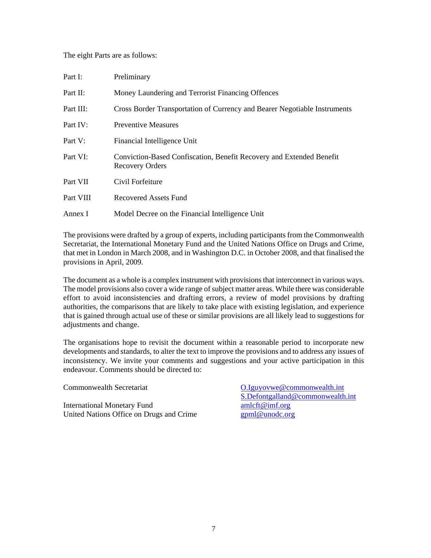#### The eight Parts are as follows:

| Part I:   | Preliminary                                                                                    |
|-----------|------------------------------------------------------------------------------------------------|
| Part II:  | Money Laundering and Terrorist Financing Offences                                              |
| Part III: | Cross Border Transportation of Currency and Bearer Negotiable Instruments                      |
| Part IV:  | <b>Preventive Measures</b>                                                                     |
| Part V:   | Financial Intelligence Unit                                                                    |
| Part VI:  | Conviction-Based Confiscation, Benefit Recovery and Extended Benefit<br><b>Recovery Orders</b> |
| Part VII  | Civil Forfeiture                                                                               |
| Part VIII | Recovered Assets Fund                                                                          |
| Annex I   | Model Decree on the Financial Intelligence Unit                                                |

The provisions were drafted by a group of experts, including participants from the Commonwealth Secretariat, the International Monetary Fund and the United Nations Office on Drugs and Crime, that met in London in March 2008, and in Washington D.C. in October 2008, and that finalised the provisions in April, 2009.

The document as a whole is a complex instrument with provisions that interconnect in various ways. The model provisions also cover a wide range of subject matter areas. While there was considerable effort to avoid inconsistencies and drafting errors, a review of model provisions by drafting authorities, the comparisons that are likely to take place with existing legislation, and experience that is gained through actual use of these or similar provisions are all likely lead to suggestions for adjustments and change.

The organisations hope to revisit the document within a reasonable period to incorporate new developments and standards, to alter the text to improve the provisions and to address any issues of inconsistency. We invite your comments and suggestions and your active participation in this endeavour. Comments should be directed to:

International Monetary Fund [amlcft@imf.org](mailto:amlcft@imf.org) United Nations Office on Drugs and Crime [gpml@unodc.org](mailto:gpml@unodc.org)

Commonwealth Secretariat Commonwealth.int [S.Defontgalland@commonwealth.int](mailto:S.Defontgalland@commonwealth.int)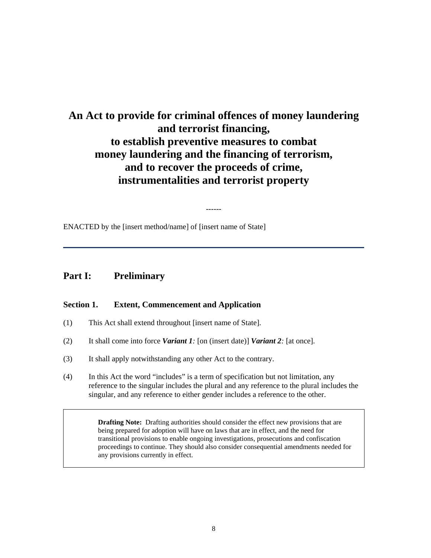# **An Act to provide for criminal offences of money laundering and terrorist financing, to establish preventive measures to combat money laundering and the financing of terrorism, and to recover the proceeds of crime, instrumentalities and terrorist property**

------

ENACTED by the [insert method/name] of [insert name of State]

# **Part I: Preliminary**

#### **Section 1. Extent, Commencement and Application**

- (1) This Act shall extend throughout [insert name of State].
- (2) It shall come into force *Variant 1:* [on (insert date)] *Variant 2:* [at once].
- (3) It shall apply notwithstanding any other Act to the contrary.
- (4) In this Act the word "includes" is a term of specification but not limitation, any reference to the singular includes the plural and any reference to the plural includes the singular, and any reference to either gender includes a reference to the other.

**Drafting Note:** Drafting authorities should consider the effect new provisions that are being prepared for adoption will have on laws that are in effect, and the need for transitional provisions to enable ongoing investigations, prosecutions and confiscation proceedings to continue. They should also consider consequential amendments needed for any provisions currently in effect.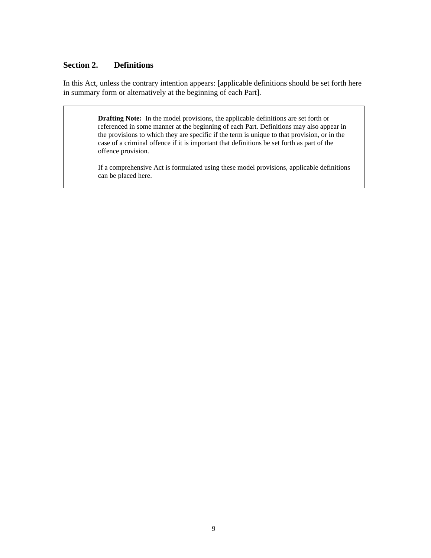# **Section 2. Definitions**

In this Act, unless the contrary intention appears: [applicable definitions should be set forth here in summary form or alternatively at the beginning of each Part].

> **Drafting Note:** In the model provisions, the applicable definitions are set forth or referenced in some manner at the beginning of each Part. Definitions may also appear in the provisions to which they are specific if the term is unique to that provision, or in the case of a criminal offence if it is important that definitions be set forth as part of the offence provision.

If a comprehensive Act is formulated using these model provisions, applicable definitions can be placed here.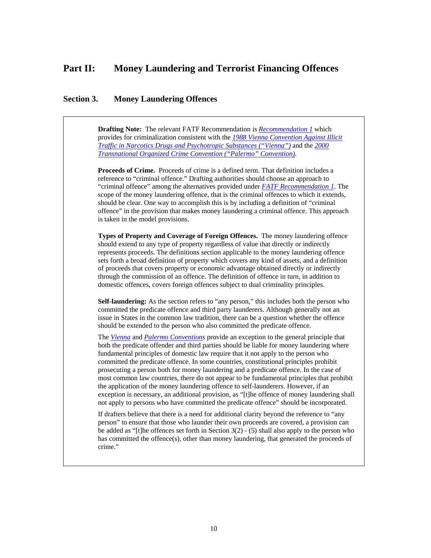# **Part II: Money Laundering and Terrorist Financing Offences**

#### **Section 3. Money Laundering Offences**

**Drafting Note:** The relevant FATF Recommendation is *[Recommendation 1](http://www.fatf-gafi.org/dataoecd/7/40/34849567.PDF)* which provides for criminalization consistent with the *[1988 Vienna Convention Against Illicit](http://www.unodc.org/pdf/convention_1988_en.pdf)  [Traffic in Narcotics Drugs and Psychotropic Substances \("Vienna"\)](http://www.unodc.org/pdf/convention_1988_en.pdf)* and the *[2000](http://www.unodc.org/documents/treaties/UNTOC/Publications/TOC%20Convention/TOCebook-e.pdf)  [Transnational Organized Crime Convention \("Palermo" Convention\)](http://www.unodc.org/documents/treaties/UNTOC/Publications/TOC%20Convention/TOCebook-e.pdf).* 

**Proceeds of Crime.** Proceeds of crime is a defined term. That definition includes a reference to "criminal offence." Drafting authorities should choose an approach to "criminal offence" among the alternatives provided under *[FATF Recommendation 1](http://www.fatf-gafi.org/dataoecd/7/40/34849567.PDF)*. The scope of the money laundering offence, that is the criminal offences to which it extends, should be clear. One way to accomplish this is by including a definition of "criminal offence" in the provision that makes money laundering a criminal offence. This approach is taken in the model provisions.

**Types of Property and Coverage of Foreign Offences.** The money laundering offence should extend to any type of property regardless of value that directly or indirectly represents proceeds. The definitions section applicable to the money laundering offence sets forth a broad definition of property which covers any kind of assets, and a definition of proceeds that covers property or economic advantage obtained directly or indirectly through the commission of an offence. The definition of offence in turn, in addition to domestic offences, covers foreign offences subject to dual criminality principles.

**Self-laundering:** As the section refers to "any person," this includes both the person who committed the predicate offence and third party launderers. Although generally not an issue in States in the common law tradition, there can be a question whether the offence should be extended to the person who also committed the predicate offence.

The *[Vienna](http://www.unodc.org/pdf/convention_1988_en.pdf)* and *[Palermo Conventions](http://www.unodc.org/documents/treaties/UNTOC/Publications/TOC%20Convention/TOCebook-e.pdf)* provide an exception to the general principle that both the predicate offender and third parties should be liable for money laundering where fundamental principles of domestic law require that it not apply to the person who committed the predicate offence. In some countries, constitutional principles prohibit prosecuting a person both for money laundering and a predicate offence. In the case of most common law countries, there do not appear to be fundamental principles that prohibit the application of the money laundering offence to self-launderers. However, if an exception is necessary, an additional provision, as "[t]he offence of money laundering shall not apply to persons who have committed the predicate offence" should be incorporated.

If drafters believe that there is a need for additional clarity beyond the reference to "any person" to ensure that those who launder their own proceeds are covered, a provision can be added as "[t]he offences set forth in Section 3(2) - (5) shall also apply to the person who has committed the offence(s), other than money laundering, that generated the proceeds of crime."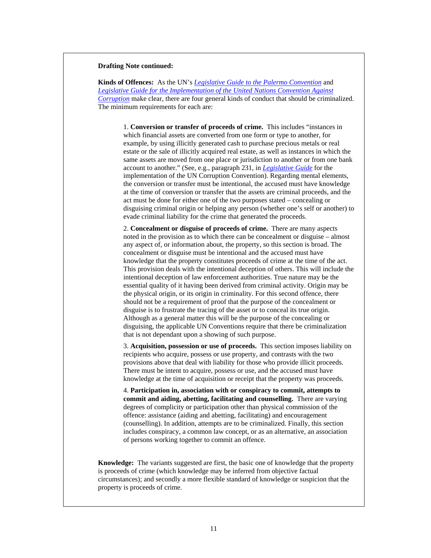#### **Drafting Note continued:**

**Kinds of Offences:** As the UN's *[Legislative Guide to the Palermo Convention](http://www.unodc.org/pdf/crime/legislative_guides/Legislative%20guides_Full%20version.pdf)* and *[Legislative Guide for the Implementation of the United Nations Convention Against](http://www.unodc.org/pdf/corruption/CoC_LegislativeGuide.pdf)  [Corruption](http://www.unodc.org/pdf/corruption/CoC_LegislativeGuide.pdf)* make clear, there are four general kinds of conduct that should be criminalized. The minimum requirements for each are:

1. **Conversion or transfer of proceeds of crime.** This includes "instances in which financial assets are converted from one form or type to another, for example, by using illicitly generated cash to purchase precious metals or real estate or the sale of illicitly acquired real estate, as well as instances in which the same assets are moved from one place or jurisdiction to another or from one bank account to another." (See, e.g., paragraph 231, in *[Legislative Guide](http://www.unodc.org/pdf/corruption/CoC_LegislativeGuide.pdf)* for the implementation of the UN Corruption Convention). Regarding mental elements, the conversion or transfer must be intentional, the accused must have knowledge at the time of conversion or transfer that the assets are criminal proceeds, and the act must be done for either one of the two purposes stated – concealing or disguising criminal origin or helping any person (whether one's self or another) to evade criminal liability for the crime that generated the proceeds.

2. **Concealment or disguise of proceeds of crime.** There are many aspects noted in the provision as to which there can be concealment or disguise – almost any aspect of, or information about, the property, so this section is broad. The concealment or disguise must be intentional and the accused must have knowledge that the property constitutes proceeds of crime at the time of the act. This provision deals with the intentional deception of others. This will include the intentional deception of law enforcement authorities. True nature may be the essential quality of it having been derived from criminal activity. Origin may be the physical origin, or its origin in criminality. For this second offence, there should not be a requirement of proof that the purpose of the concealment or disguise is to frustrate the tracing of the asset or to conceal its true origin. Although as a general matter this will be the purpose of the concealing or disguising, the applicable UN Conventions require that there be criminalization that is not dependant upon a showing of such purpose.

3. **Acquisition, possession or use of proceeds.** This section imposes liability on recipients who acquire, possess or use property, and contrasts with the two provisions above that deal with liability for those who provide illicit proceeds. There must be intent to acquire, possess or use, and the accused must have knowledge at the time of acquisition or receipt that the property was proceeds.

4. **Participation in, association with or conspiracy to commit, attempts to commit and aiding, abetting, facilitating and counselling.** There are varying degrees of complicity or participation other than physical commission of the offence: assistance (aiding and abetting, facilitating) and encouragement (counselling). In addition, attempts are to be criminalized. Finally, this section includes conspiracy, a common law concept, or as an alternative, an association of persons working together to commit an offence.

**Knowledge:** The variants suggested are first, the basic one of knowledge that the property is proceeds of crime (which knowledge may be inferred from objective factual circumstances); and secondly a more flexible standard of knowledge or suspicion that the property is proceeds of crime.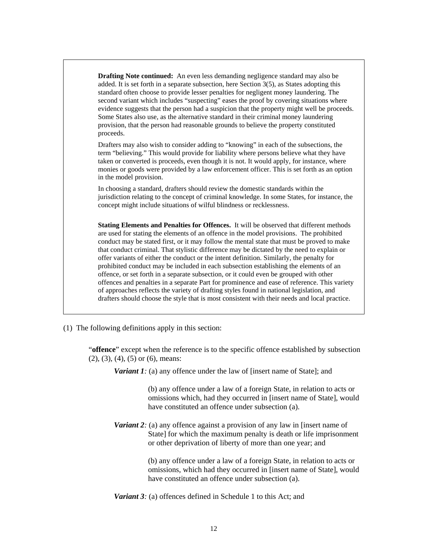**Drafting Note continued:** An even less demanding negligence standard may also be added. It is set forth in a separate subsection, here Section 3(5), as States adopting this standard often choose to provide lesser penalties for negligent money laundering. The second variant which includes "suspecting" eases the proof by covering situations where evidence suggests that the person had a suspicion that the property might well be proceeds. Some States also use, as the alternative standard in their criminal money laundering provision, that the person had reasonable grounds to believe the property constituted proceeds.

Drafters may also wish to consider adding to "knowing" in each of the subsections, the term "believing." This would provide for liability where persons believe what they have taken or converted is proceeds, even though it is not. It would apply, for instance, where monies or goods were provided by a law enforcement officer. This is set forth as an option in the model provision.

In choosing a standard, drafters should review the domestic standards within the jurisdiction relating to the concept of criminal knowledge. In some States, for instance, the concept might include situations of wilful blindness or recklessness.

**Stating Elements and Penalties for Offences.** It will be observed that different methods are used for stating the elements of an offence in the model provisions. The prohibited conduct may be stated first, or it may follow the mental state that must be proved to make that conduct criminal. That stylistic difference may be dictated by the need to explain or offer variants of either the conduct or the intent definition. Similarly, the penalty for prohibited conduct may be included in each subsection establishing the elements of an offence, or set forth in a separate subsection, or it could even be grouped with other offences and penalties in a separate Part for prominence and ease of reference. This variety of approaches reflects the variety of drafting styles found in national legislation, and drafters should choose the style that is most consistent with their needs and local practice.

(1) The following definitions apply in this section:

"**offence**" except when the reference is to the specific offence established by subsection (2), (3), (4), (5) or (6), means:

*Variant 1:* (a) any offence under the law of [insert name of State]; and

(b) any offence under a law of a foreign State, in relation to acts or omissions which, had they occurred in [insert name of State], would have constituted an offence under subsection (a).

*Variant 2:* (a) any offence against a provision of any law in [insert name of State] for which the maximum penalty is death or life imprisonment or other deprivation of liberty of more than one year; and

> (b) any offence under a law of a foreign State, in relation to acts or omissions, which had they occurred in [insert name of State], would have constituted an offence under subsection (a).

*Variant 3:* (a) offences defined in Schedule 1 to this Act; and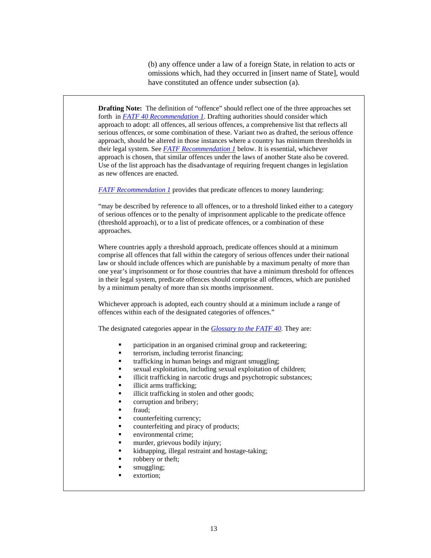(b) any offence under a law of a foreign State, in relation to acts or omissions which, had they occurred in [insert name of State], would have constituted an offence under subsection (a).

**Drafting Note:** The definition of "offence" should reflect one of the three approaches set forth in *[FATF 40 Recommendation 1](http://www.fatf-gafi.org/dataoecd/7/40/34849567.PDF)*. Drafting authorities should consider which approach to adopt: all offences, all serious offences, a comprehensive list that reflects all serious offences, or some combination of these. Variant two as drafted, the serious offence approach, should be altered in those instances where a country has minimum thresholds in their legal system. See *[FATF Recommendation 1](http://www.fatf-gafi.org/dataoecd/7/40/34849567.PDF)* below. It is essential, whichever approach is chosen, that similar offences under the laws of another State also be covered. Use of the list approach has the disadvantage of requiring frequent changes in legislation as new offences are enacted.

*[FATF Recommendation 1](http://www.fatf-gafi.org/dataoecd/7/40/34849567.PDF)* provides that predicate offences to money laundering:

"may be described by reference to all offences, or to a threshold linked either to a category of serious offences or to the penalty of imprisonment applicable to the predicate offence (threshold approach), or to a list of predicate offences, or a combination of these approaches.

Where countries apply a threshold approach, predicate offences should at a minimum comprise all offences that fall within the category of serious offences under their national law or should include offences which are punishable by a maximum penalty of more than one year's imprisonment or for those countries that have a minimum threshold for offences in their legal system, predicate offences should comprise all offences, which are punished by a minimum penalty of more than six months imprisonment.

Whichever approach is adopted, each country should at a minimum include a range of offences within each of the designated categories of offences."

The designated categories appear in the *[Glossary to the FATF 40](http://www.fatf-gafi.org/dataoecd/7/40/34849567.PDF)*. They are:

- participation in an organised criminal group and racketeering;
- terrorism, including terrorist financing;
- trafficking in human beings and migrant smuggling;
- sexual exploitation, including sexual exploitation of children;
- illicit trafficking in narcotic drugs and psychotropic substances;
- illicit arms trafficking;
- illicit trafficking in stolen and other goods;
- corruption and bribery;
- fraud;
- counterfeiting currency;
- counterfeiting and piracy of products;
- environmental crime;
- murder, grievous bodily injury;
- kidnapping, illegal restraint and hostage-taking;
- robbery or theft;
- smuggling;
- extortion;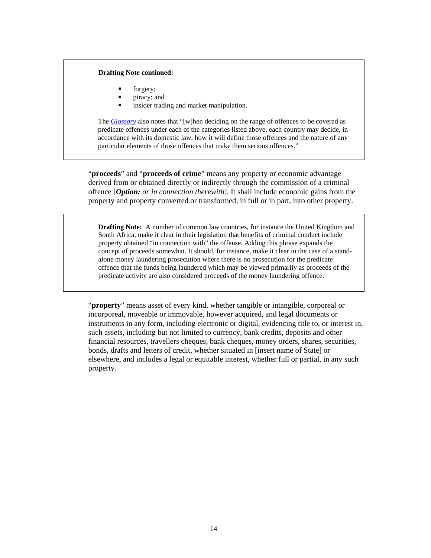#### **Drafting Note continued:**

- **forgery**;
- piracy; and
- insider trading and market manipulation.

The *[Glossary](http://www.fatf-gafi.org/dataoecd/7/40/34849567.PDF)* also notes that "[w]hen deciding on the range of offences to be covered as predicate offences under each of the categories listed above, each country may decide, in accordance with its domestic law, how it will define those offences and the nature of any particular elements of those offences that make them serious offences."

"**proceeds**" and "**proceeds of crime**" means any property or economic advantage derived from or obtained directly or indirectly through the commission of a criminal offence [*Option: or in connection therewith*]. It shall include economic gains from the property and property converted or transformed, in full or in part, into other property.

**Drafting Note:** A number of common law countries, for instance the United Kingdom and South Africa, make it clear in their legislation that benefits of criminal conduct include property obtained "in connection with" the offense. Adding this phrase expands the concept of proceeds somewhat. It should, for instance, make it clear in the case of a standalone money laundering prosecution where there is no prosecution for the predicate offence that the funds being laundered which may be viewed primarily as proceeds of the predicate activity are also considered proceeds of the money laundering offence.

"**property**" means asset of every kind, whether tangible or intangible, corporeal or incorporeal, moveable or immovable, however acquired, and legal documents or instruments in any form, including electronic or digital, evidencing title to, or interest in, such assets, including but not limited to currency, bank credits, deposits and other financial resources, travellers cheques, bank cheques, money orders, shares, securities, bonds, drafts and letters of credit, whether situated in [insert name of State] or elsewhere, and includes a legal or equitable interest, whether full or partial, in any such property.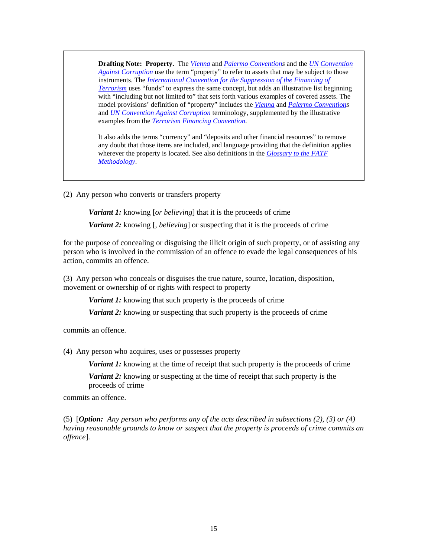**Drafting Note: Property.** The *[Vienna](http://www.unodc.org/pdf/convention_1988_en.pdf)* and *[Palermo Convention](http://www.unodc.org/documents/treaties/UNTOC/Publications/TOC%20Convention/TOCebook-e.pdf)s* and the *[UN Convention](http://www.unodc.org/documents/treaties/UNCAC/Publications/Convention/08-50026_E.pdf)  [Against Corruption](http://www.unodc.org/documents/treaties/UNCAC/Publications/Convention/08-50026_E.pdf)* use the term "property" to refer to assets that may be subject to those instruments. The *[International Convention for the Suppression of the Financing of](http://www.un.org/law/cod/finterr.htm)  [Terrorism](http://www.un.org/law/cod/finterr.htm)* uses "funds" to express the same concept, but adds an illustrative list beginning with "including but not limited to" that sets forth various examples of covered assets. The model provisions' definition of "property" includes the *[Vienna](http://www.unodc.org/pdf/convention_1988_en.pdf)* and *[Palermo Convention](http://www.unodc.org/documents/treaties/UNTOC/Publications/TOC%20Convention/TOCebook-e.pdf)s* and *[UN Convention Against Corruption](http://www.unodc.org/documents/treaties/UNCAC/Publications/Convention/08-50026_E.pdf)* terminology, supplemented by the illustrative examples from the *[Terrorism Financing Convention](http://www.un.org/law/cod/finterr.htm)*.

It also adds the terms "currency" and "deposits and other financial resources" to remove any doubt that those items are included, and language providing that the definition applies wherever the property is located. See also definitions in the *[Glossary to the FATF](http://www.fatf-gafi.org/dataoecd/16/54/40339628.pdf)  [Methodology](http://www.fatf-gafi.org/dataoecd/16/54/40339628.pdf)*.

(2) Any person who converts or transfers property

*Variant 1:* knowing [*or believing*] that it is the proceeds of crime

*Variant 2:* knowing [, *believing*] or suspecting that it is the proceeds of crime

for the purpose of concealing or disguising the illicit origin of such property, or of assisting any person who is involved in the commission of an offence to evade the legal consequences of his action, commits an offence.

(3) Any person who conceals or disguises the true nature, source, location, disposition, movement or ownership of or rights with respect to property

*Variant 1:* knowing that such property is the proceeds of crime

*Variant 2:* knowing or suspecting that such property is the proceeds of crime

commits an offence.

(4) Any person who acquires, uses or possesses property

*Variant 1:* knowing at the time of receipt that such property is the proceeds of crime

*Variant 2:* knowing or suspecting at the time of receipt that such property is the proceeds of crime

commits an offence.

(5) [*Option:**Any person who performs any of the acts described in subsections (2), (3) or (4) having reasonable grounds to know or suspect that the property is proceeds of crime commits an offence*].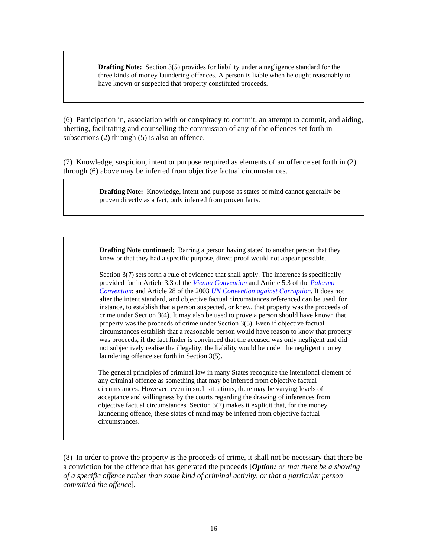**Drafting Note:** Section 3(5) provides for liability under a negligence standard for the three kinds of money laundering offences. A person is liable when he ought reasonably to have known or suspected that property constituted proceeds.

(6) Participation in, association with or conspiracy to commit, an attempt to commit, and aiding, abetting, facilitating and counselling the commission of any of the offences set forth in subsections (2) through (5) is also an offence.

(7) Knowledge, suspicion, intent or purpose required as elements of an offence set forth in (2) through (6) above may be inferred from objective factual circumstances.

> **Drafting Note:** Knowledge, intent and purpose as states of mind cannot generally be proven directly as a fact, only inferred from proven facts.

> **Drafting Note continued:** Barring a person having stated to another person that they knew or that they had a specific purpose, direct proof would not appear possible.

Section 3(7) sets forth a rule of evidence that shall apply. The inference is specifically provided for in Article 3.3 of the *[Vienna Convention](http://www.unodc.org/pdf/convention_1988_en.pdf)* and Article 5.3 of the *[Palermo](http://www.unodc.org/documents/treaties/UNTOC/Publications/TOC%20Convention/TOCebook-e.pdf)  [Convention](http://www.unodc.org/documents/treaties/UNTOC/Publications/TOC%20Convention/TOCebook-e.pdf)*; and Article 28 of the 2003 *[UN Convention against Corruption](http://www.unodc.org/documents/treaties/UNCAC/Publications/Convention/08-50026_E.pdf)*. It does not alter the intent standard, and objective factual circumstances referenced can be used, for instance, to establish that a person suspected, or knew, that property was the proceeds of crime under Section 3(4). It may also be used to prove a person should have known that property was the proceeds of crime under Section 3(5). Even if objective factual circumstances establish that a reasonable person would have reason to know that property was proceeds, if the fact finder is convinced that the accused was only negligent and did not subjectively realise the illegality, the liability would be under the negligent money laundering offence set forth in Section 3(5).

The general principles of criminal law in many States recognize the intentional element of any criminal offence as something that may be inferred from objective factual circumstances. However, even in such situations, there may be varying levels of acceptance and willingness by the courts regarding the drawing of inferences from objective factual circumstances. Section 3(7) makes it explicit that, for the money laundering offence, these states of mind may be inferred from objective factual circumstances.

(8) In order to prove the property is the proceeds of crime, it shall not be necessary that there be a conviction for the offence that has generated the proceeds [*Option: or that there be a showing of a specific offence rather than some kind of criminal activity, or that a particular person committed the offence*]*.*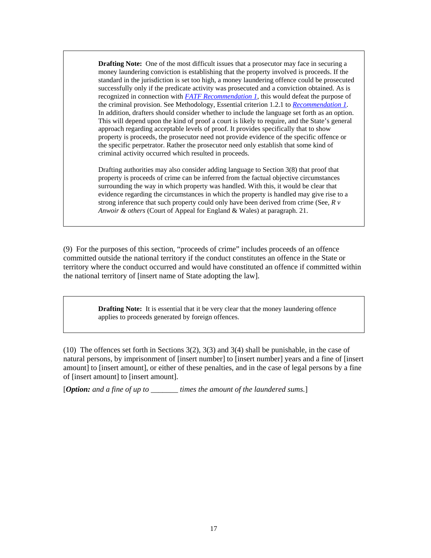**Drafting Note:** One of the most difficult issues that a prosecutor may face in securing a money laundering conviction is establishing that the property involved is proceeds. If the standard in the jurisdiction is set too high, a money laundering offence could be prosecuted successfully only if the predicate activity was prosecuted and a conviction obtained. As is recognized in connection with *[FATF Recommendation 1](http://www.fatf-gafi.org/dataoecd/7/40/34849567.PDF)*, this would defeat the purpose of the criminal provision. See Methodology, Essential criterion 1.2.1 to *[Recommendation 1](http://www.fatf-gafi.org/dataoecd/7/40/34849567.PDF)*. In addition, drafters should consider whether to include the language set forth as an option. This will depend upon the kind of proof a court is likely to require, and the State's general approach regarding acceptable levels of proof. It provides specifically that to show property is proceeds, the prosecutor need not provide evidence of the specific offence or the specific perpetrator. Rather the prosecutor need only establish that some kind of criminal activity occurred which resulted in proceeds.

Drafting authorities may also consider adding language to Section 3(8) that proof that property is proceeds of crime can be inferred from the factual objective circumstances surrounding the way in which property was handled. With this, it would be clear that evidence regarding the circumstances in which the property is handled may give rise to a strong inference that such property could only have been derived from crime (See, *R v Anwoir & others* (Court of Appeal for England & Wales) at paragraph. 21.

(9) For the purposes of this section, "proceeds of crime" includes proceeds of an offence committed outside the national territory if the conduct constitutes an offence in the State or territory where the conduct occurred and would have constituted an offence if committed within the national territory of [insert name of State adopting the law].

> **Drafting Note:** It is essential that it be very clear that the money laundering offence applies to proceeds generated by foreign offences.

(10) The offences set forth in Sections 3(2), 3(3) and 3(4) shall be punishable, in the case of natural persons, by imprisonment of [insert number] to [insert number] years and a fine of [insert amount] to [insert amount], or either of these penalties, and in the case of legal persons by a fine of [insert amount] to [insert amount].

[*Option: and a fine of up to \_\_\_\_\_\_\_ times the amount of the laundered sums.*]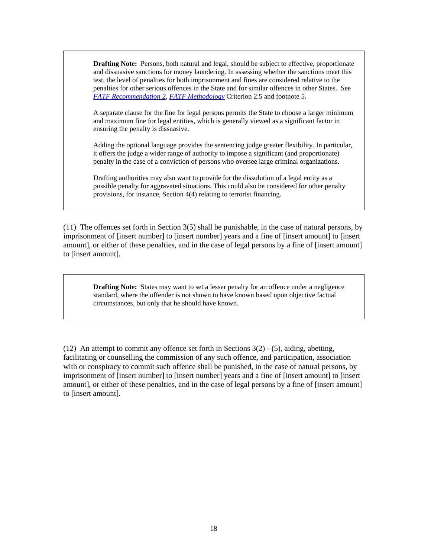**Drafting Note:** Persons, both natural and legal, should be subject to effective, proportionate and dissuasive sanctions for money laundering. In assessing whether the sanctions meet this test, the level of penalties for both imprisonment and fines are considered relative to the penalties for other serious offences in the State and for similar offences in other States. See *[FATF Recommendation 2](http://www.fatf-gafi.org/dataoecd/7/40/34849567.PDF)*, *[FATF Methodology](http://www.fatf-gafi.org/dataoecd/16/54/40339628.pdf)* Criterion 2.5 and footnote 5.

A separate clause for the fine for legal persons permits the State to choose a larger minimum and maximum fine for legal entities, which is generally viewed as a significant factor in ensuring the penalty is dissuasive.

Adding the optional language provides the sentencing judge greater flexibility. In particular, it offers the judge a wider range of authority to impose a significant (and proportionate) penalty in the case of a conviction of persons who oversee large criminal organizations.

Drafting authorities may also want to provide for the dissolution of a legal entity as a possible penalty for aggravated situations. This could also be considered for other penalty provisions, for instance, Section 4(4) relating to terrorist financing.

(11) The offences set forth in Section 3(5) shall be punishable, in the case of natural persons, by imprisonment of [insert number] to [insert number] years and a fine of [insert amount] to [insert amount], or either of these penalties, and in the case of legal persons by a fine of [insert amount] to [insert amount].

**Drafting Note:** States may want to set a lesser penalty for an offence under a negligence standard, where the offender is not shown to have known based upon objective factual circumstances, but only that he should have known.

(12) An attempt to commit any offence set forth in Sections 3(2) - (5), aiding, abetting, facilitating or counselling the commission of any such offence, and participation, association with or conspiracy to commit such offence shall be punished, in the case of natural persons, by imprisonment of [insert number] to [insert number] years and a fine of [insert amount] to [insert amount], or either of these penalties, and in the case of legal persons by a fine of [insert amount] to [insert amount].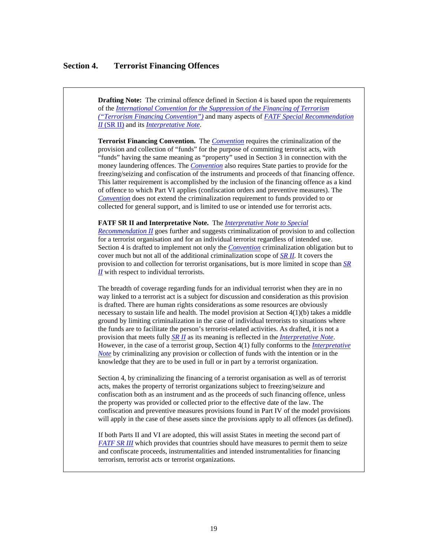#### **Section 4. Terrorist Financing Offences**

**Drafting Note:** The criminal offence defined in Section 4 is based upon the requirements of the *[International Convention for the Suppression of the Financing of Terrorism](http://www.un.org/law/cod/finterr.htm)  [\("Terrorism Financing Convention"\)](http://www.un.org/law/cod/finterr.htm)* and many aspects of *FATF [Special Recommendation](http://www.fatf-gafi.org/document/9/0,3343,en_32250379_32236920_34032073_1_1_1_1,00.html#IICriminalising)  II* [\(SR II\)](http://www.fatf-gafi.org/document/9/0,3343,en_32250379_32236920_34032073_1_1_1_1,00.html#IICriminalising) and its *[Interpretative Note](http://www.fatf-gafi.org/dataoecd/45/19/34863009.PDF)*.

**Terrorist Financing Convention.** The *[Convention](http://www.un.org/law/cod/finterr.htm)* requires the criminalization of the provision and collection of "funds" for the purpose of committing terrorist acts, with "funds" having the same meaning as "property" used in Section 3 in connection with the money laundering offences. The *[Convention](http://www.un.org/law/cod/finterr.htm)* also requires State parties to provide for the freezing/seizing and confiscation of the instruments and proceeds of that financing offence. This latter requirement is accomplished by the inclusion of the financing offence as a kind of offence to which Part VI applies (confiscation orders and preventive measures). The *[Convention](http://www.un.org/law/cod/finterr.htm)* does not extend the criminalization requirement to funds provided to or collected for general support, and is limited to use or intended use for terrorist acts.

#### **FATF SR II and Interpretative Note.** The *[Interpretative Note to Special](http://www.fatf-gafi.org/dataoecd/45/19/34863009.PDF)*

*[Recommendation II](http://www.fatf-gafi.org/dataoecd/45/19/34863009.PDF)* goes further and suggests criminalization of provision to and collection for a terrorist organisation and for an individual terrorist regardless of intended use. Section 4 is drafted to implement not only the *[Convention](http://www.un.org/law/cod/finterr.htm)* criminalization obligation but to cover much but not all of the additional criminalization scope of *[SR II](http://www.fatf-gafi.org/document/9/0,3343,en_32250379_32236920_34032073_1_1_1_1,00.html#IICriminalising).* It covers the provision to and collection for terrorist organisations, but is more limited in scope than *[SR](http://www.fatf-gafi.org/document/9/0,3343,en_32250379_32236920_34032073_1_1_1_1,00.html#IICriminalising)  [II](http://www.fatf-gafi.org/document/9/0,3343,en_32250379_32236920_34032073_1_1_1_1,00.html#IICriminalising)* with respect to individual terrorists.

The breadth of coverage regarding funds for an individual terrorist when they are in no way linked to a terrorist act is a subject for discussion and consideration as this provision is drafted. There are human rights considerations as some resources are obviously necessary to sustain life and health. The model provision at Section 4(1)(b) takes a middle ground by limiting criminalization in the case of individual terrorists to situations where the funds are to facilitate the person's terrorist-related activities. As drafted, it is not a provision that meets fully *[SR II](http://www.fatf-gafi.org/document/9/0,3343,en_32250379_32236920_34032073_1_1_1_1,00.html#IICriminalising)* as its meaning is reflected in the *[Interpretative Note](http://www.fatf-gafi.org/dataoecd/45/19/34863009.PDF)*. However, in the case of a terrorist group, Section 4(1) fully conforms to the *[Interpretative](http://www.fatf-gafi.org/dataoecd/45/19/34863009.PDF)  [Note](http://www.fatf-gafi.org/dataoecd/45/19/34863009.PDF)* by criminalizing any provision or collection of funds with the intention or in the knowledge that they are to be used in full or in part by a terrorist organization.

Section 4, by criminalizing the financing of a terrorist organisation as well as of terrorist acts, makes the property of terrorist organizations subject to freezing/seizure and confiscation both as an instrument and as the proceeds of such financing offence, unless the property was provided or collected prior to the effective date of the law. The confiscation and preventive measures provisions found in Part IV of the model provisions will apply in the case of these assets since the provisions apply to all offences (as defined).

If both Parts II and VI are adopted, this will assist States in meeting the second part of *[FATF SR III](http://www.fatf-gafi.org/document/9/0,3343,en_32250379_32236920_34032073_1_1_1_1,00.html#IICriminalising)* which provides that countries should have measures to permit them to seize and confiscate proceeds, instrumentalities and intended instrumentalities for financing terrorism, terrorist acts or terrorist organizations.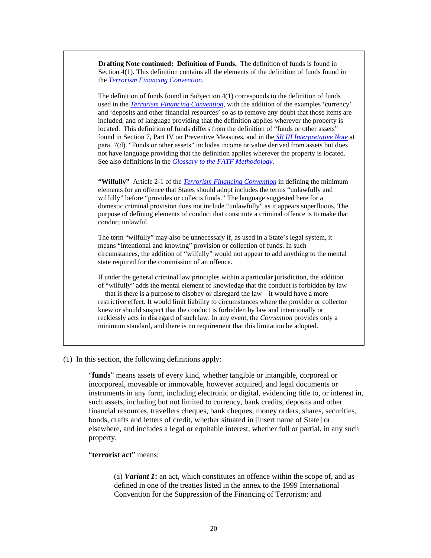**Drafting Note continued: Definition of Funds.** The definition of funds is found in Section 4(1). This definition contains all the elements of the definition of funds found in the *[Terrorism Financing Convention](http://www.un.org/law/cod/finterr.htm)*.

The definition of funds found in Subjection 4(1) corresponds to the definition of funds used in the *[Terrorism Financing Convention,](http://www.un.org/law/cod/finterr.htm)* with the addition of the examples 'currency' and 'deposits and other financial resources' so as to remove any doubt that those items are included, and of language providing that the definition applies wherever the property is located. This definition of funds differs from the definition of "funds or other assets" found in Section 7, Part IV on Preventive Measures, and in the *[SR III Interpretative Note](http://www.fatf-gafi.org/dataoecd/53/32/34262136.pdf)* at para. 7(d). "Funds or other assets" includes income or value derived from assets but does not have language providing that the definition applies wherever the property is located. See also definitions in the *[Glossary to the FATF Methodology](http://www.fatf-gafi.org/dataoecd/16/54/40339628.pdf)*.

**"Wilfully"** Article 2-1 of the *[Terrorism Financing Convention](http://www.un.org/law/cod/finterr.htm)* in defining the minimum elements for an offence that States should adopt includes the terms "unlawfully and wilfully" before "provides or collects funds." The language suggested here for a domestic criminal provision does not include "unlawfully" as it appears superfluous. The purpose of defining elements of conduct that constitute a criminal offence is to make that conduct unlawful.

The term "wilfully" may also be unnecessary if, as used in a State's legal system, it means "intentional and knowing" provision or collection of funds. In such circumstances, the addition of "wilfully" would not appear to add anything to the mental state required for the commission of an offence.

If under the general criminal law principles within a particular jurisdiction, the addition of "wilfully" adds the mental element of knowledge that the conduct is forbidden by law —that is there is a purpose to disobey or disregard the law—it would have a more restrictive effect. It would limit liability to circumstances where the provider or collector knew or should suspect that the conduct is forbidden by law and intentionally or recklessly acts in disregard of such law. In any event, the *Convention* provides only a minimum standard, and there is no requirement that this limitation be adopted.

#### (1) In this section, the following definitions apply:

"**funds**" means assets of every kind, whether tangible or intangible, corporeal or incorporeal, moveable or immovable, however acquired, and legal documents or instruments in any form, including electronic or digital, evidencing title to, or interest in, such assets, including but not limited to currency, bank credits, deposits and other financial resources, travellers cheques, bank cheques, money orders, shares, securities, bonds, drafts and letters of credit, whether situated in [insert name of State] or elsewhere, and includes a legal or equitable interest, whether full or partial, in any such property.

#### "**terrorist act**" means:

(a) *Variant 1***:** an act, which constitutes an offence within the scope of, and as defined in one of the treaties listed in the annex to the 1999 International Convention for the Suppression of the Financing of Terrorism; and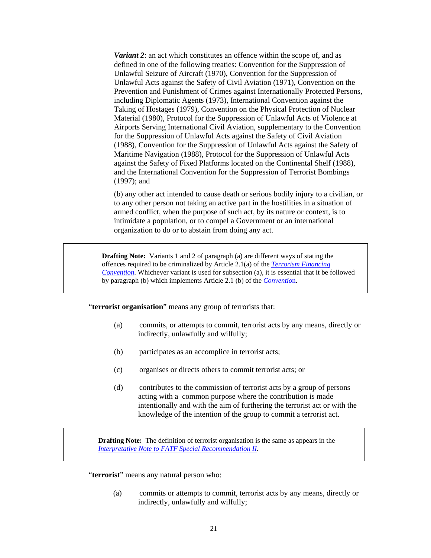*Variant 2*: an act which constitutes an offence within the scope of, and as defined in one of the following treaties: Convention for the Suppression of Unlawful Seizure of Aircraft (1970), Convention for the Suppression of Unlawful Acts against the Safety of Civil Aviation (1971), Convention on the Prevention and Punishment of Crimes against Internationally Protected Persons, including Diplomatic Agents (1973), International Convention against the Taking of Hostages (1979), Convention on the Physical Protection of Nuclear Material (1980), Protocol for the Suppression of Unlawful Acts of Violence at Airports Serving International Civil Aviation, supplementary to the Convention for the Suppression of Unlawful Acts against the Safety of Civil Aviation (1988), Convention for the Suppression of Unlawful Acts against the Safety of Maritime Navigation (1988), Protocol for the Suppression of Unlawful Acts against the Safety of Fixed Platforms located on the Continental Shelf (1988), and the International Convention for the Suppression of Terrorist Bombings (1997); and

(b) any other act intended to cause death or serious bodily injury to a civilian, or to any other person not taking an active part in the hostilities in a situation of armed conflict, when the purpose of such act, by its nature or context, is to intimidate a population, or to compel a Government or an international organization to do or to abstain from doing any act.

**Drafting Note:** Variants 1 and 2 of paragraph (a) are different ways of stating the offences required to be criminalized by Article 2.1(a) of the *[Terrorism Financing](http://www.un.org/law/cod/finterr.htm)  [Convention](http://www.un.org/law/cod/finterr.htm)*. Whichever variant is used for subsection (a), it is essential that it be followed by paragraph (b) which implements Article 2.1 (b) of the *[Conventio](http://www.un.org/law/cod/finterr.htm)*n.

"**terrorist organisation**" means any group of terrorists that:

- (a) commits, or attempts to commit, terrorist acts by any means, directly or indirectly, unlawfully and wilfully;
- (b) participates as an accomplice in terrorist acts;
- (c) organises or directs others to commit terrorist acts; or
- (d) contributes to the commission of terrorist acts by a group of persons acting with a common purpose where the contribution is made intentionally and with the aim of furthering the terrorist act or with the knowledge of the intention of the group to commit a terrorist act.

**Drafting Note:** The definition of terrorist organisation is the same as appears in the *[Interpretative Note to FATF Special Recommendation II](http://www.fatf-gafi.org/dataoecd/45/19/34863009.PDF)*.

"**terrorist**" means any natural person who:

(a) commits or attempts to commit, terrorist acts by any means, directly or indirectly, unlawfully and wilfully;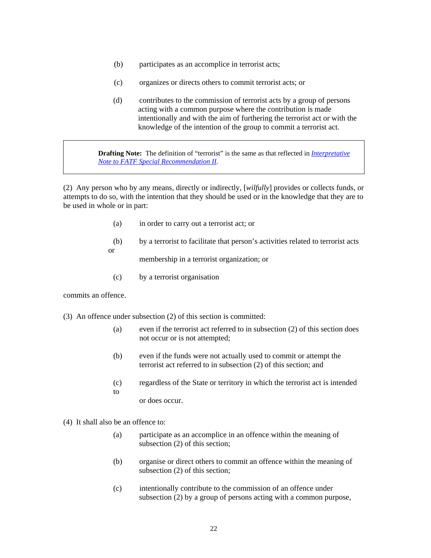- (b) participates as an accomplice in terrorist acts;
- (c) organizes or directs others to commit terrorist acts; or
- (d) contributes to the commission of terrorist acts by a group of persons acting with a common purpose where the contribution is made intentionally and with the aim of furthering the terrorist act or with the knowledge of the intention of the group to commit a terrorist act.

**Drafting Note:** The definition of "terrorist" is the same as that reflected in *[Interpretative](http://www.fatf-gafi.org/dataoecd/45/19/34863009.PDF)  [Note to FATF Special Recommendation II](http://www.fatf-gafi.org/dataoecd/45/19/34863009.PDF)*.

(2) Any person who by any means, directly or indirectly, [*wilfully*] provides or collects funds, or attempts to do so, with the intention that they should be used or in the knowledge that they are to be used in whole or in part:

- (a) in order to carry out a terrorist act; or
- (b) by a terrorist to facilitate that person's activities related to terrorist acts or

membership in a terrorist organization; or

(c) by a terrorist organisation

commits an offence.

- (3) An offence under subsection (2) of this section is committed:
	- (a) even if the terrorist act referred to in subsection (2) of this section does not occur or is not attempted;
	- (b) even if the funds were not actually used to commit or attempt the terrorist act referred to in subsection (2) of this section; and
	- (c) regardless of the State or territory in which the terrorist act is intended to

or does occur.

- (4) It shall also be an offence to:
	- (a) participate as an accomplice in an offence within the meaning of subsection (2) of this section;
	- (b) organise or direct others to commit an offence within the meaning of subsection (2) of this section;
	- (c) intentionally contribute to the commission of an offence under subsection (2) by a group of persons acting with a common purpose,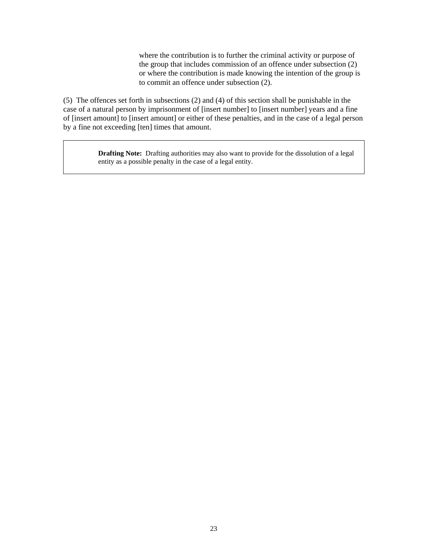where the contribution is to further the criminal activity or purpose of the group that includes commission of an offence under subsection (2) or where the contribution is made knowing the intention of the group is to commit an offence under subsection (2).

(5) The offences set forth in subsections (2) and (4) of this section shall be punishable in the case of a natural person by imprisonment of [insert number] to [insert number] years and a fine of [insert amount] to [insert amount] or either of these penalties, and in the case of a legal person by a fine not exceeding [ten] times that amount.

> **Drafting Note:** Drafting authorities may also want to provide for the dissolution of a legal entity as a possible penalty in the case of a legal entity.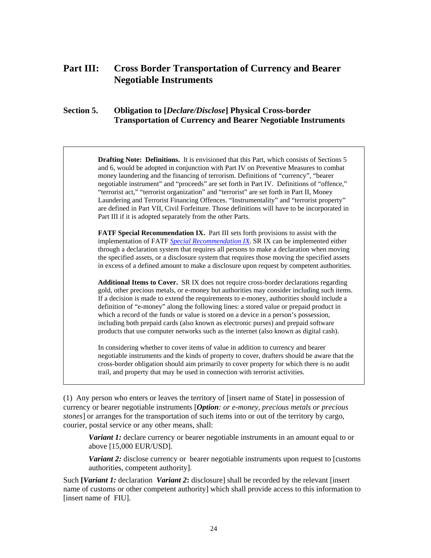# **Part III: Cross Border Transportation of Currency and Bearer Negotiable Instruments**

# **Section 5. Obligation to [***Declare/Disclose***] Physical Cross-border Transportation of Currency and Bearer Negotiable Instruments**

**Drafting Note: Definitions.** It is envisioned that this Part, which consists of Sections 5 and 6, would be adopted in conjunction with Part IV on Preventive Measures to combat money laundering and the financing of terrorism. Definitions of "currency", "bearer negotiable instrument" and "proceeds" are set forth in Part IV. Definitions of "offence," "terrorist act," "terrorist organization" and "terrorist" are set forth in Part II, Money Laundering and Terrorist Financing Offences. "Instrumentality" and "terrorist property" are defined in Part VII, Civil Forfeiture. Those definitions will have to be incorporated in Part III if it is adopted separately from the other Parts.

**FATF Special Recommendation IX.** Part III sets forth provisions to assist with the implementation of FATF *[Special Recommendation IX](http://www.fatf-gafi.org/document/9/0,3343,en_32250379_32236920_34032073_1_1_1_1,00.html#IICriminalising)*. SR IX can be implemented either through a declaration system that requires all persons to make a declaration when moving the specified assets, or a disclosure system that requires those moving the specified assets in excess of a defined amount to make a disclosure upon request by competent authorities.

**Additional Items to Cover.** SR IX does not require cross-border declarations regarding gold, other precious metals, or e-money but authorities may consider including such items. If a decision is made to extend the requirements to e-money, authorities should include a definition of "e-money" along the following lines: a stored value or prepaid product in which a record of the funds or value is stored on a device in a person's possession, including both prepaid cards (also known as electronic purses) and prepaid software products that use computer networks such as the internet (also known as digital cash).

In considering whether to cover items of value in addition to currency and bearer negotiable instruments and the kinds of property to cover, drafters should be aware that the cross-border obligation should aim primarily to cover property for which there is no audit trail, and property that may be used in connection with terrorist activities.

(1) Any person who enters or leaves the territory of [insert name of State] in possession of currency or bearer negotiable instruments [*Option: or e-money, precious metals or precious stones*] or arranges for the transportation of such items into or out of the territory by cargo, courier, postal service or any other means, shall:

**Variant 1:** declare currency or bearer negotiable instruments in an amount equal to or above [15,000 EUR/USD].

*Variant 2:* disclose currency or bearer negotiable instruments upon request to [customs authorities, competent authority].

Such **[***Variant 1:* declaration *Variant 2***:** disclosure] shall be recorded by the relevant [insert name of customs or other competent authority] which shall provide access to this information to [insert name of FIU].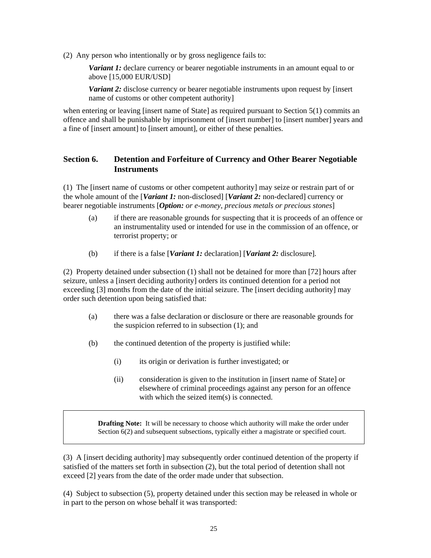(2) Any person who intentionally or by gross negligence fails to:

*Variant 1:* declare currency or bearer negotiable instruments in an amount equal to or above [15,000 EUR/USD]

*Variant 2:* disclose currency or bearer negotiable instruments upon request by [insert] name of customs or other competent authority]

when entering or leaving [insert name of State] as required pursuant to Section 5(1) commits an offence and shall be punishable by imprisonment of [insert number] to [insert number] years and a fine of [insert amount] to [insert amount], or either of these penalties.

# **Section 6. Detention and Forfeiture of Currency and Other Bearer Negotiable Instruments**

(1) The [insert name of customs or other competent authority] may seize or restrain part of or the whole amount of the [*Variant 1:* non-disclosed] [*Variant 2:* non-declared] currency or bearer negotiable instruments [*Option: or e-money, precious metals or precious stones*]

- (a) if there are reasonable grounds for suspecting that it is proceeds of an offence or an instrumentality used or intended for use in the commission of an offence, or terrorist property; or
- (b) if there is a false [*Variant 1:* declaration] [*Variant 2:* disclosure].

(2) Property detained under subsection (1) shall not be detained for more than [72] hours after seizure, unless a [insert deciding authority] orders its continued detention for a period not exceeding [3] months from the date of the initial seizure. The [insert deciding authority] may order such detention upon being satisfied that:

- (a) there was a false declaration or disclosure or there are reasonable grounds for the suspicion referred to in subsection (1); and
- (b) the continued detention of the property is justified while:
	- (i) its origin or derivation is further investigated; or
	- (ii) consideration is given to the institution in [insert name of State] or elsewhere of criminal proceedings against any person for an offence with which the seized item(s) is connected.

**Drafting Note:** It will be necessary to choose which authority will make the order under Section 6(2) and subsequent subsections, typically either a magistrate or specified court.

(3) A [insert deciding authority] may subsequently order continued detention of the property if satisfied of the matters set forth in subsection (2), but the total period of detention shall not exceed [2] years from the date of the order made under that subsection.

(4) Subject to subsection (5), property detained under this section may be released in whole or in part to the person on whose behalf it was transported: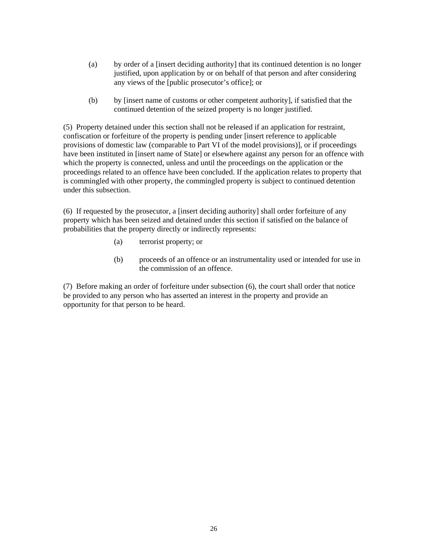- (a) by order of a [insert deciding authority] that its continued detention is no longer justified, upon application by or on behalf of that person and after considering any views of the [public prosecutor's office]; or
- (b) by [insert name of customs or other competent authority], if satisfied that the continued detention of the seized property is no longer justified.

(5) Property detained under this section shall not be released if an application for restraint, confiscation or forfeiture of the property is pending under [insert reference to applicable provisions of domestic law (comparable to Part VI of the model provisions)], or if proceedings have been instituted in [insert name of State] or elsewhere against any person for an offence with which the property is connected, unless and until the proceedings on the application or the proceedings related to an offence have been concluded. If the application relates to property that is commingled with other property, the commingled property is subject to continued detention under this subsection.

(6) If requested by the prosecutor, a [insert deciding authority] shall order forfeiture of any property which has been seized and detained under this section if satisfied on the balance of probabilities that the property directly or indirectly represents:

- (a) terrorist property; or
- (b) proceeds of an offence or an instrumentality used or intended for use in the commission of an offence.

(7) Before making an order of forfeiture under subsection (6), the court shall order that notice be provided to any person who has asserted an interest in the property and provide an opportunity for that person to be heard.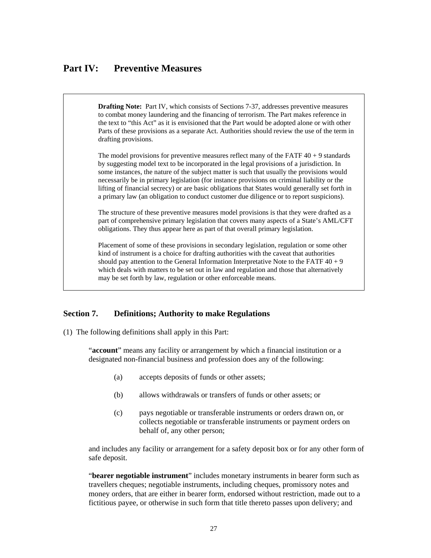# **Part IV: Preventive Measures**

**Drafting Note:** Part IV, which consists of Sections 7-37, addresses preventive measures to combat money laundering and the financing of terrorism. The Part makes reference in the text to "this Act" as it is envisioned that the Part would be adopted alone or with other Parts of these provisions as a separate Act. Authorities should review the use of the term in drafting provisions.

The model provisions for preventive measures reflect many of the FATF  $40 + 9$  standards by suggesting model text to be incorporated in the legal provisions of a jurisdiction. In some instances, the nature of the subject matter is such that usually the provisions would necessarily be in primary legislation (for instance provisions on criminal liability or the lifting of financial secrecy) or are basic obligations that States would generally set forth in a primary law (an obligation to conduct customer due diligence or to report suspicions).

The structure of these preventive measures model provisions is that they were drafted as a part of comprehensive primary legislation that covers many aspects of a State's AML/CFT obligations. They thus appear here as part of that overall primary legislation.

Placement of some of these provisions in secondary legislation, regulation or some other kind of instrument is a choice for drafting authorities with the caveat that authorities should pay attention to the General Information Interpretative Note to the FATF  $40 + 9$ which deals with matters to be set out in law and regulation and those that alternatively may be set forth by law, regulation or other enforceable means.

#### **Section 7. Definitions; Authority to make Regulations**

(1) The following definitions shall apply in this Part:

"**account**" means any facility or arrangement by which a financial institution or a designated non-financial business and profession does any of the following:

- (a) accepts deposits of funds or other assets;
- (b) allows withdrawals or transfers of funds or other assets; or
- (c) pays negotiable or transferable instruments or orders drawn on, or collects negotiable or transferable instruments or payment orders on behalf of, any other person;

and includes any facility or arrangement for a safety deposit box or for any other form of safe deposit.

"**bearer negotiable instrument**" includes monetary instruments in bearer form such as travellers cheques; negotiable instruments, including cheques, promissory notes and money orders, that are either in bearer form, endorsed without restriction, made out to a fictitious payee, or otherwise in such form that title thereto passes upon delivery; and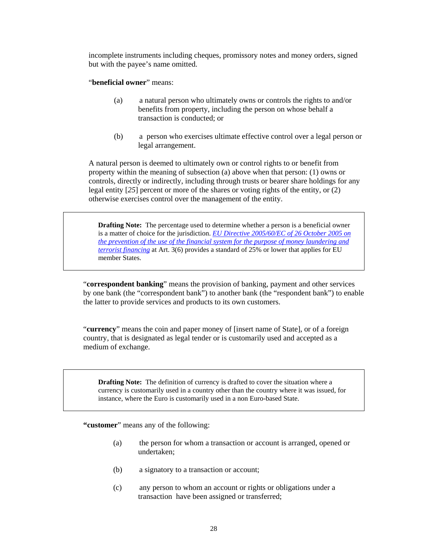incomplete instruments including cheques, promissory notes and money orders, signed but with the payee's name omitted.

"**beneficial owner**" means:

- (a) a natural person who ultimately owns or controls the rights to and/or benefits from property, including the person on whose behalf a transaction is conducted; or
- (b) a person who exercises ultimate effective control over a legal person or legal arrangement.

A natural person is deemed to ultimately own or control rights to or benefit from property within the meaning of subsection (a) above when that person: (1) owns or controls, directly or indirectly, including through trusts or bearer share holdings for any legal entity [*25*] percent or more of the shares or voting rights of the entity, or (2) otherwise exercises control over the management of the entity.

**Drafting Note:** The percentage used to determine whether a person is a beneficial owner is a matter of choice for the jurisdiction. *[EU Directive 2005/60/EC of 26 October 2005 on](http://eur-lex.europa.eu/LexUriServ/LexUriServ.do?uri=OJ:L:2005:309:0015:0036:EN:PDF)  [the prevention of the use of the financial system for the purpose of money laundering and](http://eur-lex.europa.eu/LexUriServ/LexUriServ.do?uri=OJ:L:2005:309:0015:0036:EN:PDF) [terrorist financing](http://eur-lex.europa.eu/LexUriServ/LexUriServ.do?uri=OJ:L:2005:309:0015:0036:EN:PDF)* at Art. 3(6) provides a standard of 25% or lower that applies for EU member States.

"**correspondent banking**" means the provision of banking, payment and other services by one bank (the "correspondent bank") to another bank (the "respondent bank") to enable the latter to provide services and products to its own customers.

"**currency**" means the coin and paper money of [insert name of State], or of a foreign country, that is designated as legal tender or is customarily used and accepted as a medium of exchange.

**Drafting Note:** The definition of currency is drafted to cover the situation where a currency is customarily used in a country other than the country where it was issued, for instance, where the Euro is customarily used in a non Euro-based State.

**"customer**" means any of the following:

- (a) the person for whom a transaction or account is arranged, opened or undertaken;
- (b) a signatory to a transaction or account;
- (c) any person to whom an account or rights or obligations under a transaction have been assigned or transferred;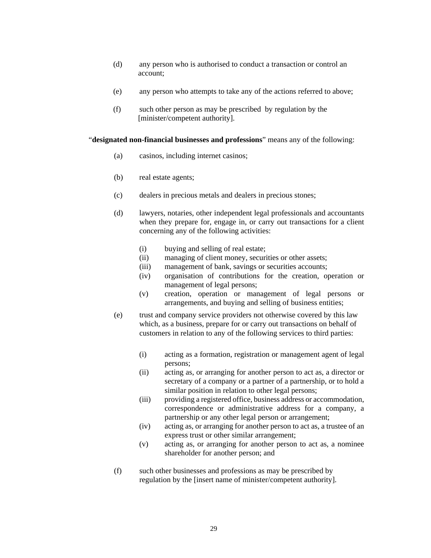- (d) any person who is authorised to conduct a transaction or control an account;
- (e) any person who attempts to take any of the actions referred to above;
- (f) such other person as may be prescribed by regulation by the [minister/competent authority].

#### "**designated non-financial businesses and professions**" means any of the following:

- (a) casinos, including internet casinos;
- (b) real estate agents;
- (c) dealers in precious metals and dealers in precious stones;
- (d) lawyers, notaries, other independent legal professionals and accountants when they prepare for, engage in, or carry out transactions for a client concerning any of the following activities:
	- (i) buying and selling of real estate;
	- (ii) managing of client money, securities or other assets;
	- (iii) management of bank, savings or securities accounts;
	- (iv) organisation of contributions for the creation, operation or management of legal persons;
	- (v) creation, operation or management of legal persons or arrangements, and buying and selling of business entities;
- (e) trust and company service providers not otherwise covered by this law which, as a business, prepare for or carry out transactions on behalf of customers in relation to any of the following services to third parties:
	- (i) acting as a formation, registration or management agent of legal persons;
	- (ii) acting as, or arranging for another person to act as, a director or secretary of a company or a partner of a partnership, or to hold a similar position in relation to other legal persons;
	- (iii) providing a registered office, business address or accommodation, correspondence or administrative address for a company, a partnership or any other legal person or arrangement;
	- (iv) acting as, or arranging for another person to act as, a trustee of an express trust or other similar arrangement;
	- (v) acting as, or arranging for another person to act as, a nominee shareholder for another person; and
- (f) such other businesses and professions as may be prescribed by regulation by the [insert name of minister/competent authority].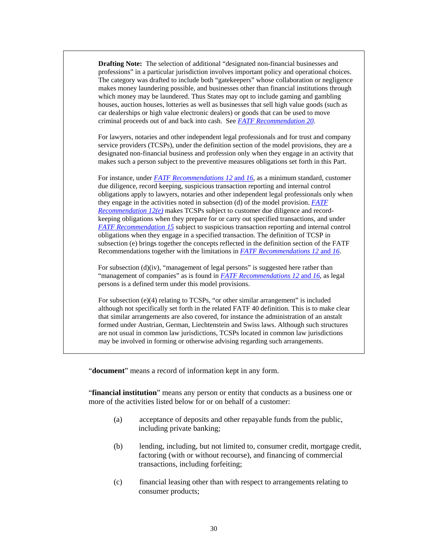**Drafting Note:** The selection of additional "designated non-financial businesses and professions" in a particular jurisdiction involves important policy and operational choices. The category was drafted to include both "gatekeepers" whose collaboration or negligence makes money laundering possible, and businesses other than financial institutions through which money may be laundered. Thus States may opt to include gaming and gambling houses, auction houses, lotteries as well as businesses that sell high value goods (such as car dealerships or high value electronic dealers) or goods that can be used to move criminal proceeds out of and back into cash. See *[FATF Recommendation 20](http://www.fatf-gafi.org/dataoecd/7/40/34849567.PDF)*.

For lawyers, notaries and other independent legal professionals and for trust and company service providers (TCSPs), under the definition section of the model provisions, they are a designated non-financial business and profession only when they engage in an activity that makes such a person subject to the preventive measures obligations set forth in this Part.

For instance, under *[FATF Recommendations 12](http://www.fatf-gafi.org/dataoecd/7/40/34849567.PDF)* and *16*, as a minimum standard, customer due diligence, record keeping, suspicious transaction reporting and internal control obligations apply to lawyers, notaries and other independent legal professionals only when they engage in the activities noted in subsection (d) of the model provision. *[FATF](http://www.fatf-gafi.org/dataoecd/7/40/34849567.PDF)  [Recommendation 12\(e\)](http://www.fatf-gafi.org/dataoecd/7/40/34849567.PDF)* makes TCSPs subject to customer due diligence and recordkeeping obligations when they prepare for or carry out specified transactions, and under *[FATF Recommendation 15](http://www.fatf-gafi.org/dataoecd/7/40/34849567.PDF)* subject to suspicious transaction reporting and internal control obligations when they engage in a specified transaction. The definition of TCSP in subsection (e) brings together the concepts reflected in the definition section of the FATF Recommendations together with the limitations in *[FATF Recommendations 12](http://www.fatf-gafi.org/dataoecd/7/40/34849567.PDF)* and *16*.

For subsection  $(d)(iv)$ , "management of legal persons" is suggested here rather than "management of companies" as is found in *[FATF Recommendations 12](http://www.fatf-gafi.org/dataoecd/7/40/34849567.PDF)* and *16*, as legal persons is a defined term under this model provisions.

For subsection (e)(4) relating to TCSPs, "or other similar arrangement" is included although not specifically set forth in the related FATF 40 definition. This is to make clear that similar arrangements are also covered, for instance the administration of an anstalt formed under Austrian, German, Liechtenstein and Swiss laws. Although such structures are not usual in common law jurisdictions, TCSPs located in common law jurisdictions may be involved in forming or otherwise advising regarding such arrangements.

"**document**" means a record of information kept in any form.

"**financial institution**" means any person or entity that conducts as a business one or more of the activities listed below for or on behalf of a customer:

- (a) acceptance of deposits and other repayable funds from the public, including private banking;
- (b) lending, including, but not limited to, consumer credit, mortgage credit, factoring (with or without recourse), and financing of commercial transactions, including forfeiting;
- (c) financial leasing other than with respect to arrangements relating to consumer products;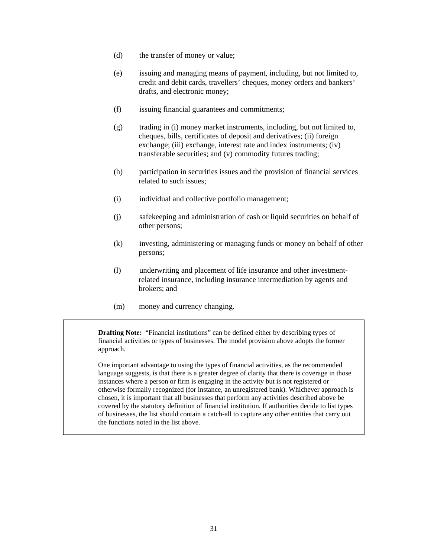- (d) the transfer of money or value;
- (e) issuing and managing means of payment, including, but not limited to, credit and debit cards, travellers' cheques, money orders and bankers' drafts, and electronic money;
- (f) issuing financial guarantees and commitments;
- (g) trading in (i) money market instruments, including, but not limited to, cheques, bills, certificates of deposit and derivatives; (ii) foreign exchange; (iii) exchange, interest rate and index instruments; (iv) transferable securities; and (v) commodity futures trading;
- (h) participation in securities issues and the provision of financial services related to such issues;
- (i) individual and collective portfolio management;
- (j) safekeeping and administration of cash or liquid securities on behalf of other persons;
- (k) investing, administering or managing funds or money on behalf of other persons;
- (l) underwriting and placement of life insurance and other investmentrelated insurance, including insurance intermediation by agents and brokers; and
- (m) money and currency changing.

**Drafting Note:** "Financial institutions" can be defined either by describing types of financial activities or types of businesses. The model provision above adopts the former approach.

One important advantage to using the types of financial activities, as the recommended language suggests, is that there is a greater degree of clarity that there is coverage in those instances where a person or firm is engaging in the activity but is not registered or otherwise formally recognized (for instance, an unregistered bank). Whichever approach is chosen, it is important that all businesses that perform any activities described above be covered by the statutory definition of financial institution. If authorities decide to list types of businesses, the list should contain a catch-all to capture any other entities that carry out the functions noted in the list above.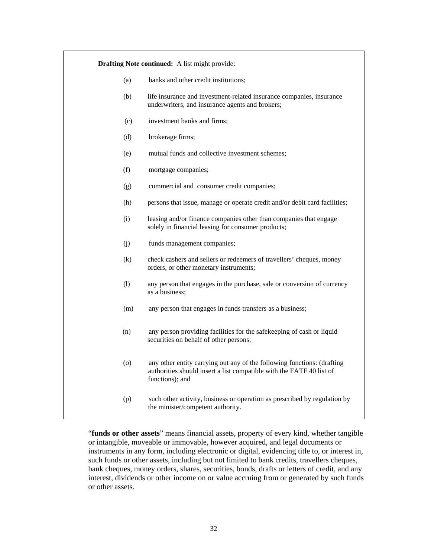| <b>Drafting Note continued:</b> A list might provide: |                                                                                                                                                                    |  |  |
|-------------------------------------------------------|--------------------------------------------------------------------------------------------------------------------------------------------------------------------|--|--|
| (a)                                                   | banks and other credit institutions;                                                                                                                               |  |  |
| (b)                                                   | life insurance and investment-related insurance companies, insurance<br>underwriters, and insurance agents and brokers;                                            |  |  |
| (c)                                                   | investment banks and firms;                                                                                                                                        |  |  |
| (d)                                                   | brokerage firms;                                                                                                                                                   |  |  |
| (e)                                                   | mutual funds and collective investment schemes;                                                                                                                    |  |  |
| (f)                                                   | mortgage companies;                                                                                                                                                |  |  |
| (g)                                                   | commercial and consumer credit companies;                                                                                                                          |  |  |
| (h)                                                   | persons that issue, manage or operate credit and/or debit card facilities;                                                                                         |  |  |
| (i)                                                   | leasing and/or finance companies other than companies that engage<br>solely in financial leasing for consumer products;                                            |  |  |
| (i)                                                   | funds management companies;                                                                                                                                        |  |  |
| (k)                                                   | check cashers and sellers or redeemers of travellers' cheques, money<br>orders, or other monetary instruments;                                                     |  |  |
| (1)                                                   | any person that engages in the purchase, sale or conversion of currency<br>as a business;                                                                          |  |  |
| (m)                                                   | any person that engages in funds transfers as a business;                                                                                                          |  |  |
| (n)                                                   | any person providing facilities for the safekeeping of cash or liquid<br>securities on behalf of other persons;                                                    |  |  |
| (o)                                                   | any other entity carrying out any of the following functions: (drafting<br>authorities should insert a list compatible with the FATF 40 list of<br>functions); and |  |  |
| (p)                                                   | such other activity, business or operation as prescribed by regulation by<br>the minister/competent authority.                                                     |  |  |

"**funds or other assets**" means financial assets, property of every kind, whether tangible or intangible, moveable or immovable, however acquired, and legal documents or instruments in any form, including electronic or digital, evidencing title to, or interest in, such funds or other assets, including but not limited to bank credits, travellers cheques, bank cheques, money orders, shares, securities, bonds, drafts or letters of credit, and any interest, dividends or other income on or value accruing from or generated by such funds or other assets.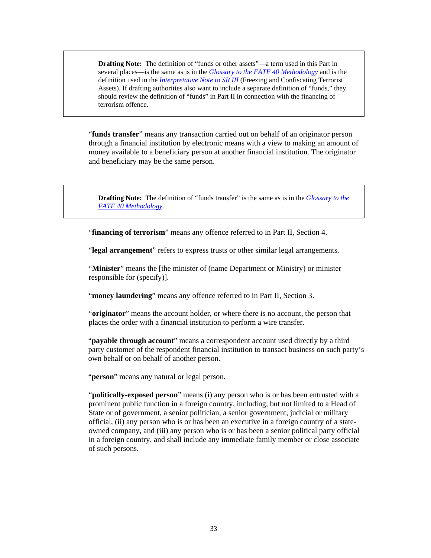**Drafting Note:** The definition of "funds or other assets"—a term used in this Part in several places—is the same as is in the *[Glossary to the FATF 40 Methodology](http://www.fatf-gafi.org/dataoecd/16/54/40339628.pdf)* and is the definition used in the *[Interpretative Note to SR III](http://www.fatf-gafi.org/document/53/0,3343,en_32250379_32236947_34261877_1_1_1_1,00.html#INSRIII)* (Freezing and Confiscating Terrorist Assets). If drafting authorities also want to include a separate definition of "funds," they should review the definition of "funds" in Part II in connection with the financing of terrorism offence.

"**funds transfer**" means any transaction carried out on behalf of an originator person through a financial institution by electronic means with a view to making an amount of money available to a beneficiary person at another financial institution. The originator and beneficiary may be the same person.

**Drafting Note:** The definition of "funds transfer" is the same as is in the *[Glossary to the](http://www.fatf-gafi.org/dataoecd/16/54/40339628.pdf)  [FATF 40 Methodology.](http://www.fatf-gafi.org/dataoecd/16/54/40339628.pdf)* 

"**financing of terrorism**" means any offence referred to in Part II, Section 4.

"**legal arrangement**" refers to express trusts or other similar legal arrangements.

"**Minister**" means the [the minister of (name Department or Ministry) or minister responsible for (specify)].

"**money laundering**" means any offence referred to in Part II, Section 3.

"**originator**" means the account holder, or where there is no account, the person that places the order with a financial institution to perform a wire transfer.

"**payable through account**" means a correspondent account used directly by a third party customer of the respondent financial institution to transact business on such party's own behalf or on behalf of another person.

"**person**" means any natural or legal person.

"**politically-exposed person**" means (i) any person who is or has been entrusted with a prominent public function in a foreign country, including, but not limited to a Head of State or of government, a senior politician, a senior government, judicial or military official, (ii) any person who is or has been an executive in a foreign country of a stateowned company, and (iii) any person who is or has been a senior political party official in a foreign country, and shall include any immediate family member or close associate of such persons.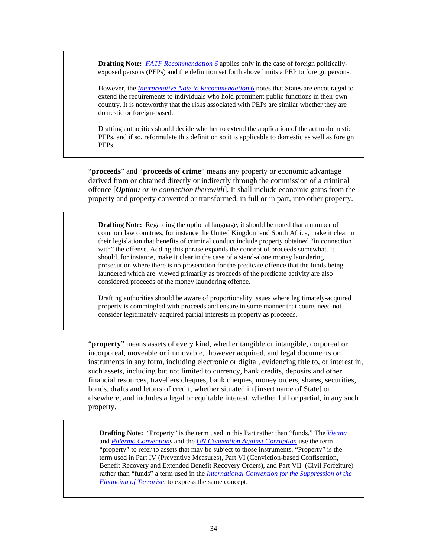**Drafting Note:** *FATF [Recommendation 6](http://www.fatf-gafi.org/dataoecd/7/40/34849567.PDF)* applies only in the case of foreign politicallyexposed persons (PEPs) and the definition set forth above limits a PEP to foreign persons.

However, the *[Interpretative Note to](http://www.fatf-gafi.org/dataoecd/7/40/34849567.PDF) Recommendation 6* notes that States are encouraged to extend the requirements to individuals who hold prominent public functions in their own country. It is noteworthy that the risks associated with PEPs are similar whether they are domestic or foreign-based.

Drafting authorities should decide whether to extend the application of the act to domestic PEPs, and if so, reformulate this definition so it is applicable to domestic as well as foreign PEPs.

"**proceeds**" and "**proceeds of crime**" means any property or economic advantage derived from or obtained directly or indirectly through the commission of a criminal offence [*Option: or in connection therewith*]. It shall include economic gains from the property and property converted or transformed, in full or in part, into other property.

**Drafting Note:** Regarding the optional language, it should be noted that a number of common law countries, for instance the United Kingdom and South Africa, make it clear in their legislation that benefits of criminal conduct include property obtained "in connection with" the offense. Adding this phrase expands the concept of proceeds somewhat. It should, for instance, make it clear in the case of a stand-alone money laundering prosecution where there is no prosecution for the predicate offence that the funds being laundered which are viewed primarily as proceeds of the predicate activity are also considered proceeds of the money laundering offence.

Drafting authorities should be aware of proportionality issues where legitimately-acquired property is commingled with proceeds and ensure in some manner that courts need not consider legitimately-acquired partial interests in property as proceeds.

"**property**" means assets of every kind, whether tangible or intangible, corporeal or incorporeal, moveable or immovable, however acquired, and legal documents or instruments in any form, including electronic or digital, evidencing title to, or interest in, such assets, including but not limited to currency, bank credits, deposits and other financial resources, travellers cheques, bank cheques, money orders, shares, securities, bonds, drafts and letters of credit, whether situated in [insert name of State] or elsewhere, and includes a legal or equitable interest, whether full or partial, in any such property.

**Drafting Note:** "Property" is the term used in this Part rather than "funds." The *[Vienna](http://www.unodc.org/pdf/convention_1988_en.pdf)* and *[Palermo Convention](http://www.unodc.org/documents/treaties/UNTOC/Publications/TOC%20Convention/TOCebook-e.pdf)s* and the *[UN Convention Against Corruption](http://www.unodc.org/documents/treaties/UNCAC/Publications/Convention/08-50026_E.pdf)* use the term "property" to refer to assets that may be subject to those instruments. "Property" is the term used in Part IV (Preventive Measures), Part VI (Conviction-based Confiscation, Benefit Recovery and Extended Benefit Recovery Orders), and Part VII (Civil Forfeiture) rather than "funds" a term used in the *[International Convention for the Suppression of the](http://www.un.org/law/cod/finterr.htm)  [Financing of Terrorism](http://www.un.org/law/cod/finterr.htm)* to express the same concept.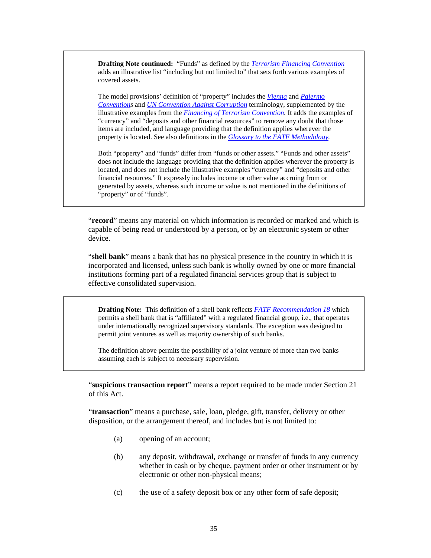**Drafting Note continued:** "Funds" as defined by the *[Terrorism Financing Convention](http://www.un.org/law/cod/finterr.htm)* adds an illustrative list "including but not limited to" that sets forth various examples of covered assets.

The model provisions' definition of "property" includes the *[Vienna](http://www.unodc.org/pdf/convention_1988_en.pdf)* and *[Palermo](http://www.unodc.org/documents/treaties/UNTOC/Publications/TOC%20Convention/TOCebook-e.pdf)  [Convention](http://www.unodc.org/documents/treaties/UNTOC/Publications/TOC%20Convention/TOCebook-e.pdf)s* and *[UN Convention Against Corruption](http://www.unodc.org/documents/treaties/UNCAC/Publications/Convention/08-50026_E.pdf)* terminology, supplemented by the illustrative examples from the *[Financing of Terrorism Convention.](http://www.un.org/law/cod/finterr.htm)* It adds the examples of "currency" and "deposits and other financial resources" to remove any doubt that those items are included, and language providing that the definition applies wherever the property is located. See also definitions in the *[Glossary to the FATF Methodology.](http://www.fatf-gafi.org/dataoecd/16/54/40339628.pdf)* 

Both "property" and "funds" differ from "funds or other assets." "Funds and other assets" does not include the language providing that the definition applies wherever the property is located, and does not include the illustrative examples "currency" and "deposits and other financial resources." It expressly includes income or other value accruing from or generated by assets, whereas such income or value is not mentioned in the definitions of "property" or of "funds".

"**record**" means any material on which information is recorded or marked and which is capable of being read or understood by a person, or by an electronic system or other device.

"**shell bank**" means a bank that has no physical presence in the country in which it is incorporated and licensed, unless such bank is wholly owned by one or more financial institutions forming part of a regulated financial services group that is subject to effective consolidated supervision.

**Drafting Note:** This definition of a shell bank reflects *[FATF Recommendation 18](http://www.fatf-gafi.org/dataoecd/7/40/34849567.PDF)* which permits a shell bank that is "affiliated" with a regulated financial group, i.e., that operates under internationally recognized supervisory standards. The exception was designed to permit joint ventures as well as majority ownership of such banks.

The definition above permits the possibility of a joint venture of more than two banks assuming each is subject to necessary supervision.

"**suspicious transaction report**" means a report required to be made under Section 21 of this Act.

"**transaction**" means a purchase, sale, loan, pledge, gift, transfer, delivery or other disposition, or the arrangement thereof, and includes but is not limited to:

- (a) opening of an account;
- (b) any deposit, withdrawal, exchange or transfer of funds in any currency whether in cash or by cheque, payment order or other instrument or by electronic or other non-physical means;
- (c) the use of a safety deposit box or any other form of safe deposit;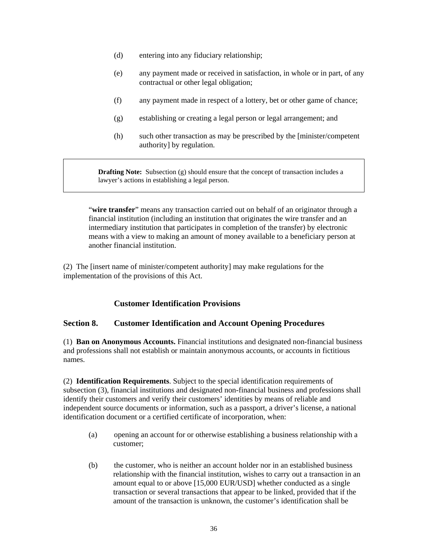- (d) entering into any fiduciary relationship;
- (e) any payment made or received in satisfaction, in whole or in part, of any contractual or other legal obligation;
- (f) any payment made in respect of a lottery, bet or other game of chance;
- (g) establishing or creating a legal person or legal arrangement; and
- (h) such other transaction as may be prescribed by the [minister/competent authority] by regulation.

**Drafting Note:** Subsection (g) should ensure that the concept of transaction includes a lawyer's actions in establishing a legal person.

"**wire transfer**" means any transaction carried out on behalf of an originator through a financial institution (including an institution that originates the wire transfer and an intermediary institution that participates in completion of the transfer) by electronic means with a view to making an amount of money available to a beneficiary person at another financial institution.

(2) The [insert name of minister/competent authority] may make regulations for the implementation of the provisions of this Act.

### **Customer Identification Provisions**

#### **Section 8. Customer Identification and Account Opening Procedures**

(1) **Ban on Anonymous Accounts.** Financial institutions and designated non-financial business and professions shall not establish or maintain anonymous accounts, or accounts in fictitious names.

(2) **Identification Requirements**. Subject to the special identification requirements of subsection (3), financial institutions and designated non-financial business and professions shall identify their customers and verify their customers' identities by means of reliable and independent source documents or information, such as a passport, a driver's license, a national identification document or a certified certificate of incorporation, when:

- (a) opening an account for or otherwise establishing a business relationship with a customer;
- (b) the customer, who is neither an account holder nor in an established business relationship with the financial institution, wishes to carry out a transaction in an amount equal to or above [15,000 EUR/USD] whether conducted as a single transaction or several transactions that appear to be linked, provided that if the amount of the transaction is unknown, the customer's identification shall be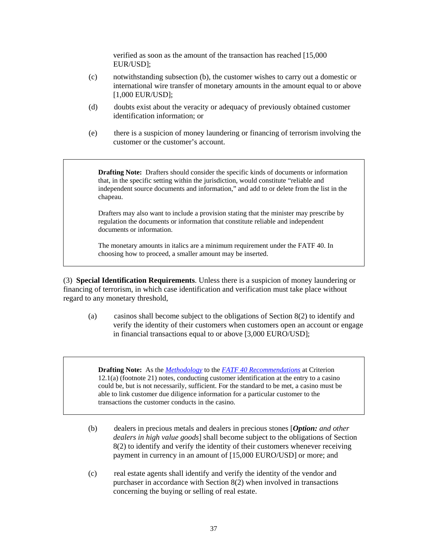verified as soon as the amount of the transaction has reached [15,000 EUR/USD];

- (c) notwithstanding subsection (b), the customer wishes to carry out a domestic or international wire transfer of monetary amounts in the amount equal to or above [1,000 EUR/USD];
- (d) doubts exist about the veracity or adequacy of previously obtained customer identification information; or
- (e) there is a suspicion of money laundering or financing of terrorism involving the customer or the customer's account.

**Drafting Note:** Drafters should consider the specific kinds of documents or information that, in the specific setting within the jurisdiction, would constitute "reliable and independent source documents and information," and add to or delete from the list in the chapeau.

Drafters may also want to include a provision stating that the minister may prescribe by regulation the documents or information that constitute reliable and independent documents or information.

The monetary amounts in italics are a minimum requirement under the FATF 40. In choosing how to proceed, a smaller amount may be inserted.

(3) **Special Identification Requirements**. Unless there is a suspicion of money laundering or financing of terrorism, in which case identification and verification must take place without regard to any monetary threshold,

(a) casinos shall become subject to the obligations of Section 8(2) to identify and verify the identity of their customers when customers open an account or engage in financial transactions equal to or above [3,000 EURO/USD];

**Drafting Note:** As the *[Methodology](http://www.fatf-gafi.org/dataoecd/16/54/40339628.pdf)* to the *[FATF 40 Recommendations](http://www.fatf-gafi.org/dataoecd/7/40/34849567.PDF)* at Criterion 12.1(a) (footnote 21) notes, conducting customer identification at the entry to a casino could be, but is not necessarily, sufficient. For the standard to be met, a casino must be able to link customer due diligence information for a particular customer to the transactions the customer conducts in the casino.

- (b) dealers in precious metals and dealers in precious stones [*Option: and other dealers in high value goods*] shall become subject to the obligations of Section 8(2) to identify and verify the identity of their customers whenever receiving payment in currency in an amount of [15,000 EURO/USD] or more; and
- (c) real estate agents shall identify and verify the identity of the vendor and purchaser in accordance with Section 8(2) when involved in transactions concerning the buying or selling of real estate.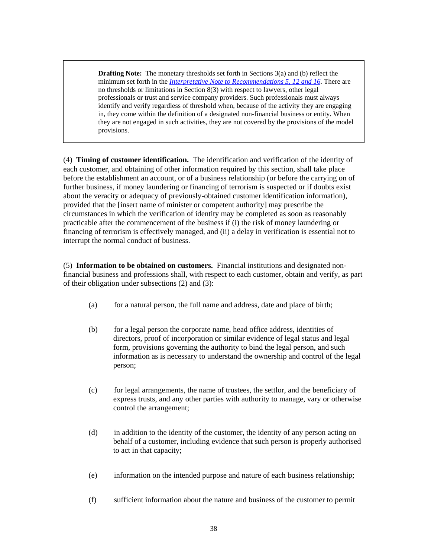**Drafting Note:** The monetary thresholds set forth in Sections 3(a) and (b) reflect the minimum set forth in the *[Interpretative Note to Recommendations 5, 12 and 16](http://www.fatf-gafi.org/dataoecd/7/40/34849567.PDF)*. There are no thresholds or limitations in Section 8(3) with respect to lawyers, other legal professionals or trust and service company providers. Such professionals must always identify and verify regardless of threshold when, because of the activity they are engaging in, they come within the definition of a designated non-financial business or entity. When they are not engaged in such activities, they are not covered by the provisions of the model provisions.

(4) **Timing of customer identification.** The identification and verification of the identity of each customer, and obtaining of other information required by this section, shall take place before the establishment an account, or of a business relationship (or before the carrying on of further business, if money laundering or financing of terrorism is suspected or if doubts exist about the veracity or adequacy of previously-obtained customer identification information), provided that the [insert name of minister or competent authority] may prescribe the circumstances in which the verification of identity may be completed as soon as reasonably practicable after the commencement of the business if (i) the risk of money laundering or financing of terrorism is effectively managed, and (ii) a delay in verification is essential not to interrupt the normal conduct of business.

(5) **Information to be obtained on customers.** Financial institutions and designated nonfinancial business and professions shall, with respect to each customer, obtain and verify, as part of their obligation under subsections (2) and (3):

- (a) for a natural person, the full name and address, date and place of birth;
- (b) for a legal person the corporate name, head office address, identities of directors, proof of incorporation or similar evidence of legal status and legal form, provisions governing the authority to bind the legal person, and such information as is necessary to understand the ownership and control of the legal person;
- (c) for legal arrangements, the name of trustees, the settlor, and the beneficiary of express trusts, and any other parties with authority to manage, vary or otherwise control the arrangement;
- (d) in addition to the identity of the customer, the identity of any person acting on behalf of a customer, including evidence that such person is properly authorised to act in that capacity;
- (e) information on the intended purpose and nature of each business relationship;
- (f) sufficient information about the nature and business of the customer to permit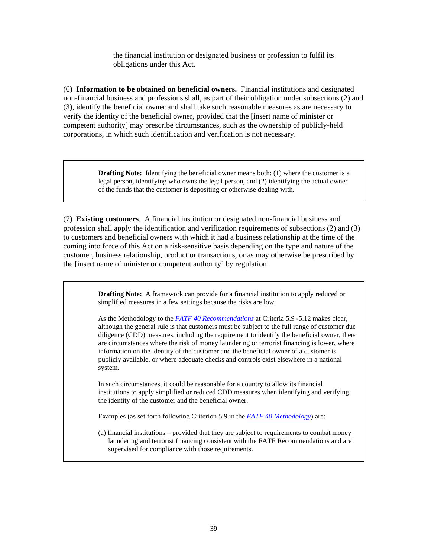the financial institution or designated business or profession to fulfil its obligations under this Act.

(6) **Information to be obtained on beneficial owners.** Financial institutions and designated non-financial business and professions shall, as part of their obligation under subsections (2) and (3), identify the beneficial owner and shall take such reasonable measures as are necessary to verify the identity of the beneficial owner, provided that the [insert name of minister or competent authority] may prescribe circumstances, such as the ownership of publicly-held corporations, in which such identification and verification is not necessary.

> **Drafting Note:** Identifying the beneficial owner means both: (1) where the customer is a legal person, identifying who owns the legal person, and (2) identifying the actual owner of the funds that the customer is depositing or otherwise dealing with.

(7) **Existing customers**. A financial institution or designated non-financial business and profession shall apply the identification and verification requirements of subsections (2) and (3) to customers and beneficial owners with which it had a business relationship at the time of the coming into force of this Act on a risk-sensitive basis depending on the type and nature of the customer, business relationship, product or transactions, or as may otherwise be prescribed by the [insert name of minister or competent authority] by regulation.

> **Drafting Note:** A framework can provide for a financial institution to apply reduced or simplified measures in a few settings because the risks are low.

As the Methodology to the *[FATF 40 Recommendations](http://www.fatf-gafi.org/dataoecd/7/40/34849567.PDF)* at Criteria 5.9 -5.12 makes clear, although the general rule is that customers must be subject to the full range of customer due diligence (CDD) measures, including the requirement to identify the beneficial owner, there are circumstances where the risk of money laundering or terrorist financing is lower, where information on the identity of the customer and the beneficial owner of a customer is publicly available, or where adequate checks and controls exist elsewhere in a national system.

In such circumstances, it could be reasonable for a country to allow its financial institutions to apply simplified or reduced CDD measures when identifying and verifying the identity of the customer and the beneficial owner.

Examples (as set forth following Criterion 5.9 in the *[FATF 40 Methodology](http://www.fatf-gafi.org/dataoecd/16/54/40339628.pdf)*) are:

(a) financial institutions – provided that they are subject to requirements to combat money laundering and terrorist financing consistent with the FATF Recommendations and are supervised for compliance with those requirements.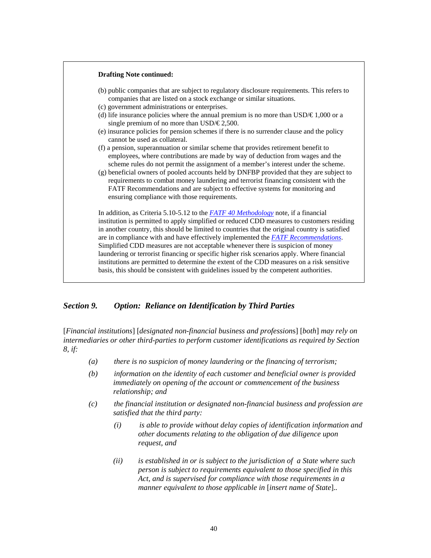

#### *Section 9. Option: Reliance on Identification by Third Parties*

[*Financial institutions*] [*designated non-financial business and profession*s] [*both*] *may rely on intermediaries or other third-parties to perform customer identifications as required by Section 8, if:* 

- *(a) there is no suspicion of money laundering or the financing of terrorism;*
- *(b) information on the identity of each customer and beneficial owner is provided immediately on opening of the account or commencement of the business relationship; and*
- *(c) the financial institution or designated non-financial business and profession are satisfied that the third party:* 
	- *(i) is able to provide without delay copies of identification information and other documents relating to the obligation of due diligence upon request, and*
	- *(ii) is established in or is subject to the jurisdiction of a State where such person is subject to requirements equivalent to those specified in this Act, and is supervised for compliance with those requirements in a manner equivalent to those applicable in* [*insert name of State*].*.*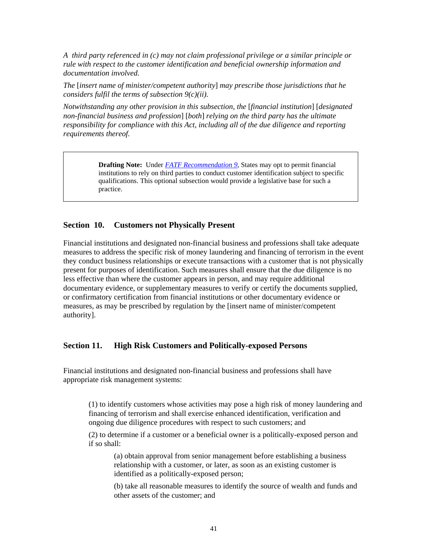*A third party referenced in (c) may not claim professional privilege or a similar principle or rule with respect to the customer identification and beneficial ownership information and documentation involved.* 

*The* [*insert name of minister/competent authority*] *may prescribe those jurisdictions that he considers fulfil the terms of subsection 9(c)(ii).* 

*Notwithstanding any other provision in this subsection, the* [*financial institution*] [*designated non-financial business and profession*] [*both*] *relying on the third party has the ultimate responsibility for compliance with this Act, including all of the due diligence and reporting requirements thereof.*

> **Drafting Note:** Under *[FATF Recommendation 9](http://www.fatf-gafi.org/dataoecd/7/40/34849567.PDF)*, States may opt to permit financial institutions to rely on third parties to conduct customer identification subject to specific qualifications. This optional subsection would provide a legislative base for such a practice.

#### **Section 10. Customers not Physically Present**

Financial institutions and designated non-financial business and professions shall take adequate measures to address the specific risk of money laundering and financing of terrorism in the event they conduct business relationships or execute transactions with a customer that is not physically present for purposes of identification. Such measures shall ensure that the due diligence is no less effective than where the customer appears in person, and may require additional documentary evidence, or supplementary measures to verify or certify the documents supplied, or confirmatory certification from financial institutions or other documentary evidence or measures, as may be prescribed by regulation by the [insert name of minister/competent authority].

#### **Section 11. High Risk Customers and Politically-exposed Persons**

Financial institutions and designated non-financial business and professions shall have appropriate risk management systems:

(1) to identify customers whose activities may pose a high risk of money laundering and financing of terrorism and shall exercise enhanced identification, verification and ongoing due diligence procedures with respect to such customers; and

(2) to determine if a customer or a beneficial owner is a politically-exposed person and if so shall:

(a) obtain approval from senior management before establishing a business relationship with a customer, or later, as soon as an existing customer is identified as a politically-exposed person;

(b) take all reasonable measures to identify the source of wealth and funds and other assets of the customer; and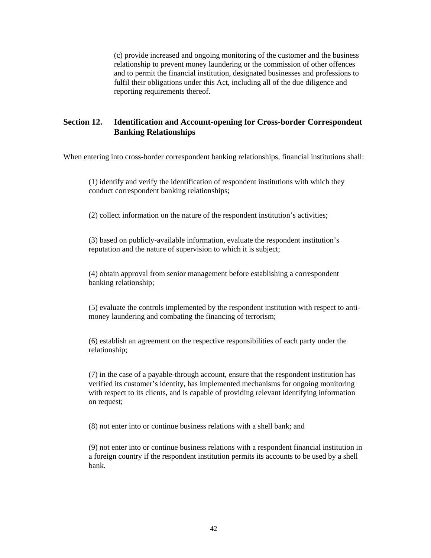(c) provide increased and ongoing monitoring of the customer and the business relationship to prevent money laundering or the commission of other offences and to permit the financial institution, designated businesses and professions to fulfil their obligations under this Act, including all of the due diligence and reporting requirements thereof.

## **Section 12. Identification and Account-opening for Cross-border Correspondent Banking Relationships**

When entering into cross-border correspondent banking relationships, financial institutions shall:

(1) identify and verify the identification of respondent institutions with which they conduct correspondent banking relationships;

(2) collect information on the nature of the respondent institution's activities;

(3) based on publicly-available information, evaluate the respondent institution's reputation and the nature of supervision to which it is subject;

(4) obtain approval from senior management before establishing a correspondent banking relationship;

(5) evaluate the controls implemented by the respondent institution with respect to antimoney laundering and combating the financing of terrorism;

(6) establish an agreement on the respective responsibilities of each party under the relationship;

(7) in the case of a payable-through account, ensure that the respondent institution has verified its customer's identity, has implemented mechanisms for ongoing monitoring with respect to its clients, and is capable of providing relevant identifying information on request;

(8) not enter into or continue business relations with a shell bank; and

(9) not enter into or continue business relations with a respondent financial institution in a foreign country if the respondent institution permits its accounts to be used by a shell bank.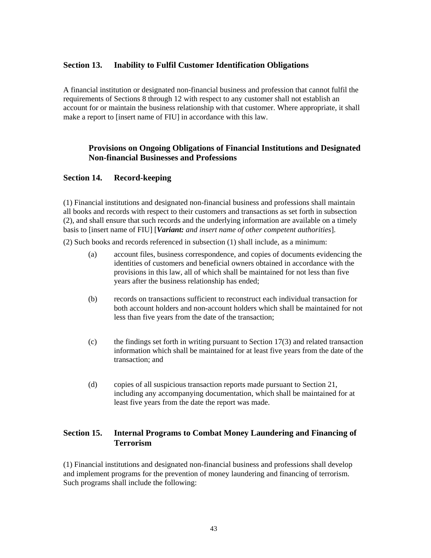#### **Section 13. Inability to Fulfil Customer Identification Obligations**

A financial institution or designated non-financial business and profession that cannot fulfil the requirements of Sections 8 through 12 with respect to any customer shall not establish an account for or maintain the business relationship with that customer. Where appropriate, it shall make a report to [insert name of FIU] in accordance with this law.

## **Provisions on Ongoing Obligations of Financial Institutions and Designated Non-financial Businesses and Professions**

#### **Section 14. Record-keeping**

(1) Financial institutions and designated non-financial business and professions shall maintain all books and records with respect to their customers and transactions as set forth in subsection (2), and shall ensure that such records and the underlying information are available on a timely basis to [insert name of FIU] [*Variant: and insert name of other competent authorities*].

(2) Such books and records referenced in subsection (1) shall include, as a minimum:

- (a) account files, business correspondence, and copies of documents evidencing the identities of customers and beneficial owners obtained in accordance with the provisions in this law, all of which shall be maintained for not less than five years after the business relationship has ended;
- (b) records on transactions sufficient to reconstruct each individual transaction for both account holders and non-account holders which shall be maintained for not less than five years from the date of the transaction;
- (c) the findings set forth in writing pursuant to Section 17(3) and related transaction information which shall be maintained for at least five years from the date of the transaction; and
- (d) copies of all suspicious transaction reports made pursuant to Section 21, including any accompanying documentation, which shall be maintained for at least five years from the date the report was made.

## **Section 15. Internal Programs to Combat Money Laundering and Financing of Terrorism**

(1) Financial institutions and designated non-financial business and professions shall develop and implement programs for the prevention of money laundering and financing of terrorism. Such programs shall include the following: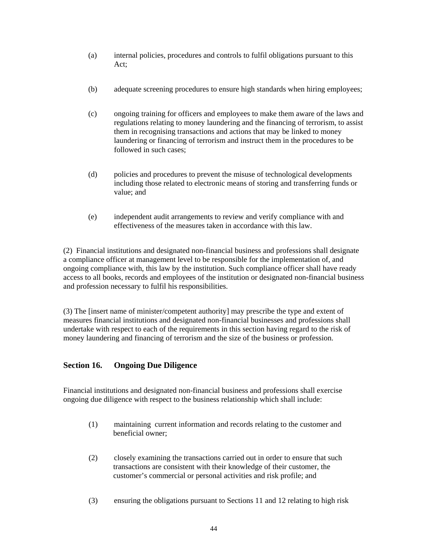- (a) internal policies, procedures and controls to fulfil obligations pursuant to this Act;
- (b) adequate screening procedures to ensure high standards when hiring employees;
- (c) ongoing training for officers and employees to make them aware of the laws and regulations relating to money laundering and the financing of terrorism, to assist them in recognising transactions and actions that may be linked to money laundering or financing of terrorism and instruct them in the procedures to be followed in such cases;
- (d) policies and procedures to prevent the misuse of technological developments including those related to electronic means of storing and transferring funds or value; and
- (e) independent audit arrangements to review and verify compliance with and effectiveness of the measures taken in accordance with this law.

(2) Financial institutions and designated non-financial business and professions shall designate a compliance officer at management level to be responsible for the implementation of, and ongoing compliance with, this law by the institution. Such compliance officer shall have ready access to all books, records and employees of the institution or designated non-financial business and profession necessary to fulfil his responsibilities.

(3) The [insert name of minister/competent authority] may prescribe the type and extent of measures financial institutions and designated non-financial businesses and professions shall undertake with respect to each of the requirements in this section having regard to the risk of money laundering and financing of terrorism and the size of the business or profession.

#### **Section 16. Ongoing Due Diligence**

Financial institutions and designated non-financial business and professions shall exercise ongoing due diligence with respect to the business relationship which shall include:

- (1) maintaining current information and records relating to the customer and beneficial owner;
- (2) closely examining the transactions carried out in order to ensure that such transactions are consistent with their knowledge of their customer, the customer's commercial or personal activities and risk profile; and
- (3) ensuring the obligations pursuant to Sections 11 and 12 relating to high risk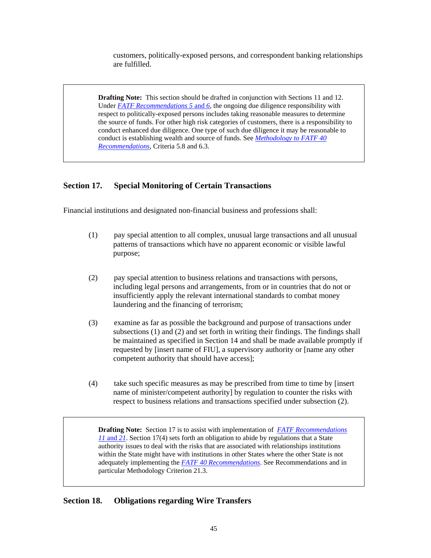customers, politically-exposed persons, and correspondent banking relationships are fulfilled.

**Drafting Note:** This section should be drafted in conjunction with Sections 11 and 12. Under *[FATF Recommendations 5](http://www.fatf-gafi.org/dataoecd/7/40/34849567.PDF)* and *6*, the ongoing due diligence responsibility with respect to politically-exposed persons includes taking reasonable measures to determine the source of funds. For other high risk categories of customers, there is a responsibility to conduct enhanced due diligence. One type of such due diligence it may be reasonable to conduct is establishing wealth and source of funds. See *[Methodology to FATF 40](http://www.fatf-gafi.org/dataoecd/16/54/40339628.pdf)  [Recommendations](http://www.fatf-gafi.org/dataoecd/16/54/40339628.pdf)*, Criteria 5.8 and 6.3.

#### **Section 17. Special Monitoring of Certain Transactions**

Financial institutions and designated non-financial business and professions shall:

- (1) pay special attention to all complex, unusual large transactions and all unusual patterns of transactions which have no apparent economic or visible lawful purpose;
- (2) pay special attention to business relations and transactions with persons, including legal persons and arrangements, from or in countries that do not or insufficiently apply the relevant international standards to combat money laundering and the financing of terrorism;
- (3) examine as far as possible the background and purpose of transactions under subsections (1) and (2) and set forth in writing their findings. The findings shall be maintained as specified in Section 14 and shall be made available promptly if requested by [insert name of FIU], a supervisory authority or [name any other competent authority that should have access];
- (4) take such specific measures as may be prescribed from time to time by [insert name of minister/competent authority] by regulation to counter the risks with respect to business relations and transactions specified under subsection (2).

**Drafting Note:** Section 17 is to assist with implementation of *[FATF Recommendations](http://www.fatf-gafi.org/dataoecd/7/40/34849567.PDF)  11* [and](http://www.fatf-gafi.org/dataoecd/7/40/34849567.PDF) *21*. Section 17(4) sets forth an obligation to abide by regulations that a State authority issues to deal with the risks that are associated with relationships institutions within the State might have with institutions in other States where the other State is not adequately implementing the *[FATF 40 Recommendations](http://www.fatf-gafi.org/dataoecd/7/40/34849567.PDF)*. See Recommendations and in particular Methodology Criterion 21.3.

#### **Section 18. Obligations regarding Wire Transfers**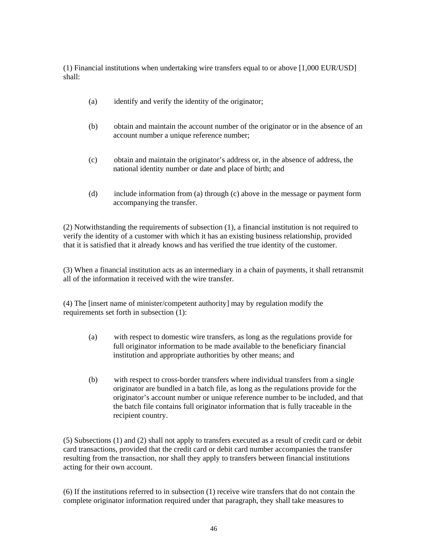(1) Financial institutions when undertaking wire transfers equal to or above [1,000 EUR/USD] shall:

- (a) identify and verify the identity of the originator;
- (b) obtain and maintain the account number of the originator or in the absence of an account number a unique reference number;
- (c) obtain and maintain the originator's address or, in the absence of address, the national identity number or date and place of birth; and
- (d) include information from (a) through (c) above in the message or payment form accompanying the transfer.

(2) Notwithstanding the requirements of subsection (1), a financial institution is not required to verify the identity of a customer with which it has an existing business relationship, provided that it is satisfied that it already knows and has verified the true identity of the customer.

(3) When a financial institution acts as an intermediary in a chain of payments, it shall retransmit all of the information it received with the wire transfer.

(4) The [insert name of minister/competent authority] may by regulation modify the requirements set forth in subsection (1):

- (a) with respect to domestic wire transfers, as long as the regulations provide for full originator information to be made available to the beneficiary financial institution and appropriate authorities by other means; and
- (b) with respect to cross-border transfers where individual transfers from a single originator are bundled in a batch file, as long as the regulations provide for the originator's account number or unique reference number to be included, and that the batch file contains full originator information that is fully traceable in the recipient country.

(5) Subsections (1) and (2) shall not apply to transfers executed as a result of credit card or debit card transactions, provided that the credit card or debit card number accompanies the transfer resulting from the transaction, nor shall they apply to transfers between financial institutions acting for their own account.

(6) If the institutions referred to in subsection (1) receive wire transfers that do not contain the complete originator information required under that paragraph, they shall take measures to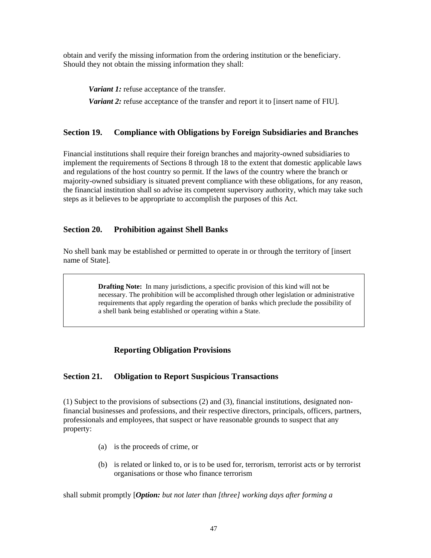obtain and verify the missing information from the ordering institution or the beneficiary. Should they not obtain the missing information they shall:

*Variant 1:* refuse acceptance of the transfer.

*Variant 2:* refuse acceptance of the transfer and report it to [insert name of FIU].

#### **Section 19. Compliance with Obligations by Foreign Subsidiaries and Branches**

Financial institutions shall require their foreign branches and majority-owned subsidiaries to implement the requirements of Sections 8 through 18 to the extent that domestic applicable laws and regulations of the host country so permit. If the laws of the country where the branch or majority-owned subsidiary is situated prevent compliance with these obligations, for any reason, the financial institution shall so advise its competent supervisory authority, which may take such steps as it believes to be appropriate to accomplish the purposes of this Act.

## **Section 20. Prohibition against Shell Banks**

No shell bank may be established or permitted to operate in or through the territory of [insert name of State].

> **Drafting Note:** In many jurisdictions, a specific provision of this kind will not be necessary. The prohibition will be accomplished through other legislation or administrative requirements that apply regarding the operation of banks which preclude the possibility of a shell bank being established or operating within a State.

## **Reporting Obligation Provisions**

#### **Section 21. Obligation to Report Suspicious Transactions**

(1) Subject to the provisions of subsections (2) and (3), financial institutions, designated nonfinancial businesses and professions, and their respective directors, principals, officers, partners, professionals and employees, that suspect or have reasonable grounds to suspect that any property:

- (a) is the proceeds of crime, or
- (b) is related or linked to, or is to be used for, terrorism, terrorist acts or by terrorist organisations or those who finance terrorism

shall submit promptly [*Option: but not later than [three] working days after forming a*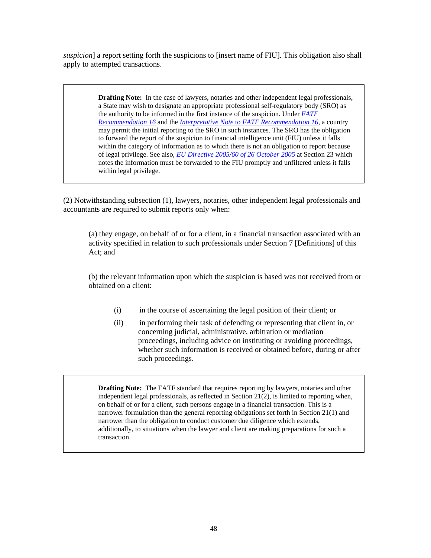*suspicion*] a report setting forth the suspicions to [insert name of FIU]. This obligation also shall apply to attempted transactions.

> **Drafting Note:** In the case of lawyers, notaries and other independent legal professionals, a State may wish to designate an appropriate professional self-regulatory body (SRO) as the authority to be informed in the first instance of the suspicion. Under *[FATF](http://www.fatf-gafi.org/dataoecd/7/40/34849567.PDF)  [Recommendation 16](http://www.fatf-gafi.org/dataoecd/7/40/34849567.PDF)* and the *Interpretative Note* to *[FATF Recommendation 16](http://www.fatf-gafi.org/dataoecd/7/40/34849567.PDF)*, a country may permit the initial reporting to the SRO in such instances. The SRO has the obligation to forward the report of the suspicion to financial intelligence unit (FIU) unless it falls within the category of information as to which there is not an obligation to report because of legal privilege. See also, *[EU Directive 2005/60 of 26 October 2005](http://eur-lex.europa.eu/LexUriServ/LexUriServ.do?uri=OJ:L:2005:309:0015:0036:EN:PDF)* at Section 23 which notes the information must be forwarded to the FIU promptly and unfiltered unless it falls within legal privilege.

(2) Notwithstanding subsection (1), lawyers, notaries, other independent legal professionals and accountants are required to submit reports only when:

(a) they engage, on behalf of or for a client, in a financial transaction associated with an activity specified in relation to such professionals under Section 7 [Definitions] of this Act; and

(b) the relevant information upon which the suspicion is based was not received from or obtained on a client:

- (i) in the course of ascertaining the legal position of their client; or
- (ii) in performing their task of defending or representing that client in, or concerning judicial, administrative, arbitration or mediation proceedings, including advice on instituting or avoiding proceedings, whether such information is received or obtained before, during or after such proceedings.

**Drafting Note:** The FATF standard that requires reporting by lawyers, notaries and other independent legal professionals, as reflected in Section 21(2), is limited to reporting when, on behalf of or for a client, such persons engage in a financial transaction. This is a narrower formulation than the general reporting obligations set forth in Section 21(1) and narrower than the obligation to conduct customer due diligence which extends, additionally, to situations when the lawyer and client are making preparations for such a transaction.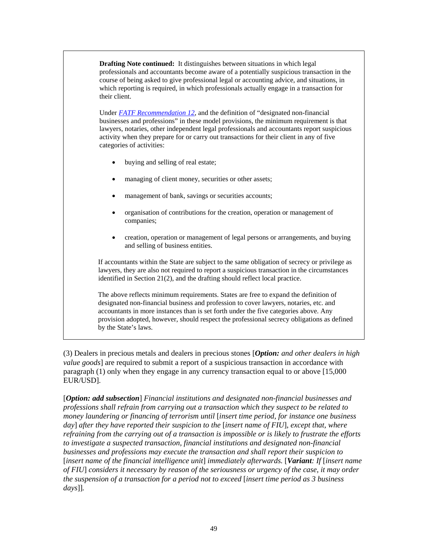**Drafting Note continued:** It distinguishes between situations in which legal professionals and accountants become aware of a potentially suspicious transaction in the course of being asked to give professional legal or accounting advice, and situations, in which reporting is required, in which professionals actually engage in a transaction for their client.

Under *[FATF Recommendation 12](http://www.fatf-gafi.org/dataoecd/7/40/34849567.PDF)*, and the definition of "designated non-financial businesses and professions" in these model provisions, the minimum requirement is that lawyers, notaries, other independent legal professionals and accountants report suspicious activity when they prepare for or carry out transactions for their client in any of five categories of activities:

- buying and selling of real estate;
- managing of client money, securities or other assets;
- management of bank, savings or securities accounts;
- organisation of contributions for the creation, operation or management of companies;
- creation, operation or management of legal persons or arrangements, and buying and selling of business entities.

If accountants within the State are subject to the same obligation of secrecy or privilege as lawyers, they are also not required to report a suspicious transaction in the circumstances identified in Section 21(2), and the drafting should reflect local practice.

The above reflects minimum requirements. States are free to expand the definition of designated non-financial business and profession to cover lawyers, notaries, etc. and accountants in more instances than is set forth under the five categories above. Any provision adopted, however, should respect the professional secrecy obligations as defined by the State's laws.

(3) Dealers in precious metals and dealers in precious stones [*Option: and other dealers in high value goods*] are required to submit a report of a suspicious transaction in accordance with paragraph (1) only when they engage in any currency transaction equal to or above [15,000 EUR/USD].

[*Option: add subsection*] *Financial institutions and designated non-financial businesses and professions shall refrain from carrying out a transaction which they suspect to be related to money laundering or financing of terrorism until* [*insert time period, for instance one business day*] *after they have reported their suspicion to the* [*insert name of FIU*], *except that, where refraining from the carrying out of a transaction is impossible or is likely to frustrate the efforts to investigate a suspected transaction, financial institutions and designated non-financial businesses and professions may execute the transaction and shall report their suspicion to*  [*insert name of the financial intelligence unit*] *immediately afterwards.* [*Variant: If* [*insert name of FIU*] *considers it necessary by reason of the seriousness or urgency of the case, it may order the suspension of a transaction for a period not to exceed* [*insert time period as 3 business days*]]*.*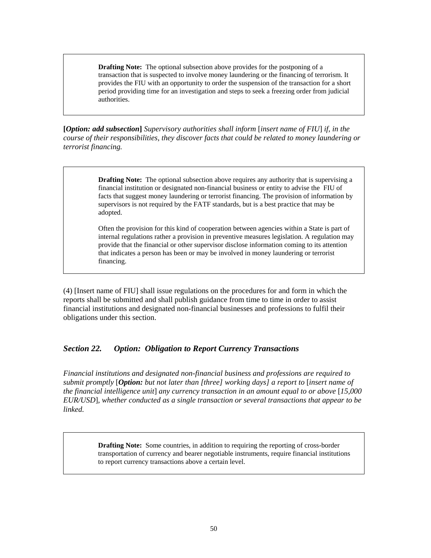**Drafting Note:** The optional subsection above provides for the postponing of a transaction that is suspected to involve money laundering or the financing of terrorism. It provides the FIU with an opportunity to order the suspension of the transaction for a short period providing time for an investigation and steps to seek a freezing order from judicial authorities.

**[***Option: add subsection***]** *Supervisory authorities shall inform* [*insert name of FIU*] *if, in the course of their responsibilities, they discover facts that could be related to money laundering or terrorist financing.* 

> **Drafting Note:** The optional subsection above requires any authority that is supervising a financial institution or designated non-financial business or entity to advise the FIU of facts that suggest money laundering or terrorist financing. The provision of information by supervisors is not required by the FATF standards, but is a best practice that may be adopted.

> Often the provision for this kind of cooperation between agencies within a State is part of internal regulations rather a provision in preventive measures legislation. A regulation may provide that the financial or other supervisor disclose information coming to its attention that indicates a person has been or may be involved in money laundering or terrorist financing.

(4) [Insert name of FIU] shall issue regulations on the procedures for and form in which the reports shall be submitted and shall publish guidance from time to time in order to assist financial institutions and designated non-financial businesses and professions to fulfil their obligations under this section.

#### *Section 22. Option: Obligation to Report Currency Transactions*

*Financial institutions and designated non-financial business and professions are required to submit promptly* [*Option: but not later than [three] working days] a report to* [*insert name of the financial intelligence unit*] *any currency transaction in an amount equal to or above* [*15,000 EUR/USD*]*, whether conducted as a single transaction or several transactions that appear to be linked.* 

> **Drafting Note:** Some countries, in addition to requiring the reporting of cross-border transportation of currency and bearer negotiable instruments, require financial institutions to report currency transactions above a certain level.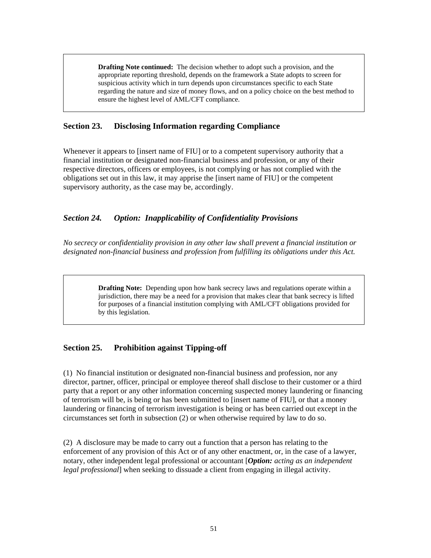**Drafting Note continued:** The decision whether to adopt such a provision, and the appropriate reporting threshold, depends on the framework a State adopts to screen for suspicious activity which in turn depends upon circumstances specific to each State regarding the nature and size of money flows, and on a policy choice on the best method to ensure the highest level of AML/CFT compliance.

## **Section 23. Disclosing Information regarding Compliance**

Whenever it appears to [insert name of FIU] or to a competent supervisory authority that a financial institution or designated non-financial business and profession, or any of their respective directors, officers or employees, is not complying or has not complied with the obligations set out in this law, it may apprise the [insert name of FIU] or the competent supervisory authority, as the case may be, accordingly.

## *Section 24. Option: Inapplicability of Confidentiality Provisions*

*No secrecy or confidentiality provision in any other law shall prevent a financial institution or designated non-financial business and profession from fulfilling its obligations under this Act.* 

> **Drafting Note:** Depending upon how bank secrecy laws and regulations operate within a jurisdiction, there may be a need for a provision that makes clear that bank secrecy is lifted for purposes of a financial institution complying with AML/CFT obligations provided for by this legislation.

## **Section 25. Prohibition against Tipping-off**

(1) No financial institution or designated non-financial business and profession, nor any director, partner, officer, principal or employee thereof shall disclose to their customer or a third party that a report or any other information concerning suspected money laundering or financing of terrorism will be, is being or has been submitted to [insert name of FIU], or that a money laundering or financing of terrorism investigation is being or has been carried out except in the circumstances set forth in subsection (2) or when otherwise required by law to do so.

(2) A disclosure may be made to carry out a function that a person has relating to the enforcement of any provision of this Act or of any other enactment, or, in the case of a lawyer, notary, other independent legal professional or accountant [*Option: acting as an independent legal professional*] when seeking to dissuade a client from engaging in illegal activity.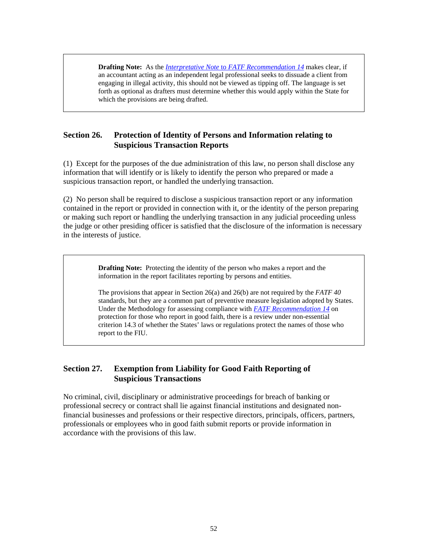**Drafting Note:** As the *Interpretative Note* to *[FATF Recommendation 14](http://www.fatf-gafi.org/dataoecd/7/40/34849567.PDF)* makes clear, if an accountant acting as an independent legal professional seeks to dissuade a client from engaging in illegal activity, this should not be viewed as tipping off. The language is set forth as optional as drafters must determine whether this would apply within the State for which the provisions are being drafted.

## **Section 26. Protection of Identity of Persons and Information relating to Suspicious Transaction Reports**

(1) Except for the purposes of the due administration of this law, no person shall disclose any information that will identify or is likely to identify the person who prepared or made a suspicious transaction report, or handled the underlying transaction.

(2) No person shall be required to disclose a suspicious transaction report or any information contained in the report or provided in connection with it, or the identity of the person preparing or making such report or handling the underlying transaction in any judicial proceeding unless the judge or other presiding officer is satisfied that the disclosure of the information is necessary in the interests of justice.

> **Drafting Note:** Protecting the identity of the person who makes a report and the information in the report facilitates reporting by persons and entities.

The provisions that appear in Section 26(a) and 26(b) are not required by the *FATF 40*  standards, but they are a common part of preventive measure legislation adopted by States. Under the Methodology for assessing compliance with *FATF [Recommendation 14](http://www.fatf-gafi.org/dataoecd/7/40/34849567.PDF)* on protection for those who report in good faith, there is a review under non-essential criterion 14.3 of whether the States' laws or regulations protect the names of those who report to the FIU.

## **Section 27. Exemption from Liability for Good Faith Reporting of Suspicious Transactions**

No criminal, civil, disciplinary or administrative proceedings for breach of banking or professional secrecy or contract shall lie against financial institutions and designated nonfinancial businesses and professions or their respective directors, principals, officers, partners, professionals or employees who in good faith submit reports or provide information in accordance with the provisions of this law.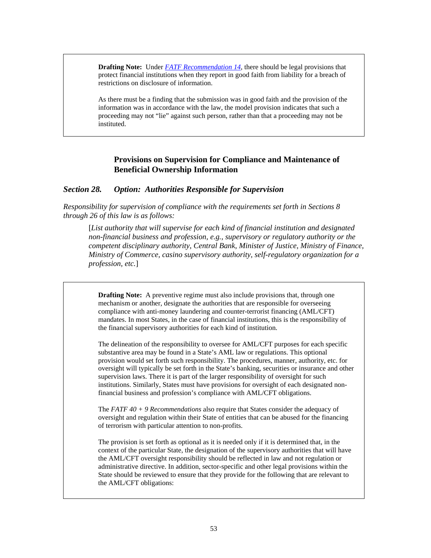**Drafting Note:** Under *[FATF Recommendation 14](http://www.fatf-gafi.org/dataoecd/7/40/34849567.PDF)*, there should be legal provisions that protect financial institutions when they report in good faith from liability for a breach of restrictions on disclosure of information.

As there must be a finding that the submission was in good faith and the provision of the information was in accordance with the law, the model provision indicates that such a proceeding may not "lie" against such person, rather than that a proceeding may not be instituted.

#### **Provisions on Supervision for Compliance and Maintenance of Beneficial Ownership Information**

#### *Section 28. Option: Authorities Responsible for Supervision*

*Responsibility for supervision of compliance with the requirements set forth in Sections 8 through 26 of this law is as follows:* 

[*List authority that will supervise for each kind of financial institution and designated non-financial business and profession, e.g., supervisory or regulatory authority or the competent disciplinary authority, Central Bank, Minister of Justice, Ministry of Finance, Ministry of Commerce, casino supervisory authority, self-regulatory organization for a profession, etc.*]

**Drafting Note:** A preventive regime must also include provisions that, through one mechanism or another, designate the authorities that are responsible for overseeing compliance with anti-money laundering and counter-terrorist financing (AML/CFT) mandates. In most States, in the case of financial institutions, this is the responsibility of the financial supervisory authorities for each kind of institution.

The delineation of the responsibility to oversee for AML/CFT purposes for each specific substantive area may be found in a State's AML law or regulations. This optional provision would set forth such responsibility. The procedures, manner, authority, etc. for oversight will typically be set forth in the State's banking, securities or insurance and other supervision laws. There it is part of the larger responsibility of oversight for such institutions. Similarly, States must have provisions for oversight of each designated nonfinancial business and profession's compliance with AML/CFT obligations.

The *FATF 40 + 9 Recommendations* also require that States consider the adequacy of oversight and regulation within their State of entities that can be abused for the financing of terrorism with particular attention to non-profits.

The provision is set forth as optional as it is needed only if it is determined that, in the context of the particular State, the designation of the supervisory authorities that will have the AML/CFT oversight responsibility should be reflected in law and not regulation or administrative directive. In addition, sector-specific and other legal provisions within the State should be reviewed to ensure that they provide for the following that are relevant to the AML/CFT obligations: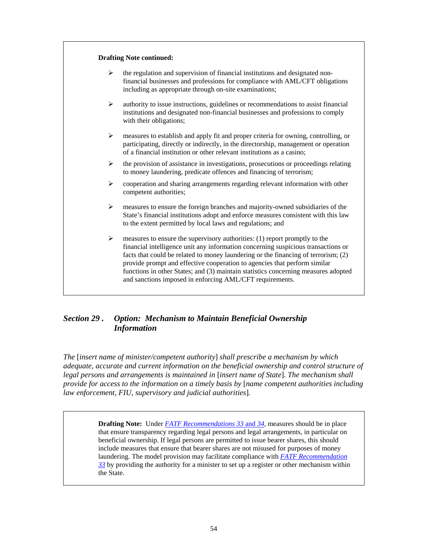| ➤ | the regulation and supervision of financial institutions and designated non-<br>financial businesses and professions for compliance with AML/CFT obligations<br>including as appropriate through on-site examinations;                                                                                                                                                                                                                                                               |
|---|--------------------------------------------------------------------------------------------------------------------------------------------------------------------------------------------------------------------------------------------------------------------------------------------------------------------------------------------------------------------------------------------------------------------------------------------------------------------------------------|
| ➤ | authority to issue instructions, guidelines or recommendations to assist financial<br>institutions and designated non-financial businesses and professions to comply<br>with their obligations;                                                                                                                                                                                                                                                                                      |
| ➤ | measures to establish and apply fit and proper criteria for owning, controlling, or<br>participating, directly or indirectly, in the directorship, management or operation<br>of a financial institution or other relevant institutions as a casino;                                                                                                                                                                                                                                 |
| ➤ | the provision of assistance in investigations, prosecutions or proceedings relating<br>to money laundering, predicate offences and financing of terrorism;                                                                                                                                                                                                                                                                                                                           |
| ≻ | cooperation and sharing arrangements regarding relevant information with other<br>competent authorities;                                                                                                                                                                                                                                                                                                                                                                             |
| ➤ | measures to ensure the foreign branches and majority-owned subsidiaries of the<br>State's financial institutions adopt and enforce measures consistent with this law<br>to the extent permitted by local laws and regulations; and                                                                                                                                                                                                                                                   |
| ➤ | measures to ensure the supervisory authorities: (1) report promptly to the<br>financial intelligence unit any information concerning suspicious transactions or<br>facts that could be related to money laundering or the financing of terrorism; (2)<br>provide prompt and effective cooperation to agencies that perform similar<br>functions in other States; and (3) maintain statistics concerning measures adopted<br>and sanctions imposed in enforcing AML/CFT requirements. |

## *Section 29 . Option: Mechanism to Maintain Beneficial Ownership Information*

*The* [*insert name of minister/competent authority*] *shall prescribe a mechanism by which adequate, accurate and current information on the beneficial ownership and control structure of legal persons and arrangements is maintained in* [*insert name of State*]*. The mechanism shall provide for access to the information on a timely basis by* [*name competent authorities including law enforcement, FIU, supervisory and judicial authorities*]*.* 

> **Drafting Note:** Under *[FATF Recommendations 33](http://www.fatf-gafi.org/dataoecd/7/40/34849567.PDF)* and *34*, measures should be in place that ensure transparency regarding legal persons and legal arrangements, in particular on beneficial ownership. If legal persons are permitted to issue bearer shares, this should include measures that ensure that bearer shares are not misused for purposes of money laundering. The model provision may facilitate compliance with *[FATF Recommendation](http://www.fatf-gafi.org/dataoecd/7/40/34849567.PDF)  [33](http://www.fatf-gafi.org/dataoecd/7/40/34849567.PDF)* by providing the authority for a minister to set up a register or other mechanism within the State.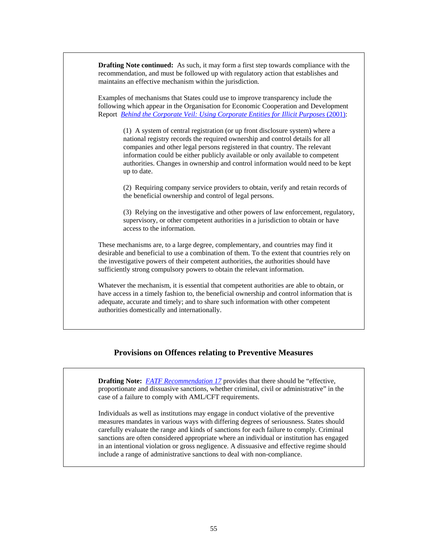**Drafting Note continued:** As such, it may form a first step towards compliance with the recommendation, and must be followed up with regulatory action that establishes and maintains an effective mechanism within the jurisdiction.

Examples of mechanisms that States could use to improve transparency include the following which appear in the Organisation for Economic Cooperation and Development Report *[Behind the Corporate Veil: Using Corporate Entities for Illicit Purposes](http://www.oecd.org/document/11/0,2340,en_2649_34813_2672715_1_1_1_1,00.html)* (2001):

> (1) A system of central registration (or up front disclosure system) where a national registry records the required ownership and control details for all companies and other legal persons registered in that country. The relevant information could be either publicly available or only available to competent authorities. Changes in ownership and control information would need to be kept up to date.

(2) Requiring company service providers to obtain, verify and retain records of the beneficial ownership and control of legal persons.

(3) Relying on the investigative and other powers of law enforcement, regulatory, supervisory, or other competent authorities in a jurisdiction to obtain or have access to the information.

These mechanisms are, to a large degree, complementary, and countries may find it desirable and beneficial to use a combination of them. To the extent that countries rely on the investigative powers of their competent authorities, the authorities should have sufficiently strong compulsory powers to obtain the relevant information.

Whatever the mechanism, it is essential that competent authorities are able to obtain, or have access in a timely fashion to, the beneficial ownership and control information that is adequate, accurate and timely; and to share such information with other competent authorities domestically and internationally.

#### **Provisions on Offences relating to Preventive Measures**

**Drafting Note:** *[FATF Recommendation 17](http://www.fatf-gafi.org/dataoecd/7/40/34849567.PDF)* provides that there should be "effective, proportionate and dissuasive sanctions, whether criminal, civil or administrative" in the case of a failure to comply with AML/CFT requirements.

Individuals as well as institutions may engage in conduct violative of the preventive measures mandates in various ways with differing degrees of seriousness. States should carefully evaluate the range and kinds of sanctions for each failure to comply. Criminal sanctions are often considered appropriate where an individual or institution has engaged in an intentional violation or gross negligence. A dissuasive and effective regime should include a range of administrative sanctions to deal with non-compliance.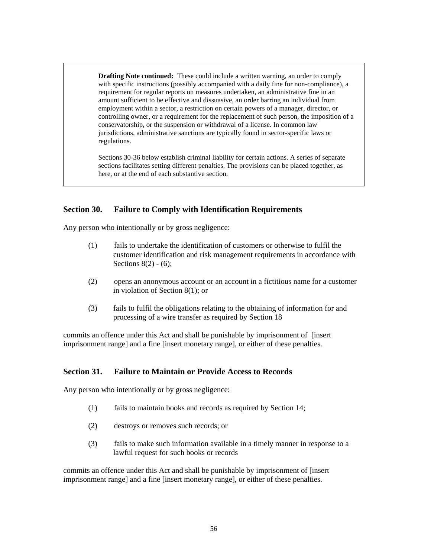**Drafting Note continued:** These could include a written warning, an order to comply with specific instructions (possibly accompanied with a daily fine for non-compliance), a requirement for regular reports on measures undertaken, an administrative fine in an amount sufficient to be effective and dissuasive, an order barring an individual from employment within a sector, a restriction on certain powers of a manager, director, or controlling owner, or a requirement for the replacement of such person, the imposition of a conservatorship, or the suspension or withdrawal of a license. In common law jurisdictions, administrative sanctions are typically found in sector-specific laws or regulations.

Sections 30-36 below establish criminal liability for certain actions. A series of separate sections facilitates setting different penalties. The provisions can be placed together, as here, or at the end of each substantive section.

#### **Section 30. Failure to Comply with Identification Requirements**

Any person who intentionally or by gross negligence:

- (1) fails to undertake the identification of customers or otherwise to fulfil the customer identification and risk management requirements in accordance with Sections  $8(2) - (6)$ ;
- (2) opens an anonymous account or an account in a fictitious name for a customer in violation of Section 8(1); or
- (3) fails to fulfil the obligations relating to the obtaining of information for and processing of a wire transfer as required by Section 18

commits an offence under this Act and shall be punishable by imprisonment of [insert imprisonment range] and a fine [insert monetary range], or either of these penalties.

#### **Section 31. Failure to Maintain or Provide Access to Records**

Any person who intentionally or by gross negligence:

- (1) fails to maintain books and records as required by Section 14;
- (2) destroys or removes such records; or
- (3) fails to make such information available in a timely manner in response to a lawful request for such books or records

commits an offence under this Act and shall be punishable by imprisonment of [insert imprisonment range] and a fine [insert monetary range], or either of these penalties.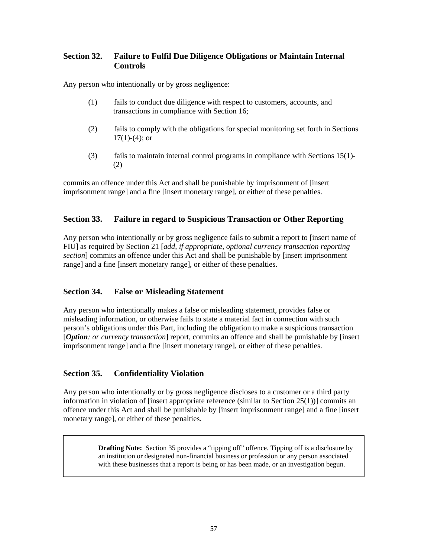## **Section 32. Failure to Fulfil Due Diligence Obligations or Maintain Internal Controls**

Any person who intentionally or by gross negligence:

- (1) fails to conduct due diligence with respect to customers, accounts, and transactions in compliance with Section 16;
- (2) fails to comply with the obligations for special monitoring set forth in Sections  $17(1)-(4)$ ; or
- (3) fails to maintain internal control programs in compliance with Sections 15(1)- (2)

commits an offence under this Act and shall be punishable by imprisonment of [insert imprisonment range] and a fine [insert monetary range], or either of these penalties.

## **Section 33. Failure in regard to Suspicious Transaction or Other Reporting**

Any person who intentionally or by gross negligence fails to submit a report to [insert name of FIU] as required by Section 21 [*add, if appropriate, optional currency transaction reporting section*] commits an offence under this Act and shall be punishable by [insert imprisonment range] and a fine [insert monetary range], or either of these penalties.

## **Section 34. False or Misleading Statement**

Any person who intentionally makes a false or misleading statement, provides false or misleading information, or otherwise fails to state a material fact in connection with such person's obligations under this Part, including the obligation to make a suspicious transaction [*Option: or currency transaction*] report, commits an offence and shall be punishable by [insert imprisonment range] and a fine [insert monetary range], or either of these penalties.

## **Section 35. Confidentiality Violation**

Any person who intentionally or by gross negligence discloses to a customer or a third party information in violation of [insert appropriate reference (similar to Section 25(1))] commits an offence under this Act and shall be punishable by [insert imprisonment range] and a fine [insert monetary range], or either of these penalties.

> **Drafting Note:** Section 35 provides a "tipping off" offence. Tipping off is a disclosure by an institution or designated non-financial business or profession or any person associated with these businesses that a report is being or has been made, or an investigation begun.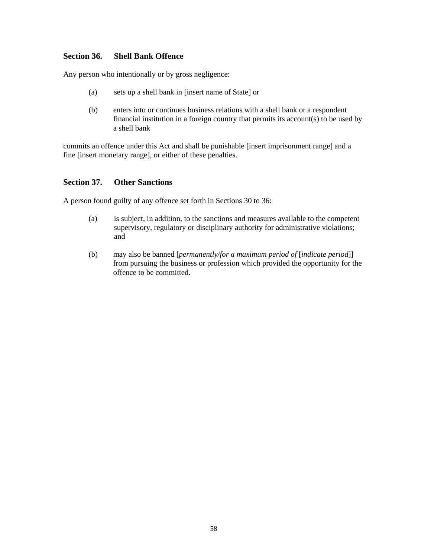#### **Section 36. Shell Bank Offence**

Any person who intentionally or by gross negligence:

- (a) sets up a shell bank in [insert name of State] or
- (b) enters into or continues business relations with a shell bank or a respondent financial institution in a foreign country that permits its account(s) to be used by a shell bank

commits an offence under this Act and shall be punishable [insert imprisonment range] and a fine [insert monetary range], or either of these penalties.

#### **Section 37. Other Sanctions**

A person found guilty of any offence set forth in Sections 30 to 36:

- (a) is subject, in addition, to the sanctions and measures available to the competent supervisory, regulatory or disciplinary authority for administrative violations; and
- (b) may also be banned [*permanently/for a maximum period of* [*indicate period*]] from pursuing the business or profession which provided the opportunity for the offence to be committed.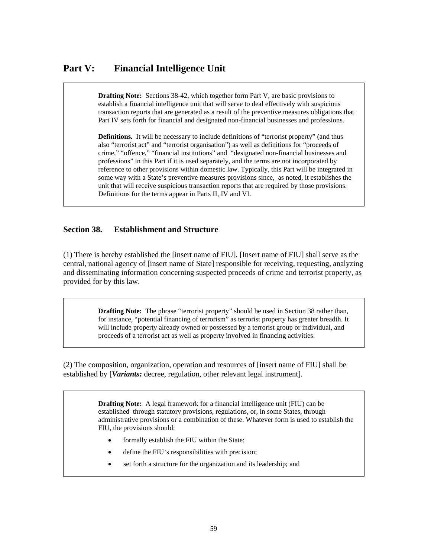# **Part V: Financial Intelligence Unit**

**Drafting Note:** Sections 38-42, which together form Part V, are basic provisions to establish a financial intelligence unit that will serve to deal effectively with suspicious transaction reports that are generated as a result of the preventive measures obligations that Part IV sets forth for financial and designated non-financial businesses and professions.

**Definitions.** It will be necessary to include definitions of "terrorist property" (and thus also "terrorist act" and "terrorist organisation") as well as definitions for "proceeds of crime," "offence," "financial institutions" and "designated non-financial businesses and professions" in this Part if it is used separately, and the terms are not incorporated by reference to other provisions within domestic law. Typically, this Part will be integrated in some way with a State's preventive measures provisions since, as noted, it establishes the unit that will receive suspicious transaction reports that are required by those provisions. Definitions for the terms appear in Parts II, IV and VI.

#### **Section 38. Establishment and Structure**

(1) There is hereby established the [insert name of FIU]. [Insert name of FIU] shall serve as the central, national agency of [insert name of State] responsible for receiving, requesting, analyzing and disseminating information concerning suspected proceeds of crime and terrorist property, as provided for by this law.

> **Drafting Note:** The phrase "terrorist property" should be used in Section 38 rather than, for instance, "potential financing of terrorism" as terrorist property has greater breadth. It will include property already owned or possessed by a terrorist group or individual, and proceeds of a terrorist act as well as property involved in financing activities.

(2) The composition, organization, operation and resources of [insert name of FIU] shall be established by [*Variants:* decree, regulation, other relevant legal instrument].

> **Drafting Note:** A legal framework for a financial intelligence unit (FIU) can be established through statutory provisions, regulations, or, in some States, through administrative provisions or a combination of these. Whatever form is used to establish the FIU, the provisions should:

- formally establish the FIU within the State;
- define the FIU's responsibilities with precision;
- set forth a structure for the organization and its leadership; and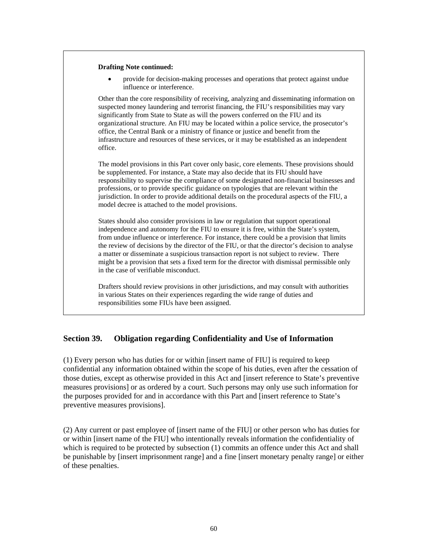#### **Drafting Note continued:**

• provide for decision-making processes and operations that protect against undue influence or interference.

Other than the core responsibility of receiving, analyzing and disseminating information on suspected money laundering and terrorist financing, the FIU's responsibilities may vary significantly from State to State as will the powers conferred on the FIU and its organizational structure. An FIU may be located within a police service, the prosecutor's office, the Central Bank or a ministry of finance or justice and benefit from the infrastructure and resources of these services, or it may be established as an independent office.

The model provisions in this Part cover only basic, core elements. These provisions should be supplemented. For instance, a State may also decide that its FIU should have responsibility to supervise the compliance of some designated non-financial businesses and professions, or to provide specific guidance on typologies that are relevant within the jurisdiction. In order to provide additional details on the procedural aspects of the FIU, a model decree is attached to the model provisions.

States should also consider provisions in law or regulation that support operational independence and autonomy for the FIU to ensure it is free, within the State's system, from undue influence or interference. For instance, there could be a provision that limits the review of decisions by the director of the FIU, or that the director's decision to analyse a matter or disseminate a suspicious transaction report is not subject to review. There might be a provision that sets a fixed term for the director with dismissal permissible only in the case of verifiable misconduct.

Drafters should review provisions in other jurisdictions, and may consult with authorities in various States on their experiences regarding the wide range of duties and responsibilities some FIUs have been assigned.

#### **Section 39. Obligation regarding Confidentiality and Use of Information**

(1) Every person who has duties for or within [insert name of FIU] is required to keep confidential any information obtained within the scope of his duties, even after the cessation of those duties, except as otherwise provided in this Act and [insert reference to State's preventive measures provisions] or as ordered by a court. Such persons may only use such information for the purposes provided for and in accordance with this Part and [insert reference to State's preventive measures provisions].

(2) Any current or past employee of [insert name of the FIU] or other person who has duties for or within [insert name of the FIU] who intentionally reveals information the confidentiality of which is required to be protected by subsection  $(1)$  commits an offence under this Act and shall be punishable by [insert imprisonment range] and a fine [insert monetary penalty range] or either of these penalties.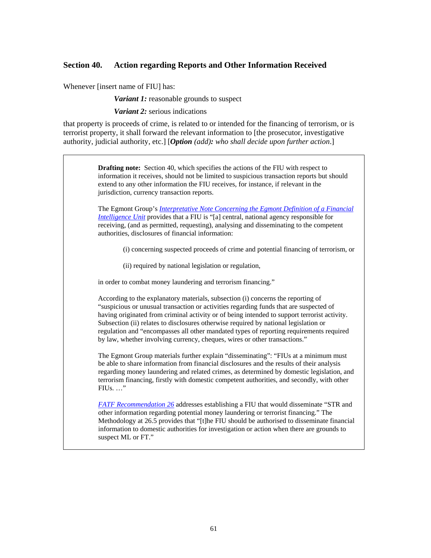#### **Section 40. Action regarding Reports and Other Information Received**

Whenever [insert name of FIU] has:

*Variant 1:* reasonable grounds to suspect

*Variant 2:* serious indications

that property is proceeds of crime, is related to or intended for the financing of terrorism, or is terrorist property, it shall forward the relevant information to [the prosecutor, investigative authority, judicial authority, etc.] [*Option (add): who shall decide upon further action*.]

> **Drafting note:** Section 40, which specifies the actions of the FIU with respect to information it receives, should not be limited to suspicious transaction reports but should extend to any other information the FIU receives, for instance, if relevant in the jurisdiction, currency transaction reports.

The Egmont Group's *[Interpretative Note Concerning the Egmont Definition of a Financial](http://www.egmontgroup.org/files/library_egmont_docs/egmont_final_interpretive.pdf)  [Intelligence Unit](http://www.egmontgroup.org/files/library_egmont_docs/egmont_final_interpretive.pdf)* provides that a FIU is "[a] central, national agency responsible for receiving, (and as permitted, requesting), analysing and disseminating to the competent authorities, disclosures of financial information:

(i) concerning suspected proceeds of crime and potential financing of terrorism, or

(ii) required by national legislation or regulation,

in order to combat money laundering and terrorism financing."

According to the explanatory materials, subsection (i) concerns the reporting of "suspicious or unusual transaction or activities regarding funds that are suspected of having originated from criminal activity or of being intended to support terrorist activity. Subsection (ii) relates to disclosures otherwise required by national legislation or regulation and "encompasses all other mandated types of reporting requirements required by law, whether involving currency, cheques, wires or other transactions."

The Egmont Group materials further explain "disseminating": "FIUs at a minimum must be able to share information from financial disclosures and the results of their analysis regarding money laundering and related crimes, as determined by domestic legislation, and terrorism financing, firstly with domestic competent authorities, and secondly, with other FIUs. …"

*[FATF Recommendation 26](http://www.fatf-gafi.org/dataoecd/7/40/34849567.PDF)* addresses establishing a FIU that would disseminate "STR and other information regarding potential money laundering or terrorist financing." The Methodology at 26.5 provides that "[t]he FIU should be authorised to disseminate financial information to domestic authorities for investigation or action when there are grounds to suspect ML or FT."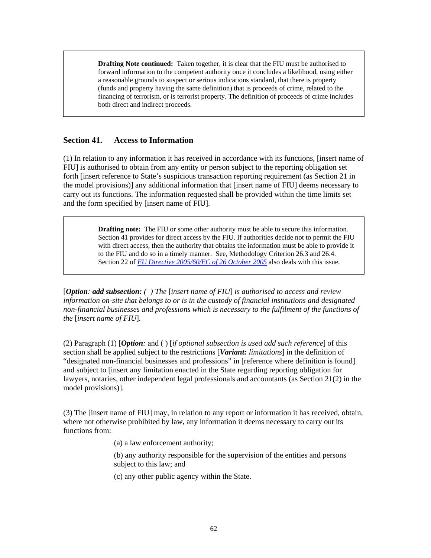**Drafting Note continued:** Taken together, it is clear that the FIU must be authorised to forward information to the competent authority once it concludes a likelihood, using either a reasonable grounds to suspect or serious indications standard, that there is property (funds and property having the same definition) that is proceeds of crime, related to the financing of terrorism, or is terrorist property. The definition of proceeds of crime includes both direct and indirect proceeds.

#### **Section 41. Access to Information**

(1) In relation to any information it has received in accordance with its functions, [insert name of FIU] is authorised to obtain from any entity or person subject to the reporting obligation set forth [insert reference to State's suspicious transaction reporting requirement (as Section 21 in the model provisions)] any additional information that [insert name of FIU] deems necessary to carry out its functions. The information requested shall be provided within the time limits set and the form specified by [insert name of FIU].

> **Drafting note:** The FIU or some other authority must be able to secure this information. Section 41 provides for direct access by the FIU. If authorities decide not to permit the FIU with direct access, then the authority that obtains the information must be able to provide it to the FIU and do so in a timely manner. See, Methodology Criterion 26.3 and 26.4. Section 22 of *[EU Directive 2005/60/EC of 26 October 2005](http://eur-lex.europa.eu/LexUriServ/LexUriServ.do?uri=OJ:L:2005:309:0015:0036:EN:PDF)* also deals with this issue.

[*Option: add subsection: ( ) The* [*insert name of FIU*] *is authorised to access and review information on-site that belongs to or is in the custody of financial institutions and designated non-financial businesses and professions which is necessary to the fulfilment of the functions of the* [*insert name of FIU*].

(2) Paragraph (1) [*Option:* and ( ) [*if optional subsection is used add such reference*] of this section shall be applied subject to the restrictions [*Variant: limitations*] in the definition of "designated non-financial businesses and professions" in [reference where definition is found] and subject to [insert any limitation enacted in the State regarding reporting obligation for lawyers, notaries, other independent legal professionals and accountants (as Section 21(2) in the model provisions)].

(3) The [insert name of FIU] may, in relation to any report or information it has received, obtain, where not otherwise prohibited by law, any information it deems necessary to carry out its functions from:

(a) a law enforcement authority;

(b) any authority responsible for the supervision of the entities and persons subject to this law; and

(c) any other public agency within the State.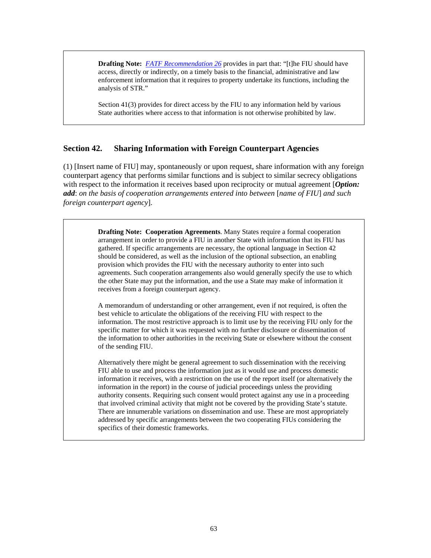**Drafting Note:** *[FATF Recommendation 26](http://www.fatf-gafi.org/dataoecd/7/40/34849567.PDF)* provides in part that: "[t]he FIU should have access, directly or indirectly, on a timely basis to the financial, administrative and law enforcement information that it requires to property undertake its functions, including the analysis of STR."

Section 41(3) provides for direct access by the FIU to any information held by various State authorities where access to that information is not otherwise prohibited by law.

#### **Section 42. Sharing Information with Foreign Counterpart Agencies**

(1) [Insert name of FIU] may, spontaneously or upon request, share information with any foreign counterpart agency that performs similar functions and is subject to similar secrecy obligations with respect to the information it receives based upon reciprocity or mutual agreement [*Option*: *add*: *on the basis of cooperation arrangements entered into between* [*name of FIU*] *and such foreign counterpart agency*].

> **Drafting Note: Cooperation Agreements**. Many States require a formal cooperation arrangement in order to provide a FIU in another State with information that its FIU has gathered. If specific arrangements are necessary, the optional language in Section 42 should be considered, as well as the inclusion of the optional subsection, an enabling provision which provides the FIU with the necessary authority to enter into such agreements. Such cooperation arrangements also would generally specify the use to which the other State may put the information, and the use a State may make of information it receives from a foreign counterpart agency.

> A memorandum of understanding or other arrangement, even if not required, is often the best vehicle to articulate the obligations of the receiving FIU with respect to the information. The most restrictive approach is to limit use by the receiving FIU only for the specific matter for which it was requested with no further disclosure or dissemination of the information to other authorities in the receiving State or elsewhere without the consent of the sending FIU.

> Alternatively there might be general agreement to such dissemination with the receiving FIU able to use and process the information just as it would use and process domestic information it receives, with a restriction on the use of the report itself (or alternatively the information in the report) in the course of judicial proceedings unless the providing authority consents. Requiring such consent would protect against any use in a proceeding that involved criminal activity that might not be covered by the providing State's statute. There are innumerable variations on dissemination and use. These are most appropriately addressed by specific arrangements between the two cooperating FIUs considering the specifics of their domestic frameworks.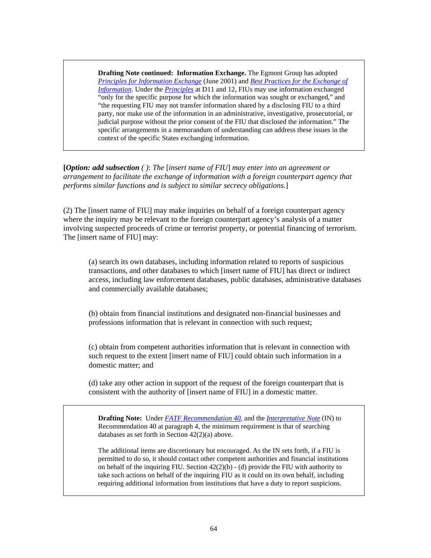**Drafting Note continued: Information Exchange.** The Egmont Group has adopted *[Principles for Information Exchange](http://www.egmontgroup.org/files/library_egmont_docs/princ_info_exchange.pdf)* (June 2001) and *[Best Practices for the Exchange of](http://www.egmontgroup.org/files/library_egmont_docs/best_practices.pdf)  [Information](http://www.egmontgroup.org/files/library_egmont_docs/best_practices.pdf)*. Under the *[Principles](http://www.egmontgroup.org/files/library_egmont_docs/princ_info_exchange.pdf)* at D11 and 12, FIUs may use information exchanged "only for the specific purpose for which the information was sought or exchanged," and "the requesting FIU may not transfer information shared by a disclosing FIU to a third party, nor make use of the information in an administrative, investigative, prosecutorial, or judicial purpose without the prior consent of the FIU that disclosed the information." The specific arrangements in a memorandum of understanding can address these issues in the context of the specific States exchanging information.

**[***Option: add subsection ( )*: *The* [*insert name of FIU*] *may enter into an agreement or arrangement to facilitate the exchange of information with a foreign counterpart agency that performs similar functions and is subject to similar secrecy obligations.*]

(2) The [insert name of FIU] may make inquiries on behalf of a foreign counterpart agency where the inquiry may be relevant to the foreign counterpart agency's analysis of a matter involving suspected proceeds of crime or terrorist property, or potential financing of terrorism. The [insert name of FIU] may:

(a) search its own databases, including information related to reports of suspicious transactions, and other databases to which [insert name of FIU] has direct or indirect access, including law enforcement databases, public databases, administrative databases and commercially available databases;

(b) obtain from financial institutions and designated non-financial businesses and professions information that is relevant in connection with such request;

(c) obtain from competent authorities information that is relevant in connection with such request to the extent [insert name of FIU] could obtain such information in a domestic matter; and

(d) take any other action in support of the request of the foreign counterpart that is consistent with the authority of [insert name of FIU] in a domestic matter.

**Drafting Note:** Under *[FATF Recommendation 40](http://www.fatf-gafi.org/dataoecd/7/40/34849567.PDF)*, and the *[Interpretative Note](http://www.fatf-gafi.org/dataoecd/7/40/34849567.PDF)* (IN) to Recommendation 40 at paragraph 4, the minimum requirement is that of searching databases as set forth in Section 42(2)(a) above.

The additional items are discretionary but encouraged. As the IN sets forth, if a FIU is permitted to do so, it should contact other competent authorities and financial institutions on behalf of the inquiring FIU. Section  $42(2)(b)$  - (d) provide the FIU with authority to take such actions on behalf of the inquiring FIU as it could on its own behalf, including requiring additional information from institutions that have a duty to report suspicions.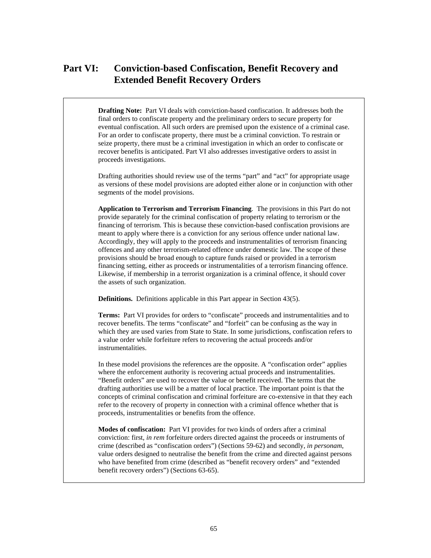# **Part VI: Conviction-based Confiscation, Benefit Recovery and Extended Benefit Recovery Orders**

**Drafting Note:** Part VI deals with conviction-based confiscation. It addresses both the final orders to confiscate property and the preliminary orders to secure property for eventual confiscation. All such orders are premised upon the existence of a criminal case. For an order to confiscate property, there must be a criminal conviction. To restrain or seize property, there must be a criminal investigation in which an order to confiscate or recover benefits is anticipated. Part VI also addresses investigative orders to assist in proceeds investigations.

Drafting authorities should review use of the terms "part" and "act" for appropriate usage as versions of these model provisions are adopted either alone or in conjunction with other segments of the model provisions.

**Application to Terrorism and Terrorism Financing**. The provisions in this Part do not provide separately for the criminal confiscation of property relating to terrorism or the financing of terrorism. This is because these conviction-based confiscation provisions are meant to apply where there is a conviction for any serious offence under national law. Accordingly, they will apply to the proceeds and instrumentalities of terrorism financing offences and any other terrorism-related offence under domestic law. The scope of these provisions should be broad enough to capture funds raised or provided in a terrorism financing setting, either as proceeds or instrumentalities of a terrorism financing offence. Likewise, if membership in a terrorist organization is a criminal offence, it should cover the assets of such organization.

**Definitions.** Definitions applicable in this Part appear in Section 43(5).

**Terms:** Part VI provides for orders to "confiscate" proceeds and instrumentalities and to recover benefits. The terms "confiscate" and "forfeit" can be confusing as the way in which they are used varies from State to State. In some jurisdictions, confiscation refers to a value order while forfeiture refers to recovering the actual proceeds and/or instrumentalities.

In these model provisions the references are the opposite. A "confiscation order" applies where the enforcement authority is recovering actual proceeds and instrumentalities. "Benefit orders" are used to recover the value or benefit received. The terms that the drafting authorities use will be a matter of local practice. The important point is that the concepts of criminal confiscation and criminal forfeiture are co-extensive in that they each refer to the recovery of property in connection with a criminal offence whether that is proceeds, instrumentalities or benefits from the offence.

**Modes of confiscation:** Part VI provides for two kinds of orders after a criminal conviction: first, *in rem* forfeiture orders directed against the proceeds or instruments of crime (described as "confiscation orders") (Sections 59-62) and secondly, *in personam*, value orders designed to neutralise the benefit from the crime and directed against persons who have benefited from crime (described as "benefit recovery orders" and "extended benefit recovery orders") (Sections 63-65).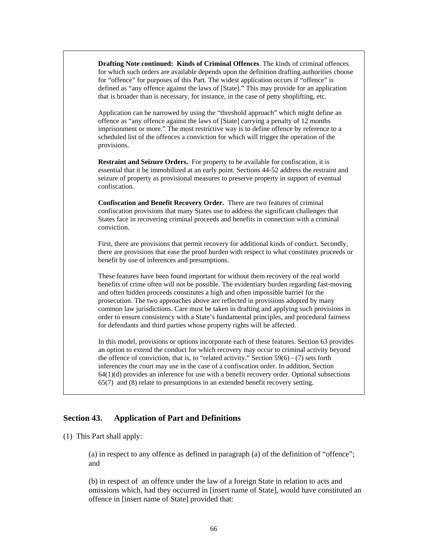**Drafting Note continued: Kinds of Criminal Offences**. The kinds of criminal offences for which such orders are available depends upon the definition drafting authorities choose for "offence" for purposes of this Part. The widest application occurs if "offence" is defined as "any offence against the laws of [State]." This may provide for an application that is broader than is necessary, for instance, in the case of petty shoplifting, etc.

Application can be narrowed by using the "threshold approach" which might define an offence as "any offence against the laws of [State] carrying a penalty of 12 months imprisonment or more." The most restrictive way is to define offence by reference to a scheduled list of the offences a conviction for which will trigger the operation of the provisions.

**Restraint and Seizure Orders.** For property to be available for confiscation, it is essential that it be immobilized at an early point. Sections 44-52 address the restraint and seizure of property as provisional measures to preserve property in support of eventual confiscation.

**Confiscation and Benefit Recovery Order.** There are two features of criminal confiscation provisions that many States use to address the significant challenges that States face in recovering criminal proceeds and benefits in connection with a criminal conviction.

First, there are provisions that permit recovery for additional kinds of conduct. Secondly, there are provisions that ease the proof burden with respect to what constitutes proceeds or benefit by use of inferences and presumptions.

These features have been found important for without them recovery of the real world benefits of crime often will not be possible. The evidentiary burden regarding fast-moving and often hidden proceeds constitutes a high and often impossible barrier for the prosecution. The two approaches above are reflected in provisions adopted by many common law jurisdictions. Care must be taken in drafting and applying such provisions in order to ensure consistency with a State's fundamental principles, and procedural fairness for defendants and third parties whose property rights will be affected.

In this model, provisions or options incorporate each of these features. Section 63 provides an option to extend the conduct for which recovery may occur to criminal activity beyond the offence of conviction, that is, to "related activity." Section 59(6) - (7) sets forth inferences the court may use in the case of a confiscation order. In addition, Section  $64(1)(d)$  provides an inference for use with a benefit recovery order. Optional subsections 65(7) and (8) relate to presumptions in an extended benefit recovery setting.

#### **Section 43. Application of Part and Definitions**

(1) This Part shall apply:

(a) in respect to any offence as defined in paragraph (a) of the definition of "offence"; and

(b) in respect of an offence under the law of a foreign State in relation to acts and omissions which, had they occurred in [insert name of State], would have constituted an offence in [insert name of State] provided that: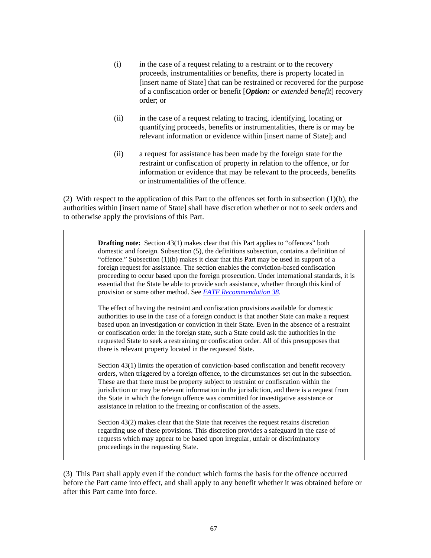- (i) in the case of a request relating to a restraint or to the recovery proceeds, instrumentalities or benefits, there is property located in [insert name of State] that can be restrained or recovered for the purpose of a confiscation order or benefit [*Option: or extended benefit*] recovery order; or
- (ii) in the case of a request relating to tracing, identifying, locating or quantifying proceeds, benefits or instrumentalities, there is or may be relevant information or evidence within [insert name of State]; and
- (ii) a request for assistance has been made by the foreign state for the restraint or confiscation of property in relation to the offence, or for information or evidence that may be relevant to the proceeds, benefits or instrumentalities of the offence.

(2) With respect to the application of this Part to the offences set forth in subsection  $(1)(b)$ , the authorities within [insert name of State] shall have discretion whether or not to seek orders and to otherwise apply the provisions of this Part.

> **Drafting note:** Section 43(1) makes clear that this Part applies to "offences" both domestic and foreign. Subsection (5), the definitions subsection, contains a definition of "offence." Subsection  $(1)(b)$  makes it clear that this Part may be used in support of a foreign request for assistance. The section enables the conviction-based confiscation proceeding to occur based upon the foreign prosecution. Under international standards, it is essential that the State be able to provide such assistance, whether through this kind of provision or some other method. See *[FATF Recommendation 38](http://www.fatf-gafi.org/dataoecd/7/40/34849567.PDF)*.

The effect of having the restraint and confiscation provisions available for domestic authorities to use in the case of a foreign conduct is that another State can make a request based upon an investigation or conviction in their State. Even in the absence of a restraint or confiscation order in the foreign state, such a State could ask the authorities in the requested State to seek a restraining or confiscation order. All of this presupposes that there is relevant property located in the requested State.

Section 43(1) limits the operation of conviction-based confiscation and benefit recovery orders, when triggered by a foreign offence, to the circumstances set out in the subsection. These are that there must be property subject to restraint or confiscation within the jurisdiction or may be relevant information in the jurisdiction, and there is a request from the State in which the foreign offence was committed for investigative assistance or assistance in relation to the freezing or confiscation of the assets.

Section 43(2) makes clear that the State that receives the request retains discretion regarding use of these provisions. This discretion provides a safeguard in the case of requests which may appear to be based upon irregular, unfair or discriminatory proceedings in the requesting State.

(3) This Part shall apply even if the conduct which forms the basis for the offence occurred before the Part came into effect, and shall apply to any benefit whether it was obtained before or after this Part came into force.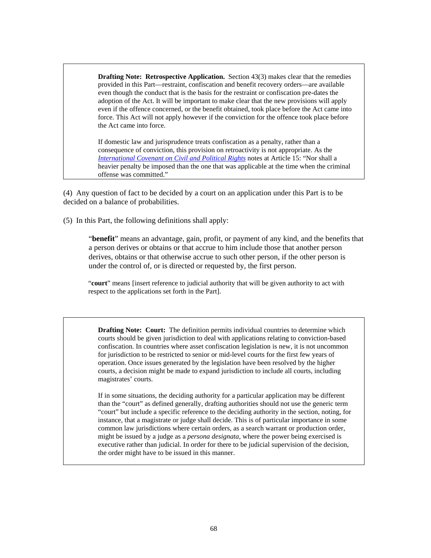**Drafting Note: Retrospective Application.** Section 43(3) makes clear that the remedies provided in this Part—restraint, confiscation and benefit recovery orders—are available even though the conduct that is the basis for the restraint or confiscation pre-dates the adoption of the Act. It will be important to make clear that the new provisions will apply even if the offence concerned, or the benefit obtained, took place before the Act came into force. This Act will not apply however if the conviction for the offence took place before the Act came into force.

If domestic law and jurisprudence treats confiscation as a penalty, rather than a consequence of conviction, this provision on retroactivity is not appropriate. As the *[International Covenant on Civil and Political Rights](http://www.hrweb.org/legal/cpr.html)* notes at Article 15: "Nor shall a heavier penalty be imposed than the one that was applicable at the time when the criminal offense was committed."

(4) Any question of fact to be decided by a court on an application under this Part is to be decided on a balance of probabilities.

(5) In this Part, the following definitions shall apply:

"**benefit**" means an advantage, gain, profit, or payment of any kind, and the benefits that a person derives or obtains or that accrue to him include those that another person derives, obtains or that otherwise accrue to such other person, if the other person is under the control of, or is directed or requested by, the first person.

"**court**" means [insert reference to judicial authority that will be given authority to act with respect to the applications set forth in the Part].

**Drafting Note: Court:** The definition permits individual countries to determine which courts should be given jurisdiction to deal with applications relating to conviction-based confiscation. In countries where asset confiscation legislation is new, it is not uncommon for jurisdiction to be restricted to senior or mid-level courts for the first few years of operation. Once issues generated by the legislation have been resolved by the higher courts, a decision might be made to expand jurisdiction to include all courts, including magistrates' courts.

If in some situations, the deciding authority for a particular application may be different than the "court" as defined generally, drafting authorities should not use the generic term "court" but include a specific reference to the deciding authority in the section, noting, for instance, that a magistrate or judge shall decide. This is of particular importance in some common law jurisdictions where certain orders, as a search warrant or production order, might be issued by a judge as a *persona designata*, where the power being exercised is executive rather than judicial. In order for there to be judicial supervision of the decision, the order might have to be issued in this manner.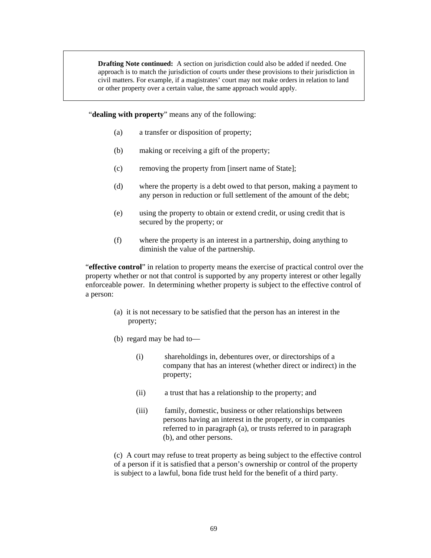**Drafting Note continued:** A section on jurisdiction could also be added if needed. One approach is to match the jurisdiction of courts under these provisions to their jurisdiction in civil matters. For example, if a magistrates' court may not make orders in relation to land or other property over a certain value, the same approach would apply.

"**dealing with property**" means any of the following:

- (a) a transfer or disposition of property;
- (b) making or receiving a gift of the property;
- (c) removing the property from [insert name of State];
- (d) where the property is a debt owed to that person, making a payment to any person in reduction or full settlement of the amount of the debt;
- (e) using the property to obtain or extend credit, or using credit that is secured by the property; or
- (f) where the property is an interest in a partnership, doing anything to diminish the value of the partnership.

"**effective control**" in relation to property means the exercise of practical control over the property whether or not that control is supported by any property interest or other legally enforceable power. In determining whether property is subject to the effective control of a person:

- (a) it is not necessary to be satisfied that the person has an interest in the property;
- (b) regard may be had to—
	- (i) shareholdings in, debentures over, or directorships of a company that has an interest (whether direct or indirect) in the property;
	- (ii) a trust that has a relationship to the property; and
	- (iii) family, domestic, business or other relationships between persons having an interest in the property, or in companies referred to in paragraph (a), or trusts referred to in paragraph (b), and other persons.

(c) A court may refuse to treat property as being subject to the effective control of a person if it is satisfied that a person's ownership or control of the property is subject to a lawful, bona fide trust held for the benefit of a third party.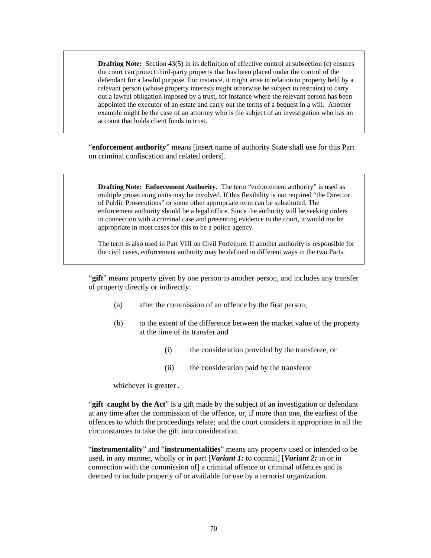**Drafting Note:** Section 43(5) in its definition of effective control at subsection (c) ensures the court can protect third-party property that has been placed under the control of the defendant for a lawful purpose. For instance, it might arise in relation to property held by a relevant person (whose property interests might otherwise be subject to restraint) to carry out a lawful obligation imposed by a trust, for instance where the relevant person has been appointed the executor of an estate and carry out the terms of a bequest in a will. Another example might be the case of an attorney who is the subject of an investigation who has an account that holds client funds in trust.

"**enforcement authority**" means [insert name of authority State shall use for this Part on criminal confiscation and related orders].

**Drafting Note: Enforcement Authority.** The term "enforcement authority" is used as multiple prosecuting units may be involved. If this flexibility is not required "the Director of Public Prosecutions" or some other appropriate term can be substituted. The enforcement authority should be a legal office. Since the authority will be seeking orders in connection with a criminal case and presenting evidence to the court, it would not be appropriate in most cases for this to be a police agency.

The term is also used in Part VIII on Civil Forfeiture. If another authority is responsible for the civil cases, enforcement authority may be defined in different ways in the two Parts.

"**gift**" means property given by one person to another person, and includes any transfer of property directly or indirectly:

- (a) after the commission of an offence by the first person;
- (b) to the extent of the difference between the market value of the property at the time of its transfer and
	- (i) the consideration provided by the transferee, or
	- (ii) the consideration paid by the transferor

whichever is greater.

"**gift caught by the Act**" is a gift made by the subject of an investigation or defendant at any time after the commission of the offence, or, if more than one, the earliest of the offences to which the proceedings relate; and the court considers it appropriate in all the circumstances to take the gift into consideration.

"**instrumentality**" and "**instrumentalities**" means any property used or intended to be used, in any manner, wholly or in part [*Variant 1:* to commit] [*Variant 2:* in or in connection with the commission of] a criminal offence or criminal offences and is deemed to include property of or available for use by a terrorist organization.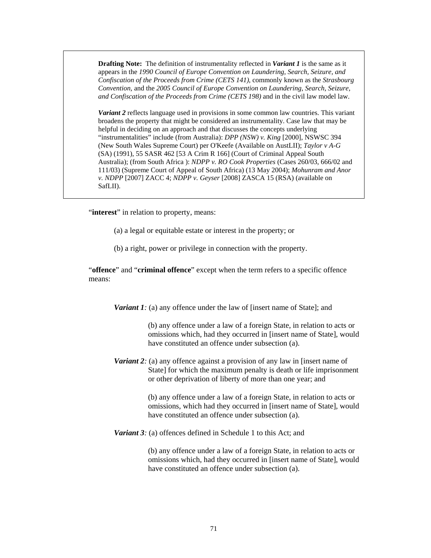**Drafting Note:** The definition of instrumentality reflected in *Variant 1* is the same as it appears in the *1990 Council of Europe Convention on Laundering, Search, Seizure, and Confiscation of the Proceeds from Crime (CETS 141)*, commonly known as the *Strasbourg Convention,* and the *2005 Council of Europe Convention on Laundering, Search, Seizure, and Confiscation of the Proceeds from Crime (CETS 198)* and in the civil law model law.

*Variant 2* reflects language used in provisions in some common law countries. This variant broadens the property that might be considered an instrumentality. Case law that may be helpful in deciding on an approach and that discusses the concepts underlying "instrumentalities" include (from Australia): *DPP (NSW) v. King* [2000], NSWSC 394 (New South Wales Supreme Court) per O'Keefe (Available on AustLII); *Taylor v A-G* (SA) (1991), 55 SASR 462 [53 A Crim R 166] (Court of Criminal Appeal South Australia); (from South Africa ): *NDPP v. RO Cook Properties* (Cases 260/03, 666/02 and 111/03) (Supreme Court of Appeal of South Africa) (13 May 2004); *Mohunram and Anor v. NDPP* [2007] ZACC 4; *NDPP v. Geyser* [2008] ZASCA 15 (RSA) (available on SafLII).

"interest" in relation to property, means:

- (a) a legal or equitable estate or interest in the property; or
- (b) a right, power or privilege in connection with the property.

"**offence**" and "**criminal offence**" except when the term refers to a specific offence means:

*Variant 1:* (a) any offence under the law of [insert name of State]; and

(b) any offence under a law of a foreign State, in relation to acts or omissions which, had they occurred in [insert name of State], would have constituted an offence under subsection (a).

*Variant 2:* (a) any offence against a provision of any law in [insert name of State] for which the maximum penalty is death or life imprisonment or other deprivation of liberty of more than one year; and

> (b) any offence under a law of a foreign State, in relation to acts or omissions, which had they occurred in [insert name of State], would have constituted an offence under subsection (a).

*Variant 3:* (a) offences defined in Schedule 1 to this Act; and

(b) any offence under a law of a foreign State, in relation to acts or omissions which, had they occurred in [insert name of State], would have constituted an offence under subsection (a).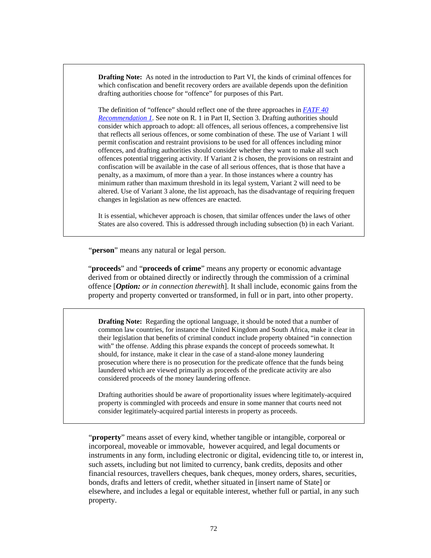**Drafting Note:** As noted in the introduction to Part VI, the kinds of criminal offences for which confiscation and benefit recovery orders are available depends upon the definition drafting authorities choose for "offence" for purposes of this Part.

The definition of "offence" should reflect one of the three approaches in *[FATF 40](http://www.fatf-gafi.org/dataoecd/7/40/34849567.PDF)  [Recommendation 1](http://www.fatf-gafi.org/dataoecd/7/40/34849567.PDF)*. See note on R. 1 in Part II, Section 3. Drafting authorities should consider which approach to adopt: all offences, all serious offences, a comprehensive list that reflects all serious offences, or some combination of these. The use of Variant 1 will permit confiscation and restraint provisions to be used for all offences including minor offences, and drafting authorities should consider whether they want to make all such offences potential triggering activity. If Variant 2 is chosen, the provisions on restraint and confiscation will be available in the case of all serious offences, that is those that have a penalty, as a maximum, of more than a year. In those instances where a country has minimum rather than maximum threshold in its legal system, Variant 2 will need to be altered. Use of Variant 3 alone, the list approach, has the disadvantage of requiring frequent changes in legislation as new offences are enacted.

It is essential, whichever approach is chosen, that similar offences under the laws of other States are also covered. This is addressed through including subsection (b) in each Variant.

"**person**" means any natural or legal person.

"**proceeds**" and "**proceeds of crime**" means any property or economic advantage derived from or obtained directly or indirectly through the commission of a criminal offence [*Option: or in connection therewith*]. It shall include, economic gains from the property and property converted or transformed, in full or in part, into other property.

**Drafting Note:** Regarding the optional language, it should be noted that a number of common law countries, for instance the United Kingdom and South Africa, make it clear in their legislation that benefits of criminal conduct include property obtained "in connection with" the offense. Adding this phrase expands the concept of proceeds somewhat. It should, for instance, make it clear in the case of a stand-alone money laundering prosecution where there is no prosecution for the predicate offence that the funds being laundered which are viewed primarily as proceeds of the predicate activity are also considered proceeds of the money laundering offence.

Drafting authorities should be aware of proportionality issues where legitimately-acquired property is commingled with proceeds and ensure in some manner that courts need not consider legitimately-acquired partial interests in property as proceeds.

"**property**" means asset of every kind, whether tangible or intangible, corporeal or incorporeal, moveable or immovable, however acquired, and legal documents or instruments in any form, including electronic or digital, evidencing title to, or interest in, such assets, including but not limited to currency, bank credits, deposits and other financial resources, travellers cheques, bank cheques, money orders, shares, securities, bonds, drafts and letters of credit, whether situated in [insert name of State] or elsewhere, and includes a legal or equitable interest, whether full or partial, in any such property.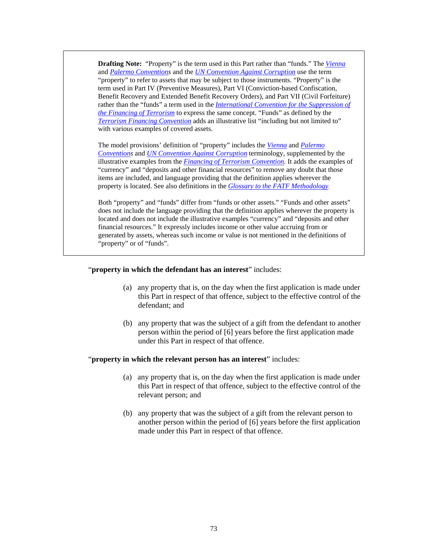**Drafting Note:** "Property" is the term used in this Part rather than "funds." The *[Vienna](http://www.unodc.org/pdf/convention_1988_en.pdf)* and *[Palermo Convention](http://www.unodc.org/documents/treaties/UNTOC/Publications/TOC%20Convention/TOCebook-e.pdf)s* and the *[UN Convention Against Corruption](http://www.unodc.org/documents/treaties/UNCAC/Publications/Convention/08-50026_E.pdf)* use the term "property" to refer to assets that may be subject to those instruments. "Property" is the term used in Part IV (Preventive Measures), Part VI (Conviction-based Confiscation, Benefit Recovery and Extended Benefit Recovery Orders), and Part VII (Civil Forfeiture) rather than the "funds" a term used in the *[International Convention for the Suppression of](http://www.un.org/law/cod/finterr.htm)  [the Financing of Terrorism](http://www.un.org/law/cod/finterr.htm)* to express the same concept. "Funds" as defined by the *[Terrorism Financing Convention](http://www.un.org/law/cod/finterr.htm)* adds an illustrative list "including but not limited to" with various examples of covered assets.

The model provisions' definition of "property" includes the *[Vienna](http://www.unodc.org/pdf/convention_1988_en.pdf)* and *[Palermo](http://www.unodc.org/documents/treaties/UNTOC/Publications/TOC%20Convention/TOCebook-e.pdf)  [Convention](http://www.unodc.org/documents/treaties/UNTOC/Publications/TOC%20Convention/TOCebook-e.pdf)s* and *[UN Convention Against Corruption](http://www.unodc.org/documents/treaties/UNCAC/Publications/Convention/08-50026_E.pdf)* terminology, supplemented by the illustrative examples from the *[Financing of Terrorism Convention.](http://www.un.org/law/cod/finterr.htm)* It adds the examples of "currency" and "deposits and other financial resources" to remove any doubt that those items are included, and language providing that the definition applies wherever the property is located. See also definitions in the *[Glossary to the FATF Methodology.](http://www.fatf-gafi.org/dataoecd/16/54/40339628.pdf)*

Both "property" and "funds" differ from "funds or other assets." "Funds and other assets" does not include the language providing that the definition applies wherever the property is located and does not include the illustrative examples "currency" and "deposits and other financial resources." It expressly includes income or other value accruing from or generated by assets, whereas such income or value is not mentioned in the definitions of "property" or of "funds".

#### "**property in which the defendant has an interest**" includes:

- (a) any property that is, on the day when the first application is made under this Part in respect of that offence, subject to the effective control of the defendant; and
- (b) any property that was the subject of a gift from the defendant to another person within the period of [6] years before the first application made under this Part in respect of that offence.

#### "**property in which the relevant person has an interest**" includes:

- (a) any property that is, on the day when the first application is made under this Part in respect of that offence, subject to the effective control of the relevant person; and
- (b) any property that was the subject of a gift from the relevant person to another person within the period of [6] years before the first application made under this Part in respect of that offence.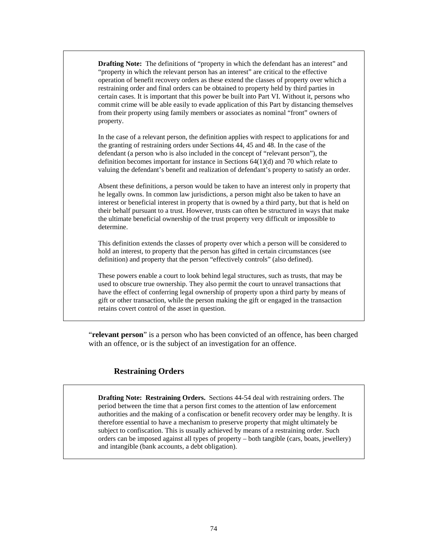**Drafting Note:** The definitions of "property in which the defendant has an interest" and "property in which the relevant person has an interest" are critical to the effective operation of benefit recovery orders as these extend the classes of property over which a restraining order and final orders can be obtained to property held by third parties in certain cases. It is important that this power be built into Part VI. Without it, persons who commit crime will be able easily to evade application of this Part by distancing themselves from their property using family members or associates as nominal "front" owners of property.

In the case of a relevant person, the definition applies with respect to applications for and the granting of restraining orders under Sections 44, 45 and 48. In the case of the defendant (a person who is also included in the concept of "relevant person"), the definition becomes important for instance in Sections 64(1)(d) and 70 which relate to valuing the defendant's benefit and realization of defendant's property to satisfy an order.

Absent these definitions, a person would be taken to have an interest only in property that he legally owns. In common law jurisdictions, a person might also be taken to have an interest or beneficial interest in property that is owned by a third party, but that is held on their behalf pursuant to a trust. However, trusts can often be structured in ways that make the ultimate beneficial ownership of the trust property very difficult or impossible to determine.

This definition extends the classes of property over which a person will be considered to hold an interest, to property that the person has gifted in certain circumstances (see definition) and property that the person "effectively controls" (also defined).

These powers enable a court to look behind legal structures, such as trusts, that may be used to obscure true ownership. They also permit the court to unravel transactions that have the effect of conferring legal ownership of property upon a third party by means of gift or other transaction, while the person making the gift or engaged in the transaction retains covert control of the asset in question.

"**relevant person**" is a person who has been convicted of an offence, has been charged with an offence, or is the subject of an investigation for an offence.

#### **Restraining Orders**

**Drafting Note: Restraining Orders.** Sections 44-54 deal with restraining orders. The period between the time that a person first comes to the attention of law enforcement authorities and the making of a confiscation or benefit recovery order may be lengthy. It is therefore essential to have a mechanism to preserve property that might ultimately be subject to confiscation. This is usually achieved by means of a restraining order. Such orders can be imposed against all types of property – both tangible (cars, boats, jewellery) and intangible (bank accounts, a debt obligation).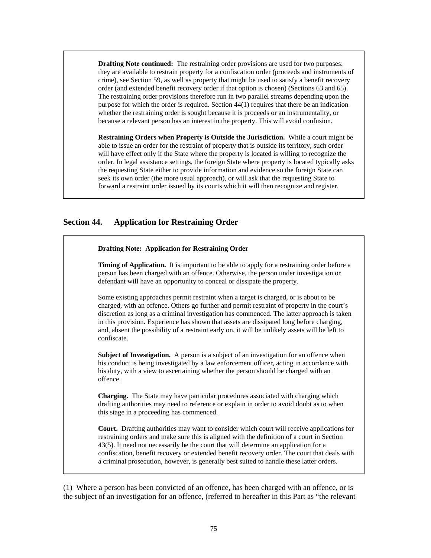**Drafting Note continued:** The restraining order provisions are used for two purposes: they are available to restrain property for a confiscation order (proceeds and instruments of crime), see Section 59, as well as property that might be used to satisfy a benefit recovery order (and extended benefit recovery order if that option is chosen) (Sections 63 and 65). The restraining order provisions therefore run in two parallel streams depending upon the purpose for which the order is required. Section 44(1) requires that there be an indication whether the restraining order is sought because it is proceeds or an instrumentality, or because a relevant person has an interest in the property. This will avoid confusion.

**Restraining Orders when Property is Outside the Jurisdiction.** While a court might be able to issue an order for the restraint of property that is outside its territory, such order will have effect only if the State where the property is located is willing to recognize the order. In legal assistance settings, the foreign State where property is located typically asks the requesting State either to provide information and evidence so the foreign State can seek its own order (the more usual approach), or will ask that the requesting State to forward a restraint order issued by its courts which it will then recognize and register.

## **Section 44. Application for Restraining Order**

| <b>Drafting Note: Application for Restraining Order</b>                                                                                                                                                                                                                                                                                                                                                                                                                                          |
|--------------------------------------------------------------------------------------------------------------------------------------------------------------------------------------------------------------------------------------------------------------------------------------------------------------------------------------------------------------------------------------------------------------------------------------------------------------------------------------------------|
| <b>Timing of Application.</b> It is important to be able to apply for a restraining order before a<br>person has been charged with an offence. Otherwise, the person under investigation or<br>defendant will have an opportunity to conceal or dissipate the property.                                                                                                                                                                                                                          |
| Some existing approaches permit restraint when a target is charged, or is about to be<br>charged, with an offence. Others go further and permit restraint of property in the court's<br>discretion as long as a criminal investigation has commenced. The latter approach is taken<br>in this provision. Experience has shown that assets are dissipated long before charging,<br>and, absent the possibility of a restraint early on, it will be unlikely assets will be left to<br>confiscate. |
| <b>Subject of Investigation.</b> A person is a subject of an investigation for an offence when<br>his conduct is being investigated by a law enforcement officer, acting in accordance with<br>his duty, with a view to ascertaining whether the person should be charged with an<br>offence.                                                                                                                                                                                                    |
| <b>Charging.</b> The State may have particular procedures associated with charging which<br>drafting authorities may need to reference or explain in order to avoid doubt as to when<br>this stage in a proceeding has commenced.                                                                                                                                                                                                                                                                |
| <b>Court.</b> Drafting authorities may want to consider which court will receive applications for<br>restraining orders and make sure this is aligned with the definition of a court in Section<br>43(5). It need not necessarily be the court that will determine an application for a<br>confiscation, benefit recovery or extended benefit recovery order. The court that deals with                                                                                                          |

(1) Where a person has been convicted of an offence, has been charged with an offence, or is the subject of an investigation for an offence, (referred to hereafter in this Part as "the relevant

a criminal prosecution, however, is generally best suited to handle these latter orders.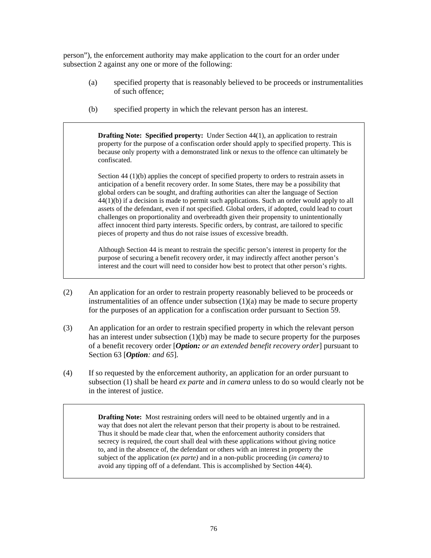person"), the enforcement authority may make application to the court for an order under subsection 2 against any one or more of the following:

- (a) specified property that is reasonably believed to be proceeds or instrumentalities of such offence;
- (b) specified property in which the relevant person has an interest.

**Drafting Note: Specified property:** Under Section 44(1), an application to restrain property for the purpose of a confiscation order should apply to specified property. This is because only property with a demonstrated link or nexus to the offence can ultimately be confiscated.

Section 44 (1)(b) applies the concept of specified property to orders to restrain assets in anticipation of a benefit recovery order. In some States, there may be a possibility that global orders can be sought, and drafting authorities can alter the language of Section 44(1)(b) if a decision is made to permit such applications. Such an order would apply to all assets of the defendant, even if not specified. Global orders, if adopted, could lead to court challenges on proportionality and overbreadth given their propensity to unintentionally affect innocent third party interests. Specific orders, by contrast, are tailored to specific pieces of property and thus do not raise issues of excessive breadth.

Although Section 44 is meant to restrain the specific person's interest in property for the purpose of securing a benefit recovery order, it may indirectly affect another person's interest and the court will need to consider how best to protect that other person's rights.

- (2) An application for an order to restrain property reasonably believed to be proceeds or instrumentalities of an offence under subsection  $(1)(a)$  may be made to secure property for the purposes of an application for a confiscation order pursuant to Section 59.
- (3) An application for an order to restrain specified property in which the relevant person has an interest under subsection (1)(b) may be made to secure property for the purposes of a benefit recovery order [*Option: or an extended benefit recovery order*] pursuant to Section 63 [*Option: and 65*].
- (4) If so requested by the enforcement authority, an application for an order pursuant to subsection (1) shall be heard *ex parte* and *in camera* unless to do so would clearly not be in the interest of justice.

**Drafting Note:** Most restraining orders will need to be obtained urgently and in a way that does not alert the relevant person that their property is about to be restrained. Thus it should be made clear that, when the enforcement authority considers that secrecy is required, the court shall deal with these applications without giving notice to, and in the absence of, the defendant or others with an interest in property the subject of the application (*ex parte)* and in a non-public proceeding (*in camera)* to avoid any tipping off of a defendant. This is accomplished by Section 44(4).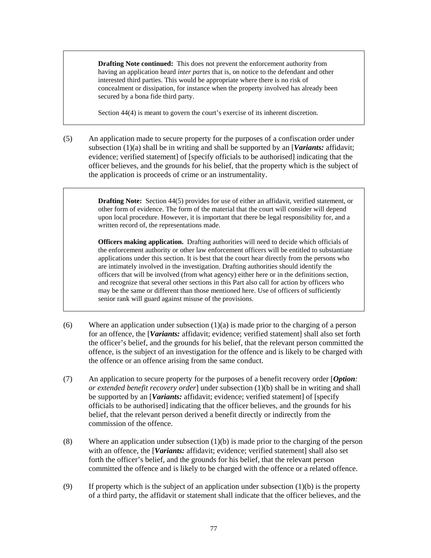**Drafting Note continued:** This does not prevent the enforcement authority from having an application heard *inter partes* that is, on notice to the defendant and other interested third parties. This would be appropriate where there is no risk of concealment or dissipation, for instance when the property involved has already been secured by a bona fide third party.

Section 44(4) is meant to govern the court's exercise of its inherent discretion.

(5) An application made to secure property for the purposes of a confiscation order under subsection (1)(a) shall be in writing and shall be supported by an [*Variants:* affidavit; evidence; verified statement] of [specify officials to be authorised] indicating that the officer believes, and the grounds for his belief, that the property which is the subject of the application is proceeds of crime or an instrumentality.

> **Drafting Note:** Section 44(5) provides for use of either an affidavit, verified statement, or other form of evidence. The form of the material that the court will consider will depend upon local procedure. However, it is important that there be legal responsibility for, and a written record of, the representations made.

> **Officers making application.** Drafting authorities will need to decide which officials of the enforcement authority or other law enforcement officers will be entitled to substantiate applications under this section. It is best that the court hear directly from the persons who are intimately involved in the investigation. Drafting authorities should identify the officers that will be involved (from what agency) either here or in the definitions section, and recognize that several other sections in this Part also call for action by officers who may be the same or different than those mentioned here. Use of officers of sufficiently senior rank will guard against misuse of the provisions.

- (6) Where an application under subsection  $(1)(a)$  is made prior to the charging of a person for an offence, the [*Variants:* affidavit; evidence; verified statement] shall also set forth the officer's belief, and the grounds for his belief, that the relevant person committed the offence, is the subject of an investigation for the offence and is likely to be charged with the offence or an offence arising from the same conduct.
- (7) An application to secure property for the purposes of a benefit recovery order [*Option: or extended benefit recovery order*] under subsection (1)(b) shall be in writing and shall be supported by an [*Variants:* affidavit; evidence; verified statement] of [specify officials to be authorised] indicating that the officer believes, and the grounds for his belief, that the relevant person derived a benefit directly or indirectly from the commission of the offence.
- (8) Where an application under subsection (1)(b) is made prior to the charging of the person with an offence, the [*Variants:* affidavit; evidence; verified statement] shall also set forth the officer's belief, and the grounds for his belief, that the relevant person committed the offence and is likely to be charged with the offence or a related offence.
- (9) If property which is the subject of an application under subsection  $(1)(b)$  is the property of a third party, the affidavit or statement shall indicate that the officer believes, and the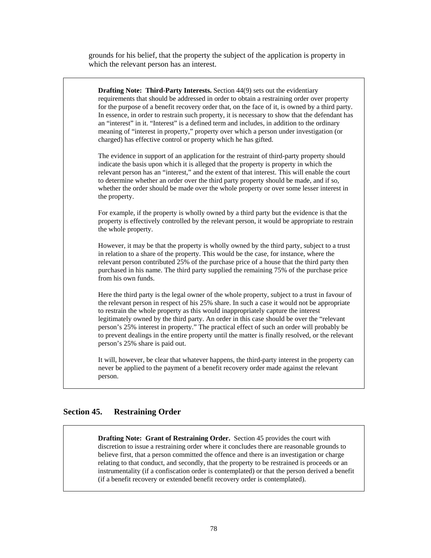grounds for his belief, that the property the subject of the application is property in which the relevant person has an interest.

**Drafting Note: Third-Party Interests.** Section 44(9) sets out the evidentiary requirements that should be addressed in order to obtain a restraining order over property for the purpose of a benefit recovery order that, on the face of it, is owned by a third party. In essence, in order to restrain such property, it is necessary to show that the defendant has an "interest" in it. "Interest" is a defined term and includes, in addition to the ordinary meaning of "interest in property," property over which a person under investigation (or charged) has effective control or property which he has gifted. The evidence in support of an application for the restraint of third-party property should indicate the basis upon which it is alleged that the property is property in which the relevant person has an "interest," and the extent of that interest. This will enable the court to determine whether an order over the third party property should be made, and if so, whether the order should be made over the whole property or over some lesser interest in the property.

For example, if the property is wholly owned by a third party but the evidence is that the property is effectively controlled by the relevant person, it would be appropriate to restrain the whole property.

However, it may be that the property is wholly owned by the third party, subject to a trust in relation to a share of the property. This would be the case, for instance, where the relevant person contributed 25% of the purchase price of a house that the third party then purchased in his name. The third party supplied the remaining 75% of the purchase price from his own funds.

Here the third party is the legal owner of the whole property, subject to a trust in favour of the relevant person in respect of his 25% share. In such a case it would not be appropriate to restrain the whole property as this would inappropriately capture the interest legitimately owned by the third party. An order in this case should be over the "relevant person's 25% interest in property." The practical effect of such an order will probably be to prevent dealings in the entire property until the matter is finally resolved, or the relevant person's 25% share is paid out.

It will, however, be clear that whatever happens, the third-party interest in the property can never be applied to the payment of a benefit recovery order made against the relevant person.

#### **Section 45. Restraining Order**

**Drafting Note: Grant of Restraining Order.** Section 45 provides the court with discretion to issue a restraining order where it concludes there are reasonable grounds to believe first, that a person committed the offence and there is an investigation or charge relating to that conduct, and secondly, that the property to be restrained is proceeds or an instrumentality (if a confiscation order is contemplated) or that the person derived a benefit (if a benefit recovery or extended benefit recovery order is contemplated).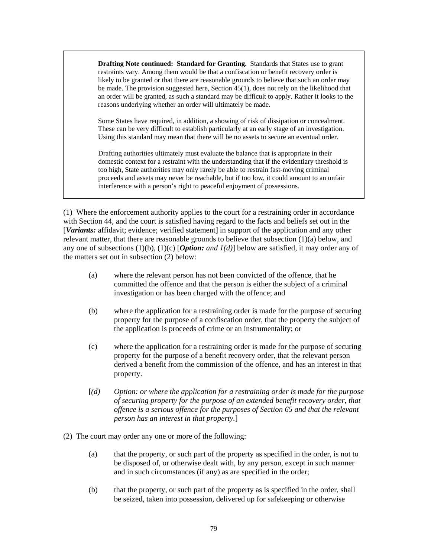**Drafting Note continued: Standard for Granting.** Standards that States use to grant restraints vary. Among them would be that a confiscation or benefit recovery order is likely to be granted or that there are reasonable grounds to believe that such an order may be made. The provision suggested here, Section 45(1), does not rely on the likelihood that an order will be granted, as such a standard may be difficult to apply. Rather it looks to the reasons underlying whether an order will ultimately be made.

Some States have required, in addition, a showing of risk of dissipation or concealment. These can be very difficult to establish particularly at an early stage of an investigation. Using this standard may mean that there will be no assets to secure an eventual order.

Drafting authorities ultimately must evaluate the balance that is appropriate in their domestic context for a restraint with the understanding that if the evidentiary threshold is too high, State authorities may only rarely be able to restrain fast-moving criminal proceeds and assets may never be reachable, but if too low, it could amount to an unfair interference with a person's right to peaceful enjoyment of possessions.

(1) Where the enforcement authority applies to the court for a restraining order in accordance with Section 44, and the court is satisfied having regard to the facts and beliefs set out in the [*Variants:* affidavit; evidence; verified statement] in support of the application and any other relevant matter, that there are reasonable grounds to believe that subsection (1)(a) below, and any one of subsections (1)(b), (1)(c) [*Option: and 1(d)*] below are satisfied, it may order any of the matters set out in subsection (2) below:

- (a) where the relevant person has not been convicted of the offence, that he committed the offence and that the person is either the subject of a criminal investigation or has been charged with the offence; and
- (b) where the application for a restraining order is made for the purpose of securing property for the purpose of a confiscation order, that the property the subject of the application is proceeds of crime or an instrumentality; or
- (c) where the application for a restraining order is made for the purpose of securing property for the purpose of a benefit recovery order, that the relevant person derived a benefit from the commission of the offence, and has an interest in that property.
- [*(d) Option: or where the application for a restraining order is made for the purpose of securing property for the purpose of an extended benefit recovery order, that offence is a serious offence for the purposes of Section 65 and that the relevant person has an interest in that property.*]
- (2) The court may order any one or more of the following:
	- (a) that the property, or such part of the property as specified in the order, is not to be disposed of, or otherwise dealt with, by any person, except in such manner and in such circumstances (if any) as are specified in the order;
	- (b) that the property, or such part of the property as is specified in the order, shall be seized, taken into possession, delivered up for safekeeping or otherwise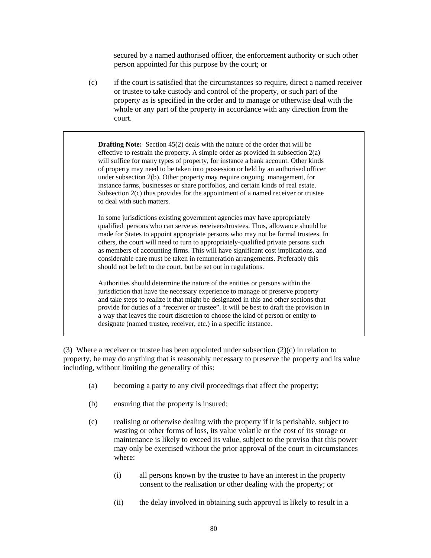secured by a named authorised officer, the enforcement authority or such other person appointed for this purpose by the court; or

(c) if the court is satisfied that the circumstances so require, direct a named receiver or trustee to take custody and control of the property, or such part of the property as is specified in the order and to manage or otherwise deal with the whole or any part of the property in accordance with any direction from the court.

**Drafting Note:** Section 45(2) deals with the nature of the order that will be effective to restrain the property. A simple order as provided in subsection  $2(a)$ will suffice for many types of property, for instance a bank account. Other kinds of property may need to be taken into possession or held by an authorised officer under subsection 2(b). Other property may require ongoing management, for instance farms, businesses or share portfolios, and certain kinds of real estate. Subsection 2(c) thus provides for the appointment of a named receiver or trustee to deal with such matters.

In some jurisdictions existing government agencies may have appropriately qualified persons who can serve as receivers/trustees. Thus, allowance should be made for States to appoint appropriate persons who may not be formal trustees. In others, the court will need to turn to appropriately-qualified private persons such as members of accounting firms. This will have significant cost implications, and considerable care must be taken in remuneration arrangements. Preferably this should not be left to the court, but be set out in regulations.

Authorities should determine the nature of the entities or persons within the jurisdiction that have the necessary experience to manage or preserve property and take steps to realize it that might be designated in this and other sections that provide for duties of a "receiver or trustee". It will be best to draft the provision in a way that leaves the court discretion to choose the kind of person or entity to designate (named trustee, receiver, etc.) in a specific instance.

(3) Where a receiver or trustee has been appointed under subsection  $(2)(c)$  in relation to property, he may do anything that is reasonably necessary to preserve the property and its value including, without limiting the generality of this:

- (a) becoming a party to any civil proceedings that affect the property;
- (b) ensuring that the property is insured;
- (c) realising or otherwise dealing with the property if it is perishable, subject to wasting or other forms of loss, its value volatile or the cost of its storage or maintenance is likely to exceed its value, subject to the proviso that this power may only be exercised without the prior approval of the court in circumstances where:
	- (i) all persons known by the trustee to have an interest in the property consent to the realisation or other dealing with the property; or
	- (ii) the delay involved in obtaining such approval is likely to result in a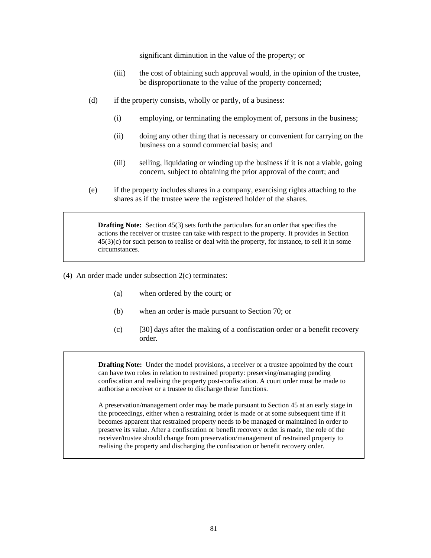significant diminution in the value of the property; or

- (iii) the cost of obtaining such approval would, in the opinion of the trustee, be disproportionate to the value of the property concerned;
- (d) if the property consists, wholly or partly, of a business:
	- (i) employing, or terminating the employment of, persons in the business;
	- (ii) doing any other thing that is necessary or convenient for carrying on the business on a sound commercial basis; and
	- (iii) selling, liquidating or winding up the business if it is not a viable, going concern, subject to obtaining the prior approval of the court; and
- (e) if the property includes shares in a company, exercising rights attaching to the shares as if the trustee were the registered holder of the shares.

**Drafting Note:** Section 45(3) sets forth the particulars for an order that specifies the actions the receiver or trustee can take with respect to the property. It provides in Section 45(3)(c) for such person to realise or deal with the property, for instance, to sell it in some circumstances.

- (4) An order made under subsection 2(c) terminates:
	- (a) when ordered by the court; or
	- (b) when an order is made pursuant to Section 70; or
	- (c) [30] days after the making of a confiscation order or a benefit recovery order.

**Drafting Note:** Under the model provisions, a receiver or a trustee appointed by the court can have two roles in relation to restrained property: preserving/managing pending confiscation and realising the property post-confiscation. A court order must be made to authorise a receiver or a trustee to discharge these functions.

A preservation/management order may be made pursuant to Section 45 at an early stage in the proceedings, either when a restraining order is made or at some subsequent time if it becomes apparent that restrained property needs to be managed or maintained in order to preserve its value. After a confiscation or benefit recovery order is made, the role of the receiver/trustee should change from preservation/management of restrained property to realising the property and discharging the confiscation or benefit recovery order.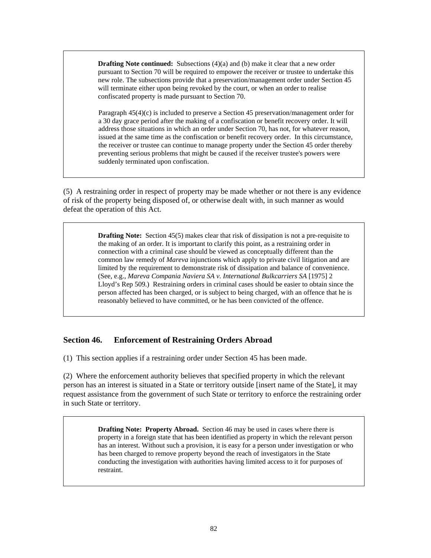**Drafting Note continued:** Subsections (4)(a) and (b) make it clear that a new order pursuant to Section 70 will be required to empower the receiver or trustee to undertake this new role. The subsections provide that a preservation/management order under Section 45 will terminate either upon being revoked by the court, or when an order to realise confiscated property is made pursuant to Section 70.

Paragraph 45(4)(c) is included to preserve a Section 45 preservation/management order for a 30 day grace period after the making of a confiscation or benefit recovery order. It will address those situations in which an order under Section 70, has not, for whatever reason, issued at the same time as the confiscation or benefit recovery order. In this circumstance, the receiver or trustee can continue to manage property under the Section 45 order thereby preventing serious problems that might be caused if the receiver trustee's powers were suddenly terminated upon confiscation.

(5) A restraining order in respect of property may be made whether or not there is any evidence of risk of the property being disposed of, or otherwise dealt with, in such manner as would defeat the operation of this Act.

> **Drafting Note:** Section 45(5) makes clear that risk of dissipation is not a pre-requisite to the making of an order. It is important to clarify this point, as a restraining order in connection with a criminal case should be viewed as conceptually different than the common law remedy of *Mareva* injunctions which apply to private civil litigation and are limited by the requirement to demonstrate risk of dissipation and balance of convenience. (See, e.g., *Mareva Compania Naviera SA v. International Bulkcarriers SA* [1975] 2 Lloyd's Rep 509.) Restraining orders in criminal cases should be easier to obtain since the person affected has been charged, or is subject to being charged, with an offence that he is reasonably believed to have committed, or he has been convicted of the offence.

## **Section 46. Enforcement of Restraining Orders Abroad**

(1) This section applies if a restraining order under Section 45 has been made.

(2) Where the enforcement authority believes that specified property in which the relevant person has an interest is situated in a State or territory outside [insert name of the State], it may request assistance from the government of such State or territory to enforce the restraining order in such State or territory.

> **Drafting Note: Property Abroad.** Section 46 may be used in cases where there is property in a foreign state that has been identified as property in which the relevant person has an interest. Without such a provision, it is easy for a person under investigation or who has been charged to remove property beyond the reach of investigators in the State conducting the investigation with authorities having limited access to it for purposes of restraint.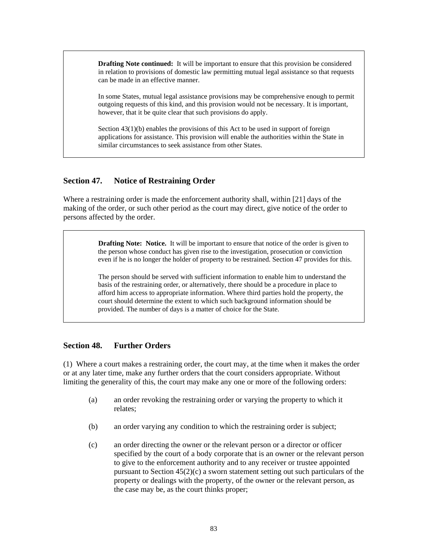**Drafting Note continued:** It will be important to ensure that this provision be considered in relation to provisions of domestic law permitting mutual legal assistance so that requests can be made in an effective manner.

In some States, mutual legal assistance provisions may be comprehensive enough to permit outgoing requests of this kind, and this provision would not be necessary. It is important, however, that it be quite clear that such provisions do apply.

Section 43(1)(b) enables the provisions of this Act to be used in support of foreign applications for assistance. This provision will enable the authorities within the State in similar circumstances to seek assistance from other States.

#### **Section 47. Notice of Restraining Order**

Where a restraining order is made the enforcement authority shall, within [21] days of the making of the order, or such other period as the court may direct, give notice of the order to persons affected by the order.

> **Drafting Note: Notice.** It will be important to ensure that notice of the order is given to the person whose conduct has given rise to the investigation, prosecution or conviction even if he is no longer the holder of property to be restrained. Section 47 provides for this.

The person should be served with sufficient information to enable him to understand the basis of the restraining order, or alternatively, there should be a procedure in place to afford him access to appropriate information. Where third parties hold the property, the court should determine the extent to which such background information should be provided. The number of days is a matter of choice for the State.

#### **Section 48. Further Orders**

(1) Where a court makes a restraining order, the court may, at the time when it makes the order or at any later time, make any further orders that the court considers appropriate. Without limiting the generality of this, the court may make any one or more of the following orders:

- (a) an order revoking the restraining order or varying the property to which it relates;
- (b) an order varying any condition to which the restraining order is subject;
- (c) an order directing the owner or the relevant person or a director or officer specified by the court of a body corporate that is an owner or the relevant person to give to the enforcement authority and to any receiver or trustee appointed pursuant to Section  $45(2)(c)$  a sworn statement setting out such particulars of the property or dealings with the property, of the owner or the relevant person, as the case may be, as the court thinks proper;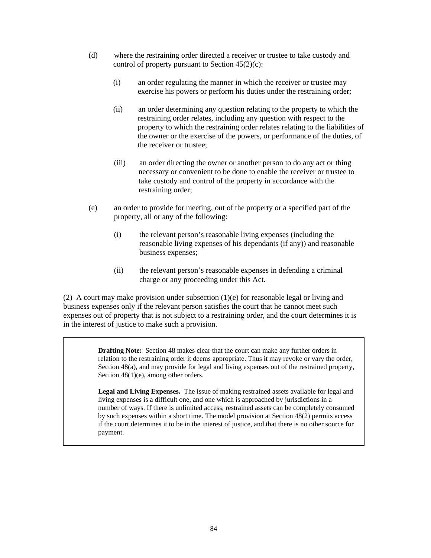- (d) where the restraining order directed a receiver or trustee to take custody and control of property pursuant to Section 45(2)(c):
	- (i) an order regulating the manner in which the receiver or trustee may exercise his powers or perform his duties under the restraining order;
	- (ii) an order determining any question relating to the property to which the restraining order relates, including any question with respect to the property to which the restraining order relates relating to the liabilities of the owner or the exercise of the powers, or performance of the duties, of the receiver or trustee;
	- (iii) an order directing the owner or another person to do any act or thing necessary or convenient to be done to enable the receiver or trustee to take custody and control of the property in accordance with the restraining order;
- (e) an order to provide for meeting, out of the property or a specified part of the property, all or any of the following:
	- (i) the relevant person's reasonable living expenses (including the reasonable living expenses of his dependants (if any)) and reasonable business expenses;
	- (ii) the relevant person's reasonable expenses in defending a criminal charge or any proceeding under this Act.

(2) A court may make provision under subsection (1)(e) for reasonable legal or living and business expenses only if the relevant person satisfies the court that he cannot meet such expenses out of property that is not subject to a restraining order, and the court determines it is in the interest of justice to make such a provision.

> **Drafting Note:** Section 48 makes clear that the court can make any further orders in relation to the restraining order it deems appropriate. Thus it may revoke or vary the order, Section 48(a), and may provide for legal and living expenses out of the restrained property, Section  $48(1)(e)$ , among other orders.

> **Legal and Living Expenses.** The issue of making restrained assets available for legal and living expenses is a difficult one, and one which is approached by jurisdictions in a number of ways. If there is unlimited access, restrained assets can be completely consumed by such expenses within a short time. The model provision at Section 48(2) permits access if the court determines it to be in the interest of justice, and that there is no other source for payment.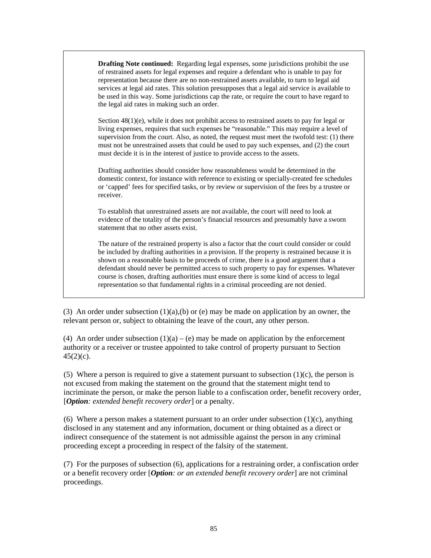**Drafting Note continued:** Regarding legal expenses, some jurisdictions prohibit the use of restrained assets for legal expenses and require a defendant who is unable to pay for representation because there are no non-restrained assets available, to turn to legal aid services at legal aid rates. This solution presupposes that a legal aid service is available to be used in this way. Some jurisdictions cap the rate, or require the court to have regard to the legal aid rates in making such an order.

Section  $48(1)(e)$ , while it does not prohibit access to restrained assets to pay for legal or living expenses, requires that such expenses be "reasonable." This may require a level of supervision from the court. Also, as noted, the request must meet the twofold test: (1) there must not be unrestrained assets that could be used to pay such expenses, and (2) the court must decide it is in the interest of justice to provide access to the assets.

Drafting authorities should consider how reasonableness would be determined in the domestic context, for instance with reference to existing or specially-created fee schedules or 'capped' fees for specified tasks, or by review or supervision of the fees by a trustee or receiver.

To establish that unrestrained assets are not available, the court will need to look at evidence of the totality of the person's financial resources and presumably have a sworn statement that no other assets exist.

The nature of the restrained property is also a factor that the court could consider or could be included by drafting authorities in a provision. If the property is restrained because it is shown on a reasonable basis to be proceeds of crime, there is a good argument that a defendant should never be permitted access to such property to pay for expenses. Whatever course is chosen, drafting authorities must ensure there is some kind of access to legal representation so that fundamental rights in a criminal proceeding are not denied.

(3) An order under subsection  $(1)(a)(b)$  or (e) may be made on application by an owner, the relevant person or, subject to obtaining the leave of the court, any other person.

(4) An order under subsection  $(1)(a) - (e)$  may be made on application by the enforcement authority or a receiver or trustee appointed to take control of property pursuant to Section  $45(2)(c)$ .

(5) Where a person is required to give a statement pursuant to subsection  $(1)(c)$ , the person is not excused from making the statement on the ground that the statement might tend to incriminate the person, or make the person liable to a confiscation order, benefit recovery order, [*Option: extended benefit recovery order*] or a penalty.

(6) Where a person makes a statement pursuant to an order under subsection  $(1)(c)$ , anything disclosed in any statement and any information, document or thing obtained as a direct or indirect consequence of the statement is not admissible against the person in any criminal proceeding except a proceeding in respect of the falsity of the statement.

(7) For the purposes of subsection (6), applications for a restraining order, a confiscation order or a benefit recovery order [*Option: or an extended benefit recovery order*] are not criminal proceedings.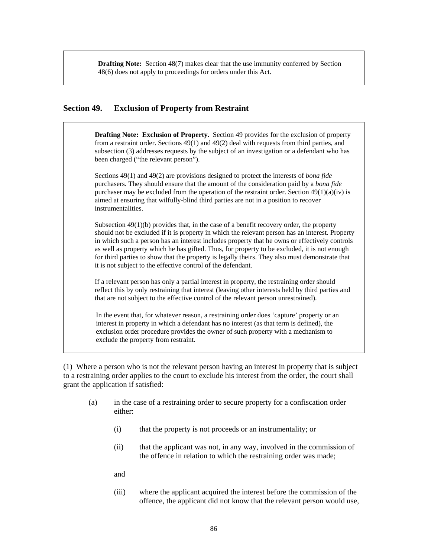**Drafting Note:** Section 48(7) makes clear that the use immunity conferred by Section 48(6) does not apply to proceedings for orders under this Act.

#### **Section 49. Exclusion of Property from Restraint**

**Drafting Note: Exclusion of Property.** Section 49 provides for the exclusion of property from a restraint order. Sections 49(1) and 49(2) deal with requests from third parties, and subsection (3) addresses requests by the subject of an investigation or a defendant who has been charged ("the relevant person").

Sections 49(1) and 49(2) are provisions designed to protect the interests of *bona fide* purchasers. They should ensure that the amount of the consideration paid by a *bona fide* purchaser may be excluded from the operation of the restraint order. Section  $49(1)(a)(iv)$  is aimed at ensuring that wilfully-blind third parties are not in a position to recover instrumentalities.

Subsection 49(1)(b) provides that, in the case of a benefit recovery order, the property should not be excluded if it is property in which the relevant person has an interest. Property in which such a person has an interest includes property that he owns or effectively controls as well as property which he has gifted. Thus, for property to be excluded, it is not enough for third parties to show that the property is legally theirs. They also must demonstrate that it is not subject to the effective control of the defendant.

If a relevant person has only a partial interest in property, the restraining order should reflect this by only restraining that interest (leaving other interests held by third parties and that are not subject to the effective control of the relevant person unrestrained).

In the event that, for whatever reason, a restraining order does 'capture' property or an interest in property in which a defendant has no interest (as that term is defined), the exclusion order procedure provides the owner of such property with a mechanism to exclude the property from restraint.

(1) Where a person who is not the relevant person having an interest in property that is subject to a restraining order applies to the court to exclude his interest from the order, the court shall grant the application if satisfied:

- (a) in the case of a restraining order to secure property for a confiscation order either:
	- (i) that the property is not proceeds or an instrumentality; or
	- (ii) that the applicant was not, in any way, involved in the commission of the offence in relation to which the restraining order was made;
	- and
	- (iii) where the applicant acquired the interest before the commission of the offence, the applicant did not know that the relevant person would use,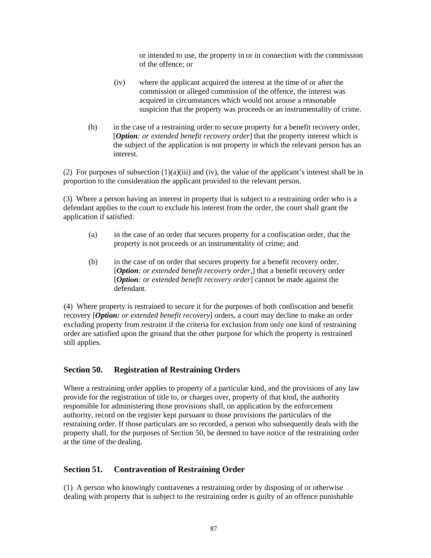or intended to use, the property in or in connection with the commission of the offence; or

- (iv) where the applicant acquired the interest at the time of or after the commission or alleged commission of the offence, the interest was acquired in circumstances which would not arouse a reasonable suspicion that the property was proceeds or an instrumentality of crime.
- (b) in the case of a restraining order to secure property for a benefit recovery order, [*Option: or extended benefit recovery order*] that the property interest which is the subject of the application is not property in which the relevant person has an interest.

(2) For purposes of subsection  $(1)(a)(iii)$  and (iv), the value of the applicant's interest shall be in proportion to the consideration the applicant provided to the relevant person.

(3) Where a person having an interest in property that is subject to a restraining order who is a defendant applies to the court to exclude his interest from the order, the court shall grant the application if satisfied:

- (a) in the case of an order that secures property for a confiscation order, that the property is not proceeds or an instrumentality of crime; and
- (b) in the case of on order that secures property for a benefit recovery order, [*Option: or extended benefit recovery order,*] that a benefit recovery order [*Option: or extended benefit recovery order*] cannot be made against the defendant.

(4) Where property is restrained to secure it for the purposes of both confiscation and benefit recovery [*Option: or extended benefit recovery*] orders, a court may decline to make an order excluding property from restraint if the criteria for exclusion from only one kind of restraining order are satisfied upon the ground that the other purpose for which the property is restrained still applies.

#### **Section 50. Registration of Restraining Orders**

Where a restraining order applies to property of a particular kind, and the provisions of any law provide for the registration of title to, or charges over, property of that kind, the authority responsible for administering those provisions shall, on application by the enforcement authority, record on the register kept pursuant to those provisions the particulars of the restraining order. If those particulars are so recorded, a person who subsequently deals with the property shall, for the purposes of Section 50, be deemed to have notice of the restraining order at the time of the dealing.

#### **Section 51. Contravention of Restraining Order**

(1) A person who knowingly contravenes a restraining order by disposing of or otherwise dealing with property that is subject to the restraining order is guilty of an offence punishable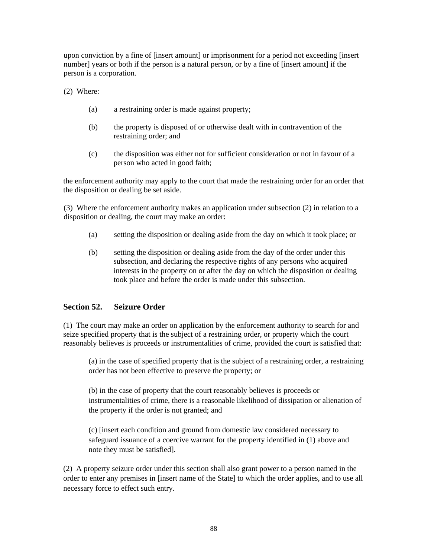upon conviction by a fine of [insert amount] or imprisonment for a period not exceeding [insert number] years or both if the person is a natural person, or by a fine of [insert amount] if the person is a corporation.

(2) Where:

- (a) a restraining order is made against property;
- (b) the property is disposed of or otherwise dealt with in contravention of the restraining order; and
- (c) the disposition was either not for sufficient consideration or not in favour of a person who acted in good faith;

the enforcement authority may apply to the court that made the restraining order for an order that the disposition or dealing be set aside.

(3) Where the enforcement authority makes an application under subsection (2) in relation to a disposition or dealing, the court may make an order:

- (a) setting the disposition or dealing aside from the day on which it took place; or
- (b) setting the disposition or dealing aside from the day of the order under this subsection, and declaring the respective rights of any persons who acquired interests in the property on or after the day on which the disposition or dealing took place and before the order is made under this subsection.

## **Section 52. Seizure Order**

(1) The court may make an order on application by the enforcement authority to search for and seize specified property that is the subject of a restraining order, or property which the court reasonably believes is proceeds or instrumentalities of crime, provided the court is satisfied that:

(a) in the case of specified property that is the subject of a restraining order, a restraining order has not been effective to preserve the property; or

(b) in the case of property that the court reasonably believes is proceeds or instrumentalities of crime, there is a reasonable likelihood of dissipation or alienation of the property if the order is not granted; and

(c) [insert each condition and ground from domestic law considered necessary to safeguard issuance of a coercive warrant for the property identified in (1) above and note they must be satisfied].

(2) A property seizure order under this section shall also grant power to a person named in the order to enter any premises in [insert name of the State] to which the order applies, and to use all necessary force to effect such entry.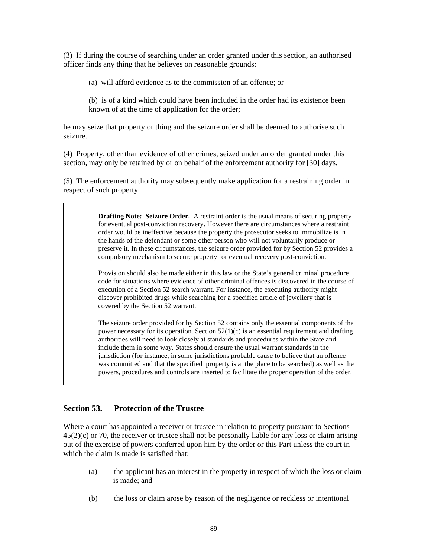(3) If during the course of searching under an order granted under this section, an authorised officer finds any thing that he believes on reasonable grounds:

(a) will afford evidence as to the commission of an offence; or

(b) is of a kind which could have been included in the order had its existence been known of at the time of application for the order;

he may seize that property or thing and the seizure order shall be deemed to authorise such seizure.

(4) Property, other than evidence of other crimes, seized under an order granted under this section, may only be retained by or on behalf of the enforcement authority for [30] days.

(5) The enforcement authority may subsequently make application for a restraining order in respect of such property.

> **Drafting Note: Seizure Order.** A restraint order is the usual means of securing property for eventual post-conviction recovery. However there are circumstances where a restraint order would be ineffective because the property the prosecutor seeks to immobilize is in the hands of the defendant or some other person who will not voluntarily produce or preserve it. In these circumstances, the seizure order provided for by Section 52 provides a compulsory mechanism to secure property for eventual recovery post-conviction.

> Provision should also be made either in this law or the State's general criminal procedure code for situations where evidence of other criminal offences is discovered in the course of execution of a Section 52 search warrant. For instance, the executing authority might discover prohibited drugs while searching for a specified article of jewellery that is covered by the Section 52 warrant.

> The seizure order provided for by Section 52 contains only the essential components of the power necessary for its operation. Section  $52(1)(c)$  is an essential requirement and drafting authorities will need to look closely at standards and procedures within the State and include them in some way. States should ensure the usual warrant standards in the jurisdiction (for instance, in some jurisdictions probable cause to believe that an offence was committed and that the specified property is at the place to be searched) as well as the powers, procedures and controls are inserted to facilitate the proper operation of the order.

## **Section 53. Protection of the Trustee**

Where a court has appointed a receiver or trustee in relation to property pursuant to Sections 45(2)(c) or 70, the receiver or trustee shall not be personally liable for any loss or claim arising out of the exercise of powers conferred upon him by the order or this Part unless the court in which the claim is made is satisfied that:

- (a) the applicant has an interest in the property in respect of which the loss or claim is made; and
- (b) the loss or claim arose by reason of the negligence or reckless or intentional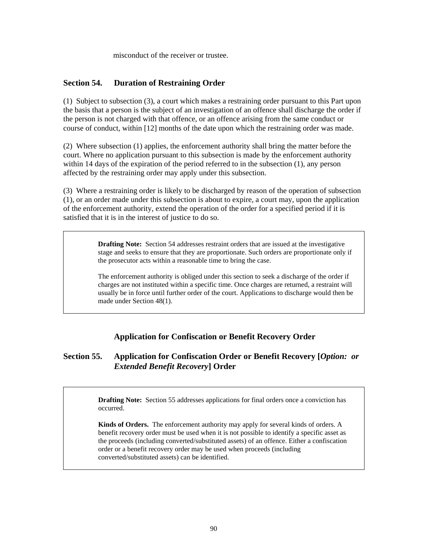misconduct of the receiver or trustee.

## **Section 54. Duration of Restraining Order**

(1) Subject to subsection (3), a court which makes a restraining order pursuant to this Part upon the basis that a person is the subject of an investigation of an offence shall discharge the order if the person is not charged with that offence, or an offence arising from the same conduct or course of conduct, within [12] months of the date upon which the restraining order was made.

(2) Where subsection (1) applies, the enforcement authority shall bring the matter before the court. Where no application pursuant to this subsection is made by the enforcement authority within 14 days of the expiration of the period referred to in the subsection (1), any person affected by the restraining order may apply under this subsection.

(3) Where a restraining order is likely to be discharged by reason of the operation of subsection (1), or an order made under this subsection is about to expire, a court may, upon the application of the enforcement authority, extend the operation of the order for a specified period if it is satisfied that it is in the interest of justice to do so.

> **Drafting Note:** Section 54 addresses restraint orders that are issued at the investigative stage and seeks to ensure that they are proportionate. Such orders are proportionate only if the prosecutor acts within a reasonable time to bring the case.

> The enforcement authority is obliged under this section to seek a discharge of the order if charges are not instituted within a specific time. Once charges are returned, a restraint will usually be in force until further order of the court. Applications to discharge would then be made under Section 48(1).

## **Application for Confiscation or Benefit Recovery Order**

## **Section 55. Application for Confiscation Order or Benefit Recovery [***Option: or Extended Benefit Recovery***] Order**

**Drafting Note:** Section 55 addresses applications for final orders once a conviction has occurred.

**Kinds of Orders.** The enforcement authority may apply for several kinds of orders. A benefit recovery order must be used when it is not possible to identify a specific asset as the proceeds (including converted/substituted assets) of an offence. Either a confiscation order or a benefit recovery order may be used when proceeds (including converted/substituted assets) can be identified.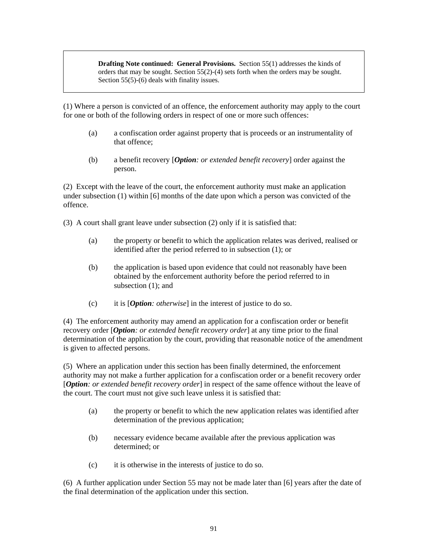**Drafting Note continued: General Provisions.** Section 55(1) addresses the kinds of orders that may be sought. Section 55(2)-(4) sets forth when the orders may be sought. Section 55(5)-(6) deals with finality issues.

(1) Where a person is convicted of an offence, the enforcement authority may apply to the court for one or both of the following orders in respect of one or more such offences:

- (a) a confiscation order against property that is proceeds or an instrumentality of that offence;
- (b) a benefit recovery [*Option: or extended benefit recovery*] order against the person.

(2) Except with the leave of the court, the enforcement authority must make an application under subsection (1) within [6] months of the date upon which a person was convicted of the offence.

(3) A court shall grant leave under subsection (2) only if it is satisfied that:

- (a) the property or benefit to which the application relates was derived, realised or identified after the period referred to in subsection (1); or
- (b) the application is based upon evidence that could not reasonably have been obtained by the enforcement authority before the period referred to in subsection (1); and
- (c) it is [*Option: otherwise*] in the interest of justice to do so.

(4) The enforcement authority may amend an application for a confiscation order or benefit recovery order [*Option: or extended benefit recovery order*] at any time prior to the final determination of the application by the court, providing that reasonable notice of the amendment is given to affected persons.

(5) Where an application under this section has been finally determined, the enforcement authority may not make a further application for a confiscation order or a benefit recovery order [*Option: or extended benefit recovery order*] in respect of the same offence without the leave of the court. The court must not give such leave unless it is satisfied that:

- (a) the property or benefit to which the new application relates was identified after determination of the previous application;
- (b) necessary evidence became available after the previous application was determined; or
- (c) it is otherwise in the interests of justice to do so.

(6) A further application under Section 55 may not be made later than [6] years after the date of the final determination of the application under this section.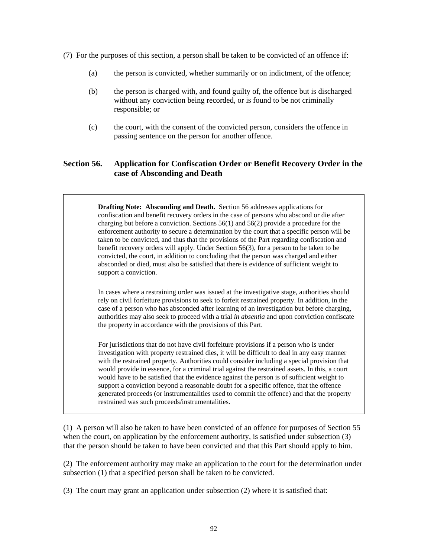- (7) For the purposes of this section, a person shall be taken to be convicted of an offence if:
	- (a) the person is convicted, whether summarily or on indictment, of the offence;
	- (b) the person is charged with, and found guilty of, the offence but is discharged without any conviction being recorded, or is found to be not criminally responsible; or
	- (c) the court, with the consent of the convicted person, considers the offence in passing sentence on the person for another offence.

# **Section 56. Application for Confiscation Order or Benefit Recovery Order in the case of Absconding and Death**

**Drafting Note: Absconding and Death.** Section 56 addresses applications for confiscation and benefit recovery orders in the case of persons who abscond or die after charging but before a conviction. Sections 56(1) and 56(2) provide a procedure for the enforcement authority to secure a determination by the court that a specific person will be taken to be convicted, and thus that the provisions of the Part regarding confiscation and benefit recovery orders will apply. Under Section 56(3), for a person to be taken to be convicted, the court, in addition to concluding that the person was charged and either absconded or died, must also be satisfied that there is evidence of sufficient weight to support a conviction.

In cases where a restraining order was issued at the investigative stage, authorities should rely on civil forfeiture provisions to seek to forfeit restrained property. In addition, in the case of a person who has absconded after learning of an investigation but before charging, authorities may also seek to proceed with a trial *in absentia* and upon conviction confiscate the property in accordance with the provisions of this Part.

For jurisdictions that do not have civil forfeiture provisions if a person who is under investigation with property restrained dies, it will be difficult to deal in any easy manner with the restrained property. Authorities could consider including a special provision that would provide in essence, for a criminal trial against the restrained assets. In this, a court would have to be satisfied that the evidence against the person is of sufficient weight to support a conviction beyond a reasonable doubt for a specific offence, that the offence generated proceeds (or instrumentalities used to commit the offence) and that the property restrained was such proceeds/instrumentalities.

(1) A person will also be taken to have been convicted of an offence for purposes of Section 55 when the court, on application by the enforcement authority, is satisfied under subsection (3) that the person should be taken to have been convicted and that this Part should apply to him.

(2) The enforcement authority may make an application to the court for the determination under subsection (1) that a specified person shall be taken to be convicted.

(3) The court may grant an application under subsection (2) where it is satisfied that: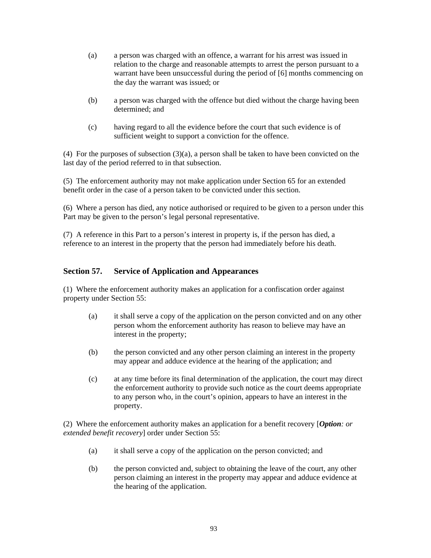- (a) a person was charged with an offence, a warrant for his arrest was issued in relation to the charge and reasonable attempts to arrest the person pursuant to a warrant have been unsuccessful during the period of [6] months commencing on the day the warrant was issued; or
- (b) a person was charged with the offence but died without the charge having been determined; and
- (c) having regard to all the evidence before the court that such evidence is of sufficient weight to support a conviction for the offence.

(4) For the purposes of subsection (3)(a), a person shall be taken to have been convicted on the last day of the period referred to in that subsection.

(5) The enforcement authority may not make application under Section 65 for an extended benefit order in the case of a person taken to be convicted under this section.

(6) Where a person has died, any notice authorised or required to be given to a person under this Part may be given to the person's legal personal representative.

(7) A reference in this Part to a person's interest in property is, if the person has died, a reference to an interest in the property that the person had immediately before his death.

## **Section 57. Service of Application and Appearances**

(1) Where the enforcement authority makes an application for a confiscation order against property under Section 55:

- (a) it shall serve a copy of the application on the person convicted and on any other person whom the enforcement authority has reason to believe may have an interest in the property;
- (b) the person convicted and any other person claiming an interest in the property may appear and adduce evidence at the hearing of the application; and
- (c) at any time before its final determination of the application, the court may direct the enforcement authority to provide such notice as the court deems appropriate to any person who, in the court's opinion, appears to have an interest in the property.

(2) Where the enforcement authority makes an application for a benefit recovery [*Option: or extended benefit recovery*] order under Section 55:

- (a) it shall serve a copy of the application on the person convicted; and
- (b) the person convicted and, subject to obtaining the leave of the court, any other person claiming an interest in the property may appear and adduce evidence at the hearing of the application.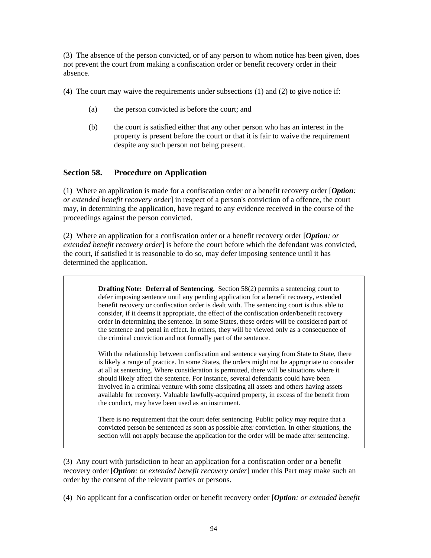(3) The absence of the person convicted, or of any person to whom notice has been given, does not prevent the court from making a confiscation order or benefit recovery order in their absence.

(4) The court may waive the requirements under subsections (1) and (2) to give notice if:

- (a) the person convicted is before the court; and
- (b) the court is satisfied either that any other person who has an interest in the property is present before the court or that it is fair to waive the requirement despite any such person not being present.

# **Section 58. Procedure on Application**

(1) Where an application is made for a confiscation order or a benefit recovery order [*Option: or extended benefit recovery order*] in respect of a person's conviction of a offence, the court may, in determining the application, have regard to any evidence received in the course of the proceedings against the person convicted.

(2) Where an application for a confiscation order or a benefit recovery order [*Option: or extended benefit recovery order*] is before the court before which the defendant was convicted, the court, if satisfied it is reasonable to do so, may defer imposing sentence until it has determined the application.

> **Drafting Note: Deferral of Sentencing.** Section 58(2) permits a sentencing court to defer imposing sentence until any pending application for a benefit recovery, extended benefit recovery or confiscation order is dealt with. The sentencing court is thus able to consider, if it deems it appropriate, the effect of the confiscation order/benefit recovery order in determining the sentence. In some States, these orders will be considered part of the sentence and penal in effect. In others, they will be viewed only as a consequence of the criminal conviction and not formally part of the sentence.

With the relationship between confiscation and sentence varying from State to State, there is likely a range of practice. In some States, the orders might not be appropriate to consider at all at sentencing. Where consideration is permitted, there will be situations where it should likely affect the sentence. For instance, several defendants could have been involved in a criminal venture with some dissipating all assets and others having assets available for recovery. Valuable lawfully-acquired property, in excess of the benefit from the conduct, may have been used as an instrument.

There is no requirement that the court defer sentencing. Public policy may require that a convicted person be sentenced as soon as possible after conviction. In other situations, the section will not apply because the application for the order will be made after sentencing.

(3) Any court with jurisdiction to hear an application for a confiscation order or a benefit recovery order [*Option: or extended benefit recovery order*] under this Part may make such an order by the consent of the relevant parties or persons.

(4) No applicant for a confiscation order or benefit recovery order [*Option: or extended benefit*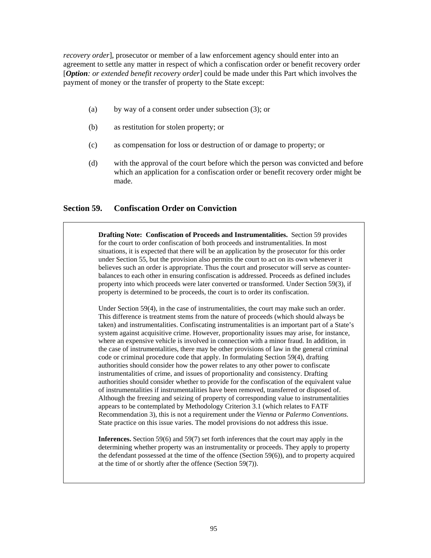*recovery order*], prosecutor or member of a law enforcement agency should enter into an agreement to settle any matter in respect of which a confiscation order or benefit recovery order [*Option: or extended benefit recovery order*] could be made under this Part which involves the payment of money or the transfer of property to the State except:

- (a) by way of a consent order under subsection (3); or
- (b) as restitution for stolen property; or
- (c) as compensation for loss or destruction of or damage to property; or
- (d) with the approval of the court before which the person was convicted and before which an application for a confiscation order or benefit recovery order might be made.

## **Section 59. Confiscation Order on Conviction**

**Drafting Note: Confiscation of Proceeds and Instrumentalities.** Section 59 provides for the court to order confiscation of both proceeds and instrumentalities. In most situations, it is expected that there will be an application by the prosecutor for this order under Section 55, but the provision also permits the court to act on its own whenever it believes such an order is appropriate. Thus the court and prosecutor will serve as counterbalances to each other in ensuring confiscation is addressed. Proceeds as defined includes property into which proceeds were later converted or transformed. Under Section 59(3), if property is determined to be proceeds, the court is to order its confiscation.

Under Section 59(4), in the case of instrumentalities, the court may make such an order. This difference is treatment stems from the nature of proceeds (which should always be taken) and instrumentalities. Confiscating instrumentalities is an important part of a State's system against acquisitive crime. However, proportionality issues may arise, for instance, where an expensive vehicle is involved in connection with a minor fraud. In addition, in the case of instrumentalities, there may be other provisions of law in the general criminal code or criminal procedure code that apply. In formulating Section 59(4), drafting authorities should consider how the power relates to any other power to confiscate instrumentalities of crime, and issues of proportionality and consistency. Drafting authorities should consider whether to provide for the confiscation of the equivalent value of instrumentalities if instrumentalities have been removed, transferred or disposed of. Although the freezing and seizing of property of corresponding value to instrumentalities appears to be contemplated by Methodology Criterion 3.1 (which relates to FATF Recommendation 3), this is not a requirement under the *Vienna* or *Palermo Conventions.*  State practice on this issue varies. The model provisions do not address this issue.

**Inferences.** Section 59(6) and 59(7) set forth inferences that the court may apply in the determining whether property was an instrumentality or proceeds. They apply to property the defendant possessed at the time of the offence (Section 59(6)), and to property acquired at the time of or shortly after the offence (Section 59(7)).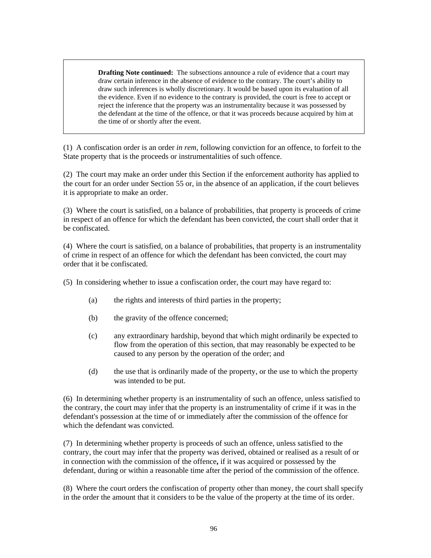**Drafting Note continued:** The subsections announce a rule of evidence that a court may draw certain inference in the absence of evidence to the contrary. The court's ability to draw such inferences is wholly discretionary. It would be based upon its evaluation of all the evidence. Even if no evidence to the contrary is provided, the court is free to accept or reject the inference that the property was an instrumentality because it was possessed by the defendant at the time of the offence, or that it was proceeds because acquired by him at the time of or shortly after the event.

(1) A confiscation order is an order *in rem,* following conviction for an offence, to forfeit to the State property that is the proceeds or instrumentalities of such offence.

(2) The court may make an order under this Section if the enforcement authority has applied to the court for an order under Section 55 or, in the absence of an application, if the court believes it is appropriate to make an order.

(3) Where the court is satisfied, on a balance of probabilities, that property is proceeds of crime in respect of an offence for which the defendant has been convicted, the court shall order that it be confiscated.

(4) Where the court is satisfied, on a balance of probabilities, that property is an instrumentality of crime in respect of an offence for which the defendant has been convicted, the court may order that it be confiscated.

(5) In considering whether to issue a confiscation order, the court may have regard to:

- (a) the rights and interests of third parties in the property;
- (b) the gravity of the offence concerned;
- (c) any extraordinary hardship, beyond that which might ordinarily be expected to flow from the operation of this section, that may reasonably be expected to be caused to any person by the operation of the order; and
- (d) the use that is ordinarily made of the property, or the use to which the property was intended to be put.

(6) In determining whether property is an instrumentality of such an offence, unless satisfied to the contrary, the court may infer that the property is an instrumentality of crime if it was in the defendant's possession at the time of or immediately after the commission of the offence for which the defendant was convicted.

(7) In determining whether property is proceeds of such an offence, unless satisfied to the contrary, the court may infer that the property was derived, obtained or realised as a result of or in connection with the commission of the offence**,** if it was acquired or possessed by the defendant, during or within a reasonable time after the period of the commission of the offence.

(8) Where the court orders the confiscation of property other than money, the court shall specify in the order the amount that it considers to be the value of the property at the time of its order.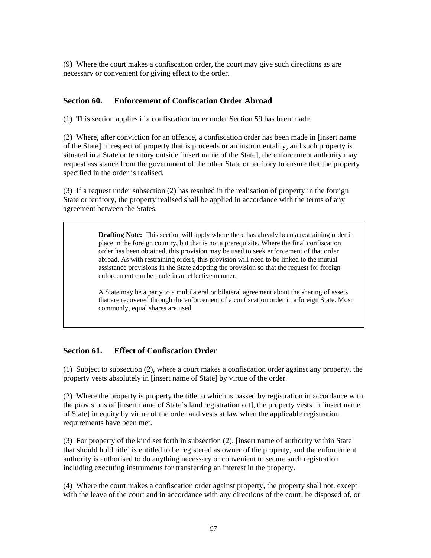(9) Where the court makes a confiscation order, the court may give such directions as are necessary or convenient for giving effect to the order.

#### **Section 60. Enforcement of Confiscation Order Abroad**

(1) This section applies if a confiscation order under Section 59 has been made.

(2) Where, after conviction for an offence, a confiscation order has been made in [insert name of the State] in respect of property that is proceeds or an instrumentality, and such property is situated in a State or territory outside [insert name of the State], the enforcement authority may request assistance from the government of the other State or territory to ensure that the property specified in the order is realised.

(3) If a request under subsection (2) has resulted in the realisation of property in the foreign State or territory, the property realised shall be applied in accordance with the terms of any agreement between the States.

> **Drafting Note:** This section will apply where there has already been a restraining order in place in the foreign country, but that is not a prerequisite. Where the final confiscation order has been obtained, this provision may be used to seek enforcement of that order abroad. As with restraining orders, this provision will need to be linked to the mutual assistance provisions in the State adopting the provision so that the request for foreign enforcement can be made in an effective manner.

> A State may be a party to a multilateral or bilateral agreement about the sharing of assets that are recovered through the enforcement of a confiscation order in a foreign State. Most commonly, equal shares are used.

## **Section 61. Effect of Confiscation Order**

(1) Subject to subsection (2), where a court makes a confiscation order against any property, the property vests absolutely in [insert name of State] by virtue of the order.

(2) Where the property is property the title to which is passed by registration in accordance with the provisions of [insert name of State's land registration act], the property vests in [insert name of State] in equity by virtue of the order and vests at law when the applicable registration requirements have been met.

(3) For property of the kind set forth in subsection (2), [insert name of authority within State that should hold title] is entitled to be registered as owner of the property, and the enforcement authority is authorised to do anything necessary or convenient to secure such registration including executing instruments for transferring an interest in the property.

(4) Where the court makes a confiscation order against property, the property shall not, except with the leave of the court and in accordance with any directions of the court, be disposed of, or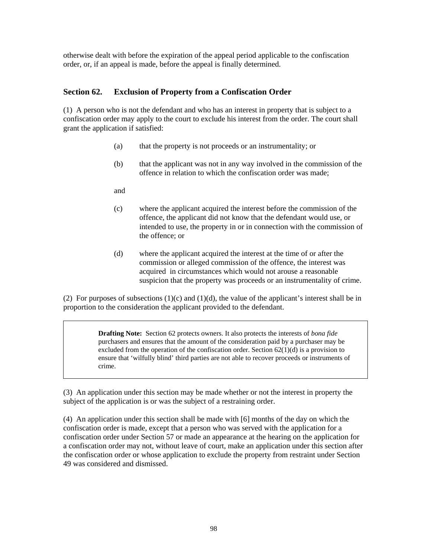otherwise dealt with before the expiration of the appeal period applicable to the confiscation order, or, if an appeal is made, before the appeal is finally determined.

#### **Section 62. Exclusion of Property from a Confiscation Order**

(1) A person who is not the defendant and who has an interest in property that is subject to a confiscation order may apply to the court to exclude his interest from the order. The court shall grant the application if satisfied:

- (a) that the property is not proceeds or an instrumentality; or
- (b) that the applicant was not in any way involved in the commission of the offence in relation to which the confiscation order was made;
- and
- (c) where the applicant acquired the interest before the commission of the offence, the applicant did not know that the defendant would use, or intended to use, the property in or in connection with the commission of the offence; or
- (d) where the applicant acquired the interest at the time of or after the commission or alleged commission of the offence, the interest was acquired in circumstances which would not arouse a reasonable suspicion that the property was proceeds or an instrumentality of crime.

(2) For purposes of subsections  $(1)(c)$  and  $(1)(d)$ , the value of the applicant's interest shall be in proportion to the consideration the applicant provided to the defendant.

> **Drafting Note:** Section 62 protects owners. It also protects the interests of *bona fide* purchasers and ensures that the amount of the consideration paid by a purchaser may be excluded from the operation of the confiscation order. Section 62(1)(d) is a provision to ensure that 'wilfully blind' third parties are not able to recover proceeds or instruments of crime.

(3) An application under this section may be made whether or not the interest in property the subject of the application is or was the subject of a restraining order.

(4) An application under this section shall be made with [6] months of the day on which the confiscation order is made, except that a person who was served with the application for a confiscation order under Section 57 or made an appearance at the hearing on the application for a confiscation order may not, without leave of court, make an application under this section after the confiscation order or whose application to exclude the property from restraint under Section 49 was considered and dismissed.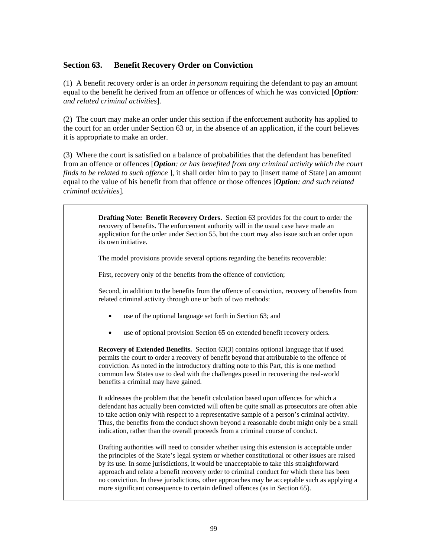## **Section 63. Benefit Recovery Order on Conviction**

(1) A benefit recovery order is an order *in personam* requiring the defendant to pay an amount equal to the benefit he derived from an offence or offences of which he was convicted [*Option: and related criminal activities*].

(2) The court may make an order under this section if the enforcement authority has applied to the court for an order under Section 63 or, in the absence of an application, if the court believes it is appropriate to make an order.

(3) Where the court is satisfied on a balance of probabilities that the defendant has benefited from an offence or offences [*Option: or has benefited from any criminal activity which the court finds to be related to such offence* ], it shall order him to pay to [insert name of State] an amount equal to the value of his benefit from that offence or those offences [*Option: and such related criminal activities*]*.*

> **Drafting Note: Benefit Recovery Orders.** Section 63 provides for the court to order the recovery of benefits. The enforcement authority will in the usual case have made an application for the order under Section 55, but the court may also issue such an order upon its own initiative.

The model provisions provide several options regarding the benefits recoverable:

First, recovery only of the benefits from the offence of conviction;

Second, in addition to the benefits from the offence of conviction, recovery of benefits from related criminal activity through one or both of two methods:

- use of the optional language set forth in Section 63; and
- use of optional provision Section 65 on extended benefit recovery orders.

**Recovery of Extended Benefits.** Section 63(3) contains optional language that if used permits the court to order a recovery of benefit beyond that attributable to the offence of conviction. As noted in the introductory drafting note to this Part, this is one method common law States use to deal with the challenges posed in recovering the real-world benefits a criminal may have gained.

It addresses the problem that the benefit calculation based upon offences for which a defendant has actually been convicted will often be quite small as prosecutors are often able to take action only with respect to a representative sample of a person's criminal activity. Thus, the benefits from the conduct shown beyond a reasonable doubt might only be a small indication, rather than the overall proceeds from a criminal course of conduct.

Drafting authorities will need to consider whether using this extension is acceptable under the principles of the State's legal system or whether constitutional or other issues are raised by its use. In some jurisdictions, it would be unacceptable to take this straightforward approach and relate a benefit recovery order to criminal conduct for which there has been no conviction. In these jurisdictions, other approaches may be acceptable such as applying a more significant consequence to certain defined offences (as in Section 65).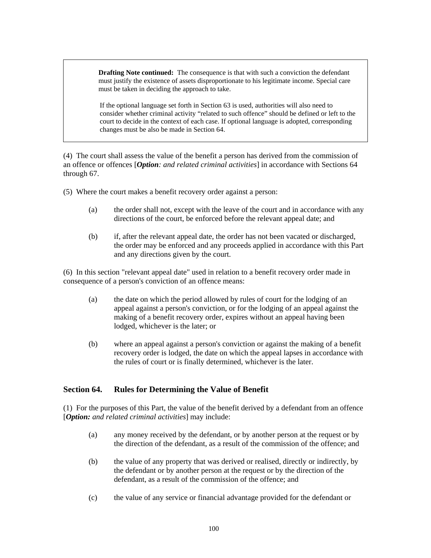**Drafting Note continued:** The consequence is that with such a conviction the defendant must justify the existence of assets disproportionate to his legitimate income. Special care must be taken in deciding the approach to take.

If the optional language set forth in Section 63 is used, authorities will also need to consider whether criminal activity "related to such offence" should be defined or left to the court to decide in the context of each case. If optional language is adopted, corresponding changes must be also be made in Section 64.

(4) The court shall assess the value of the benefit a person has derived from the commission of an offence or offences [*Option: and related criminal activities*] in accordance with Sections 64 through 67.

(5) Where the court makes a benefit recovery order against a person:

- (a) the order shall not, except with the leave of the court and in accordance with any directions of the court, be enforced before the relevant appeal date; and
- (b) if, after the relevant appeal date, the order has not been vacated or discharged, the order may be enforced and any proceeds applied in accordance with this Part and any directions given by the court.

(6) In this section "relevant appeal date" used in relation to a benefit recovery order made in consequence of a person's conviction of an offence means:

- (a) the date on which the period allowed by rules of court for the lodging of an appeal against a person's conviction, or for the lodging of an appeal against the making of a benefit recovery order, expires without an appeal having been lodged, whichever is the later; or
- (b) where an appeal against a person's conviction or against the making of a benefit recovery order is lodged, the date on which the appeal lapses in accordance with the rules of court or is finally determined, whichever is the later.

## **Section 64. Rules for Determining the Value of Benefit**

(1) For the purposes of this Part, the value of the benefit derived by a defendant from an offence [*Option: and related criminal activities*] may include:

- (a) any money received by the defendant, or by another person at the request or by the direction of the defendant, as a result of the commission of the offence; and
- (b) the value of any property that was derived or realised, directly or indirectly, by the defendant or by another person at the request or by the direction of the defendant, as a result of the commission of the offence; and
- (c) the value of any service or financial advantage provided for the defendant or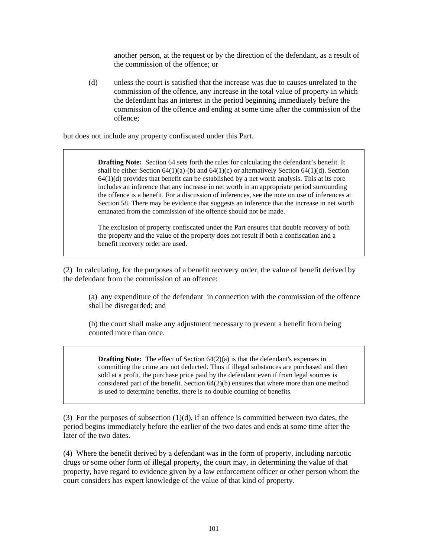another person, at the request or by the direction of the defendant, as a result of the commission of the offence; or

(d) unless the court is satisfied that the increase was due to causes unrelated to the commission of the offence, any increase in the total value of property in which the defendant has an interest in the period beginning immediately before the commission of the offence and ending at some time after the commission of the offence;

but does not include any property confiscated under this Part.

**Drafting Note:** Section 64 sets forth the rules for calculating the defendant's benefit. It shall be either Section 64(1)(a)-(b) and 64(1)(c) or alternatively Section 64(1)(d). Section  $64(1)(d)$  provides that benefit can be established by a net worth analysis. This at its core includes an inference that any increase in net worth in an appropriate period surrounding the offence is a benefit. For a discussion of inferences, see the note on use of inferences at Section 58. There may be evidence that suggests an inference that the increase in net worth emanated from the commission of the offence should not be made.

The exclusion of property confiscated under the Part ensures that double recovery of both the property and the value of the property does not result if both a confiscation and a benefit recovery order are used.

(2) In calculating, for the purposes of a benefit recovery order, the value of benefit derived by the defendant from the commission of an offence:

(a) any expenditure of the defendant in connection with the commission of the offence shall be disregarded; and

(b) the court shall make any adjustment necessary to prevent a benefit from being counted more than once.

**Drafting Note:** The effect of Section 64(2)(a) is that the defendant's expenses in committing the crime are not deducted. Thus if illegal substances are purchased and then sold at a profit, the purchase price paid by the defendant even if from legal sources is considered part of the benefit. Section  $64(2)(b)$  ensures that where more than one method is used to determine benefits, there is no double counting of benefits.

(3) For the purposes of subsection  $(1)(d)$ , if an offence is committed between two dates, the period begins immediately before the earlier of the two dates and ends at some time after the later of the two dates.

(4) Where the benefit derived by a defendant was in the form of property, including narcotic drugs or some other form of illegal property, the court may, in determining the value of that property, have regard to evidence given by a law enforcement officer or other person whom the court considers has expert knowledge of the value of that kind of property.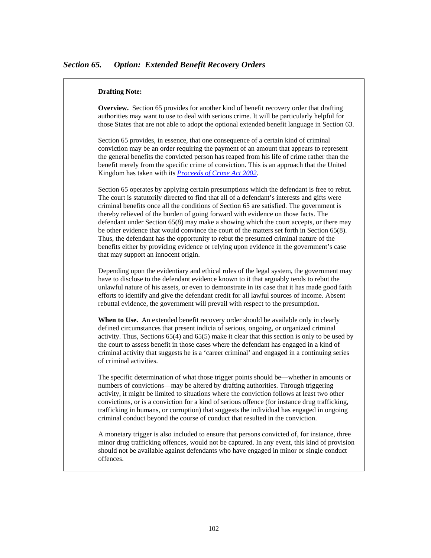#### **Drafting Note:**

**Overview.** Section 65 provides for another kind of benefit recovery order that drafting authorities may want to use to deal with serious crime. It will be particularly helpful for those States that are not able to adopt the optional extended benefit language in Section 63.

Section 65 provides, in essence, that one consequence of a certain kind of criminal conviction may be an order requiring the payment of an amount that appears to represent the general benefits the convicted person has reaped from his life of crime rather than the benefit merely from the specific crime of conviction. This is an approach that the United Kingdom has taken with its *[Proceeds of Crime Act 2002](http://www.opsi.gov.uk/acts/acts2002/ukpga_20020029_en_1)*.

Section 65 operates by applying certain presumptions which the defendant is free to rebut. The court is statutorily directed to find that all of a defendant's interests and gifts were criminal benefits once all the conditions of Section 65 are satisfied. The government is thereby relieved of the burden of going forward with evidence on those facts. The defendant under Section 65(8) may make a showing which the court accepts, or there may be other evidence that would convince the court of the matters set forth in Section 65(8). Thus, the defendant has the opportunity to rebut the presumed criminal nature of the benefits either by providing evidence or relying upon evidence in the government's case that may support an innocent origin.

Depending upon the evidentiary and ethical rules of the legal system, the government may have to disclose to the defendant evidence known to it that arguably tends to rebut the unlawful nature of his assets, or even to demonstrate in its case that it has made good faith efforts to identify and give the defendant credit for all lawful sources of income. Absent rebuttal evidence, the government will prevail with respect to the presumption.

**When to Use.** An extended benefit recovery order should be available only in clearly defined circumstances that present indicia of serious, ongoing, or organized criminal activity. Thus, Sections 65(4) and 65(5) make it clear that this section is only to be used by the court to assess benefit in those cases where the defendant has engaged in a kind of criminal activity that suggests he is a 'career criminal' and engaged in a continuing series of criminal activities.

The specific determination of what those trigger points should be—whether in amounts or numbers of convictions—may be altered by drafting authorities. Through triggering activity, it might be limited to situations where the conviction follows at least two other convictions, or is a conviction for a kind of serious offence (for instance drug trafficking, trafficking in humans, or corruption) that suggests the individual has engaged in ongoing criminal conduct beyond the course of conduct that resulted in the conviction.

A monetary trigger is also included to ensure that persons convicted of, for instance, three minor drug trafficking offences, would not be captured. In any event, this kind of provision should not be available against defendants who have engaged in minor or single conduct offences.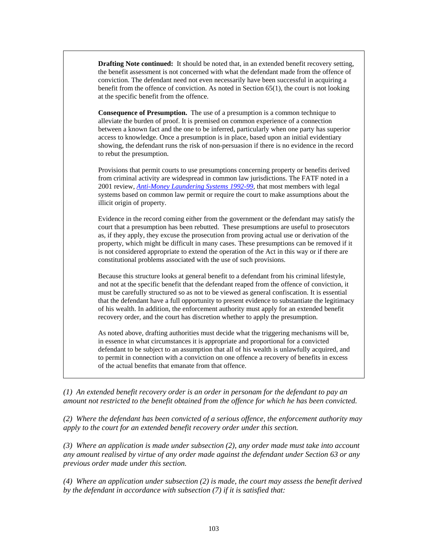**Drafting Note continued:** It should be noted that, in an extended benefit recovery setting, the benefit assessment is not concerned with what the defendant made from the offence of conviction. The defendant need not even necessarily have been successful in acquiring a benefit from the offence of conviction. As noted in Section 65(1), the court is not looking at the specific benefit from the offence.

**Consequence of Presumption.** The use of a presumption is a common technique to alleviate the burden of proof. It is premised on common experience of a connection between a known fact and the one to be inferred, particularly when one party has superior access to knowledge. Once a presumption is in place, based upon an initial evidentiary showing, the defendant runs the risk of non-persuasion if there is no evidence in the record to rebut the presumption.

Provisions that permit courts to use presumptions concerning property or benefits derived from criminal activity are widespread in common law jurisdictions. The FATF noted in a 2001 review, *[Anti-Money Laundering Systems 1992-99](http://www.fatf-gafi.org/dataoecd/32/45/34046731.pdf),* that most members with legal systems based on common law permit or require the court to make assumptions about the illicit origin of property.

Evidence in the record coming either from the government or the defendant may satisfy the court that a presumption has been rebutted. These presumptions are useful to prosecutors as, if they apply, they excuse the prosecution from proving actual use or derivation of the property, which might be difficult in many cases. These presumptions can be removed if it is not considered appropriate to extend the operation of the Act in this way or if there are constitutional problems associated with the use of such provisions.

Because this structure looks at general benefit to a defendant from his criminal lifestyle, and not at the specific benefit that the defendant reaped from the offence of conviction, it must be carefully structured so as not to be viewed as general confiscation. It is essential that the defendant have a full opportunity to present evidence to substantiate the legitimacy of his wealth. In addition, the enforcement authority must apply for an extended benefit recovery order, and the court has discretion whether to apply the presumption.

As noted above, drafting authorities must decide what the triggering mechanisms will be, in essence in what circumstances it is appropriate and proportional for a convicted defendant to be subject to an assumption that all of his wealth is unlawfully acquired, and to permit in connection with a conviction on one offence a recovery of benefits in excess of the actual benefits that emanate from that offence.

*(1) An extended benefit recovery order is an order in personam for the defendant to pay an amount not restricted to the benefit obtained from the offence for which he has been convicted.* 

*(2) Where the defendant has been convicted of a serious offence, the enforcement authority may apply to the court for an extended benefit recovery order under this section.* 

*(3) Where an application is made under subsection (2), any order made must take into account any amount realised by virtue of any order made against the defendant under Section 63 or any previous order made under this section.* 

*(4) Where an application under subsection (2) is made, the court may assess the benefit derived by the defendant in accordance with subsection (7) if it is satisfied that:*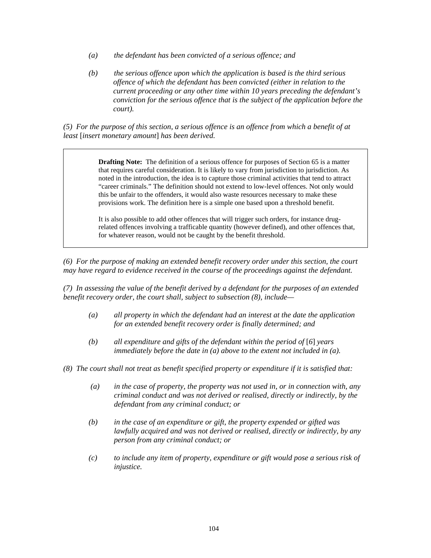- *(a) the defendant has been convicted of a serious offence; and*
- *(b) the serious offence upon which the application is based is the third serious offence of which the defendant has been convicted (either in relation to the current proceeding or any other time within 10 years preceding the defendant's conviction for the serious offence that is the subject of the application before the court).*

*(5) For the purpose of this section, a serious offence is an offence from which a benefit of at least* [*insert monetary amount*] *has been derived.* 

> **Drafting Note:** The definition of a serious offence for purposes of Section 65 is a matter that requires careful consideration. It is likely to vary from jurisdiction to jurisdiction. As noted in the introduction, the idea is to capture those criminal activities that tend to attract "career criminals." The definition should not extend to low-level offences. Not only would this be unfair to the offenders, it would also waste resources necessary to make these provisions work. The definition here is a simple one based upon a threshold benefit.

> It is also possible to add other offences that will trigger such orders, for instance drugrelated offences involving a trafficable quantity (however defined), and other offences that, for whatever reason, would not be caught by the benefit threshold.

*(6) For the purpose of making an extended benefit recovery order under this section, the court may have regard to evidence received in the course of the proceedings against the defendant.* 

*(7) In assessing the value of the benefit derived by a defendant for the purposes of an extended benefit recovery order, the court shall, subject to subsection (8), include—* 

- *(a) all property in which the defendant had an interest at the date the application for an extended benefit recovery order is finally determined; and*
- *(b) all expenditure and gifts of the defendant within the period of* [*6*] *years immediately before the date in (a) above to the extent not included in (a).*
- *(8) The court shall not treat as benefit specified property or expenditure if it is satisfied that:* 
	- *(a) in the case of property, the property was not used in, or in connection with, any criminal conduct and was not derived or realised, directly or indirectly, by the defendant from any criminal conduct; or*
	- *(b) in the case of an expenditure or gift, the property expended or gifted was lawfully acquired and was not derived or realised, directly or indirectly, by any person from any criminal conduct; or*
	- *(c) to include any item of property, expenditure or gift would pose a serious risk of injustice.*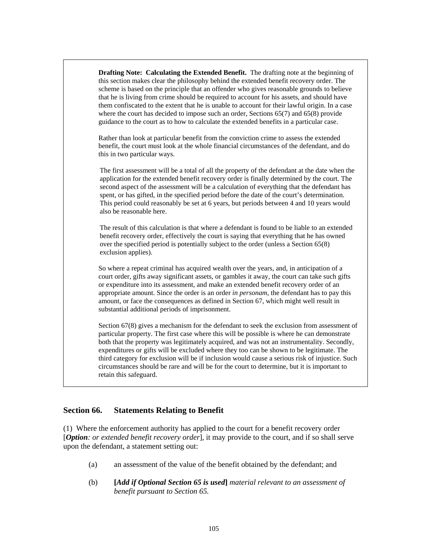**Drafting Note: Calculating the Extended Benefit.** The drafting note at the beginning of this section makes clear the philosophy behind the extended benefit recovery order. The scheme is based on the principle that an offender who gives reasonable grounds to believe that he is living from crime should be required to account for his assets, and should have them confiscated to the extent that he is unable to account for their lawful origin. In a case where the court has decided to impose such an order, Sections 65(7) and 65(8) provide guidance to the court as to how to calculate the extended benefits in a particular case.

Rather than look at particular benefit from the conviction crime to assess the extended benefit, the court must look at the whole financial circumstances of the defendant, and do this in two particular ways.

The first assessment will be a total of all the property of the defendant at the date when the application for the extended benefit recovery order is finally determined by the court. The second aspect of the assessment will be a calculation of everything that the defendant has spent, or has gifted, in the specified period before the date of the court's determination. This period could reasonably be set at 6 years, but periods between 4 and 10 years would also be reasonable here.

The result of this calculation is that where a defendant is found to be liable to an extended benefit recovery order, effectively the court is saying that everything that he has owned over the specified period is potentially subject to the order (unless a Section 65(8) exclusion applies).

So where a repeat criminal has acquired wealth over the years, and, in anticipation of a court order, gifts away significant assets, or gambles it away, the court can take such gifts or expenditure into its assessment, and make an extended benefit recovery order of an appropriate amount. Since the order is an order *in personam*, the defendant has to pay this amount, or face the consequences as defined in Section 67, which might well result in substantial additional periods of imprisonment.

Section 67(8) gives a mechanism for the defendant to seek the exclusion from assessment of particular property. The first case where this will be possible is where he can demonstrate both that the property was legitimately acquired, and was not an instrumentality. Secondly, expenditures or gifts will be excluded where they too can be shown to be legitimate. The third category for exclusion will be if inclusion would cause a serious risk of injustice. Such circumstances should be rare and will be for the court to determine, but it is important to retain this safeguard.

## **Section 66. Statements Relating to Benefit**

(1) Where the enforcement authority has applied to the court for a benefit recovery order [*Option: or extended benefit recovery order*], it may provide to the court, and if so shall serve upon the defendant, a statement setting out:

- (a) an assessment of the value of the benefit obtained by the defendant; and
- (b) **[***Add if Optional Section 65 is used***]** *material relevant to an assessment of benefit pursuant to Section 65.*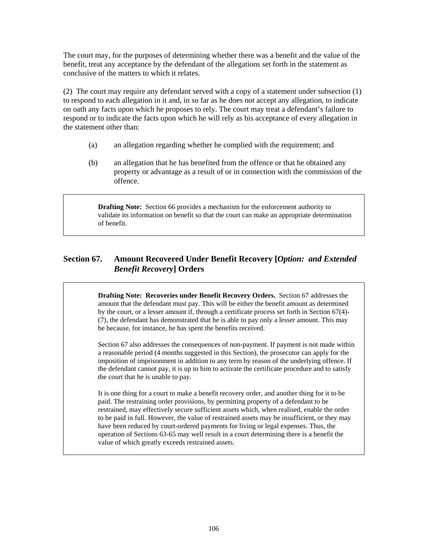The court may, for the purposes of determining whether there was a benefit and the value of the benefit, treat any acceptance by the defendant of the allegations set forth in the statement as conclusive of the matters to which it relates.

(2) The court may require any defendant served with a copy of a statement under subsection (1) to respond to each allegation in it and, in so far as he does not accept any allegation, to indicate on oath any facts upon which he proposes to rely. The court may treat a defendant's failure to respond or to indicate the facts upon which he will rely as his acceptance of every allegation in the statement other than:

- (a) an allegation regarding whether he complied with the requirement; and
- (b) an allegation that he has benefited from the offence or that he obtained any property or advantage as a result of or in connection with the commission of the offence.

**Drafting Note:** Section 66 provides a mechanism for the enforcement authority to validate its information on benefit so that the court can make an appropriate determination of benefit.

# **Section 67. Amount Recovered Under Benefit Recovery [***Option: and Extended Benefit Recovery***] Orders**

**Drafting Note: Recoveries under Benefit Recovery Orders.** Section 67 addresses the amount that the defendant must pay. This will be either the benefit amount as determined by the court, or a lesser amount if, through a certificate process set forth in Section 67(4)- (7), the defendant has demonstrated that he is able to pay only a lesser amount. This may be because, for instance, he has spent the benefits received.

Section 67 also addresses the consequences of non-payment. If payment is not made within a reasonable period (4 months suggested in this Section), the prosecutor can apply for the imposition of imprisonment in addition to any term by reason of the underlying offence. If the defendant cannot pay, it is up to him to activate the certificate procedure and to satisfy the court that he is unable to pay.

It is one thing for a court to make a benefit recovery order, and another thing for it to be paid. The restraining order provisions, by permitting property of a defendant to be restrained, may effectively secure sufficient assets which, when realised, enable the order to be paid in full. However, the value of restrained assets may be insufficient, or they may have been reduced by court-ordered payments for living or legal expenses. Thus, the operation of Sections 63-65 may well result in a court determining there is a benefit the value of which greatly exceeds restrained assets.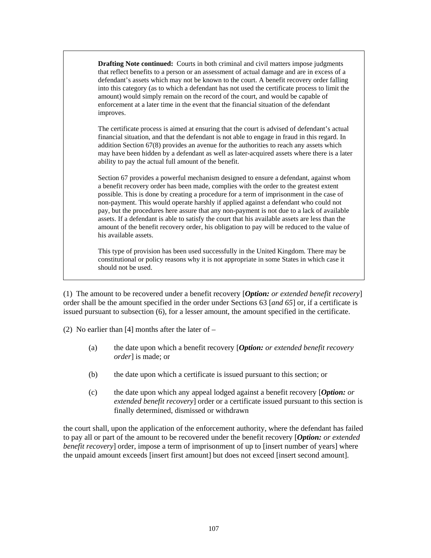**Drafting Note continued:** Courts in both criminal and civil matters impose judgments that reflect benefits to a person or an assessment of actual damage and are in excess of a defendant's assets which may not be known to the court. A benefit recovery order falling into this category (as to which a defendant has not used the certificate process to limit the amount) would simply remain on the record of the court, and would be capable of enforcement at a later time in the event that the financial situation of the defendant improves.

The certificate process is aimed at ensuring that the court is advised of defendant's actual financial situation, and that the defendant is not able to engage in fraud in this regard. In addition Section 67(8) provides an avenue for the authorities to reach any assets which may have been hidden by a defendant as well as later-acquired assets where there is a later ability to pay the actual full amount of the benefit.

Section 67 provides a powerful mechanism designed to ensure a defendant, against whom a benefit recovery order has been made, complies with the order to the greatest extent possible. This is done by creating a procedure for a term of imprisonment in the case of non-payment. This would operate harshly if applied against a defendant who could not pay, but the procedures here assure that any non-payment is not due to a lack of available assets. If a defendant is able to satisfy the court that his available assets are less than the amount of the benefit recovery order, his obligation to pay will be reduced to the value of his available assets.

This type of provision has been used successfully in the United Kingdom. There may be constitutional or policy reasons why it is not appropriate in some States in which case it should not be used.

(1) The amount to be recovered under a benefit recovery [*Option: or extended benefit recovery*] order shall be the amount specified in the order under Sections 63 [*and 65*] or, if a certificate is issued pursuant to subsection (6), for a lesser amount, the amount specified in the certificate.

(2) No earlier than [4] months after the later of  $-$ 

- (a) the date upon which a benefit recovery [*Option: or extended benefit recovery order*] is made; or
- (b) the date upon which a certificate is issued pursuant to this section; or
- (c) the date upon which any appeal lodged against a benefit recovery [*Option: or extended benefit recovery*] order or a certificate issued pursuant to this section is finally determined, dismissed or withdrawn

the court shall, upon the application of the enforcement authority, where the defendant has failed to pay all or part of the amount to be recovered under the benefit recovery [*Option: or extended benefit recovery*] order, impose a term of imprisonment of up to [insert number of years] where the unpaid amount exceeds [insert first amount] but does not exceed [insert second amount].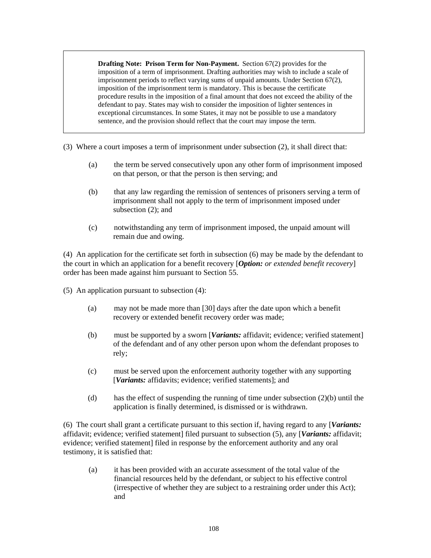**Drafting Note: Prison Term for Non-Payment.** Section 67(2) provides for the imposition of a term of imprisonment. Drafting authorities may wish to include a scale of imprisonment periods to reflect varying sums of unpaid amounts. Under Section 67(2), imposition of the imprisonment term is mandatory. This is because the certificate procedure results in the imposition of a final amount that does not exceed the ability of the defendant to pay. States may wish to consider the imposition of lighter sentences in exceptional circumstances. In some States, it may not be possible to use a mandatory sentence, and the provision should reflect that the court may impose the term.

- (3) Where a court imposes a term of imprisonment under subsection (2), it shall direct that:
	- (a) the term be served consecutively upon any other form of imprisonment imposed on that person, or that the person is then serving; and
	- (b) that any law regarding the remission of sentences of prisoners serving a term of imprisonment shall not apply to the term of imprisonment imposed under subsection (2); and
	- (c) notwithstanding any term of imprisonment imposed, the unpaid amount will remain due and owing.

(4) An application for the certificate set forth in subsection (6) may be made by the defendant to the court in which an application for a benefit recovery [*Option: or extended benefit recovery*] order has been made against him pursuant to Section 55.

(5) An application pursuant to subsection (4):

- (a) may not be made more than [30] days after the date upon which a benefit recovery or extended benefit recovery order was made;
- (b) must be supported by a sworn [*Variants:* affidavit; evidence; verified statement] of the defendant and of any other person upon whom the defendant proposes to rely;
- (c) must be served upon the enforcement authority together with any supporting [*Variants:* affidavits; evidence; verified statements]; and
- (d) has the effect of suspending the running of time under subsection  $(2)(b)$  until the application is finally determined, is dismissed or is withdrawn.

(6) The court shall grant a certificate pursuant to this section if, having regard to any [*Variants:* affidavit; evidence; verified statement] filed pursuant to subsection (5), any [*Variants:* affidavit; evidence; verified statement] filed in response by the enforcement authority and any oral testimony, it is satisfied that:

(a) it has been provided with an accurate assessment of the total value of the financial resources held by the defendant, or subject to his effective control (irrespective of whether they are subject to a restraining order under this Act); and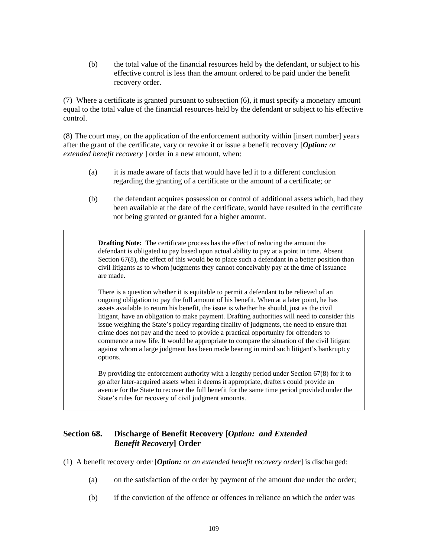(b) the total value of the financial resources held by the defendant, or subject to his effective control is less than the amount ordered to be paid under the benefit recovery order.

(7) Where a certificate is granted pursuant to subsection (6), it must specify a monetary amount equal to the total value of the financial resources held by the defendant or subject to his effective control.

(8) The court may, on the application of the enforcement authority within [insert number] years after the grant of the certificate, vary or revoke it or issue a benefit recovery [*Option: or extended benefit recovery* ] order in a new amount, when:

- (a) it is made aware of facts that would have led it to a different conclusion regarding the granting of a certificate or the amount of a certificate; or
- (b) the defendant acquires possession or control of additional assets which, had they been available at the date of the certificate, would have resulted in the certificate not being granted or granted for a higher amount.

**Drafting Note:** The certificate process has the effect of reducing the amount the defendant is obligated to pay based upon actual ability to pay at a point in time. Absent Section 67(8), the effect of this would be to place such a defendant in a better position than civil litigants as to whom judgments they cannot conceivably pay at the time of issuance are made.

There is a question whether it is equitable to permit a defendant to be relieved of an ongoing obligation to pay the full amount of his benefit. When at a later point, he has assets available to return his benefit, the issue is whether he should, just as the civil litigant, have an obligation to make payment. Drafting authorities will need to consider this issue weighing the State's policy regarding finality of judgments, the need to ensure that crime does not pay and the need to provide a practical opportunity for offenders to commence a new life. It would be appropriate to compare the situation of the civil litigant against whom a large judgment has been made bearing in mind such litigant's bankruptcy options.

By providing the enforcement authority with a lengthy period under Section 67(8) for it to go after later-acquired assets when it deems it appropriate, drafters could provide an avenue for the State to recover the full benefit for the same time period provided under the State's rules for recovery of civil judgment amounts.

# **Section 68. Discharge of Benefit Recovery [***Option: and Extended Benefit Recovery***] Order**

- (1) A benefit recovery order [*Option: or an extended benefit recovery order*] is discharged:
	- (a) on the satisfaction of the order by payment of the amount due under the order;
	- (b) if the conviction of the offence or offences in reliance on which the order was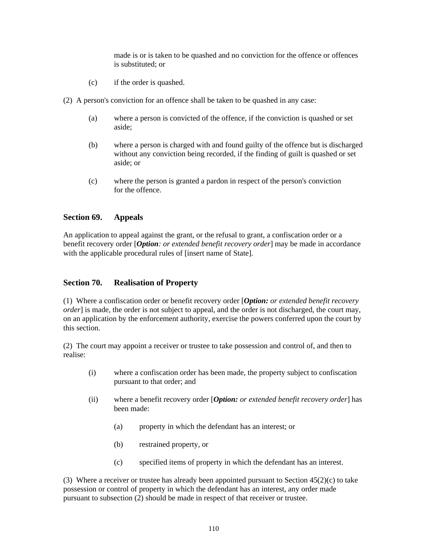made is or is taken to be quashed and no conviction for the offence or offences is substituted; or

- (c) if the order is quashed.
- (2) A person's conviction for an offence shall be taken to be quashed in any case:
	- (a) where a person is convicted of the offence, if the conviction is quashed or set aside;
	- (b) where a person is charged with and found guilty of the offence but is discharged without any conviction being recorded, if the finding of guilt is quashed or set aside; or
	- (c) where the person is granted a pardon in respect of the person's conviction for the offence.

### **Section 69. Appeals**

An application to appeal against the grant, or the refusal to grant, a confiscation order or a benefit recovery order [*Option: or extended benefit recovery order*] may be made in accordance with the applicable procedural rules of [insert name of State].

## **Section 70. Realisation of Property**

(1) Where a confiscation order or benefit recovery order [*Option: or extended benefit recovery order*] is made, the order is not subject to appeal, and the order is not discharged, the court may, on an application by the enforcement authority, exercise the powers conferred upon the court by this section.

(2) The court may appoint a receiver or trustee to take possession and control of, and then to realise:

- (i) where a confiscation order has been made, the property subject to confiscation pursuant to that order; and
- (ii) where a benefit recovery order [*Option: or extended benefit recovery order*] has been made:
	- (a) property in which the defendant has an interest; or
	- (b) restrained property, or
	- (c) specified items of property in which the defendant has an interest.

(3) Where a receiver or trustee has already been appointed pursuant to Section  $45(2)(c)$  to take possession or control of property in which the defendant has an interest, any order made pursuant to subsection (2) should be made in respect of that receiver or trustee.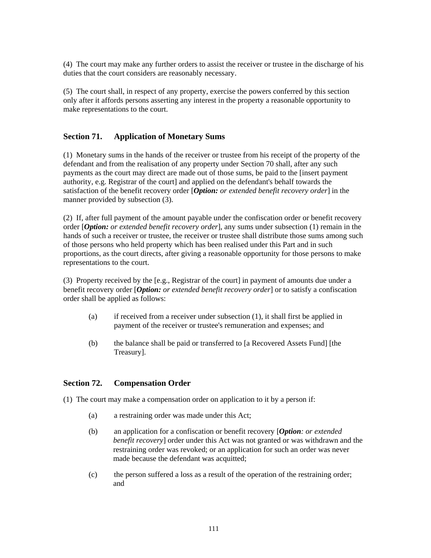(4) The court may make any further orders to assist the receiver or trustee in the discharge of his duties that the court considers are reasonably necessary.

(5) The court shall, in respect of any property, exercise the powers conferred by this section only after it affords persons asserting any interest in the property a reasonable opportunity to make representations to the court.

## **Section 71. Application of Monetary Sums**

(1) Monetary sums in the hands of the receiver or trustee from his receipt of the property of the defendant and from the realisation of any property under Section 70 shall, after any such payments as the court may direct are made out of those sums, be paid to the [insert payment authority, e.g. Registrar of the court] and applied on the defendant's behalf towards the satisfaction of the benefit recovery order [*Option: or extended benefit recovery order*] in the manner provided by subsection (3).

(2) If, after full payment of the amount payable under the confiscation order or benefit recovery order [*Option: or extended benefit recovery order*], any sums under subsection (1) remain in the hands of such a receiver or trustee, the receiver or trustee shall distribute those sums among such of those persons who held property which has been realised under this Part and in such proportions, as the court directs, after giving a reasonable opportunity for those persons to make representations to the court.

(3) Property received by the [e.g., Registrar of the court] in payment of amounts due under a benefit recovery order [*Option: or extended benefit recovery order*] or to satisfy a confiscation order shall be applied as follows:

- (a) if received from a receiver under subsection (1), it shall first be applied in payment of the receiver or trustee's remuneration and expenses; and
- (b) the balance shall be paid or transferred to [a Recovered Assets Fund] [the Treasury].

#### **Section 72. Compensation Order**

(1) The court may make a compensation order on application to it by a person if:

- (a) a restraining order was made under this Act;
- (b) an application for a confiscation or benefit recovery [*Option: or extended benefit recovery*] order under this Act was not granted or was withdrawn and the restraining order was revoked; or an application for such an order was never made because the defendant was acquitted;
- (c) the person suffered a loss as a result of the operation of the restraining order; and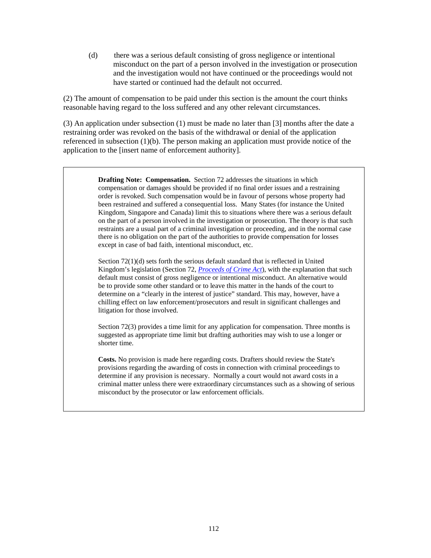(d) there was a serious default consisting of gross negligence or intentional misconduct on the part of a person involved in the investigation or prosecution and the investigation would not have continued or the proceedings would not have started or continued had the default not occurred.

(2) The amount of compensation to be paid under this section is the amount the court thinks reasonable having regard to the loss suffered and any other relevant circumstances.

(3) An application under subsection (1) must be made no later than [3] months after the date a restraining order was revoked on the basis of the withdrawal or denial of the application referenced in subsection (1)(b). The person making an application must provide notice of the application to the [insert name of enforcement authority].

> **Drafting Note: Compensation.** Section 72 addresses the situations in which compensation or damages should be provided if no final order issues and a restraining order is revoked. Such compensation would be in favour of persons whose property had been restrained and suffered a consequential loss. Many States (for instance the United Kingdom, Singapore and Canada) limit this to situations where there was a serious default on the part of a person involved in the investigation or prosecution. The theory is that such restraints are a usual part of a criminal investigation or proceeding, and in the normal case there is no obligation on the part of the authorities to provide compensation for losses except in case of bad faith, intentional misconduct, etc.

> Section 72(1)(d) sets forth the serious default standard that is reflected in United Kingdom's legislation (Section 72, *[Proceeds of Crime Act](http://www.opsi.gov.uk/acts/acts2002/ukpga_20020029_en_1)*), with the explanation that such default must consist of gross negligence or intentional misconduct. An alternative would be to provide some other standard or to leave this matter in the hands of the court to determine on a "clearly in the interest of justice" standard. This may, however, have a chilling effect on law enforcement/prosecutors and result in significant challenges and litigation for those involved.

> Section 72(3) provides a time limit for any application for compensation. Three months is suggested as appropriate time limit but drafting authorities may wish to use a longer or shorter time.

**Costs.** No provision is made here regarding costs. Drafters should review the State's provisions regarding the awarding of costs in connection with criminal proceedings to determine if any provision is necessary. Normally a court would not award costs in a criminal matter unless there were extraordinary circumstances such as a showing of serious misconduct by the prosecutor or law enforcement officials.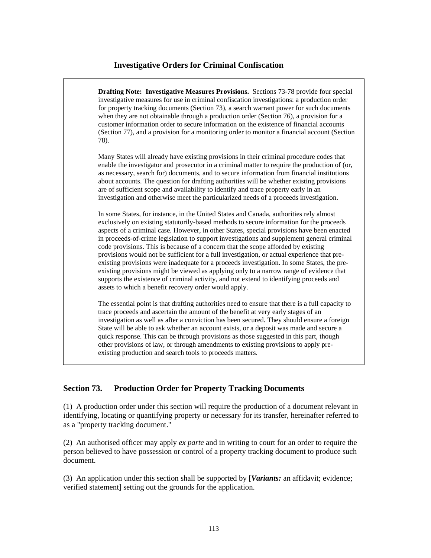## **Investigative Orders for Criminal Confiscation**



# **Section 73. Production Order for Property Tracking Documents**

(1) A production order under this section will require the production of a document relevant in identifying, locating or quantifying property or necessary for its transfer, hereinafter referred to as a "property tracking document."

(2) An authorised officer may apply *ex parte* and in writing to court for an order to require the person believed to have possession or control of a property tracking document to produce such document.

(3) An application under this section shall be supported by [*Variants:* an affidavit; evidence; verified statement] setting out the grounds for the application.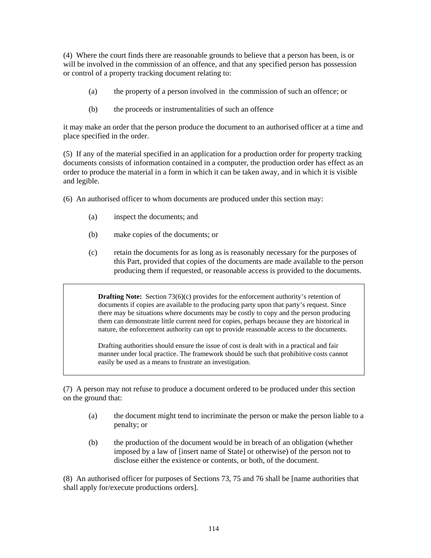(4) Where the court finds there are reasonable grounds to believe that a person has been, is or will be involved in the commission of an offence, and that any specified person has possession or control of a property tracking document relating to:

- (a) the property of a person involved in the commission of such an offence; or
- (b) the proceeds or instrumentalities of such an offence

it may make an order that the person produce the document to an authorised officer at a time and place specified in the order.

(5) If any of the material specified in an application for a production order for property tracking documents consists of information contained in a computer, the production order has effect as an order to produce the material in a form in which it can be taken away, and in which it is visible and legible.

- (6) An authorised officer to whom documents are produced under this section may:
	- (a) inspect the documents; and
	- (b) make copies of the documents; or
	- (c) retain the documents for as long as is reasonably necessary for the purposes of this Part, provided that copies of the documents are made available to the person producing them if requested, or reasonable access is provided to the documents.

**Drafting Note:** Section 73(6)(c) provides for the enforcement authority's retention of documents if copies are available to the producing party upon that party's request. Since there may be situations where documents may be costly to copy and the person producing them can demonstrate little current need for copies, perhaps because they are historical in nature, the enforcement authority can opt to provide reasonable access to the documents.

Drafting authorities should ensure the issue of cost is dealt with in a practical and fair manner under local practice. The framework should be such that prohibitive costs cannot easily be used as a means to frustrate an investigation.

(7) A person may not refuse to produce a document ordered to be produced under this section on the ground that:

- (a) the document might tend to incriminate the person or make the person liable to a penalty; or
- (b) the production of the document would be in breach of an obligation (whether imposed by a law of [insert name of State] or otherwise) of the person not to disclose either the existence or contents, or both, of the document.

(8) An authorised officer for purposes of Sections 73, 75 and 76 shall be [name authorities that shall apply for/execute productions orders].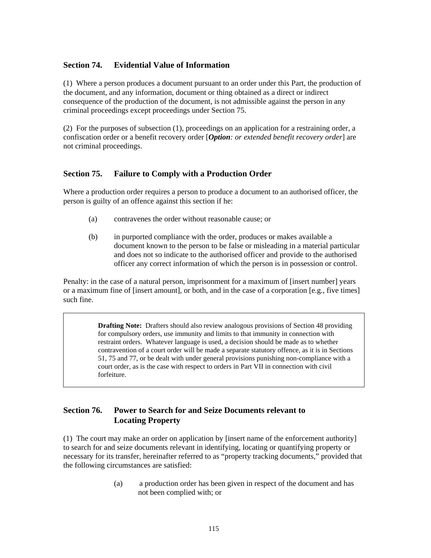## **Section 74. Evidential Value of Information**

(1) Where a person produces a document pursuant to an order under this Part, the production of the document, and any information, document or thing obtained as a direct or indirect consequence of the production of the document, is not admissible against the person in any criminal proceedings except proceedings under Section 75.

(2) For the purposes of subsection (1), proceedings on an application for a restraining order, a confiscation order or a benefit recovery order [*Option: or extended benefit recovery order*] are not criminal proceedings.

## **Section 75. Failure to Comply with a Production Order**

Where a production order requires a person to produce a document to an authorised officer, the person is guilty of an offence against this section if he:

- (a) contravenes the order without reasonable cause; or
- (b) in purported compliance with the order, produces or makes available a document known to the person to be false or misleading in a material particular and does not so indicate to the authorised officer and provide to the authorised officer any correct information of which the person is in possession or control.

Penalty: in the case of a natural person, imprisonment for a maximum of [insert number] years or a maximum fine of [insert amount], or both, and in the case of a corporation [e.g., five times] such fine.

> **Drafting Note:** Drafters should also review analogous provisions of Section 48 providing for compulsory orders, use immunity and limits to that immunity in connection with restraint orders. Whatever language is used, a decision should be made as to whether contravention of a court order will be made a separate statutory offence, as it is in Sections 51, 75 and 77, or be dealt with under general provisions punishing non-compliance with a court order, as is the case with respect to orders in Part VII in connection with civil forfeiture.

# **Section 76. Power to Search for and Seize Documents relevant to Locating Property**

(1) The court may make an order on application by [insert name of the enforcement authority] to search for and seize documents relevant in identifying, locating or quantifying property or necessary for its transfer, hereinafter referred to as "property tracking documents," provided that the following circumstances are satisfied:

> (a) a production order has been given in respect of the document and has not been complied with; or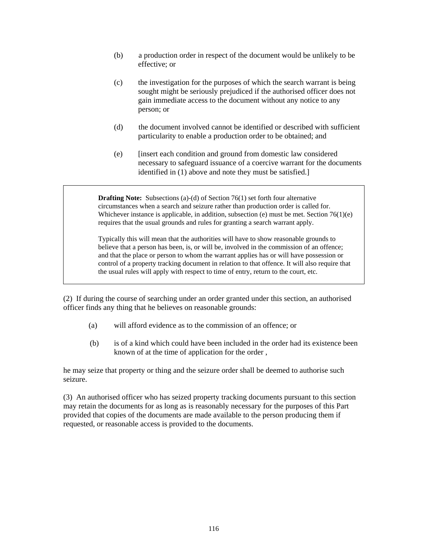- (b) a production order in respect of the document would be unlikely to be effective; or
- (c) the investigation for the purposes of which the search warrant is being sought might be seriously prejudiced if the authorised officer does not gain immediate access to the document without any notice to any person; or
- (d) the document involved cannot be identified or described with sufficient particularity to enable a production order to be obtained; and
- (e) [insert each condition and ground from domestic law considered necessary to safeguard issuance of a coercive warrant for the documents identified in (1) above and note they must be satisfied.]

**Drafting Note:** Subsections (a)-(d) of Section 76(1) set forth four alternative circumstances when a search and seizure rather than production order is called for. Whichever instance is applicable, in addition, subsection (e) must be met. Section  $76(1)(e)$ requires that the usual grounds and rules for granting a search warrant apply.

Typically this will mean that the authorities will have to show reasonable grounds to believe that a person has been, is, or will be, involved in the commission of an offence; and that the place or person to whom the warrant applies has or will have possession or control of a property tracking document in relation to that offence. It will also require that the usual rules will apply with respect to time of entry, return to the court, etc.

(2) If during the course of searching under an order granted under this section, an authorised officer finds any thing that he believes on reasonable grounds:

- (a) will afford evidence as to the commission of an offence; or
- (b) is of a kind which could have been included in the order had its existence been known of at the time of application for the order ,

he may seize that property or thing and the seizure order shall be deemed to authorise such seizure.

(3) An authorised officer who has seized property tracking documents pursuant to this section may retain the documents for as long as is reasonably necessary for the purposes of this Part provided that copies of the documents are made available to the person producing them if requested, or reasonable access is provided to the documents.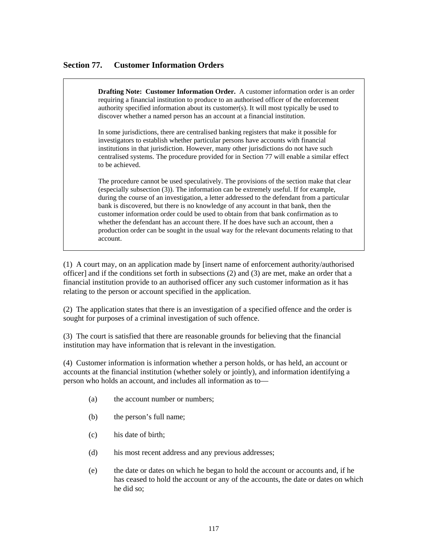## **Section 77. Customer Information Orders**

**Drafting Note: Customer Information Order.** A customer information order is an order requiring a financial institution to produce to an authorised officer of the enforcement authority specified information about its customer(s). It will most typically be used to discover whether a named person has an account at a financial institution.

In some jurisdictions, there are centralised banking registers that make it possible for investigators to establish whether particular persons have accounts with financial institutions in that jurisdiction. However, many other jurisdictions do not have such centralised systems. The procedure provided for in Section 77 will enable a similar effect to be achieved.

The procedure cannot be used speculatively. The provisions of the section make that clear (especially subsection (3)). The information can be extremely useful. If for example, during the course of an investigation, a letter addressed to the defendant from a particular bank is discovered, but there is no knowledge of any account in that bank, then the customer information order could be used to obtain from that bank confirmation as to whether the defendant has an account there. If he does have such an account, then a production order can be sought in the usual way for the relevant documents relating to that account.

(1) A court may, on an application made by [insert name of enforcement authority/authorised officer] and if the conditions set forth in subsections (2) and (3) are met, make an order that a financial institution provide to an authorised officer any such customer information as it has relating to the person or account specified in the application.

(2) The application states that there is an investigation of a specified offence and the order is sought for purposes of a criminal investigation of such offence.

(3) The court is satisfied that there are reasonable grounds for believing that the financial institution may have information that is relevant in the investigation.

(4) Customer information is information whether a person holds, or has held, an account or accounts at the financial institution (whether solely or jointly), and information identifying a person who holds an account, and includes all information as to—

- (a) the account number or numbers;
- (b) the person's full name;
- (c) his date of birth;
- (d) his most recent address and any previous addresses;
- (e) the date or dates on which he began to hold the account or accounts and, if he has ceased to hold the account or any of the accounts, the date or dates on which he did so;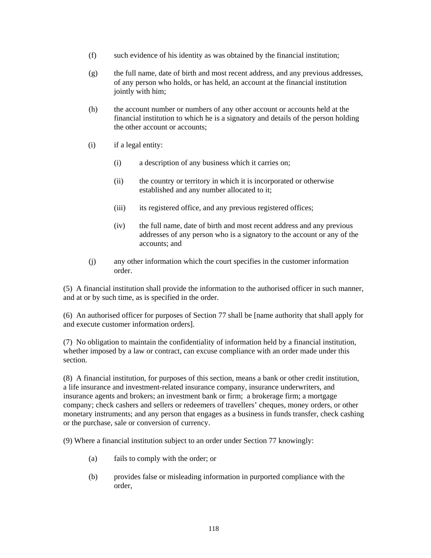- (f) such evidence of his identity as was obtained by the financial institution;
- (g) the full name, date of birth and most recent address, and any previous addresses, of any person who holds, or has held, an account at the financial institution jointly with him;
- (h) the account number or numbers of any other account or accounts held at the financial institution to which he is a signatory and details of the person holding the other account or accounts;
- (i) if a legal entity:
	- (i) a description of any business which it carries on;
	- (ii) the country or territory in which it is incorporated or otherwise established and any number allocated to it;
	- (iii) its registered office, and any previous registered offices;
	- (iv) the full name, date of birth and most recent address and any previous addresses of any person who is a signatory to the account or any of the accounts; and
- (j) any other information which the court specifies in the customer information order.

(5) A financial institution shall provide the information to the authorised officer in such manner, and at or by such time, as is specified in the order.

(6) An authorised officer for purposes of Section 77 shall be [name authority that shall apply for and execute customer information orders].

(7) No obligation to maintain the confidentiality of information held by a financial institution, whether imposed by a law or contract, can excuse compliance with an order made under this section.

(8) A financial institution, for purposes of this section, means a bank or other credit institution, a life insurance and investment-related insurance company, insurance underwriters, and insurance agents and brokers; an investment bank or firm; a brokerage firm; a mortgage company; check cashers and sellers or redeemers of travellers' cheques, money orders, or other monetary instruments; and any person that engages as a business in funds transfer, check cashing or the purchase, sale or conversion of currency.

(9) Where a financial institution subject to an order under Section 77 knowingly:

- (a) fails to comply with the order; or
- (b) provides false or misleading information in purported compliance with the order,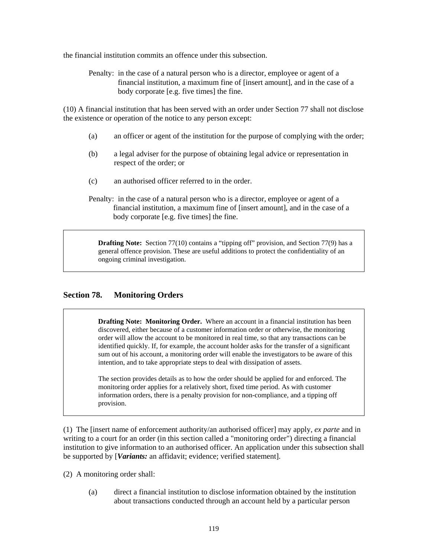the financial institution commits an offence under this subsection.

Penalty: in the case of a natural person who is a director, employee or agent of a financial institution, a maximum fine of [insert amount], and in the case of a body corporate [e.g. five times] the fine.

(10) A financial institution that has been served with an order under Section 77 shall not disclose the existence or operation of the notice to any person except:

- (a) an officer or agent of the institution for the purpose of complying with the order;
- (b) a legal adviser for the purpose of obtaining legal advice or representation in respect of the order; or
- (c) an authorised officer referred to in the order.
- Penalty: in the case of a natural person who is a director, employee or agent of a financial institution, a maximum fine of [insert amount], and in the case of a body corporate [e.g. five times] the fine.

**Drafting Note:** Section 77(10) contains a "tipping off" provision, and Section 77(9) has a general offence provision. These are useful additions to protect the confidentiality of an ongoing criminal investigation.

## **Section 78. Monitoring Orders**

**Drafting Note: Monitoring Order.** Where an account in a financial institution has been discovered, either because of a customer information order or otherwise, the monitoring order will allow the account to be monitored in real time, so that any transactions can be identified quickly. If, for example, the account holder asks for the transfer of a significant sum out of his account, a monitoring order will enable the investigators to be aware of this intention, and to take appropriate steps to deal with dissipation of assets.

The section provides details as to how the order should be applied for and enforced. The monitoring order applies for a relatively short, fixed time period. As with customer information orders, there is a penalty provision for non-compliance, and a tipping off provision.

(1) The [insert name of enforcement authority/an authorised officer] may apply, *ex parte* and in writing to a court for an order (in this section called a "monitoring order") directing a financial institution to give information to an authorised officer. An application under this subsection shall be supported by [*Variants:* an affidavit; evidence; verified statement].

(2) A monitoring order shall:

(a) direct a financial institution to disclose information obtained by the institution about transactions conducted through an account held by a particular person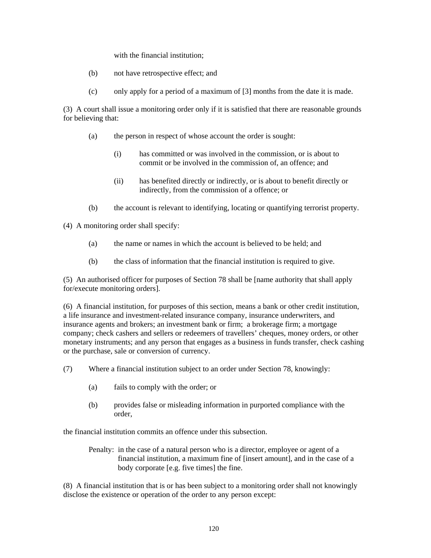with the financial institution;

- (b) not have retrospective effect; and
- (c) only apply for a period of a maximum of [3] months from the date it is made.

(3) A court shall issue a monitoring order only if it is satisfied that there are reasonable grounds for believing that:

- (a) the person in respect of whose account the order is sought:
	- (i) has committed or was involved in the commission, or is about to commit or be involved in the commission of, an offence; and
	- (ii) has benefited directly or indirectly, or is about to benefit directly or indirectly, from the commission of a offence; or
- (b) the account is relevant to identifying, locating or quantifying terrorist property.

(4) A monitoring order shall specify:

- (a) the name or names in which the account is believed to be held; and
- (b) the class of information that the financial institution is required to give.

(5) An authorised officer for purposes of Section 78 shall be [name authority that shall apply for/execute monitoring orders].

(6) A financial institution, for purposes of this section, means a bank or other credit institution, a life insurance and investment-related insurance company, insurance underwriters, and insurance agents and brokers; an investment bank or firm; a brokerage firm; a mortgage company; check cashers and sellers or redeemers of travellers' cheques, money orders, or other monetary instruments; and any person that engages as a business in funds transfer, check cashing or the purchase, sale or conversion of currency.

- (7) Where a financial institution subject to an order under Section 78, knowingly:
	- (a) fails to comply with the order; or
	- (b) provides false or misleading information in purported compliance with the order,

the financial institution commits an offence under this subsection.

Penalty: in the case of a natural person who is a director, employee or agent of a financial institution, a maximum fine of [insert amount], and in the case of a body corporate [e.g. five times] the fine.

(8) A financial institution that is or has been subject to a monitoring order shall not knowingly disclose the existence or operation of the order to any person except: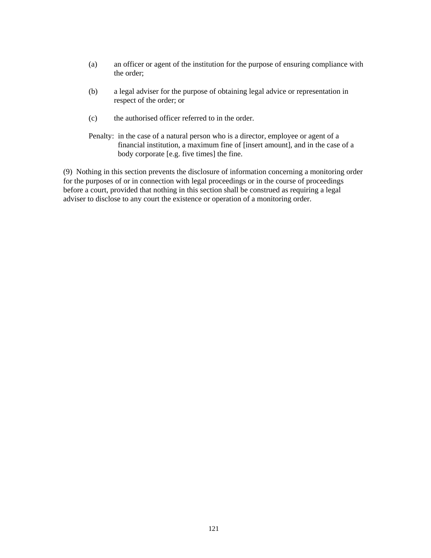- (a) an officer or agent of the institution for the purpose of ensuring compliance with the order;
- (b) a legal adviser for the purpose of obtaining legal advice or representation in respect of the order; or
- (c) the authorised officer referred to in the order.
- Penalty: in the case of a natural person who is a director, employee or agent of a financial institution, a maximum fine of [insert amount], and in the case of a body corporate [e.g. five times] the fine.

(9) Nothing in this section prevents the disclosure of information concerning a monitoring order for the purposes of or in connection with legal proceedings or in the course of proceedings before a court, provided that nothing in this section shall be construed as requiring a legal adviser to disclose to any court the existence or operation of a monitoring order.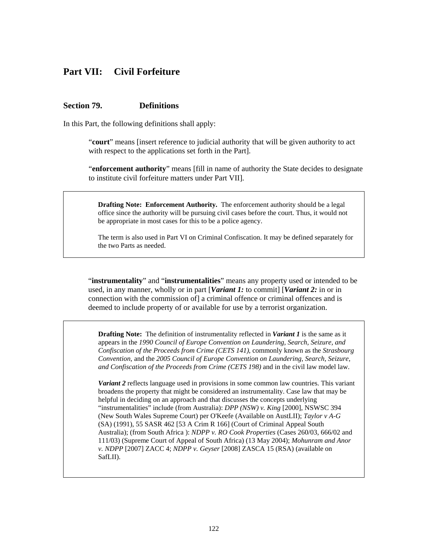# **Part VII: Civil Forfeiture**

#### **Section 79. Definitions**

In this Part, the following definitions shall apply:

"**court**" means [insert reference to judicial authority that will be given authority to act with respect to the applications set forth in the Part].

"**enforcement authority**" means [fill in name of authority the State decides to designate to institute civil forfeiture matters under Part VII].

**Drafting Note: Enforcement Authority.** The enforcement authority should be a legal office since the authority will be pursuing civil cases before the court. Thus, it would not be appropriate in most cases for this to be a police agency.

The term is also used in Part VI on Criminal Confiscation. It may be defined separately for the two Parts as needed.

"**instrumentality**" and "**instrumentalities**" means any property used or intended to be used, in any manner, wholly or in part [*Variant 1:* to commit] [*Variant 2:* in or in connection with the commission of] a criminal offence or criminal offences and is deemed to include property of or available for use by a terrorist organization.

**Drafting Note:** The definition of instrumentality reflected in *Variant 1* is the same as it appears in the *1990 Council of Europe Convention on Laundering, Search, Seizure, and Confiscation of the Proceeds from Crime (CETS 141)*, commonly known as the *Strasbourg Convention,* and the *2005 Council of Europe Convention on Laundering, Search, Seizure, and Confiscation of the Proceeds from Crime (CETS 198)* and in the civil law model law.

*Variant 2* reflects language used in provisions in some common law countries. This variant broadens the property that might be considered an instrumentality. Case law that may be helpful in deciding on an approach and that discusses the concepts underlying "instrumentalities" include (from Australia): *DPP (NSW) v. King* [2000], NSWSC 394 (New South Wales Supreme Court) per O'Keefe (Available on AustLII); *Taylor v A-G* (SA) (1991), 55 SASR 462 [53 A Crim R 166] (Court of Criminal Appeal South Australia); (from South Africa ): *NDPP v. RO Cook Properties* (Cases 260/03, 666/02 and 111/03) (Supreme Court of Appeal of South Africa) (13 May 2004); *Mohunram and Anor v. NDPP* [2007] ZACC 4; *NDPP v. Geyser* [2008] ZASCA 15 (RSA) (available on SafLII).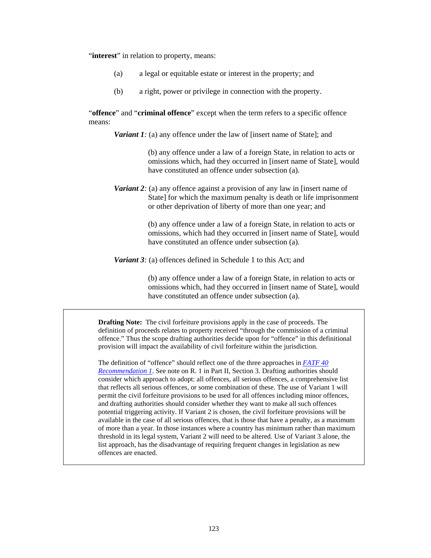"**interest**" in relation to property, means:

- (a) a legal or equitable estate or interest in the property; and
- (b) a right, power or privilege in connection with the property.

"**offence**" and "**criminal offence**" except when the term refers to a specific offence means:

*Variant 1:* (a) any offence under the law of [insert name of State]; and

(b) any offence under a law of a foreign State, in relation to acts or omissions which, had they occurred in [insert name of State], would have constituted an offence under subsection (a).

*Variant 2:* (a) any offence against a provision of any law in [insert name of State] for which the maximum penalty is death or life imprisonment or other deprivation of liberty of more than one year; and

> (b) any offence under a law of a foreign State, in relation to acts or omissions, which had they occurred in [insert name of State], would have constituted an offence under subsection (a).

*Variant 3:* (a) offences defined in Schedule 1 to this Act; and

(b) any offence under a law of a foreign State, in relation to acts or omissions which, had they occurred in [insert name of State], would have constituted an offence under subsection (a).

**Drafting Note:** The civil forfeiture provisions apply in the case of proceeds. The definition of proceeds relates to property received "through the commission of a criminal offence." Thus the scope drafting authorities decide upon for "offence" in this definitional provision will impact the availability of civil forfeiture within the jurisdiction.

The definition of "offence" should reflect one of the three approaches in *[FATF 40](http://www.fatf-gafi.org/dataoecd/7/40/34849567.PDF)  [Recommendation 1](http://www.fatf-gafi.org/dataoecd/7/40/34849567.PDF)*. See note on R. 1 in Part II, Section 3. Drafting authorities should consider which approach to adopt: all offences, all serious offences, a comprehensive list that reflects all serious offences, or some combination of these. The use of Variant 1 will permit the civil forfeiture provisions to be used for all offences including minor offences, and drafting authorities should consider whether they want to make all such offences potential triggering activity. If Variant 2 is chosen, the civil forfeiture provisions will be available in the case of all serious offences, that is those that have a penalty, as a maximum of more than a year. In those instances where a country has minimum rather than maximum threshold in its legal system, Variant 2 will need to be altered. Use of Variant 3 alone, the list approach, has the disadvantage of requiring frequent changes in legislation as new offences are enacted.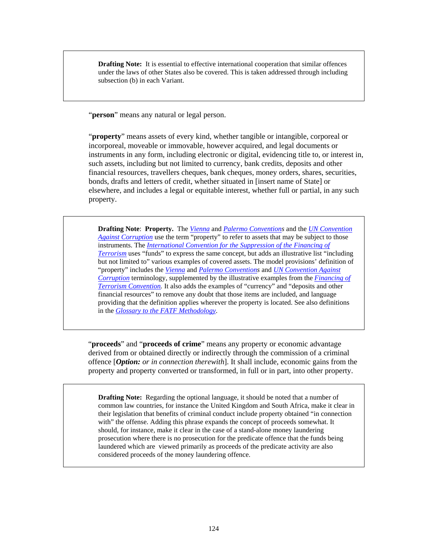**Drafting Note:** It is essential to effective international cooperation that similar offences under the laws of other States also be covered. This is taken addressed through including subsection (b) in each Variant.

"**person**" means any natural or legal person.

"**property**" means assets of every kind, whether tangible or intangible, corporeal or incorporeal, moveable or immovable, however acquired, and legal documents or instruments in any form, including electronic or digital, evidencing title to, or interest in, such assets, including but not limited to currency, bank credits, deposits and other financial resources, travellers cheques, bank cheques, money orders, shares, securities, bonds, drafts and letters of credit, whether situated in [insert name of State] or elsewhere, and includes a legal or equitable interest, whether full or partial, in any such property.

**Drafting Note**: **Property.** The *[Vienna](http://www.unodc.org/pdf/convention_1988_en.pdf)* and *[Palermo Convention](http://www.unodc.org/documents/treaties/UNTOC/Publications/TOC%20Convention/TOCebook-e.pdf)s* and the *[UN Convention](http://www.unodc.org/documents/treaties/UNCAC/Publications/Convention/08-50026_E.pdf)  [Against Corruption](http://www.unodc.org/documents/treaties/UNCAC/Publications/Convention/08-50026_E.pdf)* use the term "property" to refer to assets that may be subject to those instruments. The *[International Convention for the Suppression of the Financing of](http://www.un.org/law/cod/finterr.htm)  [Terrorism](http://www.un.org/law/cod/finterr.htm)* uses "funds" to express the same concept, but adds an illustrative list "including but not limited to" various examples of covered assets. The model provisions' definition of "property" includes the *[Vienna](http://www.unodc.org/pdf/convention_1988_en.pdf)* and *[Palermo Convention](http://www.unodc.org/documents/treaties/UNTOC/Publications/TOC%20Convention/TOCebook-e.pdf)s* and *[UN Convention Against](http://www.unodc.org/documents/treaties/UNCAC/Publications/Convention/08-50026_E.pdf)  [Corruption](http://www.unodc.org/documents/treaties/UNCAC/Publications/Convention/08-50026_E.pdf)* terminology, supplemented by the illustrative examples from the *[Financing of](http://www.un.org/law/cod/finterr.htm)  [Terrorism Convention](http://www.un.org/law/cod/finterr.htm).* It also adds the examples of "currency" and "deposits and other financial resources" to remove any doubt that those items are included, and language providing that the definition applies wherever the property is located. See also definitions in the *[Glossary to the FATF Methodology](http://www.fatf-gafi.org/dataoecd/16/54/40339628.pdf)*.

"**proceeds**" and "**proceeds of crime**" means any property or economic advantage derived from or obtained directly or indirectly through the commission of a criminal offence [*Option: or in connection therewith*]. It shall include, economic gains from the property and property converted or transformed, in full or in part, into other property.

**Drafting Note:** Regarding the optional language, it should be noted that a number of common law countries, for instance the United Kingdom and South Africa, make it clear in their legislation that benefits of criminal conduct include property obtained "in connection with" the offense. Adding this phrase expands the concept of proceeds somewhat. It should, for instance, make it clear in the case of a stand-alone money laundering prosecution where there is no prosecution for the predicate offence that the funds being laundered which are viewed primarily as proceeds of the predicate activity are also considered proceeds of the money laundering offence.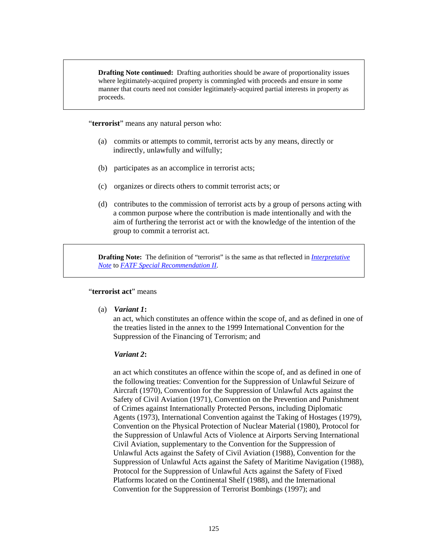**Drafting Note continued:** Drafting authorities should be aware of proportionality issues where legitimately-acquired property is commingled with proceeds and ensure in some manner that courts need not consider legitimately-acquired partial interests in property as proceeds.

"**terrorist**" means any natural person who:

- (a) commits or attempts to commit, terrorist acts by any means, directly or indirectly, unlawfully and wilfully;
- (b) participates as an accomplice in terrorist acts;
- (c) organizes or directs others to commit terrorist acts; or
- (d) contributes to the commission of terrorist acts by a group of persons acting with a common purpose where the contribution is made intentionally and with the aim of furthering the terrorist act or with the knowledge of the intention of the group to commit a terrorist act.

**Drafting Note:** The definition of "terrorist" is the same as that reflected in *[Interpretative](http://www.fatf-gafi.org/document/53/0,3343,en_32250379_32236947_34261877_1_1_1_1,00.html#INSRII)  [Note](http://www.fatf-gafi.org/document/53/0,3343,en_32250379_32236947_34261877_1_1_1_1,00.html#INSRII)* to *[FATF Special Recommendation II](http://www.fatf-gafi.org/document/9/0,3343,en_32250379_32236920_34032073_1_1_1_1,00.html#IICriminalising)*.

#### "**terrorist act**" means

(a) *Variant 1***:**

an act, which constitutes an offence within the scope of, and as defined in one of the treaties listed in the annex to the 1999 International Convention for the Suppression of the Financing of Terrorism; and

#### *Variant 2***:**

an act which constitutes an offence within the scope of, and as defined in one of the following treaties: Convention for the Suppression of Unlawful Seizure of Aircraft (1970), Convention for the Suppression of Unlawful Acts against the Safety of Civil Aviation (1971), Convention on the Prevention and Punishment of Crimes against Internationally Protected Persons, including Diplomatic Agents (1973), International Convention against the Taking of Hostages (1979), Convention on the Physical Protection of Nuclear Material (1980), Protocol for the Suppression of Unlawful Acts of Violence at Airports Serving International Civil Aviation, supplementary to the Convention for the Suppression of Unlawful Acts against the Safety of Civil Aviation (1988), Convention for the Suppression of Unlawful Acts against the Safety of Maritime Navigation (1988), Protocol for the Suppression of Unlawful Acts against the Safety of Fixed Platforms located on the Continental Shelf (1988), and the International Convention for the Suppression of Terrorist Bombings (1997); and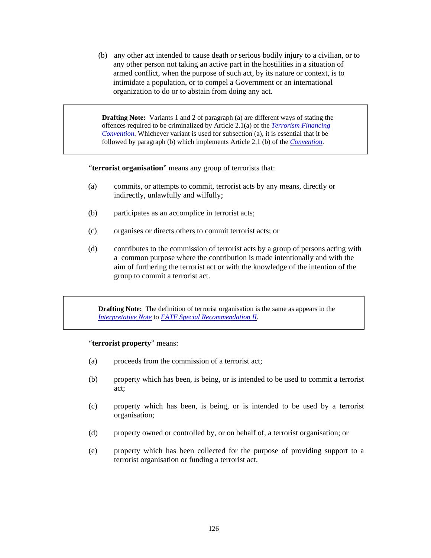(b) any other act intended to cause death or serious bodily injury to a civilian, or to any other person not taking an active part in the hostilities in a situation of armed conflict, when the purpose of such act, by its nature or context, is to intimidate a population, or to compel a Government or an international organization to do or to abstain from doing any act.

**Drafting Note:** Variants 1 and 2 of paragraph (a) are different ways of stating the offences required to be criminalized by Article 2.1(a) of the *[Terrorism Financing](http://www.un.org/law/cod/finterr.htm)  [Convention](http://www.un.org/law/cod/finterr.htm)*. Whichever variant is used for subsection (a), it is essential that it be followed by paragraph (b) which implements Article 2.1 (b) of the *[Conventio](http://www.un.org/law/cod/finterr.htm)*n.

"**terrorist organisation**" means any group of terrorists that:

- (a) commits, or attempts to commit, terrorist acts by any means, directly or indirectly, unlawfully and wilfully;
- (b) participates as an accomplice in terrorist acts;
- (c) organises or directs others to commit terrorist acts; or
- (d) contributes to the commission of terrorist acts by a group of persons acting with a common purpose where the contribution is made intentionally and with the aim of furthering the terrorist act or with the knowledge of the intention of the group to commit a terrorist act.

**Drafting Note:** The definition of terrorist organisation is the same as appears in the *[Interpretative Note](http://www.fatf-gafi.org/document/53/0,3343,en_32250379_32236947_34261877_1_1_1_1,00.html#INSRII)* to *[FATF Special Recommendation II](http://www.fatf-gafi.org/document/9/0,3343,en_32250379_32236920_34032073_1_1_1_1,00.html#IICriminalising)*.

#### "**terrorist property**" means:

- (a) proceeds from the commission of a terrorist act;
- (b) property which has been, is being, or is intended to be used to commit a terrorist act;
- (c) property which has been, is being, or is intended to be used by a terrorist organisation;
- (d) property owned or controlled by, or on behalf of, a terrorist organisation; or
- (e) property which has been collected for the purpose of providing support to a terrorist organisation or funding a terrorist act.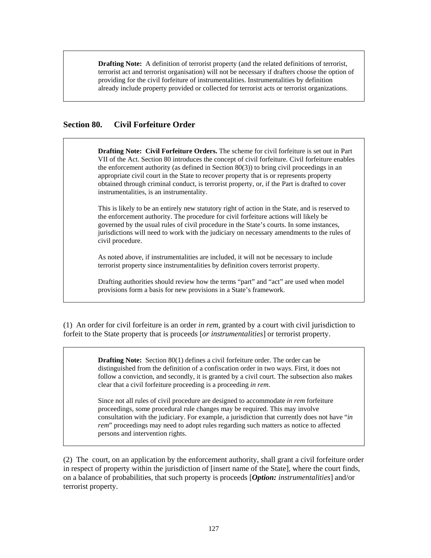**Drafting Note:** A definition of terrorist property (and the related definitions of terrorist, terrorist act and terrorist organisation) will not be necessary if drafters choose the option of providing for the civil forfeiture of instrumentalities. Instrumentalities by definition already include property provided or collected for terrorist acts or terrorist organizations.

### **Section 80. Civil Forfeiture Order**

**Drafting Note: Civil Forfeiture Orders.** The scheme for civil forfeiture is set out in Part VII of the Act. Section 80 introduces the concept of civil forfeiture. Civil forfeiture enables the enforcement authority (as defined in Section 80(3)) to bring civil proceedings in an appropriate civil court in the State to recover property that is or represents property obtained through criminal conduct, is terrorist property, or, if the Part is drafted to cover instrumentalities, is an instrumentality.

This is likely to be an entirely new statutory right of action in the State, and is reserved to the enforcement authority. The procedure for civil forfeiture actions will likely be governed by the usual rules of civil procedure in the State's courts. In some instances, jurisdictions will need to work with the judiciary on necessary amendments to the rules of civil procedure.

As noted above, if instrumentalities are included, it will not be necessary to include terrorist property since instrumentalities by definition covers terrorist property.

Drafting authorities should review how the terms "part" and "act" are used when model provisions form a basis for new provisions in a State's framework.

(1) An order for civil forfeiture is an order *in rem*, granted by a court with civil jurisdiction to forfeit to the State property that is proceeds [*or instrumentalities*] or terrorist property.

> **Drafting Note:** Section 80(1) defines a civil forfeiture order. The order can be distinguished from the definition of a confiscation order in two ways. First, it does not follow a conviction, and secondly, it is granted by a civil court. The subsection also makes clear that a civil forfeiture proceeding is a proceeding *in rem*.

> Since not all rules of civil procedure are designed to accommodate *in rem* forfeiture proceedings, some procedural rule changes may be required. This may involve consultation with the judiciary. For example, a jurisdiction that currently does not have "*in rem*" proceedings may need to adopt rules regarding such matters as notice to affected persons and intervention rights.

(2) The court, on an application by the enforcement authority, shall grant a civil forfeiture order in respect of property within the jurisdiction of [insert name of the State], where the court finds, on a balance of probabilities, that such property is proceeds [*Option: instrumentalities*] and/or terrorist property.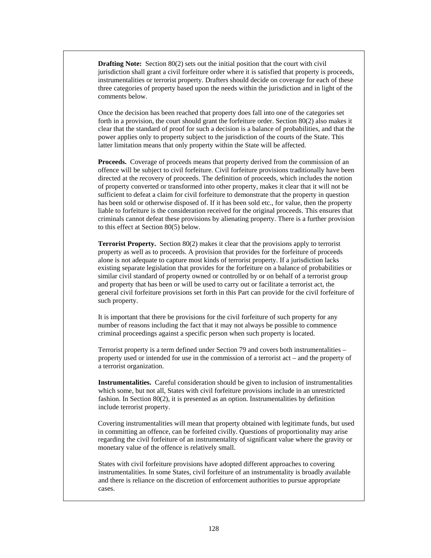**Drafting Note:** Section 80(2) sets out the initial position that the court with civil jurisdiction shall grant a civil forfeiture order where it is satisfied that property is proceeds, instrumentalities or terrorist property. Drafters should decide on coverage for each of these three categories of property based upon the needs within the jurisdiction and in light of the comments below.

Once the decision has been reached that property does fall into one of the categories set forth in a provision, the court should grant the forfeiture order. Section 80(2) also makes it clear that the standard of proof for such a decision is a balance of probabilities, and that the power applies only to property subject to the jurisdiction of the courts of the State. This latter limitation means that only property within the State will be affected.

**Proceeds.** Coverage of proceeds means that property derived from the commission of an offence will be subject to civil forfeiture. Civil forfeiture provisions traditionally have been directed at the recovery of proceeds. The definition of proceeds, which includes the notion of property converted or transformed into other property, makes it clear that it will not be sufficient to defeat a claim for civil forfeiture to demonstrate that the property in question has been sold or otherwise disposed of. If it has been sold etc., for value, then the property liable to forfeiture is the consideration received for the original proceeds. This ensures that criminals cannot defeat these provisions by alienating property. There is a further provision to this effect at Section 80(5) below.

**Terrorist Property.** Section 80(2) makes it clear that the provisions apply to terrorist property as well as to proceeds. A provision that provides for the forfeiture of proceeds alone is not adequate to capture most kinds of terrorist property. If a jurisdiction lacks existing separate legislation that provides for the forfeiture on a balance of probabilities or similar civil standard of property owned or controlled by or on behalf of a terrorist group and property that has been or will be used to carry out or facilitate a terrorist act, the general civil forfeiture provisions set forth in this Part can provide for the civil forfeiture of such property.

It is important that there be provisions for the civil forfeiture of such property for any number of reasons including the fact that it may not always be possible to commence criminal proceedings against a specific person when such property is located.

Terrorist property is a term defined under Section 79 and covers both instrumentalities – property used or intended for use in the commission of a terrorist act – and the property of a terrorist organization.

**Instrumentalities.** Careful consideration should be given to inclusion of instrumentalities which some, but not all, States with civil forfeiture provisions include in an unrestricted fashion. In Section 80(2), it is presented as an option. Instrumentalities by definition include terrorist property.

Covering instrumentalities will mean that property obtained with legitimate funds, but used in committing an offence, can be forfeited civilly. Questions of proportionality may arise regarding the civil forfeiture of an instrumentality of significant value where the gravity or monetary value of the offence is relatively small.

States with civil forfeiture provisions have adopted different approaches to covering instrumentalities. In some States, civil forfeiture of an instrumentality is broadly available and there is reliance on the discretion of enforcement authorities to pursue appropriate cases.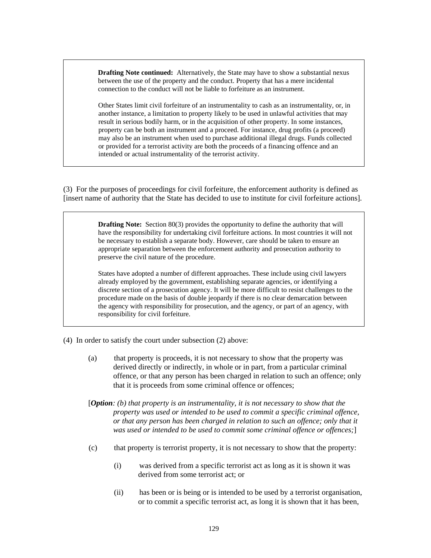**Drafting Note continued:** Alternatively, the State may have to show a substantial nexus between the use of the property and the conduct. Property that has a mere incidental connection to the conduct will not be liable to forfeiture as an instrument.

Other States limit civil forfeiture of an instrumentality to cash as an instrumentality, or, in another instance, a limitation to property likely to be used in unlawful activities that may result in serious bodily harm, or in the acquisition of other property. In some instances, property can be both an instrument and a proceed. For instance, drug profits (a proceed) may also be an instrument when used to purchase additional illegal drugs. Funds collected or provided for a terrorist activity are both the proceeds of a financing offence and an intended or actual instrumentality of the terrorist activity.

(3) For the purposes of proceedings for civil forfeiture, the enforcement authority is defined as [insert name of authority that the State has decided to use to institute for civil forfeiture actions].

> **Drafting Note:** Section 80(3) provides the opportunity to define the authority that will have the responsibility for undertaking civil forfeiture actions. In most countries it will not be necessary to establish a separate body. However, care should be taken to ensure an appropriate separation between the enforcement authority and prosecution authority to preserve the civil nature of the procedure.

> States have adopted a number of different approaches. These include using civil lawyers already employed by the government, establishing separate agencies, or identifying a discrete section of a prosecution agency. It will be more difficult to resist challenges to the procedure made on the basis of double jeopardy if there is no clear demarcation between the agency with responsibility for prosecution, and the agency, or part of an agency, with responsibility for civil forfeiture.

- (4) In order to satisfy the court under subsection (2) above:
	- (a) that property is proceeds, it is not necessary to show that the property was derived directly or indirectly, in whole or in part, from a particular criminal offence, or that any person has been charged in relation to such an offence; only that it is proceeds from some criminal offence or offences;
	- [*Option: (b) that property is an instrumentality, it is not necessary to show that the property was used or intended to be used to commit a specific criminal offence, or that any person has been charged in relation to such an offence; only that it was used or intended to be used to commit some criminal offence or offences;*
	- (c) that property is terrorist property, it is not necessary to show that the property:
		- (i) was derived from a specific terrorist act as long as it is shown it was derived from some terrorist act; or
		- (ii) has been or is being or is intended to be used by a terrorist organisation, or to commit a specific terrorist act, as long it is shown that it has been,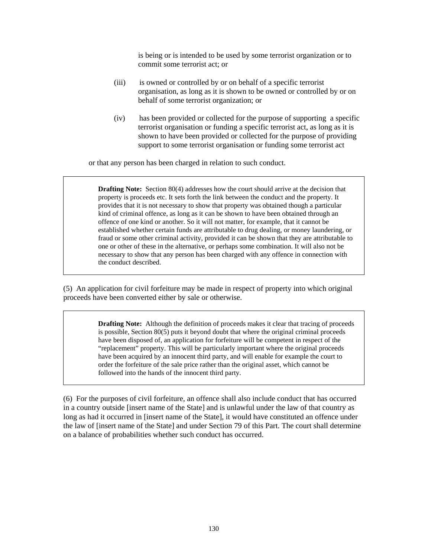is being or is intended to be used by some terrorist organization or to commit some terrorist act; or

- (iii) is owned or controlled by or on behalf of a specific terrorist organisation, as long as it is shown to be owned or controlled by or on behalf of some terrorist organization; or
- (iv) has been provided or collected for the purpose of supporting a specific terrorist organisation or funding a specific terrorist act, as long as it is shown to have been provided or collected for the purpose of providing support to some terrorist organisation or funding some terrorist act

or that any person has been charged in relation to such conduct.

**Drafting Note:** Section 80(4) addresses how the court should arrive at the decision that property is proceeds etc. It sets forth the link between the conduct and the property. It provides that it is not necessary to show that property was obtained though a particular kind of criminal offence, as long as it can be shown to have been obtained through an offence of one kind or another. So it will not matter, for example, that it cannot be established whether certain funds are attributable to drug dealing, or money laundering, or fraud or some other criminal activity, provided it can be shown that they are attributable to one or other of these in the alternative, or perhaps some combination. It will also not be necessary to show that any person has been charged with any offence in connection with the conduct described.

(5) An application for civil forfeiture may be made in respect of property into which original proceeds have been converted either by sale or otherwise.

> **Drafting Note:** Although the definition of proceeds makes it clear that tracing of proceeds is possible, Section 80(5) puts it beyond doubt that where the original criminal proceeds have been disposed of, an application for forfeiture will be competent in respect of the "replacement" property. This will be particularly important where the original proceeds have been acquired by an innocent third party, and will enable for example the court to order the forfeiture of the sale price rather than the original asset, which cannot be followed into the hands of the innocent third party.

(6) For the purposes of civil forfeiture, an offence shall also include conduct that has occurred in a country outside [insert name of the State] and is unlawful under the law of that country as long as had it occurred in [insert name of the State], it would have constituted an offence under the law of [insert name of the State] and under Section 79 of this Part. The court shall determine on a balance of probabilities whether such conduct has occurred.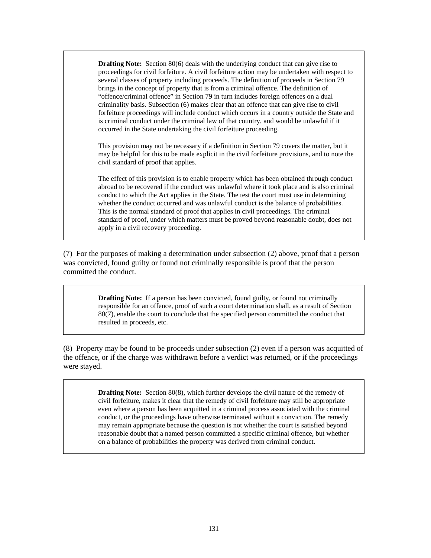**Drafting Note:** Section 80(6) deals with the underlying conduct that can give rise to proceedings for civil forfeiture. A civil forfeiture action may be undertaken with respect to several classes of property including proceeds. The definition of proceeds in Section 79 brings in the concept of property that is from a criminal offence. The definition of "offence/criminal offence" in Section 79 in turn includes foreign offences on a dual criminality basis. Subsection (6) makes clear that an offence that can give rise to civil forfeiture proceedings will include conduct which occurs in a country outside the State and is criminal conduct under the criminal law of that country, and would be unlawful if it occurred in the State undertaking the civil forfeiture proceeding.

This provision may not be necessary if a definition in Section 79 covers the matter, but it may be helpful for this to be made explicit in the civil forfeiture provisions, and to note the civil standard of proof that applies.

The effect of this provision is to enable property which has been obtained through conduct abroad to be recovered if the conduct was unlawful where it took place and is also criminal conduct to which the Act applies in the State. The test the court must use in determining whether the conduct occurred and was unlawful conduct is the balance of probabilities. This is the normal standard of proof that applies in civil proceedings. The criminal standard of proof, under which matters must be proved beyond reasonable doubt, does not apply in a civil recovery proceeding.

(7) For the purposes of making a determination under subsection (2) above, proof that a person was convicted, found guilty or found not criminally responsible is proof that the person committed the conduct.

> **Drafting Note:** If a person has been convicted, found guilty, or found not criminally responsible for an offence, proof of such a court determination shall, as a result of Section 80(7), enable the court to conclude that the specified person committed the conduct that resulted in proceeds, etc.

(8) Property may be found to be proceeds under subsection (2) even if a person was acquitted of the offence, or if the charge was withdrawn before a verdict was returned, or if the proceedings were stayed.

> **Drafting Note:** Section 80(8), which further develops the civil nature of the remedy of civil forfeiture, makes it clear that the remedy of civil forfeiture may still be appropriate even where a person has been acquitted in a criminal process associated with the criminal conduct, or the proceedings have otherwise terminated without a conviction. The remedy may remain appropriate because the question is not whether the court is satisfied beyond reasonable doubt that a named person committed a specific criminal offence, but whether on a balance of probabilities the property was derived from criminal conduct.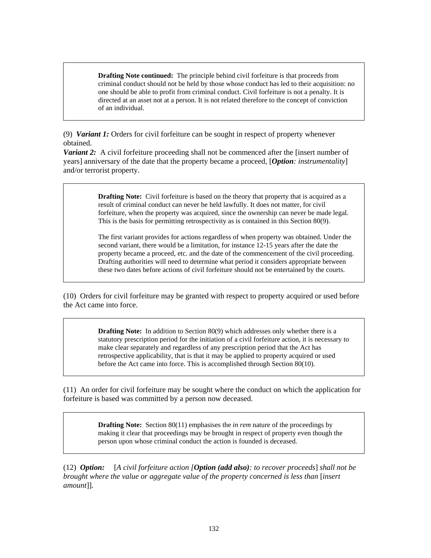**Drafting Note continued:** The principle behind civil forfeiture is that proceeds from criminal conduct should not be held by those whose conduct has led to their acquisition: no one should be able to profit from criminal conduct. Civil forfeiture is not a penalty. It is directed at an asset not at a person. It is not related therefore to the concept of conviction of an individual.

(9) *Variant 1:* Orders for civil forfeiture can be sought in respect of property whenever obtained.

*Variant 2:* A civil forfeiture proceeding shall not be commenced after the [insert number of years] anniversary of the date that the property became a proceed, [*Option: instrumentality*] and/or terrorist property.

> **Drafting Note:** Civil forfeiture is based on the theory that property that is acquired as a result of criminal conduct can never be held lawfully. It does not matter, for civil forfeiture, when the property was acquired, since the ownership can never be made legal. This is the basis for permitting retrospectivity as is contained in this Section 80(9).

The first variant provides for actions regardless of when property was obtained. Under the second variant, there would be a limitation, for instance 12-15 years after the date the property became a proceed, etc. and the date of the commencement of the civil proceeding. Drafting authorities will need to determine what period it considers appropriate between these two dates before actions of civil forfeiture should not be entertained by the courts.

(10) Orders for civil forfeiture may be granted with respect to property acquired or used before the Act came into force.

> **Drafting Note:** In addition to Section 80(9) which addresses only whether there is a statutory prescription period for the initiation of a civil forfeiture action, it is necessary to make clear separately and regardless of any prescription period that the Act has retrospective applicability, that is that it may be applied to property acquired or used before the Act came into force. This is accomplished through Section 80(10).

(11) An order for civil forfeiture may be sought where the conduct on which the application for forfeiture is based was committed by a person now deceased.

> **Drafting Note:** Section 80(11) emphasises the *in rem* nature of the proceedings by making it clear that proceedings may be brought in respect of property even though the person upon whose criminal conduct the action is founded is deceased.

(12) *Option:* [*A civil forfeiture action [Option (add also): to recover proceeds*] *shall not be brought where the value or aggregate value of the property concerned is less than* [*insert amount*]].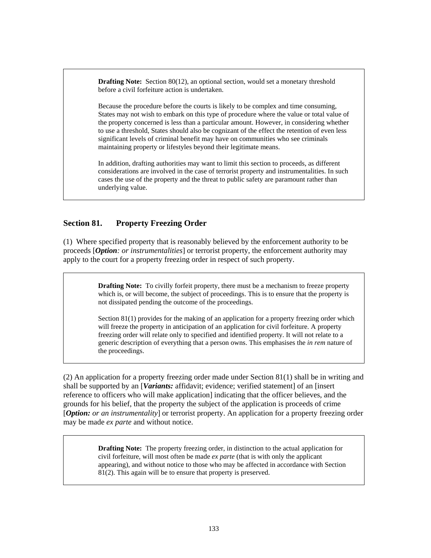**Drafting Note:** Section 80(12), an optional section, would set a monetary threshold before a civil forfeiture action is undertaken.

Because the procedure before the courts is likely to be complex and time consuming, States may not wish to embark on this type of procedure where the value or total value of the property concerned is less than a particular amount. However, in considering whether to use a threshold, States should also be cognizant of the effect the retention of even less significant levels of criminal benefit may have on communities who see criminals maintaining property or lifestyles beyond their legitimate means.

In addition, drafting authorities may want to limit this section to proceeds, as different considerations are involved in the case of terrorist property and instrumentalities. In such cases the use of the property and the threat to public safety are paramount rather than underlying value.

# **Section 81. Property Freezing Order**

(1) Where specified property that is reasonably believed by the enforcement authority to be proceeds [*Option: or instrumentalities*] or terrorist property, the enforcement authority may apply to the court for a property freezing order in respect of such property.

> **Drafting Note:** To civilly forfeit property, there must be a mechanism to freeze property which is, or will become, the subject of proceedings. This is to ensure that the property is not dissipated pending the outcome of the proceedings.

Section 81(1) provides for the making of an application for a property freezing order which will freeze the property in anticipation of an application for civil forfeiture. A property freezing order will relate only to specified and identified property. It will not relate to a generic description of everything that a person owns. This emphasises the *in rem* nature of the proceedings.

(2) An application for a property freezing order made under Section 81(1) shall be in writing and shall be supported by an [*Variants:* affidavit; evidence; verified statement] of an [insert reference to officers who will make application] indicating that the officer believes, and the grounds for his belief, that the property the subject of the application is proceeds of crime [*Option: or an instrumentality*] or terrorist property. An application for a property freezing order may be made *ex parte* and without notice.

> **Drafting Note:** The property freezing order, in distinction to the actual application for civil forfeiture, will most often be made *ex parte* (that is with only the applicant appearing), and without notice to those who may be affected in accordance with Section 81(2). This again will be to ensure that property is preserved.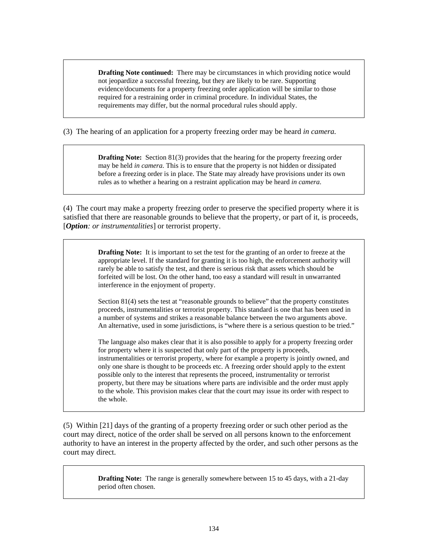**Drafting Note continued:** There may be circumstances in which providing notice would not jeopardize a successful freezing, but they are likely to be rare. Supporting evidence/documents for a property freezing order application will be similar to those required for a restraining order in criminal procedure. In individual States, the requirements may differ, but the normal procedural rules should apply.

(3) The hearing of an application for a property freezing order may be heard *in camera.* 

**Drafting Note:** Section 81(3) provides that the hearing for the property freezing order may be held *in camera*. This is to ensure that the property is not hidden or dissipated before a freezing order is in place. The State may already have provisions under its own rules as to whether a hearing on a restraint application may be heard *in camera*.

(4) The court may make a property freezing order to preserve the specified property where it is satisfied that there are reasonable grounds to believe that the property, or part of it, is proceeds, [*Option: or instrumentalities*] or terrorist property.

> **Drafting Note:** It is important to set the test for the granting of an order to freeze at the appropriate level. If the standard for granting it is too high, the enforcement authority will rarely be able to satisfy the test, and there is serious risk that assets which should be forfeited will be lost. On the other hand, too easy a standard will result in unwarranted interference in the enjoyment of property.

Section 81(4) sets the test at "reasonable grounds to believe" that the property constitutes proceeds, instrumentalities or terrorist property. This standard is one that has been used in a number of systems and strikes a reasonable balance between the two arguments above. An alternative, used in some jurisdictions, is "where there is a serious question to be tried."

The language also makes clear that it is also possible to apply for a property freezing order for property where it is suspected that only part of the property is proceeds, instrumentalities or terrorist property, where for example a property is jointly owned, and only one share is thought to be proceeds etc. A freezing order should apply to the extent possible only to the interest that represents the proceed, instrumentality or terrorist property, but there may be situations where parts are indivisible and the order must apply to the whole. This provision makes clear that the court may issue its order with respect to the whole.

(5) Within [21] days of the granting of a property freezing order or such other period as the court may direct, notice of the order shall be served on all persons known to the enforcement authority to have an interest in the property affected by the order, and such other persons as the court may direct.

> **Drafting Note:** The range is generally somewhere between 15 to 45 days, with a 21-day period often chosen.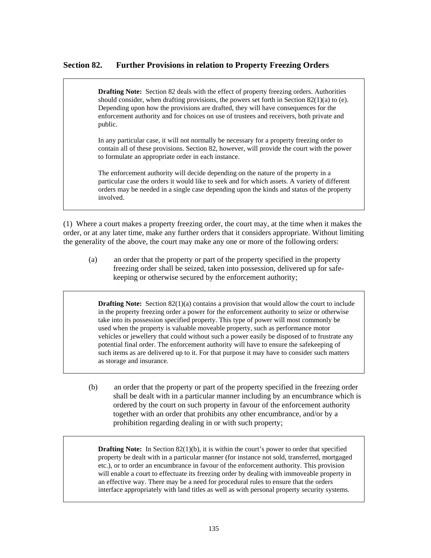## **Section 82. Further Provisions in relation to Property Freezing Orders**

**Drafting Note:** Section 82 deals with the effect of property freezing orders. Authorities should consider, when drafting provisions, the powers set forth in Section  $82(1)(a)$  to (e). Depending upon how the provisions are drafted, they will have consequences for the enforcement authority and for choices on use of trustees and receivers, both private and public.

In any particular case, it will not normally be necessary for a property freezing order to contain all of these provisions. Section 82, however, will provide the court with the power to formulate an appropriate order in each instance.

The enforcement authority will decide depending on the nature of the property in a particular case the orders it would like to seek and for which assets. A variety of different orders may be needed in a single case depending upon the kinds and status of the property involved.

(1) Where a court makes a property freezing order, the court may, at the time when it makes the order, or at any later time, make any further orders that it considers appropriate. Without limiting the generality of the above, the court may make any one or more of the following orders:

(a) an order that the property or part of the property specified in the property freezing order shall be seized, taken into possession, delivered up for safekeeping or otherwise secured by the enforcement authority;

**Drafting Note:** Section 82(1)(a) contains a provision that would allow the court to include in the property freezing order a power for the enforcement authority to seize or otherwise take into its possession specified property. This type of power will most commonly be used when the property is valuable moveable property, such as performance motor vehicles or jewellery that could without such a power easily be disposed of to frustrate any potential final order. The enforcement authority will have to ensure the safekeeping of such items as are delivered up to it. For that purpose it may have to consider such matters as storage and insurance.

(b) an order that the property or part of the property specified in the freezing order shall be dealt with in a particular manner including by an encumbrance which is ordered by the court on such property in favour of the enforcement authority together with an order that prohibits any other encumbrance, and/or by a prohibition regarding dealing in or with such property;

**Drafting Note:** In Section 82(1)(b), it is within the court's power to order that specified property be dealt with in a particular manner (for instance not sold, transferred, mortgaged etc.), or to order an encumbrance in favour of the enforcement authority. This provision will enable a court to effectuate its freezing order by dealing with immoveable property in an effective way. There may be a need for procedural rules to ensure that the orders interface appropriately with land titles as well as with personal property security systems.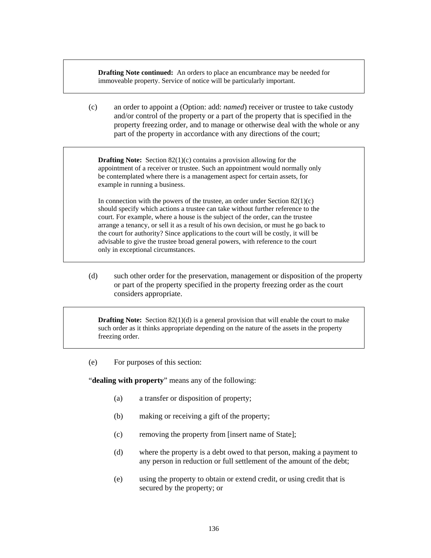**Drafting Note continued:** An orders to place an encumbrance may be needed for immoveable property. Service of notice will be particularly important.

(c) an order to appoint a (Option: add: *named*) receiver or trustee to take custody and/or control of the property or a part of the property that is specified in the property freezing order, and to manage or otherwise deal with the whole or any part of the property in accordance with any directions of the court;

**Drafting Note:** Section 82(1)(c) contains a provision allowing for the appointment of a receiver or trustee. Such an appointment would normally only be contemplated where there is a management aspect for certain assets, for example in running a business.

In connection with the powers of the trustee, an order under Section  $82(1)(c)$ should specify which actions a trustee can take without further reference to the court. For example, where a house is the subject of the order, can the trustee arrange a tenancy, or sell it as a result of his own decision, or must he go back to the court for authority? Since applications to the court will be costly, it will be advisable to give the trustee broad general powers, with reference to the court only in exceptional circumstances.

(d) such other order for the preservation, management or disposition of the property or part of the property specified in the property freezing order as the court considers appropriate.

**Drafting Note:** Section 82(1)(d) is a general provision that will enable the court to make such order as it thinks appropriate depending on the nature of the assets in the property freezing order.

(e) For purposes of this section:

"**dealing with property**" means any of the following:

- (a) a transfer or disposition of property;
- (b) making or receiving a gift of the property;
- (c) removing the property from [insert name of State];
- (d) where the property is a debt owed to that person, making a payment to any person in reduction or full settlement of the amount of the debt;
- (e) using the property to obtain or extend credit, or using credit that is secured by the property; or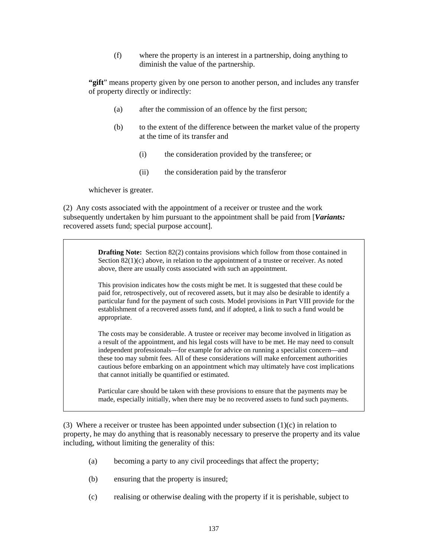(f) where the property is an interest in a partnership, doing anything to diminish the value of the partnership.

**"gift**" means property given by one person to another person, and includes any transfer of property directly or indirectly:

- (a) after the commission of an offence by the first person;
- (b) to the extent of the difference between the market value of the property at the time of its transfer and
	- (i) the consideration provided by the transferee; or
	- (ii) the consideration paid by the transferor

whichever is greater.

(2) Any costs associated with the appointment of a receiver or trustee and the work subsequently undertaken by him pursuant to the appointment shall be paid from [*Variants:* recovered assets fund; special purpose account].

> **Drafting Note:** Section 82(2) contains provisions which follow from those contained in Section 82(1)(c) above, in relation to the appointment of a trustee or receiver. As noted above, there are usually costs associated with such an appointment.

This provision indicates how the costs might be met. It is suggested that these could be paid for, retrospectively, out of recovered assets, but it may also be desirable to identify a particular fund for the payment of such costs. Model provisions in Part VIII provide for the establishment of a recovered assets fund, and if adopted, a link to such a fund would be appropriate.

The costs may be considerable. A trustee or receiver may become involved in litigation as a result of the appointment, and his legal costs will have to be met. He may need to consult independent professionals—for example for advice on running a specialist concern—and these too may submit fees. All of these considerations will make enforcement authorities cautious before embarking on an appointment which may ultimately have cost implications that cannot initially be quantified or estimated.

Particular care should be taken with these provisions to ensure that the payments may be made, especially initially, when there may be no recovered assets to fund such payments.

(3) Where a receiver or trustee has been appointed under subsection  $(1)(c)$  in relation to property, he may do anything that is reasonably necessary to preserve the property and its value including, without limiting the generality of this:

- (a) becoming a party to any civil proceedings that affect the property;
- (b) ensuring that the property is insured;
- (c) realising or otherwise dealing with the property if it is perishable, subject to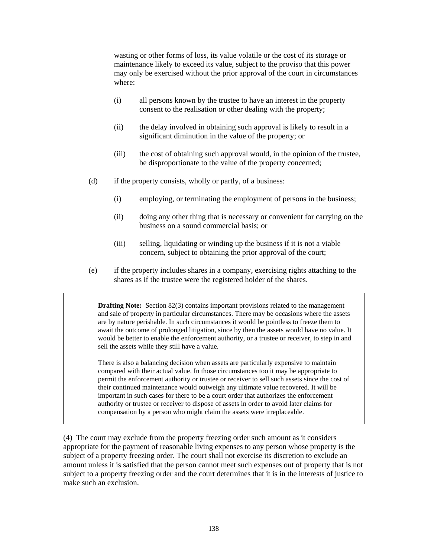wasting or other forms of loss, its value volatile or the cost of its storage or maintenance likely to exceed its value, subject to the proviso that this power may only be exercised without the prior approval of the court in circumstances where:

- (i) all persons known by the trustee to have an interest in the property consent to the realisation or other dealing with the property;
- (ii) the delay involved in obtaining such approval is likely to result in a significant diminution in the value of the property; or
- (iii) the cost of obtaining such approval would, in the opinion of the trustee, be disproportionate to the value of the property concerned;
- (d) if the property consists, wholly or partly, of a business:
	- (i) employing, or terminating the employment of persons in the business;
	- (ii) doing any other thing that is necessary or convenient for carrying on the business on a sound commercial basis; or
	- (iii) selling, liquidating or winding up the business if it is not a viable concern, subject to obtaining the prior approval of the court;
- (e) if the property includes shares in a company, exercising rights attaching to the shares as if the trustee were the registered holder of the shares.

**Drafting Note:** Section 82(3) contains important provisions related to the management and sale of property in particular circumstances. There may be occasions where the assets are by nature perishable. In such circumstances it would be pointless to freeze them to await the outcome of prolonged litigation, since by then the assets would have no value. It would be better to enable the enforcement authority, or a trustee or receiver, to step in and sell the assets while they still have a value.

There is also a balancing decision when assets are particularly expensive to maintain compared with their actual value. In those circumstances too it may be appropriate to permit the enforcement authority or trustee or receiver to sell such assets since the cost of their continued maintenance would outweigh any ultimate value recovered. It will be important in such cases for there to be a court order that authorizes the enforcement authority or trustee or receiver to dispose of assets in order to avoid later claims for compensation by a person who might claim the assets were irreplaceable.

(4) The court may exclude from the property freezing order such amount as it considers appropriate for the payment of reasonable living expenses to any person whose property is the subject of a property freezing order. The court shall not exercise its discretion to exclude an amount unless it is satisfied that the person cannot meet such expenses out of property that is not subject to a property freezing order and the court determines that it is in the interests of justice to make such an exclusion.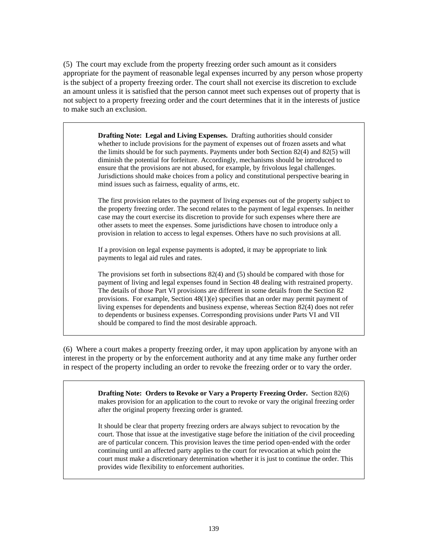(5) The court may exclude from the property freezing order such amount as it considers appropriate for the payment of reasonable legal expenses incurred by any person whose property is the subject of a property freezing order. The court shall not exercise its discretion to exclude an amount unless it is satisfied that the person cannot meet such expenses out of property that is not subject to a property freezing order and the court determines that it in the interests of justice to make such an exclusion.

> **Drafting Note: Legal and Living Expenses.** Drafting authorities should consider whether to include provisions for the payment of expenses out of frozen assets and what the limits should be for such payments. Payments under both Section 82(4) and 82(5) will diminish the potential for forfeiture. Accordingly, mechanisms should be introduced to ensure that the provisions are not abused, for example, by frivolous legal challenges. Jurisdictions should make choices from a policy and constitutional perspective bearing in mind issues such as fairness, equality of arms, etc.

The first provision relates to the payment of living expenses out of the property subject to the property freezing order. The second relates to the payment of legal expenses. In neither case may the court exercise its discretion to provide for such expenses where there are other assets to meet the expenses. Some jurisdictions have chosen to introduce only a provision in relation to access to legal expenses. Others have no such provisions at all.

If a provision on legal expense payments is adopted, it may be appropriate to link payments to legal aid rules and rates.

The provisions set forth in subsections 82(4) and (5) should be compared with those for payment of living and legal expenses found in Section 48 dealing with restrained property. The details of those Part VI provisions are different in some details from the Section 82 provisions. For example, Section 48(1)(e) specifies that an order may permit payment of living expenses for dependents and business expense, whereas Section 82(4) does not refer to dependents or business expenses. Corresponding provisions under Parts VI and VII should be compared to find the most desirable approach.

(6) Where a court makes a property freezing order, it may upon application by anyone with an interest in the property or by the enforcement authority and at any time make any further order in respect of the property including an order to revoke the freezing order or to vary the order.

> **Drafting Note: Orders to Revoke or Vary a Property Freezing Order.** Section 82(6) makes provision for an application to the court to revoke or vary the original freezing order after the original property freezing order is granted.

> It should be clear that property freezing orders are always subject to revocation by the court. Those that issue at the investigative stage before the initiation of the civil proceeding are of particular concern. This provision leaves the time period open-ended with the order continuing until an affected party applies to the court for revocation at which point the court must make a discretionary determination whether it is just to continue the order. This provides wide flexibility to enforcement authorities.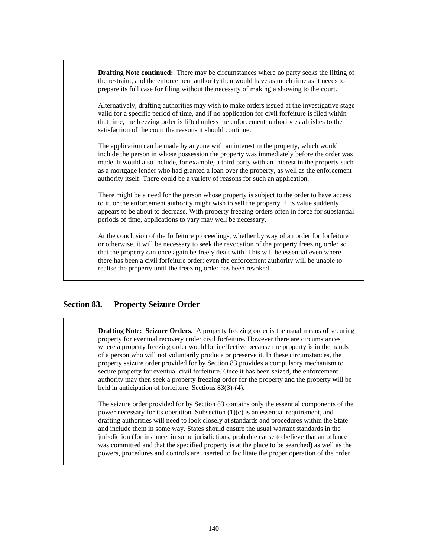**Drafting Note continued:** There may be circumstances where no party seeks the lifting of the restraint, and the enforcement authority then would have as much time as it needs to prepare its full case for filing without the necessity of making a showing to the court.

Alternatively, drafting authorities may wish to make orders issued at the investigative stage valid for a specific period of time, and if no application for civil forfeiture is filed within that time, the freezing order is lifted unless the enforcement authority establishes to the satisfaction of the court the reasons it should continue.

The application can be made by anyone with an interest in the property, which would include the person in whose possession the property was immediately before the order was made. It would also include, for example, a third party with an interest in the property such as a mortgage lender who had granted a loan over the property, as well as the enforcement authority itself. There could be a variety of reasons for such an application.

There might be a need for the person whose property is subject to the order to have access to it, or the enforcement authority might wish to sell the property if its value suddenly appears to be about to decrease. With property freezing orders often in force for substantial periods of time, applications to vary may well be necessary.

At the conclusion of the forfeiture proceedings, whether by way of an order for forfeiture or otherwise, it will be necessary to seek the revocation of the property freezing order so that the property can once again be freely dealt with. This will be essential even where there has been a civil forfeiture order: even the enforcement authority will be unable to realise the property until the freezing order has been revoked.

## **Section 83. Property Seizure Order**

**Drafting Note: Seizure Orders.** A property freezing order is the usual means of securing property for eventual recovery under civil forfeiture. However there are circumstances where a property freezing order would be ineffective because the property is in the hands of a person who will not voluntarily produce or preserve it. In these circumstances, the property seizure order provided for by Section 83 provides a compulsory mechanism to secure property for eventual civil forfeiture. Once it has been seized, the enforcement authority may then seek a property freezing order for the property and the property will be held in anticipation of forfeiture. Sections 83(3)-(4).

The seizure order provided for by Section 83 contains only the essential components of the power necessary for its operation. Subsection (1)(c) is an essential requirement, and drafting authorities will need to look closely at standards and procedures within the State and include them in some way. States should ensure the usual warrant standards in the jurisdiction (for instance, in some jurisdictions, probable cause to believe that an offence was committed and that the specified property is at the place to be searched) as well as the powers, procedures and controls are inserted to facilitate the proper operation of the order.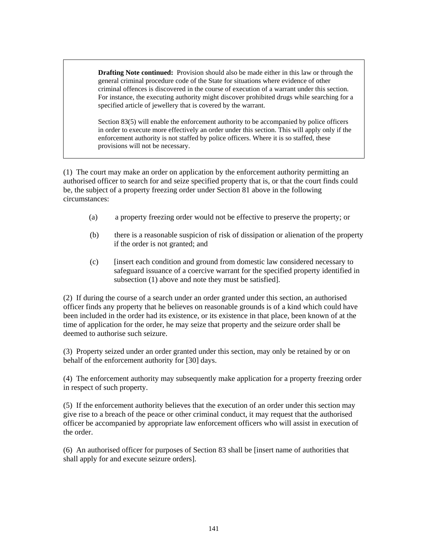**Drafting Note continued:** Provision should also be made either in this law or through the general criminal procedure code of the State for situations where evidence of other criminal offences is discovered in the course of execution of a warrant under this section. For instance, the executing authority might discover prohibited drugs while searching for a specified article of jewellery that is covered by the warrant.

Section 83(5) will enable the enforcement authority to be accompanied by police officers in order to execute more effectively an order under this section. This will apply only if the enforcement authority is not staffed by police officers. Where it is so staffed, these provisions will not be necessary.

(1) The court may make an order on application by the enforcement authority permitting an authorised officer to search for and seize specified property that is, or that the court finds could be, the subject of a property freezing order under Section 81 above in the following circumstances:

- (a) a property freezing order would not be effective to preserve the property; or
- (b) there is a reasonable suspicion of risk of dissipation or alienation of the property if the order is not granted; and
- (c) [insert each condition and ground from domestic law considered necessary to safeguard issuance of a coercive warrant for the specified property identified in subsection (1) above and note they must be satisfied].

(2) If during the course of a search under an order granted under this section, an authorised officer finds any property that he believes on reasonable grounds is of a kind which could have been included in the order had its existence, or its existence in that place, been known of at the time of application for the order, he may seize that property and the seizure order shall be deemed to authorise such seizure.

(3) Property seized under an order granted under this section, may only be retained by or on behalf of the enforcement authority for [30] days.

(4) The enforcement authority may subsequently make application for a property freezing order in respect of such property.

(5) If the enforcement authority believes that the execution of an order under this section may give rise to a breach of the peace or other criminal conduct, it may request that the authorised officer be accompanied by appropriate law enforcement officers who will assist in execution of the order.

(6) An authorised officer for purposes of Section 83 shall be [insert name of authorities that shall apply for and execute seizure orders].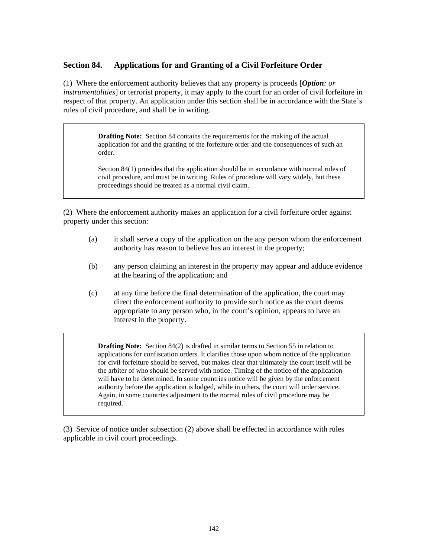## **Section 84. Applications for and Granting of a Civil Forfeiture Order**

(1) Where the enforcement authority believes that any property is proceeds [*Option: or instrumentalities*] or terrorist property, it may apply to the court for an order of civil forfeiture in respect of that property. An application under this section shall be in accordance with the State's rules of civil procedure, and shall be in writing.

> **Drafting Note:** Section 84 contains the requirements for the making of the actual application for and the granting of the forfeiture order and the consequences of such an order.

Section 84(1) provides that the application should be in accordance with normal rules of civil procedure, and must be in writing. Rules of procedure will vary widely, but these proceedings should be treated as a normal civil claim.

(2) Where the enforcement authority makes an application for a civil forfeiture order against property under this section:

- (a) it shall serve a copy of the application on the any person whom the enforcement authority has reason to believe has an interest in the property;
- (b) any person claiming an interest in the property may appear and adduce evidence at the hearing of the application; and
- (c) at any time before the final determination of the application, the court may direct the enforcement authority to provide such notice as the court deems appropriate to any person who, in the court's opinion, appears to have an interest in the property.

**Drafting Note:** Section 84(2) is drafted in similar terms to Section 55 in relation to applications for confiscation orders. It clarifies those upon whom notice of the application for civil forfeiture should be served, but makes clear that ultimately the court itself will be the arbiter of who should be served with notice. Timing of the notice of the application will have to be determined. In some countries notice will be given by the enforcement authority before the application is lodged, while in others, the court will order service. Again, in some countries adjustment to the normal rules of civil procedure may be required.

(3) Service of notice under subsection (2) above shall be effected in accordance with rules applicable in civil court proceedings.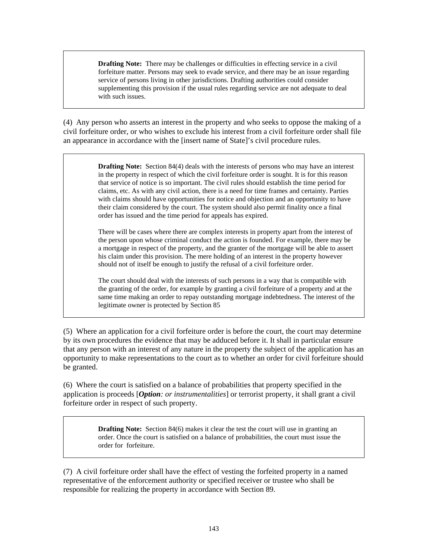**Drafting Note:** There may be challenges or difficulties in effecting service in a civil forfeiture matter. Persons may seek to evade service, and there may be an issue regarding service of persons living in other jurisdictions. Drafting authorities could consider supplementing this provision if the usual rules regarding service are not adequate to deal with such issues.

(4) Any person who asserts an interest in the property and who seeks to oppose the making of a civil forfeiture order, or who wishes to exclude his interest from a civil forfeiture order shall file an appearance in accordance with the [insert name of State]'s civil procedure rules.

> **Drafting Note:** Section 84(4) deals with the interests of persons who may have an interest in the property in respect of which the civil forfeiture order is sought. It is for this reason that service of notice is so important. The civil rules should establish the time period for claims, etc. As with any civil action, there is a need for time frames and certainty. Parties with claims should have opportunities for notice and objection and an opportunity to have their claim considered by the court. The system should also permit finality once a final order has issued and the time period for appeals has expired.

> There will be cases where there are complex interests in property apart from the interest of the person upon whose criminal conduct the action is founded. For example, there may be a mortgage in respect of the property, and the granter of the mortgage will be able to assert his claim under this provision. The mere holding of an interest in the property however should not of itself be enough to justify the refusal of a civil forfeiture order.

> The court should deal with the interests of such persons in a way that is compatible with the granting of the order, for example by granting a civil forfeiture of a property and at the same time making an order to repay outstanding mortgage indebtedness. The interest of the legitimate owner is protected by Section 85

(5) Where an application for a civil forfeiture order is before the court, the court may determine by its own procedures the evidence that may be adduced before it. It shall in particular ensure that any person with an interest of any nature in the property the subject of the application has an opportunity to make representations to the court as to whether an order for civil forfeiture should be granted.

(6) Where the court is satisfied on a balance of probabilities that property specified in the application is proceeds [*Option: or instrumentalities*] or terrorist property, it shall grant a civil forfeiture order in respect of such property.

> **Drafting Note:** Section 84(6) makes it clear the test the court will use in granting an order. Once the court is satisfied on a balance of probabilities, the court must issue the order for forfeiture.

(7) A civil forfeiture order shall have the effect of vesting the forfeited property in a named representative of the enforcement authority or specified receiver or trustee who shall be responsible for realizing the property in accordance with Section 89.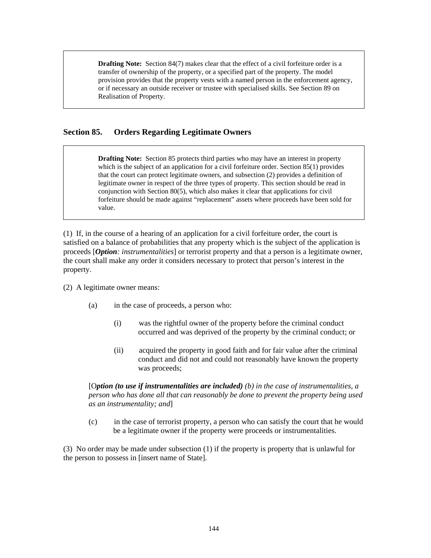**Drafting Note:** Section 84(7) makes clear that the effect of a civil forfeiture order is a transfer of ownership of the property, or a specified part of the property. The model provision provides that the property vests with a named person in the enforcement agency, or if necessary an outside receiver or trustee with specialised skills. See Section 89 on Realisation of Property.

## **Section 85. Orders Regarding Legitimate Owners**

**Drafting Note:** Section 85 protects third parties who may have an interest in property which is the subject of an application for a civil forfeiture order. Section 85(1) provides that the court can protect legitimate owners, and subsection (2) provides a definition of legitimate owner in respect of the three types of property. This section should be read in conjunction with Section 80(5), which also makes it clear that applications for civil forfeiture should be made against "replacement" assets where proceeds have been sold for value.

(1) If, in the course of a hearing of an application for a civil forfeiture order, the court is satisfied on a balance of probabilities that any property which is the subject of the application is proceeds [*Option: instrumentalities*] or terrorist property and that a person is a legitimate owner, the court shall make any order it considers necessary to protect that person's interest in the property.

(2) A legitimate owner means:

- (a) in the case of proceeds, a person who:
	- (i) was the rightful owner of the property before the criminal conduct occurred and was deprived of the property by the criminal conduct; or
	- (ii) acquired the property in good faith and for fair value after the criminal conduct and did not and could not reasonably have known the property was proceeds;

[O*ption (to use if instrumentalities are included) (b) in the case of instrumentalities, a person who has done all that can reasonably be done to prevent the property being used as an instrumentality; and*]

(c) in the case of terrorist property, a person who can satisfy the court that he would be a legitimate owner if the property were proceeds or instrumentalities.

(3) No order may be made under subsection (1) if the property is property that is unlawful for the person to possess in [insert name of State].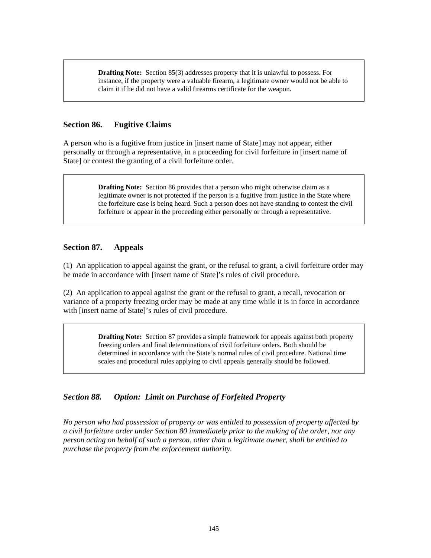**Drafting Note:** Section 85(3) addresses property that it is unlawful to possess. For instance, if the property were a valuable firearm, a legitimate owner would not be able to claim it if he did not have a valid firearms certificate for the weapon.

### **Section 86. Fugitive Claims**

A person who is a fugitive from justice in [insert name of State] may not appear, either personally or through a representative, in a proceeding for civil forfeiture in [insert name of State] or contest the granting of a civil forfeiture order.

> **Drafting Note:** Section 86 provides that a person who might otherwise claim as a legitimate owner is not protected if the person is a fugitive from justice in the State where the forfeiture case is being heard. Such a person does not have standing to contest the civil forfeiture or appear in the proceeding either personally or through a representative.

### **Section 87. Appeals**

(1) An application to appeal against the grant, or the refusal to grant, a civil forfeiture order may be made in accordance with [insert name of State]'s rules of civil procedure.

(2) An application to appeal against the grant or the refusal to grant, a recall, revocation or variance of a property freezing order may be made at any time while it is in force in accordance with [insert name of State]'s rules of civil procedure.

> **Drafting Note:** Section 87 provides a simple framework for appeals against both property freezing orders and final determinations of civil forfeiture orders. Both should be determined in accordance with the State's normal rules of civil procedure. National time scales and procedural rules applying to civil appeals generally should be followed.

# *Section 88. Option: Limit on Purchase of Forfeited Property*

*No person who had possession of property or was entitled to possession of property affected by a civil forfeiture order under Section 80 immediately prior to the making of the order, nor any person acting on behalf of such a person, other than a legitimate owner, shall be entitled to purchase the property from the enforcement authority.*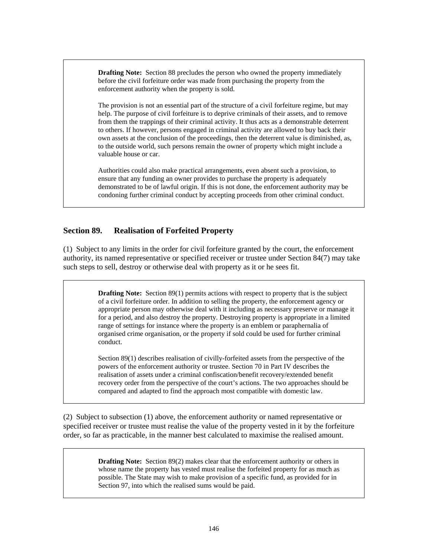**Drafting Note:** Section 88 precludes the person who owned the property immediately before the civil forfeiture order was made from purchasing the property from the enforcement authority when the property is sold.

The provision is not an essential part of the structure of a civil forfeiture regime, but may help. The purpose of civil forfeiture is to deprive criminals of their assets, and to remove from them the trappings of their criminal activity. It thus acts as a demonstrable deterrent to others. If however, persons engaged in criminal activity are allowed to buy back their own assets at the conclusion of the proceedings, then the deterrent value is diminished, as, to the outside world, such persons remain the owner of property which might include a valuable house or car.

Authorities could also make practical arrangements, even absent such a provision, to ensure that any funding an owner provides to purchase the property is adequately demonstrated to be of lawful origin. If this is not done, the enforcement authority may be condoning further criminal conduct by accepting proceeds from other criminal conduct.

# **Section 89. Realisation of Forfeited Property**

(1) Subject to any limits in the order for civil forfeiture granted by the court, the enforcement authority, its named representative or specified receiver or trustee under Section 84(7) may take such steps to sell, destroy or otherwise deal with property as it or he sees fit.

> **Drafting Note:** Section 89(1) permits actions with respect to property that is the subject of a civil forfeiture order. In addition to selling the property, the enforcement agency or appropriate person may otherwise deal with it including as necessary preserve or manage it for a period, and also destroy the property. Destroying property is appropriate in a limited range of settings for instance where the property is an emblem or paraphernalia of organised crime organisation, or the property if sold could be used for further criminal conduct.

Section 89(1) describes realisation of civilly-forfeited assets from the perspective of the powers of the enforcement authority or trustee. Section 70 in Part IV describes the realisation of assets under a criminal confiscation/benefit recovery/extended benefit recovery order from the perspective of the court's actions. The two approaches should be compared and adapted to find the approach most compatible with domestic law.

(2) Subject to subsection (1) above, the enforcement authority or named representative or specified receiver or trustee must realise the value of the property vested in it by the forfeiture order, so far as practicable, in the manner best calculated to maximise the realised amount.

> **Drafting Note:** Section 89(2) makes clear that the enforcement authority or others in whose name the property has vested must realise the forfeited property for as much as possible. The State may wish to make provision of a specific fund, as provided for in Section 97, into which the realised sums would be paid.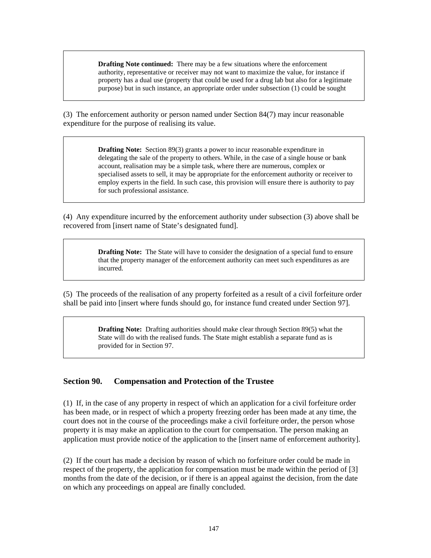**Drafting Note continued:** There may be a few situations where the enforcement authority, representative or receiver may not want to maximize the value, for instance if property has a dual use (property that could be used for a drug lab but also for a legitimate purpose) but in such instance, an appropriate order under subsection (1) could be sought

(3) The enforcement authority or person named under Section 84(7) may incur reasonable expenditure for the purpose of realising its value.

> **Drafting Note:** Section 89(3) grants a power to incur reasonable expenditure in delegating the sale of the property to others. While, in the case of a single house or bank account, realisation may be a simple task, where there are numerous, complex or specialised assets to sell, it may be appropriate for the enforcement authority or receiver to employ experts in the field. In such case, this provision will ensure there is authority to pay for such professional assistance.

(4) Any expenditure incurred by the enforcement authority under subsection (3) above shall be recovered from [insert name of State's designated fund].

> **Drafting Note:** The State will have to consider the designation of a special fund to ensure that the property manager of the enforcement authority can meet such expenditures as are incurred.

(5) The proceeds of the realisation of any property forfeited as a result of a civil forfeiture order shall be paid into [insert where funds should go, for instance fund created under Section 97].

> **Drafting Note:** Drafting authorities should make clear through Section 89(5) what the State will do with the realised funds. The State might establish a separate fund as is provided for in Section 97.

### **Section 90. Compensation and Protection of the Trustee**

(1) If, in the case of any property in respect of which an application for a civil forfeiture order has been made, or in respect of which a property freezing order has been made at any time, the court does not in the course of the proceedings make a civil forfeiture order, the person whose property it is may make an application to the court for compensation. The person making an application must provide notice of the application to the [insert name of enforcement authority].

(2) If the court has made a decision by reason of which no forfeiture order could be made in respect of the property, the application for compensation must be made within the period of [3] months from the date of the decision, or if there is an appeal against the decision, from the date on which any proceedings on appeal are finally concluded.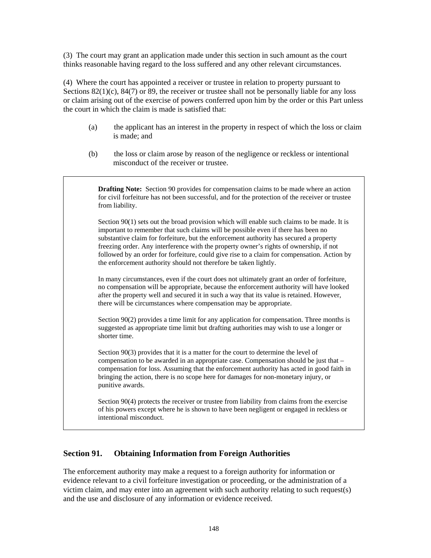(3) The court may grant an application made under this section in such amount as the court thinks reasonable having regard to the loss suffered and any other relevant circumstances.

(4) Where the court has appointed a receiver or trustee in relation to property pursuant to Sections  $82(1)(c)$ ,  $84(7)$  or  $89$ , the receiver or trustee shall not be personally liable for any loss or claim arising out of the exercise of powers conferred upon him by the order or this Part unless the court in which the claim is made is satisfied that:

- (a) the applicant has an interest in the property in respect of which the loss or claim is made; and
- (b) the loss or claim arose by reason of the negligence or reckless or intentional misconduct of the receiver or trustee.

**Drafting Note:** Section 90 provides for compensation claims to be made where an action for civil forfeiture has not been successful, and for the protection of the receiver or trustee from liability.

Section 90(1) sets out the broad provision which will enable such claims to be made. It is important to remember that such claims will be possible even if there has been no substantive claim for forfeiture, but the enforcement authority has secured a property freezing order. Any interference with the property owner's rights of ownership, if not followed by an order for forfeiture, could give rise to a claim for compensation. Action by the enforcement authority should not therefore be taken lightly.

In many circumstances, even if the court does not ultimately grant an order of forfeiture, no compensation will be appropriate, because the enforcement authority will have looked after the property well and secured it in such a way that its value is retained. However, there will be circumstances where compensation may be appropriate.

Section 90(2) provides a time limit for any application for compensation. Three months is suggested as appropriate time limit but drafting authorities may wish to use a longer or shorter time.

Section 90(3) provides that it is a matter for the court to determine the level of compensation to be awarded in an appropriate case. Compensation should be just that – compensation for loss. Assuming that the enforcement authority has acted in good faith in bringing the action, there is no scope here for damages for non-monetary injury, or punitive awards.

Section 90(4) protects the receiver or trustee from liability from claims from the exercise of his powers except where he is shown to have been negligent or engaged in reckless or intentional misconduct.

### **Section 91. Obtaining Information from Foreign Authorities**

The enforcement authority may make a request to a foreign authority for information or evidence relevant to a civil forfeiture investigation or proceeding, or the administration of a victim claim, and may enter into an agreement with such authority relating to such request(s) and the use and disclosure of any information or evidence received.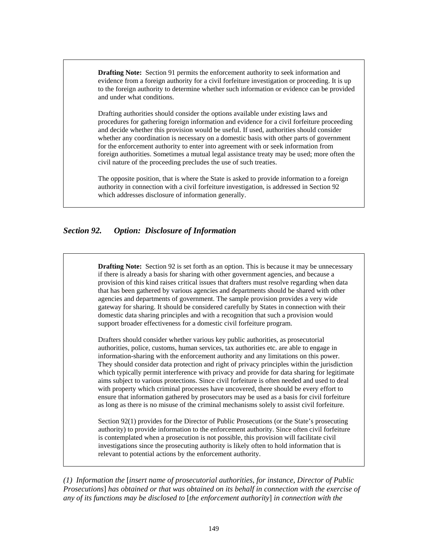**Drafting Note:** Section 91 permits the enforcement authority to seek information and evidence from a foreign authority for a civil forfeiture investigation or proceeding. It is up to the foreign authority to determine whether such information or evidence can be provided and under what conditions.

Drafting authorities should consider the options available under existing laws and procedures for gathering foreign information and evidence for a civil forfeiture proceeding and decide whether this provision would be useful. If used, authorities should consider whether any coordination is necessary on a domestic basis with other parts of government for the enforcement authority to enter into agreement with or seek information from foreign authorities. Sometimes a mutual legal assistance treaty may be used; more often the civil nature of the proceeding precludes the use of such treaties.

The opposite position, that is where the State is asked to provide information to a foreign authority in connection with a civil forfeiture investigation, is addressed in Section 92 which addresses disclosure of information generally.

### *Section 92. Option: Disclosure of Information*

**Drafting Note:** Section 92 is set forth as an option. This is because it may be unnecessary if there is already a basis for sharing with other government agencies, and because a provision of this kind raises critical issues that drafters must resolve regarding when data that has been gathered by various agencies and departments should be shared with other agencies and departments of government. The sample provision provides a very wide gateway for sharing. It should be considered carefully by States in connection with their domestic data sharing principles and with a recognition that such a provision would support broader effectiveness for a domestic civil forfeiture program.

Drafters should consider whether various key public authorities, as prosecutorial authorities, police, customs, human services, tax authorities etc. are able to engage in information-sharing with the enforcement authority and any limitations on this power. They should consider data protection and right of privacy principles within the jurisdiction which typically permit interference with privacy and provide for data sharing for legitimate aims subject to various protections. Since civil forfeiture is often needed and used to deal with property which criminal processes have uncovered, there should be every effort to ensure that information gathered by prosecutors may be used as a basis for civil forfeiture as long as there is no misuse of the criminal mechanisms solely to assist civil forfeiture.

Section 92(1) provides for the Director of Public Prosecutions (or the State's prosecuting authority) to provide information to the enforcement authority. Since often civil forfeiture is contemplated when a prosecution is not possible, this provision will facilitate civil investigations since the prosecuting authority is likely often to hold information that is relevant to potential actions by the enforcement authority.

*(1) Information the* [*insert name of prosecutorial authorities, for instance, Director of Public Prosecutions*] *has obtained or that was obtained on its behalf in connection with the exercise of any of its functions may be disclosed to* [*the enforcement authority*] *in connection with the*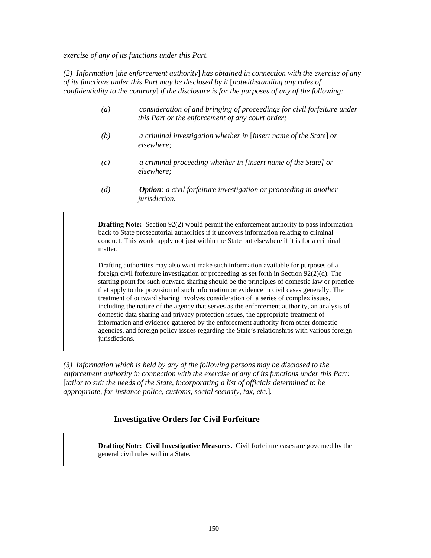*exercise of any of its functions under this Part.* 

*(2) Information* [*the enforcement authority*] *has obtained in connection with the exercise of any of its functions under this Part may be disclosed by it* [*notwithstanding any rules of confidentiality to the contrary*] *if the disclosure is for the purposes of any of the following:* 

- *(a) consideration of and bringing of proceedings for civil forfeiture under this Part or the enforcement of any court order;*
- *(b) a criminal investigation whether in* [*insert name of the State*] *or elsewhere;*
- *(c) a criminal proceeding whether in [insert name of the State] or elsewhere;*
- *(d) Option: a civil forfeiture investigation or proceeding in another jurisdiction.*

**Drafting Note:** Section 92(2) would permit the enforcement authority to pass information back to State prosecutorial authorities if it uncovers information relating to criminal conduct. This would apply not just within the State but elsewhere if it is for a criminal matter.

Drafting authorities may also want make such information available for purposes of a foreign civil forfeiture investigation or proceeding as set forth in Section 92(2)(d). The starting point for such outward sharing should be the principles of domestic law or practice that apply to the provision of such information or evidence in civil cases generally. The treatment of outward sharing involves consideration of a series of complex issues, including the nature of the agency that serves as the enforcement authority, an analysis of domestic data sharing and privacy protection issues, the appropriate treatment of information and evidence gathered by the enforcement authority from other domestic agencies, and foreign policy issues regarding the State's relationships with various foreign jurisdictions.

*(3) Information which is held by any of the following persons may be disclosed to the enforcement authority in connection with the exercise of any of its functions under this Part:*  [*tailor to suit the needs of the State, incorporating a list of officials determined to be appropriate, for instance police, customs, social security, tax, etc.*]*.* 

# **Investigative Orders for Civil Forfeiture**

**Drafting Note: Civil Investigative Measures.** Civil forfeiture cases are governed by the general civil rules within a State.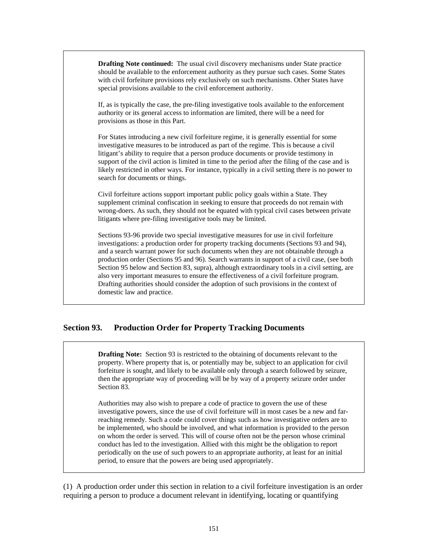**Drafting Note continued:** The usual civil discovery mechanisms under State practice should be available to the enforcement authority as they pursue such cases. Some States with civil forfeiture provisions rely exclusively on such mechanisms. Other States have special provisions available to the civil enforcement authority.

If, as is typically the case, the pre-filing investigative tools available to the enforcement authority or its general access to information are limited, there will be a need for provisions as those in this Part.

For States introducing a new civil forfeiture regime, it is generally essential for some investigative measures to be introduced as part of the regime. This is because a civil litigant's ability to require that a person produce documents or provide testimony in support of the civil action is limited in time to the period after the filing of the case and is likely restricted in other ways. For instance, typically in a civil setting there is no power to search for documents or things.

Civil forfeiture actions support important public policy goals within a State. They supplement criminal confiscation in seeking to ensure that proceeds do not remain with wrong-doers. As such, they should not be equated with typical civil cases between private litigants where pre-filing investigative tools may be limited.

Sections 93-96 provide two special investigative measures for use in civil forfeiture investigations: a production order for property tracking documents (Sections 93 and 94), and a search warrant power for such documents when they are not obtainable through a production order (Sections 95 and 96). Search warrants in support of a civil case, (see both Section 95 below and Section 83, supra), although extraordinary tools in a civil setting, are also very important measures to ensure the effectiveness of a civil forfeiture program. Drafting authorities should consider the adoption of such provisions in the context of domestic law and practice.

### **Section 93. Production Order for Property Tracking Documents**

**Drafting Note:** Section 93 is restricted to the obtaining of documents relevant to the property. Where property that is, or potentially may be, subject to an application for civil forfeiture is sought, and likely to be available only through a search followed by seizure, then the appropriate way of proceeding will be by way of a property seizure order under Section 83.

Authorities may also wish to prepare a code of practice to govern the use of these investigative powers, since the use of civil forfeiture will in most cases be a new and farreaching remedy. Such a code could cover things such as how investigative orders are to be implemented, who should be involved, and what information is provided to the person on whom the order is served. This will of course often not be the person whose criminal conduct has led to the investigation. Allied with this might be the obligation to report periodically on the use of such powers to an appropriate authority, at least for an initial period, to ensure that the powers are being used appropriately.

(1) A production order under this section in relation to a civil forfeiture investigation is an order requiring a person to produce a document relevant in identifying, locating or quantifying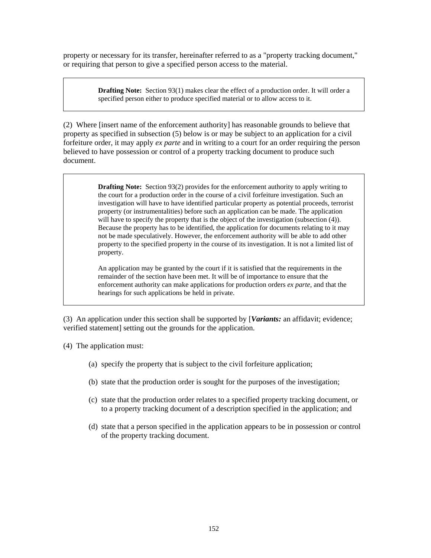property or necessary for its transfer, hereinafter referred to as a "property tracking document," or requiring that person to give a specified person access to the material.

> **Drafting Note:** Section 93(1) makes clear the effect of a production order. It will order a specified person either to produce specified material or to allow access to it.

(2) Where [insert name of the enforcement authority] has reasonable grounds to believe that property as specified in subsection (5) below is or may be subject to an application for a civil forfeiture order, it may apply *ex parte* and in writing to a court for an order requiring the person believed to have possession or control of a property tracking document to produce such document.

> **Drafting Note:** Section 93(2) provides for the enforcement authority to apply writing to the court for a production order in the course of a civil forfeiture investigation. Such an investigation will have to have identified particular property as potential proceeds, terrorist property (or instrumentalities) before such an application can be made. The application will have to specify the property that is the object of the investigation (subsection  $(4)$ ). Because the property has to be identified, the application for documents relating to it may not be made speculatively. However, the enforcement authority will be able to add other property to the specified property in the course of its investigation. It is not a limited list of property.

An application may be granted by the court if it is satisfied that the requirements in the remainder of the section have been met. It will be of importance to ensure that the enforcement authority can make applications for production orders *ex parte*, and that the hearings for such applications be held in private.

(3) An application under this section shall be supported by [*Variants:* an affidavit; evidence; verified statement] setting out the grounds for the application.

(4) The application must:

- (a) specify the property that is subject to the civil forfeiture application;
- (b) state that the production order is sought for the purposes of the investigation;
- (c) state that the production order relates to a specified property tracking document, or to a property tracking document of a description specified in the application; and
- (d) state that a person specified in the application appears to be in possession or control of the property tracking document.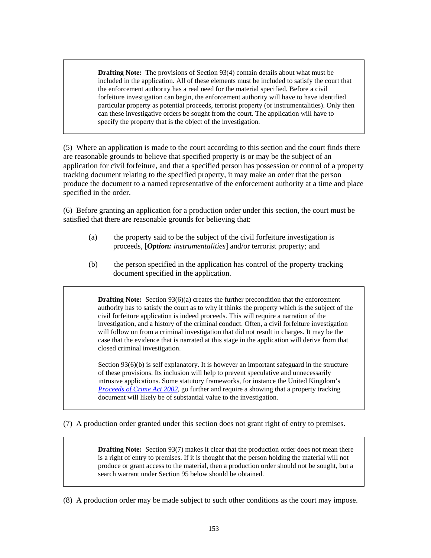**Drafting Note:** The provisions of Section 93(4) contain details about what must be included in the application. All of these elements must be included to satisfy the court that the enforcement authority has a real need for the material specified. Before a civil forfeiture investigation can begin, the enforcement authority will have to have identified particular property as potential proceeds, terrorist property (or instrumentalities). Only then can these investigative orders be sought from the court. The application will have to specify the property that is the object of the investigation.

(5) Where an application is made to the court according to this section and the court finds there are reasonable grounds to believe that specified property is or may be the subject of an application for civil forfeiture, and that a specified person has possession or control of a property tracking document relating to the specified property, it may make an order that the person produce the document to a named representative of the enforcement authority at a time and place specified in the order.

(6) Before granting an application for a production order under this section, the court must be satisfied that there are reasonable grounds for believing that:

- (a) the property said to be the subject of the civil forfeiture investigation is proceeds, [*Option: instrumentalities*] and/or terrorist property; and
- (b) the person specified in the application has control of the property tracking document specified in the application.

**Drafting Note:** Section 93(6)(a) creates the further precondition that the enforcement authority has to satisfy the court as to why it thinks the property which is the subject of the civil forfeiture application is indeed proceeds. This will require a narration of the investigation, and a history of the criminal conduct. Often, a civil forfeiture investigation will follow on from a criminal investigation that did not result in charges. It may be the case that the evidence that is narrated at this stage in the application will derive from that closed criminal investigation.

Section 93(6)(b) is self explanatory. It is however an important safeguard in the structure of these provisions. Its inclusion will help to prevent speculative and unnecessarily intrusive applications. Some statutory frameworks, for instance the United Kingdom's *[Proceeds of Crime Act 2002](http://www.opsi.gov.uk/acts/acts2002/ukpga_20020029_en_1)*, go further and require a showing that a property tracking document will likely be of substantial value to the investigation.

(7) A production order granted under this section does not grant right of entry to premises.

**Drafting Note:** Section 93(7) makes it clear that the production order does not mean there is a right of entry to premises. If it is thought that the person holding the material will not produce or grant access to the material, then a production order should not be sought, but a search warrant under Section 95 below should be obtained.

(8) A production order may be made subject to such other conditions as the court may impose.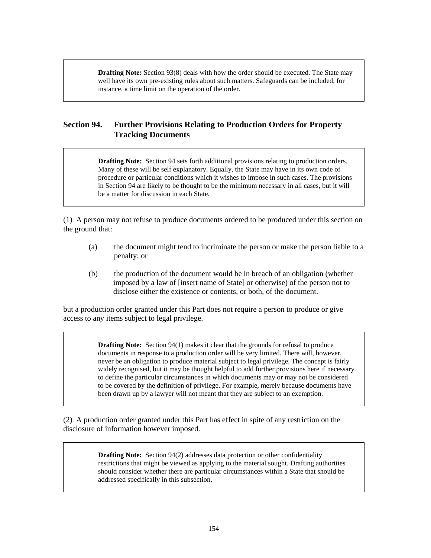**Drafting Note:** Section 93(8) deals with how the order should be executed. The State may well have its own pre-existing rules about such matters. Safeguards can be included, for instance, a time limit on the operation of the order.

# **Section 94. Further Provisions Relating to Production Orders for Property Tracking Documents**

**Drafting Note:** Section 94 sets forth additional provisions relating to production orders. Many of these will be self explanatory. Equally, the State may have in its own code of procedure or particular conditions which it wishes to impose in such cases. The provisions in Section 94 are likely to be thought to be the minimum necessary in all cases, but it will be a matter for discussion in each State.

(1) A person may not refuse to produce documents ordered to be produced under this section on the ground that:

- (a) the document might tend to incriminate the person or make the person liable to a penalty; or
- (b) the production of the document would be in breach of an obligation (whether imposed by a law of [insert name of State] or otherwise) of the person not to disclose either the existence or contents, or both, of the document.

but a production order granted under this Part does not require a person to produce or give access to any items subject to legal privilege.

> **Drafting Note:** Section 94(1) makes it clear that the grounds for refusal to produce documents in response to a production order will be very limited. There will, however, never be an obligation to produce material subject to legal privilege. The concept is fairly widely recognised, but it may be thought helpful to add further provisions here if necessary to define the particular circumstances in which documents may or may not be considered to be covered by the definition of privilege. For example, merely because documents have been drawn up by a lawyer will not meant that they are subject to an exemption.

(2) A production order granted under this Part has effect in spite of any restriction on the disclosure of information however imposed.

> **Drafting Note:** Section 94(2) addresses data protection or other confidentiality restrictions that might be viewed as applying to the material sought. Drafting authorities should consider whether there are particular circumstances within a State that should be addressed specifically in this subsection.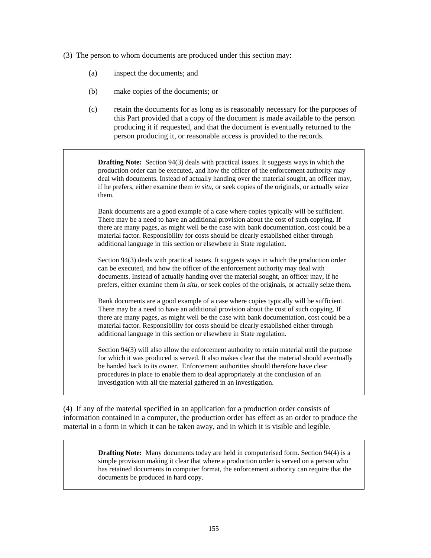- (3) The person to whom documents are produced under this section may:
	- (a) inspect the documents; and
	- (b) make copies of the documents; or
	- (c) retain the documents for as long as is reasonably necessary for the purposes of this Part provided that a copy of the document is made available to the person producing it if requested, and that the document is eventually returned to the person producing it, or reasonable access is provided to the records.

**Drafting Note:** Section 94(3) deals with practical issues. It suggests ways in which the production order can be executed, and how the officer of the enforcement authority may deal with documents. Instead of actually handing over the material sought, an officer may, if he prefers, either examine them *in situ*, or seek copies of the originals, or actually seize them.

Bank documents are a good example of a case where copies typically will be sufficient. There may be a need to have an additional provision about the cost of such copying. If there are many pages, as might well be the case with bank documentation, cost could be a material factor. Responsibility for costs should be clearly established either through additional language in this section or elsewhere in State regulation.

Section 94(3) deals with practical issues. It suggests ways in which the production order can be executed, and how the officer of the enforcement authority may deal with documents. Instead of actually handing over the material sought, an officer may, if he prefers, either examine them *in situ*, or seek copies of the originals, or actually seize them.

Bank documents are a good example of a case where copies typically will be sufficient. There may be a need to have an additional provision about the cost of such copying. If there are many pages, as might well be the case with bank documentation, cost could be a material factor. Responsibility for costs should be clearly established either through additional language in this section or elsewhere in State regulation.

Section 94(3) will also allow the enforcement authority to retain material until the purpose for which it was produced is served. It also makes clear that the material should eventually be handed back to its owner. Enforcement authorities should therefore have clear procedures in place to enable them to deal appropriately at the conclusion of an investigation with all the material gathered in an investigation.

(4) If any of the material specified in an application for a production order consists of information contained in a computer, the production order has effect as an order to produce the material in a form in which it can be taken away, and in which it is visible and legible.

> **Drafting Note:** Many documents today are held in computerised form. Section 94(4) is a simple provision making it clear that where a production order is served on a person who has retained documents in computer format, the enforcement authority can require that the documents be produced in hard copy.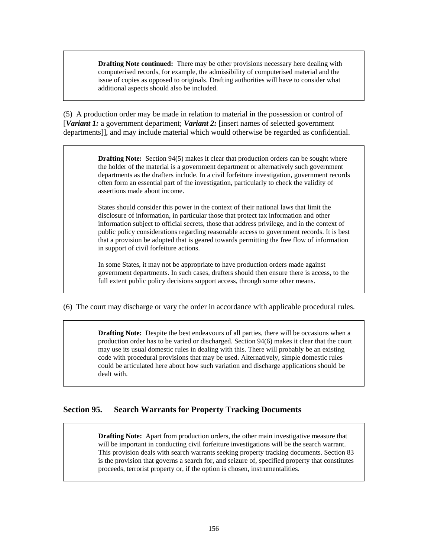**Drafting Note continued:** There may be other provisions necessary here dealing with computerised records, for example, the admissibility of computerised material and the issue of copies as opposed to originals. Drafting authorities will have to consider what additional aspects should also be included.

(5) A production order may be made in relation to material in the possession or control of [*Variant 1:* a government department; *Variant 2:* [insert names of selected government departments]], and may include material which would otherwise be regarded as confidential.

> **Drafting Note:** Section 94(5) makes it clear that production orders can be sought where the holder of the material is a government department or alternatively such government departments as the drafters include. In a civil forfeiture investigation, government records often form an essential part of the investigation, particularly to check the validity of assertions made about income.

> States should consider this power in the context of their national laws that limit the disclosure of information, in particular those that protect tax information and other information subject to official secrets, those that address privilege, and in the context of public policy considerations regarding reasonable access to government records. It is best that a provision be adopted that is geared towards permitting the free flow of information in support of civil forfeiture actions.

> In some States, it may not be appropriate to have production orders made against government departments. In such cases, drafters should then ensure there is access, to the full extent public policy decisions support access, through some other means.

(6) The court may discharge or vary the order in accordance with applicable procedural rules.

**Drafting Note:** Despite the best endeavours of all parties, there will be occasions when a production order has to be varied or discharged. Section 94(6) makes it clear that the court may use its usual domestic rules in dealing with this. There will probably be an existing code with procedural provisions that may be used. Alternatively, simple domestic rules could be articulated here about how such variation and discharge applications should be dealt with.

# **Section 95. Search Warrants for Property Tracking Documents**

**Drafting Note:** Apart from production orders, the other main investigative measure that will be important in conducting civil forfeiture investigations will be the search warrant. This provision deals with search warrants seeking property tracking documents. Section 83 is the provision that governs a search for, and seizure of, specified property that constitutes proceeds, terrorist property or, if the option is chosen, instrumentalities.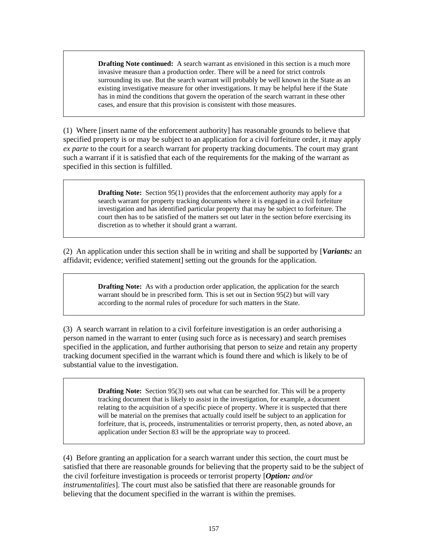**Drafting Note continued:** A search warrant as envisioned in this section is a much more invasive measure than a production order. There will be a need for strict controls surrounding its use. But the search warrant will probably be well known in the State as an existing investigative measure for other investigations. It may be helpful here if the State has in mind the conditions that govern the operation of the search warrant in these other cases, and ensure that this provision is consistent with those measures.

(1) Where [insert name of the enforcement authority] has reasonable grounds to believe that specified property is or may be subject to an application for a civil forfeiture order, it may apply *ex parte* to the court for a search warrant for property tracking documents. The court may grant such a warrant if it is satisfied that each of the requirements for the making of the warrant as specified in this section is fulfilled.

> **Drafting Note:** Section 95(1) provides that the enforcement authority may apply for a search warrant for property tracking documents where it is engaged in a civil forfeiture investigation and has identified particular property that may be subject to forfeiture. The court then has to be satisfied of the matters set out later in the section before exercising its discretion as to whether it should grant a warrant.

(2) An application under this section shall be in writing and shall be supported by [*Variants:* an affidavit; evidence; verified statement] setting out the grounds for the application.

> **Drafting Note:** As with a production order application, the application for the search warrant should be in prescribed form. This is set out in Section 95(2) but will vary according to the normal rules of procedure for such matters in the State.

(3) A search warrant in relation to a civil forfeiture investigation is an order authorising a person named in the warrant to enter (using such force as is necessary) and search premises specified in the application, and further authorising that person to seize and retain any property tracking document specified in the warrant which is found there and which is likely to be of substantial value to the investigation.

> **Drafting Note:** Section 95(3) sets out what can be searched for. This will be a property tracking document that is likely to assist in the investigation, for example, a document relating to the acquisition of a specific piece of property. Where it is suspected that there will be material on the premises that actually could itself be subject to an application for forfeiture, that is, proceeds, instrumentalities or terrorist property, then, as noted above, an application under Section 83 will be the appropriate way to proceed.

(4) Before granting an application for a search warrant under this section, the court must be satisfied that there are reasonable grounds for believing that the property said to be the subject of the civil forfeiture investigation is proceeds or terrorist property [*Option: and/or instrumentalities*]. The court must also be satisfied that there are reasonable grounds for believing that the document specified in the warrant is within the premises.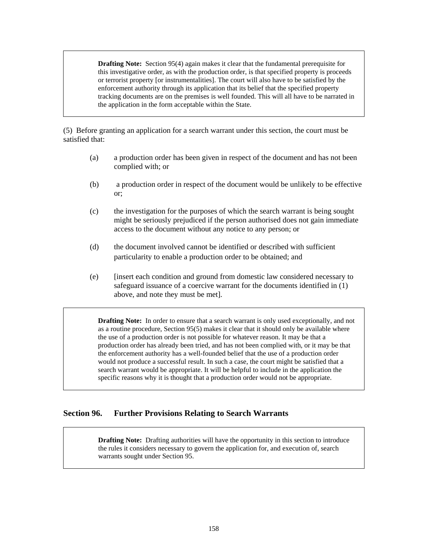**Drafting Note:** Section 95(4) again makes it clear that the fundamental prerequisite for this investigative order, as with the production order, is that specified property is proceeds or terrorist property [or instrumentalities]. The court will also have to be satisfied by the enforcement authority through its application that its belief that the specified property tracking documents are on the premises is well founded. This will all have to be narrated in the application in the form acceptable within the State.

(5) Before granting an application for a search warrant under this section, the court must be satisfied that:

- (a) a production order has been given in respect of the document and has not been complied with; or
- (b) a production order in respect of the document would be unlikely to be effective or;
- (c) the investigation for the purposes of which the search warrant is being sought might be seriously prejudiced if the person authorised does not gain immediate access to the document without any notice to any person; or
- (d) the document involved cannot be identified or described with sufficient particularity to enable a production order to be obtained; and
- (e) [insert each condition and ground from domestic law considered necessary to safeguard issuance of a coercive warrant for the documents identified in (1) above, and note they must be met].

**Drafting Note:** In order to ensure that a search warrant is only used exceptionally, and not as a routine procedure, Section 95(5) makes it clear that it should only be available where the use of a production order is not possible for whatever reason. It may be that a production order has already been tried, and has not been complied with, or it may be that the enforcement authority has a well-founded belief that the use of a production order would not produce a successful result. In such a case, the court might be satisfied that a search warrant would be appropriate. It will be helpful to include in the application the specific reasons why it is thought that a production order would not be appropriate.

### **Section 96. Further Provisions Relating to Search Warrants**

**Drafting Note:** Drafting authorities will have the opportunity in this section to introduce the rules it considers necessary to govern the application for, and execution of, search warrants sought under Section 95.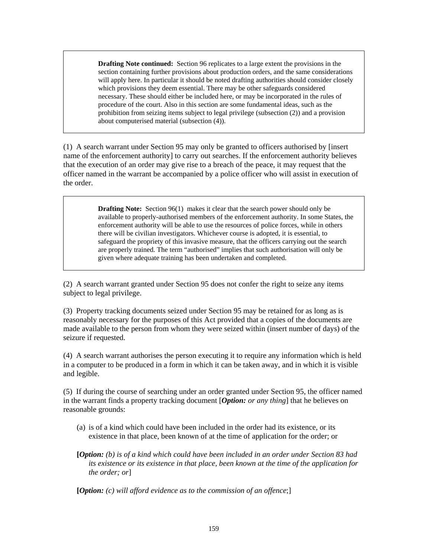**Drafting Note continued:** Section 96 replicates to a large extent the provisions in the section containing further provisions about production orders, and the same considerations will apply here. In particular it should be noted drafting authorities should consider closely which provisions they deem essential. There may be other safeguards considered necessary. These should either be included here, or may be incorporated in the rules of procedure of the court. Also in this section are some fundamental ideas, such as the prohibition from seizing items subject to legal privilege (subsection (2)) and a provision about computerised material (subsection (4)).

(1) A search warrant under Section 95 may only be granted to officers authorised by [insert name of the enforcement authority] to carry out searches. If the enforcement authority believes that the execution of an order may give rise to a breach of the peace, it may request that the officer named in the warrant be accompanied by a police officer who will assist in execution of the order.

> **Drafting Note:** Section 96(1) makes it clear that the search power should only be available to properly-authorised members of the enforcement authority. In some States, the enforcement authority will be able to use the resources of police forces, while in others there will be civilian investigators. Whichever course is adopted, it is essential, to safeguard the propriety of this invasive measure, that the officers carrying out the search are properly trained. The term "authorised" implies that such authorisation will only be given where adequate training has been undertaken and completed.

(2) A search warrant granted under Section 95 does not confer the right to seize any items subject to legal privilege.

(3) Property tracking documents seized under Section 95 may be retained for as long as is reasonably necessary for the purposes of this Act provided that a copies of the documents are made available to the person from whom they were seized within (insert number of days) of the seizure if requested.

(4) A search warrant authorises the person executing it to require any information which is held in a computer to be produced in a form in which it can be taken away, and in which it is visible and legible.

(5) If during the course of searching under an order granted under Section 95, the officer named in the warrant finds a property tracking document [*Option: or any thing*] that he believes on reasonable grounds:

- (a) is of a kind which could have been included in the order had its existence, or its existence in that place, been known of at the time of application for the order; or
- **[***Option: (b) is of a kind which could have been included in an order under Section 83 had its existence or its existence in that place, been known at the time of the application for the order; or*]

**[***Option: (c) will afford evidence as to the commission of an offence*;]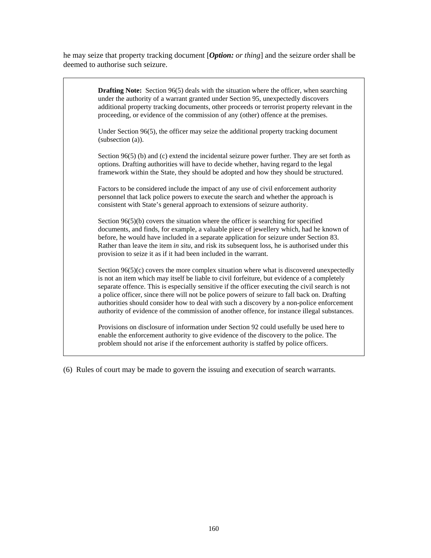he may seize that property tracking document [*Option: or thing*] and the seizure order shall be deemed to authorise such seizure.

| <b>Drafting Note:</b> Section $96(5)$ deals with the situation where the officer, when searching<br>under the authority of a warrant granted under Section 95, unexpectedly discovers<br>additional property tracking documents, other proceeds or terrorist property relevant in the<br>proceeding, or evidence of the commission of any (other) offence at the premises.                                                                                                                                                                                                                |
|-------------------------------------------------------------------------------------------------------------------------------------------------------------------------------------------------------------------------------------------------------------------------------------------------------------------------------------------------------------------------------------------------------------------------------------------------------------------------------------------------------------------------------------------------------------------------------------------|
| Under Section 96(5), the officer may seize the additional property tracking document<br>(subsection (a)).                                                                                                                                                                                                                                                                                                                                                                                                                                                                                 |
| Section $96(5)$ (b) and (c) extend the incidental seizure power further. They are set forth as<br>options. Drafting authorities will have to decide whether, having regard to the legal<br>framework within the State, they should be adopted and how they should be structured.                                                                                                                                                                                                                                                                                                          |
| Factors to be considered include the impact of any use of civil enforcement authority<br>personnel that lack police powers to execute the search and whether the approach is<br>consistent with State's general approach to extensions of seizure authority.                                                                                                                                                                                                                                                                                                                              |
| Section $96(5)(b)$ covers the situation where the officer is searching for specified<br>documents, and finds, for example, a valuable piece of jewellery which, had he known of<br>before, he would have included in a separate application for seizure under Section 83.<br>Rather than leave the item in situ, and risk its subsequent loss, he is authorised under this<br>provision to seize it as if it had been included in the warrant.                                                                                                                                            |
| Section $96(5)(c)$ covers the more complex situation where what is discovered unexpectedly<br>is not an item which may itself be liable to civil forfeiture, but evidence of a completely<br>separate offence. This is especially sensitive if the officer executing the civil search is not<br>a police officer, since there will not be police powers of seizure to fall back on. Drafting<br>authorities should consider how to deal with such a discovery by a non-police enforcement<br>authority of evidence of the commission of another offence, for instance illegal substances. |
| Provisions on disclosure of information under Section 92 could usefully be used here to<br>enable the enforcement authority to give evidence of the discovery to the police. The<br>problem should not arise if the enforcement authority is staffed by police officers.                                                                                                                                                                                                                                                                                                                  |

(6) Rules of court may be made to govern the issuing and execution of search warrants.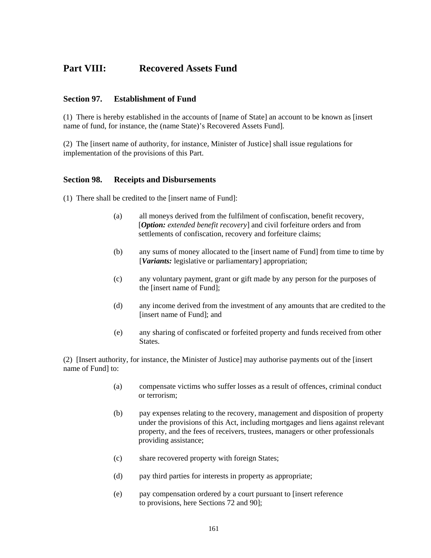# **Part VIII: Recovered Assets Fund**

### **Section 97. Establishment of Fund**

(1) There is hereby established in the accounts of [name of State] an account to be known as [insert name of fund, for instance, the (name State)'s Recovered Assets Fund].

(2) The [insert name of authority, for instance, Minister of Justice] shall issue regulations for implementation of the provisions of this Part.

#### **Section 98. Receipts and Disbursements**

- (1) There shall be credited to the [insert name of Fund]:
	- (a) all moneys derived from the fulfilment of confiscation, benefit recovery, [*Option: extended benefit recovery*] and civil forfeiture orders and from settlements of confiscation, recovery and forfeiture claims;
	- (b) any sums of money allocated to the [insert name of Fund] from time to time by [*Variants:* legislative or parliamentary] appropriation;
	- (c) any voluntary payment, grant or gift made by any person for the purposes of the [insert name of Fund];
	- (d) any income derived from the investment of any amounts that are credited to the [insert name of Fund]; and
	- (e) any sharing of confiscated or forfeited property and funds received from other States.

(2) [Insert authority, for instance, the Minister of Justice] may authorise payments out of the [insert name of Fund] to:

- (a) compensate victims who suffer losses as a result of offences, criminal conduct or terrorism;
- (b) pay expenses relating to the recovery, management and disposition of property under the provisions of this Act, including mortgages and liens against relevant property, and the fees of receivers, trustees, managers or other professionals providing assistance;
- (c) share recovered property with foreign States;
- (d) pay third parties for interests in property as appropriate;
- (e) pay compensation ordered by a court pursuant to [insert reference to provisions, here Sections 72 and 90];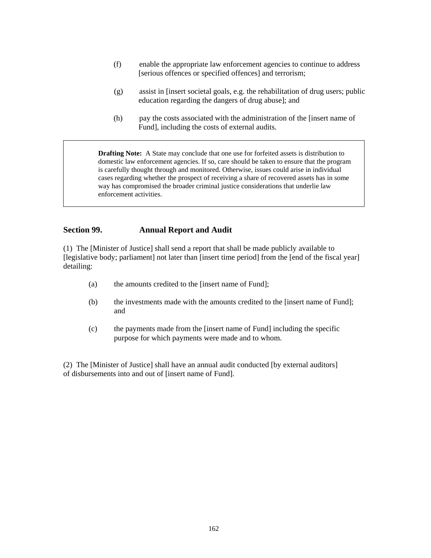- (f) enable the appropriate law enforcement agencies to continue to address [serious offences or specified offences] and terrorism;
- (g) assist in [insert societal goals, e.g. the rehabilitation of drug users; public education regarding the dangers of drug abuse]; and
- (h) pay the costs associated with the administration of the [insert name of Fund], including the costs of external audits.

**Drafting Note:** A State may conclude that one use for forfeited assets is distribution to domestic law enforcement agencies. If so, care should be taken to ensure that the program is carefully thought through and monitored. Otherwise, issues could arise in individual cases regarding whether the prospect of receiving a share of recovered assets has in some way has compromised the broader criminal justice considerations that underlie law enforcement activities.

### **Section 99. Annual Report and Audit**

(1) The [Minister of Justice] shall send a report that shall be made publicly available to [legislative body; parliament] not later than [insert time period] from the [end of the fiscal year] detailing:

- (a) the amounts credited to the [insert name of Fund];
- (b) the investments made with the amounts credited to the [insert name of Fund]; and
- (c) the payments made from the [insert name of Fund] including the specific purpose for which payments were made and to whom.

(2) The [Minister of Justice] shall have an annual audit conducted [by external auditors] of disbursements into and out of [insert name of Fund].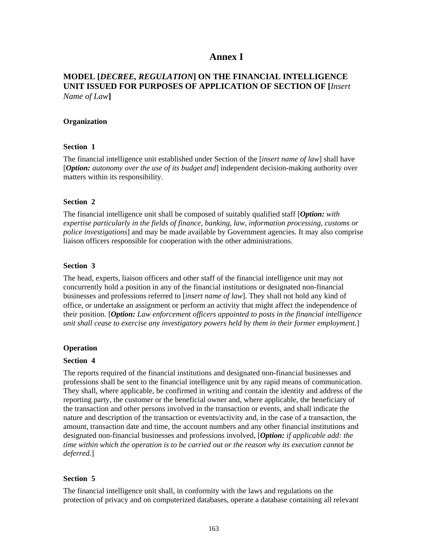# **Annex I**

# **MODEL [***DECREE, REGULATION***] ON THE FINANCIAL INTELLIGENCE UNIT ISSUED FOR PURPOSES OF APPLICATION OF SECTION OF [***Insert Name of Law***]**

#### **Organization**

#### **Section 1**

The financial intelligence unit established under Section of the [*insert name of law*] shall have [*Option: autonomy over the use of its budget and*] independent decision-making authority over matters within its responsibility.

#### **Section 2**

The financial intelligence unit shall be composed of suitably qualified staff [*Option: with expertise particularly in the fields of finance, banking, law, information processing, customs or police investigations*] and may be made available by Government agencies. It may also comprise liaison officers responsible for cooperation with the other administrations.

#### **Section 3**

The head, experts, liaison officers and other staff of the financial intelligence unit may not concurrently hold a position in any of the financial institutions or designated non-financial businesses and professions referred to [*insert name of law*]. They shall not hold any kind of office, or undertake an assignment or perform an activity that might affect the independence of their position. [*Option: Law enforcement officers appointed to posts in the financial intelligence unit shall cease to exercise any investigatory powers held by them in their former employment.*]

#### **Operation**

#### **Section 4**

The reports required of the financial institutions and designated non-financial businesses and professions shall be sent to the financial intelligence unit by any rapid means of communication. They shall, where applicable, be confirmed in writing and contain the identity and address of the reporting party, the customer or the beneficial owner and, where applicable, the beneficiary of the transaction and other persons involved in the transaction or events, and shall indicate the nature and description of the transaction or events/activity and, in the case of a transaction, the amount, transaction date and time, the account numbers and any other financial institutions and designated non-financial businesses and professions involved, [*Option: if applicable add: the time within which the operation is to be carried out or the reason why its execution cannot be deferred.*]

#### **Section 5**

The financial intelligence unit shall, in conformity with the laws and regulations on the protection of privacy and on computerized databases, operate a database containing all relevant